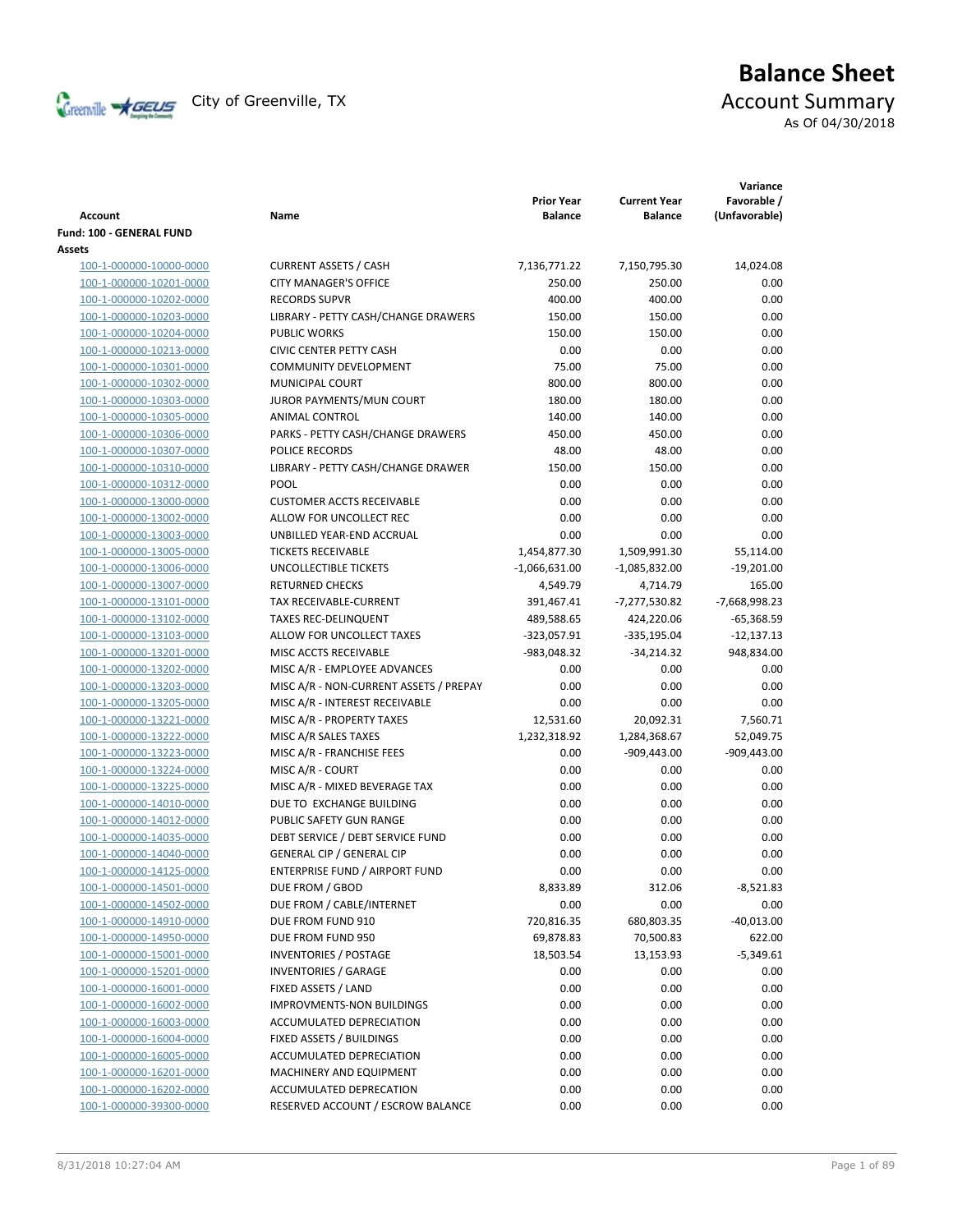

# **Balance Sheet** Creenville  $\star$  GEUS</del> City of Greenville, TX **Account Summary**

As Of 04/30/2018

| Account                  | Name                                   | <b>Prior Year</b><br><b>Balance</b> | <b>Current Year</b><br>Balance | Variance<br>Favorable /<br>(Unfavorable) |
|--------------------------|----------------------------------------|-------------------------------------|--------------------------------|------------------------------------------|
| Fund: 100 - GENERAL FUND |                                        |                                     |                                |                                          |
| Assets                   |                                        |                                     |                                |                                          |
| 100-1-000000-10000-0000  | <b>CURRENT ASSETS / CASH</b>           | 7,136,771.22                        | 7,150,795.30                   | 14,024.08                                |
| 100-1-000000-10201-0000  | <b>CITY MANAGER'S OFFICE</b>           | 250.00                              | 250.00                         | 0.00                                     |
| 100-1-000000-10202-0000  | <b>RECORDS SUPVR</b>                   | 400.00                              | 400.00                         | 0.00                                     |
| 100-1-000000-10203-0000  | LIBRARY - PETTY CASH/CHANGE DRAWERS    | 150.00                              | 150.00                         | 0.00                                     |
| 100-1-000000-10204-0000  | <b>PUBLIC WORKS</b>                    | 150.00                              | 150.00                         | 0.00                                     |
| 100-1-000000-10213-0000  | <b>CIVIC CENTER PETTY CASH</b>         | 0.00                                | 0.00                           | 0.00                                     |
| 100-1-000000-10301-0000  | <b>COMMUNITY DEVELOPMENT</b>           | 75.00                               | 75.00                          | 0.00                                     |
| 100-1-000000-10302-0000  | MUNICIPAL COURT                        | 800.00                              | 800.00                         | 0.00                                     |
| 100-1-000000-10303-0000  | JUROR PAYMENTS/MUN COURT               | 180.00                              | 180.00                         | 0.00                                     |
| 100-1-000000-10305-0000  | ANIMAL CONTROL                         | 140.00                              | 140.00                         | 0.00                                     |
| 100-1-000000-10306-0000  | PARKS - PETTY CASH/CHANGE DRAWERS      | 450.00                              | 450.00                         | 0.00                                     |
| 100-1-000000-10307-0000  | POLICE RECORDS                         | 48.00                               | 48.00                          | 0.00                                     |
| 100-1-000000-10310-0000  | LIBRARY - PETTY CASH/CHANGE DRAWER     | 150.00                              | 150.00                         | 0.00                                     |
| 100-1-000000-10312-0000  | <b>POOL</b>                            | 0.00                                | 0.00                           | 0.00                                     |
| 100-1-000000-13000-0000  | <b>CUSTOMER ACCTS RECEIVABLE</b>       | 0.00                                | 0.00                           | 0.00                                     |
| 100-1-000000-13002-0000  | ALLOW FOR UNCOLLECT REC                | 0.00                                | 0.00                           | 0.00                                     |
| 100-1-000000-13003-0000  | UNBILLED YEAR-END ACCRUAL              | 0.00                                | 0.00                           | 0.00                                     |
| 100-1-000000-13005-0000  | <b>TICKETS RECEIVABLE</b>              | 1,454,877.30                        | 1,509,991.30                   | 55,114.00                                |
| 100-1-000000-13006-0000  | UNCOLLECTIBLE TICKETS                  | $-1,066,631.00$                     | $-1,085,832.00$                | $-19,201.00$                             |
| 100-1-000000-13007-0000  | <b>RETURNED CHECKS</b>                 | 4,549.79                            | 4,714.79                       | 165.00                                   |
| 100-1-000000-13101-0000  | TAX RECEIVABLE-CURRENT                 | 391,467.41                          | -7,277,530.82                  | -7,668,998.23                            |
| 100-1-000000-13102-0000  | <b>TAXES REC-DELINQUENT</b>            | 489,588.65                          | 424,220.06                     | $-65,368.59$                             |
| 100-1-000000-13103-0000  | ALLOW FOR UNCOLLECT TAXES              | -323,057.91                         | $-335,195.04$                  | $-12,137.13$                             |
| 100-1-000000-13201-0000  | MISC ACCTS RECEIVABLE                  | -983,048.32                         | $-34,214.32$                   | 948,834.00                               |
| 100-1-000000-13202-0000  | MISC A/R - EMPLOYEE ADVANCES           | 0.00                                | 0.00                           | 0.00                                     |
| 100-1-000000-13203-0000  | MISC A/R - NON-CURRENT ASSETS / PREPAY | 0.00                                | 0.00                           | 0.00                                     |
| 100-1-000000-13205-0000  | MISC A/R - INTEREST RECEIVABLE         | 0.00                                | 0.00                           | 0.00                                     |
| 100-1-000000-13221-0000  | MISC A/R - PROPERTY TAXES              | 12,531.60                           | 20,092.31                      | 7,560.71                                 |
| 100-1-000000-13222-0000  | MISC A/R SALES TAXES                   | 1,232,318.92                        | 1,284,368.67                   | 52,049.75                                |
| 100-1-000000-13223-0000  | MISC A/R - FRANCHISE FEES              | 0.00                                | $-909,443.00$                  | $-909,443.00$                            |
| 100-1-000000-13224-0000  | MISC A/R - COURT                       | 0.00                                | 0.00                           | 0.00                                     |
| 100-1-000000-13225-0000  | MISC A/R - MIXED BEVERAGE TAX          | 0.00                                | 0.00                           | 0.00                                     |
| 100-1-000000-14010-0000  | DUE TO EXCHANGE BUILDING               | 0.00                                | 0.00                           | 0.00                                     |
| 100-1-000000-14012-0000  | PUBLIC SAFETY GUN RANGE                | 0.00                                | 0.00                           | 0.00                                     |
| 100-1-000000-14035-0000  | DEBT SERVICE / DEBT SERVICE FUND       | 0.00                                | 0.00                           | 0.00                                     |
| 100-1-000000-14040-0000  | <b>GENERAL CIP / GENERAL CIP</b>       | 0.00                                | 0.00                           | 0.00                                     |
| 100-1-000000-14125-0000  | ENTERPRISE FUND / AIRPORT FUND         | 0.00                                | 0.00                           | 0.00                                     |
| 100-1-000000-14501-0000  | DUE FROM / GBOD                        | 8,833.89                            | 312.06                         | $-8,521.83$                              |
| 100-1-000000-14502-0000  | DUE FROM / CABLE/INTERNET              | 0.00                                | 0.00                           | 0.00                                     |
| 100-1-000000-14910-0000  | DUE FROM FUND 910                      | 720,816.35                          | 680,803.35                     | $-40,013.00$                             |
| 100-1-000000-14950-0000  | DUE FROM FUND 950                      | 69,878.83                           | 70,500.83                      | 622.00                                   |
| 100-1-000000-15001-0000  | <b>INVENTORIES / POSTAGE</b>           | 18,503.54                           | 13,153.93                      | $-5,349.61$                              |
| 100-1-000000-15201-0000  | <b>INVENTORIES / GARAGE</b>            | 0.00                                | 0.00                           | 0.00                                     |
| 100-1-000000-16001-0000  | FIXED ASSETS / LAND                    | 0.00                                | 0.00                           | 0.00                                     |
| 100-1-000000-16002-0000  | <b>IMPROVMENTS-NON BUILDINGS</b>       | 0.00                                | 0.00                           | 0.00                                     |
| 100-1-000000-16003-0000  | ACCUMULATED DEPRECIATION               | 0.00                                | 0.00                           | 0.00                                     |
| 100-1-000000-16004-0000  | FIXED ASSETS / BUILDINGS               | 0.00                                | 0.00                           | 0.00                                     |
| 100-1-000000-16005-0000  | ACCUMULATED DEPRECIATION               | 0.00                                | 0.00                           | 0.00                                     |
| 100-1-000000-16201-0000  | MACHINERY AND EQUIPMENT                | 0.00                                | 0.00                           | 0.00                                     |
| 100-1-000000-16202-0000  | ACCUMULATED DEPRECATION                | 0.00                                | 0.00                           | 0.00                                     |
| 100-1-000000-39300-0000  | RESERVED ACCOUNT / ESCROW BALANCE      | 0.00                                | 0.00                           | 0.00                                     |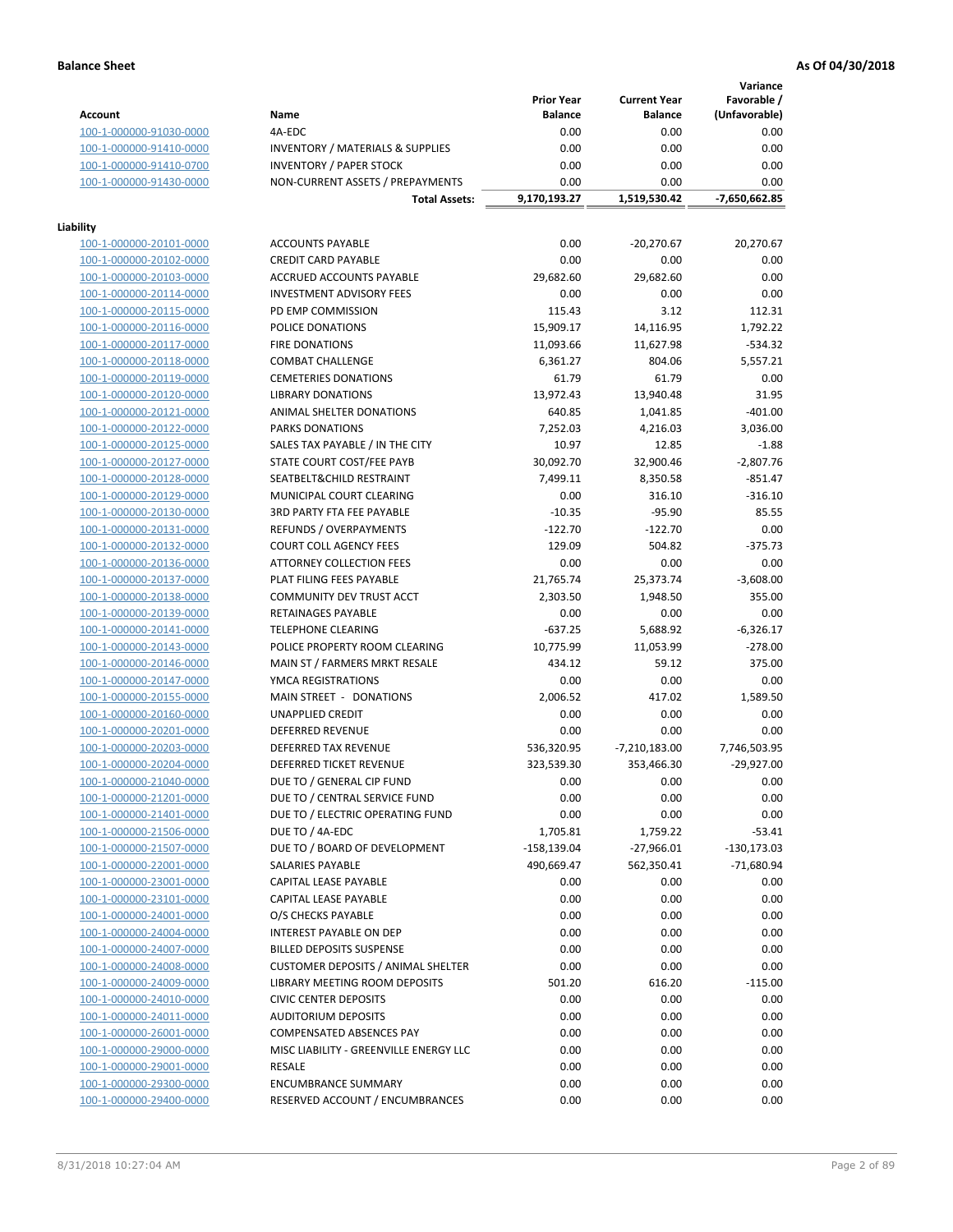**Variance**

|                         |                                             | <b>Prior Year</b> | <b>Current Year</b> | Favorable /   |
|-------------------------|---------------------------------------------|-------------------|---------------------|---------------|
| <b>Account</b>          | Name                                        | <b>Balance</b>    | <b>Balance</b>      | (Unfavorable) |
| 100-1-000000-91030-0000 | 4A-EDC                                      | 0.00              | 0.00                | 0.00          |
| 100-1-000000-91410-0000 | <b>INVENTORY / MATERIALS &amp; SUPPLIES</b> | 0.00              | 0.00                | 0.00          |
| 100-1-000000-91410-0700 | <b>INVENTORY / PAPER STOCK</b>              | 0.00              | 0.00                | 0.00          |
| 100-1-000000-91430-0000 | NON-CURRENT ASSETS / PREPAYMENTS            | 0.00              | 0.00                | 0.00          |
|                         | <b>Total Assets:</b>                        | 9,170,193.27      | 1,519,530.42        | -7,650,662.85 |
|                         |                                             |                   |                     |               |
| Liability               |                                             |                   |                     |               |
| 100-1-000000-20101-0000 | <b>ACCOUNTS PAYABLE</b>                     | 0.00              | $-20,270.67$        | 20,270.67     |
| 100-1-000000-20102-0000 | <b>CREDIT CARD PAYABLE</b>                  | 0.00              | 0.00                | 0.00          |
| 100-1-000000-20103-0000 | <b>ACCRUED ACCOUNTS PAYABLE</b>             | 29,682.60         | 29,682.60           | 0.00          |
| 100-1-000000-20114-0000 | <b>INVESTMENT ADVISORY FEES</b>             | 0.00              | 0.00                | 0.00          |
| 100-1-000000-20115-0000 | PD EMP COMMISSION                           | 115.43            | 3.12                | 112.31        |
| 100-1-000000-20116-0000 | POLICE DONATIONS                            | 15,909.17         | 14,116.95           | 1,792.22      |
| 100-1-000000-20117-0000 | <b>FIRE DONATIONS</b>                       | 11,093.66         | 11,627.98           | $-534.32$     |
| 100-1-000000-20118-0000 | <b>COMBAT CHALLENGE</b>                     | 6,361.27          | 804.06              | 5,557.21      |
| 100-1-000000-20119-0000 | <b>CEMETERIES DONATIONS</b>                 | 61.79             | 61.79               | 0.00          |
| 100-1-000000-20120-0000 | <b>LIBRARY DONATIONS</b>                    | 13,972.43         | 13,940.48           | 31.95         |
| 100-1-000000-20121-0000 | ANIMAL SHELTER DONATIONS                    | 640.85            | 1,041.85            | $-401.00$     |
| 100-1-000000-20122-0000 | PARKS DONATIONS                             | 7,252.03          | 4,216.03            | 3,036.00      |
| 100-1-000000-20125-0000 | SALES TAX PAYABLE / IN THE CITY             | 10.97             | 12.85               | $-1.88$       |
| 100-1-000000-20127-0000 | STATE COURT COST/FEE PAYB                   | 30,092.70         | 32,900.46           | $-2,807.76$   |
| 100-1-000000-20128-0000 | SEATBELT&CHILD RESTRAINT                    | 7,499.11          | 8,350.58            | $-851.47$     |
| 100-1-000000-20129-0000 | MUNICIPAL COURT CLEARING                    | 0.00              | 316.10              | $-316.10$     |
| 100-1-000000-20130-0000 | <b>3RD PARTY FTA FEE PAYABLE</b>            | $-10.35$          | $-95.90$            | 85.55         |
| 100-1-000000-20131-0000 | <b>REFUNDS / OVERPAYMENTS</b>               | $-122.70$         | $-122.70$           | 0.00          |
| 100-1-000000-20132-0000 | <b>COURT COLL AGENCY FEES</b>               | 129.09            | 504.82              | $-375.73$     |
| 100-1-000000-20136-0000 | ATTORNEY COLLECTION FEES                    | 0.00              | 0.00                | 0.00          |
| 100-1-000000-20137-0000 | PLAT FILING FEES PAYABLE                    | 21,765.74         | 25,373.74           | $-3,608.00$   |
| 100-1-000000-20138-0000 | COMMUNITY DEV TRUST ACCT                    | 2,303.50          | 1,948.50            | 355.00        |
| 100-1-000000-20139-0000 | RETAINAGES PAYABLE                          | 0.00              | 0.00                | 0.00          |
| 100-1-000000-20141-0000 | <b>TELEPHONE CLEARING</b>                   | $-637.25$         | 5,688.92            | $-6,326.17$   |
| 100-1-000000-20143-0000 | POLICE PROPERTY ROOM CLEARING               | 10,775.99         | 11,053.99           | $-278.00$     |
| 100-1-000000-20146-0000 | MAIN ST / FARMERS MRKT RESALE               | 434.12            | 59.12               | 375.00        |
| 100-1-000000-20147-0000 | YMCA REGISTRATIONS                          | 0.00              | 0.00                | 0.00          |
|                         | MAIN STREET - DONATIONS                     |                   | 417.02              | 1,589.50      |
| 100-1-000000-20155-0000 |                                             | 2,006.52          |                     |               |
| 100-1-000000-20160-0000 | <b>UNAPPLIED CREDIT</b>                     | 0.00              | 0.00                | 0.00          |
| 100-1-000000-20201-0000 | DEFERRED REVENUE                            | 0.00              | 0.00                | 0.00          |
| 100-1-000000-20203-0000 | DEFERRED TAX REVENUE                        | 536,320.95        | $-7,210,183.00$     | 7,746,503.95  |
| 100-1-000000-20204-0000 | DEFERRED TICKET REVENUE                     | 323,539.30        | 353,466.30          | $-29,927.00$  |
| 100-1-000000-21040-0000 | DUE TO / GENERAL CIP FUND                   | 0.00              | 0.00                | 0.00          |
| 100-1-000000-21201-0000 | DUE TO / CENTRAL SERVICE FUND               | 0.00              | 0.00                | 0.00          |
| 100-1-000000-21401-0000 | DUE TO / ELECTRIC OPERATING FUND            | 0.00              | 0.00                | 0.00          |
| 100-1-000000-21506-0000 | DUE TO / 4A-EDC                             | 1,705.81          | 1,759.22            | $-53.41$      |
| 100-1-000000-21507-0000 | DUE TO / BOARD OF DEVELOPMENT               | $-158, 139.04$    | $-27,966.01$        | $-130,173.03$ |
| 100-1-000000-22001-0000 | <b>SALARIES PAYABLE</b>                     | 490,669.47        | 562,350.41          | $-71,680.94$  |
| 100-1-000000-23001-0000 | CAPITAL LEASE PAYABLE                       | 0.00              | 0.00                | 0.00          |
| 100-1-000000-23101-0000 | CAPITAL LEASE PAYABLE                       | 0.00              | 0.00                | 0.00          |
| 100-1-000000-24001-0000 | O/S CHECKS PAYABLE                          | 0.00              | 0.00                | 0.00          |
| 100-1-000000-24004-0000 | <b>INTEREST PAYABLE ON DEP</b>              | 0.00              | 0.00                | 0.00          |
| 100-1-000000-24007-0000 | <b>BILLED DEPOSITS SUSPENSE</b>             | 0.00              | 0.00                | 0.00          |
| 100-1-000000-24008-0000 | <b>CUSTOMER DEPOSITS / ANIMAL SHELTER</b>   | 0.00              | 0.00                | 0.00          |
| 100-1-000000-24009-0000 | <b>LIBRARY MEETING ROOM DEPOSITS</b>        | 501.20            | 616.20              | $-115.00$     |
| 100-1-000000-24010-0000 | <b>CIVIC CENTER DEPOSITS</b>                | 0.00              | 0.00                | 0.00          |
| 100-1-000000-24011-0000 | <b>AUDITORIUM DEPOSITS</b>                  | 0.00              | 0.00                | 0.00          |
| 100-1-000000-26001-0000 | <b>COMPENSATED ABSENCES PAY</b>             | 0.00              | 0.00                | 0.00          |
| 100-1-000000-29000-0000 | MISC LIABILITY - GREENVILLE ENERGY LLC      | 0.00              | 0.00                | 0.00          |
| 100-1-000000-29001-0000 | RESALE                                      | 0.00              | 0.00                | 0.00          |
| 100-1-000000-29300-0000 | <b>ENCUMBRANCE SUMMARY</b>                  | 0.00              | 0.00                | 0.00          |
| 100-1-000000-29400-0000 | RESERVED ACCOUNT / ENCUMBRANCES             | 0.00              | 0.00                | 0.00          |
|                         |                                             |                   |                     |               |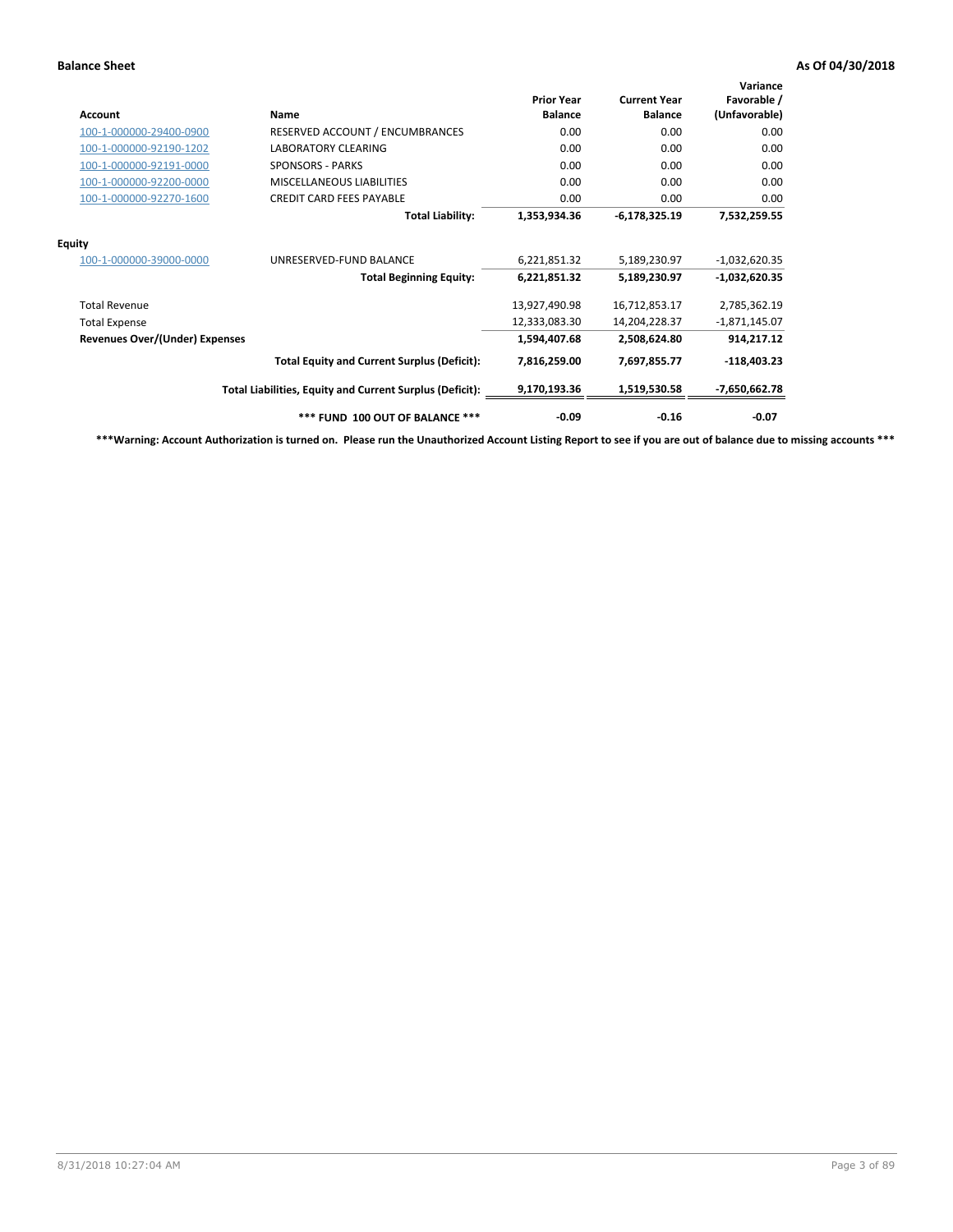| Account                               | Name                                                     | <b>Prior Year</b><br><b>Balance</b> | <b>Current Year</b><br><b>Balance</b> | Variance<br>Favorable /<br>(Unfavorable) |
|---------------------------------------|----------------------------------------------------------|-------------------------------------|---------------------------------------|------------------------------------------|
| 100-1-000000-29400-0900               | RESERVED ACCOUNT / ENCUMBRANCES                          | 0.00                                | 0.00                                  | 0.00                                     |
| 100-1-000000-92190-1202               | <b>LABORATORY CLEARING</b>                               | 0.00                                | 0.00                                  | 0.00                                     |
| 100-1-000000-92191-0000               | <b>SPONSORS - PARKS</b>                                  | 0.00                                | 0.00                                  | 0.00                                     |
| 100-1-000000-92200-0000               | <b>MISCELLANEOUS LIABILITIES</b>                         | 0.00                                | 0.00                                  | 0.00                                     |
| 100-1-000000-92270-1600               | <b>CREDIT CARD FEES PAYABLE</b>                          | 0.00                                | 0.00                                  | 0.00                                     |
|                                       | <b>Total Liability:</b>                                  | 1,353,934.36                        | $-6,178,325.19$                       | 7,532,259.55                             |
| <b>Equity</b>                         |                                                          |                                     |                                       |                                          |
| 100-1-000000-39000-0000               | UNRESERVED-FUND BALANCE                                  | 6,221,851.32                        | 5,189,230.97                          | $-1,032,620.35$                          |
|                                       | <b>Total Beginning Equity:</b>                           | 6,221,851.32                        | 5,189,230.97                          | $-1,032,620.35$                          |
| <b>Total Revenue</b>                  |                                                          | 13,927,490.98                       | 16,712,853.17                         | 2,785,362.19                             |
| <b>Total Expense</b>                  |                                                          | 12,333,083.30                       | 14,204,228.37                         | $-1,871,145.07$                          |
| <b>Revenues Over/(Under) Expenses</b> |                                                          | 1,594,407.68                        | 2,508,624.80                          | 914,217.12                               |
|                                       | <b>Total Equity and Current Surplus (Deficit):</b>       | 7,816,259.00                        | 7,697,855.77                          | $-118,403.23$                            |
|                                       | Total Liabilities, Equity and Current Surplus (Deficit): | 9,170,193.36                        | 1,519,530.58                          | -7,650,662.78                            |
|                                       | *** FUND 100 OUT OF BALANCE ***                          | $-0.09$                             | $-0.16$                               | $-0.07$                                  |

**\*\*\*Warning: Account Authorization is turned on. Please run the Unauthorized Account Listing Report to see if you are out of balance due to missing accounts \*\*\***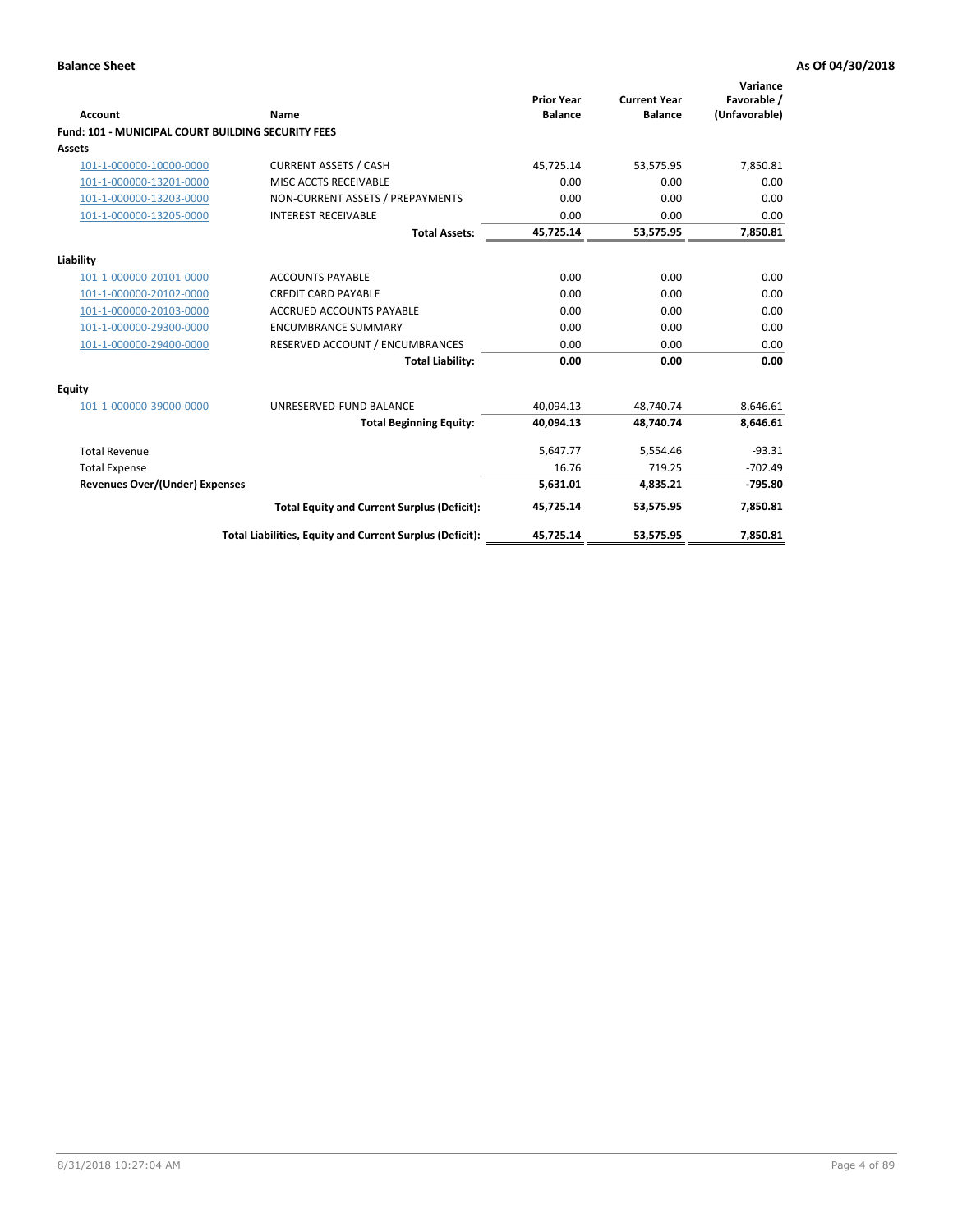| <b>Account</b>                                            | Name                                                     | <b>Prior Year</b><br><b>Balance</b> | <b>Current Year</b><br><b>Balance</b> | Variance<br>Favorable /<br>(Unfavorable) |
|-----------------------------------------------------------|----------------------------------------------------------|-------------------------------------|---------------------------------------|------------------------------------------|
| <b>Fund: 101 - MUNICIPAL COURT BUILDING SECURITY FEES</b> |                                                          |                                     |                                       |                                          |
| Assets                                                    |                                                          |                                     |                                       |                                          |
| 101-1-000000-10000-0000                                   | <b>CURRENT ASSETS / CASH</b>                             | 45,725.14                           | 53,575.95                             | 7,850.81                                 |
| 101-1-000000-13201-0000                                   | MISC ACCTS RECEIVABLE                                    | 0.00                                | 0.00                                  | 0.00                                     |
| 101-1-000000-13203-0000                                   | NON-CURRENT ASSETS / PREPAYMENTS                         | 0.00                                | 0.00                                  | 0.00                                     |
| 101-1-000000-13205-0000                                   | <b>INTEREST RECEIVABLE</b>                               | 0.00                                | 0.00                                  | 0.00                                     |
|                                                           | <b>Total Assets:</b>                                     | 45,725.14                           | 53,575.95                             | 7,850.81                                 |
| Liability                                                 |                                                          |                                     |                                       |                                          |
| 101-1-000000-20101-0000                                   | <b>ACCOUNTS PAYABLE</b>                                  | 0.00                                | 0.00                                  | 0.00                                     |
| 101-1-000000-20102-0000                                   | <b>CREDIT CARD PAYABLE</b>                               | 0.00                                | 0.00                                  | 0.00                                     |
| 101-1-000000-20103-0000                                   | <b>ACCRUED ACCOUNTS PAYABLE</b>                          | 0.00                                | 0.00                                  | 0.00                                     |
| 101-1-000000-29300-0000                                   | <b>ENCUMBRANCE SUMMARY</b>                               | 0.00                                | 0.00                                  | 0.00                                     |
| 101-1-000000-29400-0000                                   | RESERVED ACCOUNT / ENCUMBRANCES                          | 0.00                                | 0.00                                  | 0.00                                     |
|                                                           | <b>Total Liability:</b>                                  | 0.00                                | 0.00                                  | 0.00                                     |
| <b>Equity</b>                                             |                                                          |                                     |                                       |                                          |
| 101-1-000000-39000-0000                                   | UNRESERVED-FUND BALANCE                                  | 40,094.13                           | 48,740.74                             | 8,646.61                                 |
|                                                           | <b>Total Beginning Equity:</b>                           | 40.094.13                           | 48.740.74                             | 8.646.61                                 |
| <b>Total Revenue</b>                                      |                                                          | 5,647.77                            | 5,554.46                              | $-93.31$                                 |
| <b>Total Expense</b>                                      |                                                          | 16.76                               | 719.25                                | $-702.49$                                |
| Revenues Over/(Under) Expenses                            |                                                          | 5.631.01                            | 4.835.21                              | $-795.80$                                |
|                                                           | <b>Total Equity and Current Surplus (Deficit):</b>       | 45,725.14                           | 53,575.95                             | 7,850.81                                 |
|                                                           | Total Liabilities, Equity and Current Surplus (Deficit): | 45,725.14                           | 53,575.95                             | 7,850.81                                 |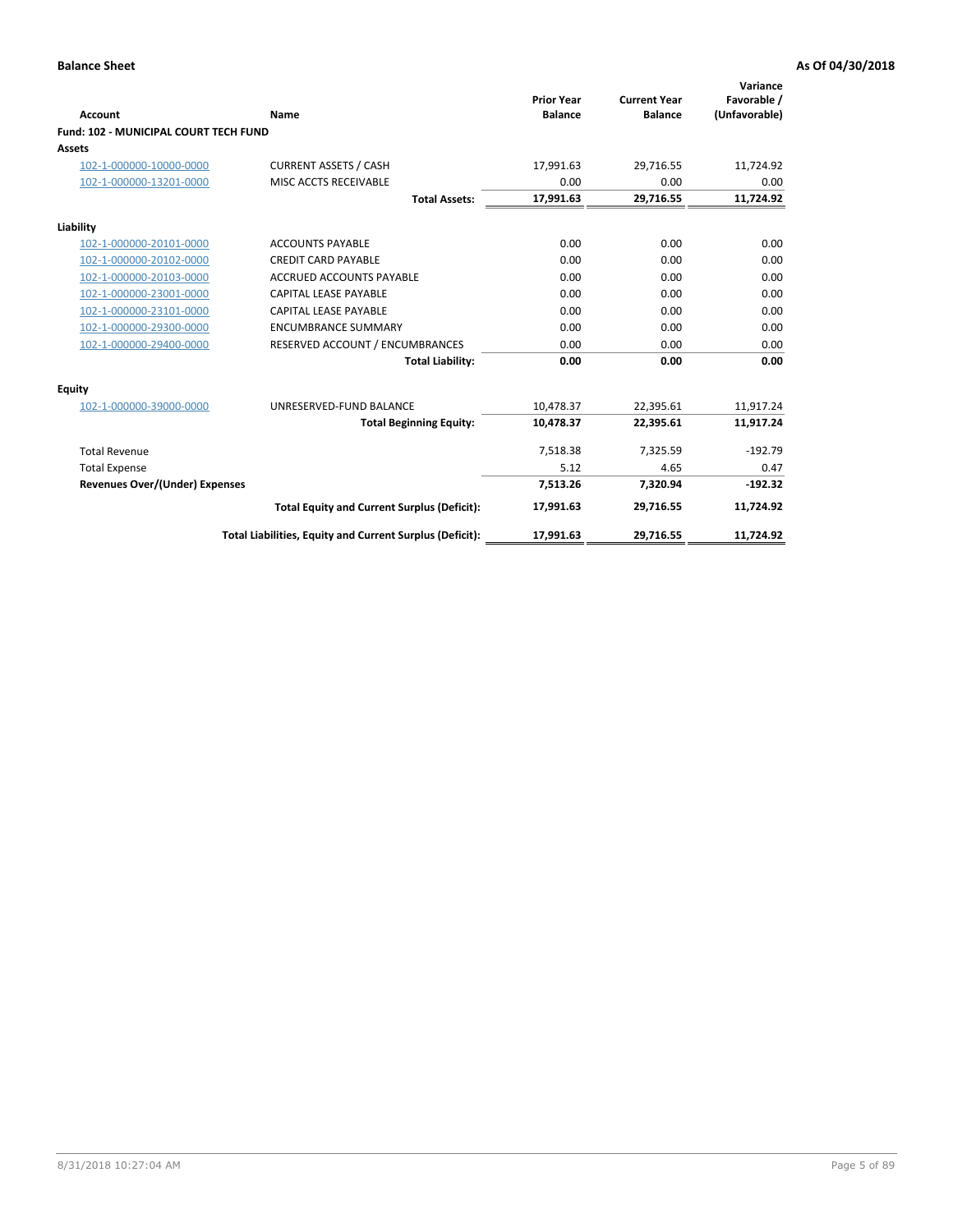| <b>Account</b>                        | Name                                                     | <b>Prior Year</b><br><b>Balance</b> | <b>Current Year</b><br><b>Balance</b> | Variance<br>Favorable /<br>(Unfavorable) |
|---------------------------------------|----------------------------------------------------------|-------------------------------------|---------------------------------------|------------------------------------------|
| Fund: 102 - MUNICIPAL COURT TECH FUND |                                                          |                                     |                                       |                                          |
| Assets                                |                                                          |                                     |                                       |                                          |
| 102-1-000000-10000-0000               | <b>CURRENT ASSETS / CASH</b>                             | 17,991.63                           | 29,716.55                             | 11,724.92                                |
| 102-1-000000-13201-0000               | MISC ACCTS RECEIVABLE                                    | 0.00                                | 0.00                                  | 0.00                                     |
|                                       | <b>Total Assets:</b>                                     | 17,991.63                           | 29,716.55                             | 11,724.92                                |
| Liability                             |                                                          |                                     |                                       |                                          |
| 102-1-000000-20101-0000               | <b>ACCOUNTS PAYABLE</b>                                  | 0.00                                | 0.00                                  | 0.00                                     |
| 102-1-000000-20102-0000               | <b>CREDIT CARD PAYABLE</b>                               | 0.00                                | 0.00                                  | 0.00                                     |
| 102-1-000000-20103-0000               | <b>ACCRUED ACCOUNTS PAYABLE</b>                          | 0.00                                | 0.00                                  | 0.00                                     |
| 102-1-000000-23001-0000               | CAPITAL LEASE PAYABLE                                    | 0.00                                | 0.00                                  | 0.00                                     |
| 102-1-000000-23101-0000               | <b>CAPITAL LEASE PAYABLE</b>                             | 0.00                                | 0.00                                  | 0.00                                     |
| 102-1-000000-29300-0000               | <b>ENCUMBRANCE SUMMARY</b>                               | 0.00                                | 0.00                                  | 0.00                                     |
| 102-1-000000-29400-0000               | RESERVED ACCOUNT / ENCUMBRANCES                          | 0.00                                | 0.00                                  | 0.00                                     |
|                                       | <b>Total Liability:</b>                                  | 0.00                                | 0.00                                  | 0.00                                     |
| <b>Equity</b>                         |                                                          |                                     |                                       |                                          |
| 102-1-000000-39000-0000               | UNRESERVED-FUND BALANCE                                  | 10,478.37                           | 22,395.61                             | 11,917.24                                |
|                                       | <b>Total Beginning Equity:</b>                           | 10,478.37                           | 22,395.61                             | 11,917.24                                |
| <b>Total Revenue</b>                  |                                                          | 7,518.38                            | 7,325.59                              | $-192.79$                                |
| <b>Total Expense</b>                  |                                                          | 5.12                                | 4.65                                  | 0.47                                     |
| <b>Revenues Over/(Under) Expenses</b> |                                                          | 7,513.26                            | 7,320.94                              | $-192.32$                                |
|                                       | <b>Total Equity and Current Surplus (Deficit):</b>       | 17,991.63                           | 29,716.55                             | 11,724.92                                |
|                                       | Total Liabilities, Equity and Current Surplus (Deficit): | 17,991.63                           | 29,716.55                             | 11,724.92                                |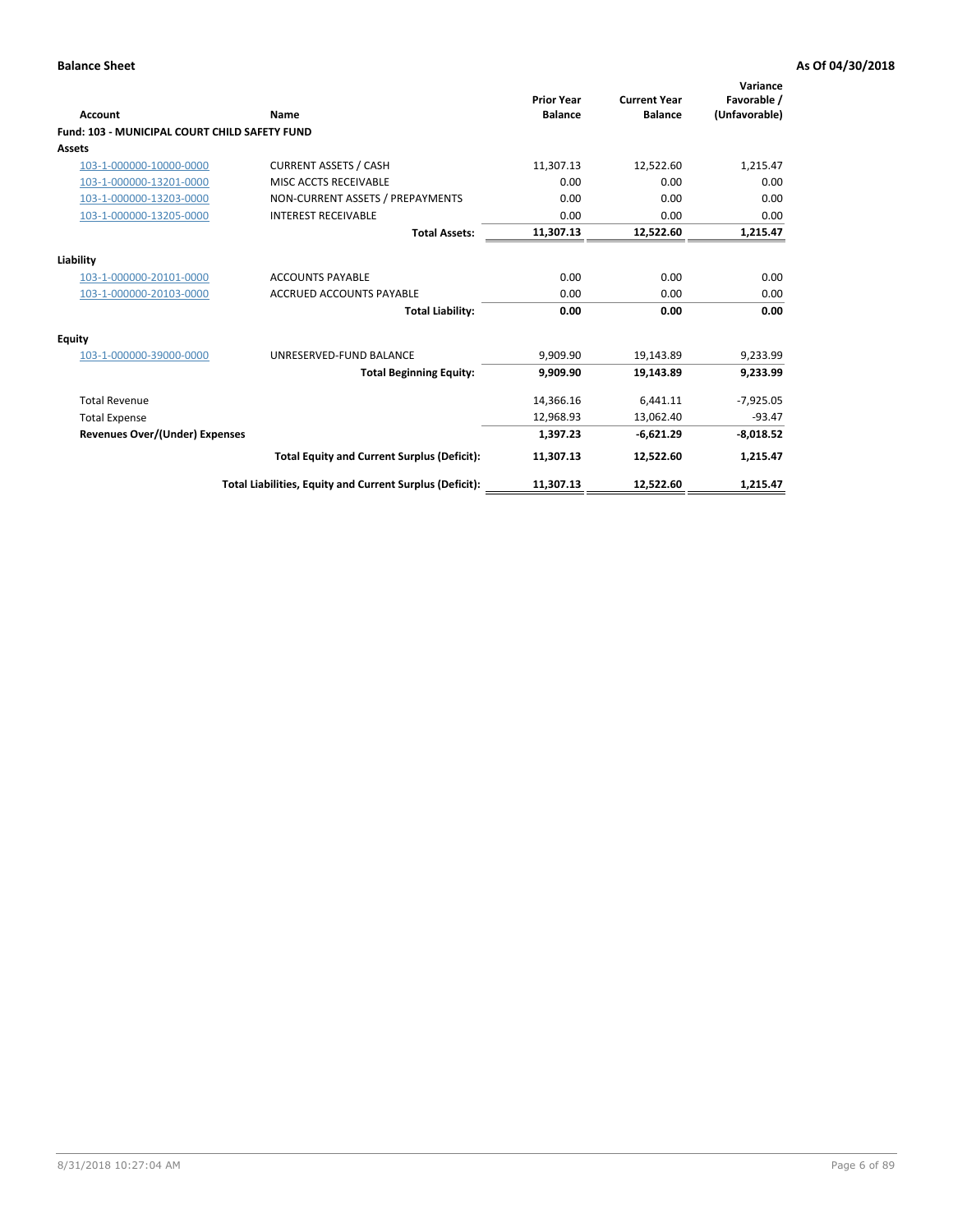| <b>Account</b>                                | Name                                                     | <b>Prior Year</b><br><b>Balance</b> | <b>Current Year</b><br><b>Balance</b> | Variance<br>Favorable /<br>(Unfavorable) |
|-----------------------------------------------|----------------------------------------------------------|-------------------------------------|---------------------------------------|------------------------------------------|
| Fund: 103 - MUNICIPAL COURT CHILD SAFETY FUND |                                                          |                                     |                                       |                                          |
| <b>Assets</b>                                 |                                                          |                                     |                                       |                                          |
| 103-1-000000-10000-0000                       | <b>CURRENT ASSETS / CASH</b>                             | 11,307.13                           | 12,522.60                             | 1,215.47                                 |
| 103-1-000000-13201-0000                       | MISC ACCTS RECEIVABLE                                    | 0.00                                | 0.00                                  | 0.00                                     |
| 103-1-000000-13203-0000                       | NON-CURRENT ASSETS / PREPAYMENTS                         | 0.00                                | 0.00                                  | 0.00                                     |
| 103-1-000000-13205-0000                       | <b>INTEREST RECEIVABLE</b>                               | 0.00                                | 0.00                                  | 0.00                                     |
|                                               | <b>Total Assets:</b>                                     | 11,307.13                           | 12,522.60                             | 1,215.47                                 |
| Liability                                     |                                                          |                                     |                                       |                                          |
| 103-1-000000-20101-0000                       | <b>ACCOUNTS PAYABLE</b>                                  | 0.00                                | 0.00                                  | 0.00                                     |
| 103-1-000000-20103-0000                       | <b>ACCRUED ACCOUNTS PAYABLE</b>                          | 0.00                                | 0.00                                  | 0.00                                     |
|                                               | <b>Total Liability:</b>                                  | 0.00                                | 0.00                                  | 0.00                                     |
| Equity                                        |                                                          |                                     |                                       |                                          |
| 103-1-000000-39000-0000                       | UNRESERVED-FUND BALANCE                                  | 9,909.90                            | 19,143.89                             | 9,233.99                                 |
|                                               | <b>Total Beginning Equity:</b>                           | 9.909.90                            | 19,143.89                             | 9,233.99                                 |
| <b>Total Revenue</b>                          |                                                          | 14,366.16                           | 6,441.11                              | $-7,925.05$                              |
| <b>Total Expense</b>                          |                                                          | 12,968.93                           | 13,062.40                             | $-93.47$                                 |
| <b>Revenues Over/(Under) Expenses</b>         |                                                          | 1,397.23                            | $-6,621.29$                           | $-8,018.52$                              |
|                                               | <b>Total Equity and Current Surplus (Deficit):</b>       | 11,307.13                           | 12,522.60                             | 1,215.47                                 |
|                                               | Total Liabilities, Equity and Current Surplus (Deficit): | 11,307.13                           | 12,522.60                             | 1,215.47                                 |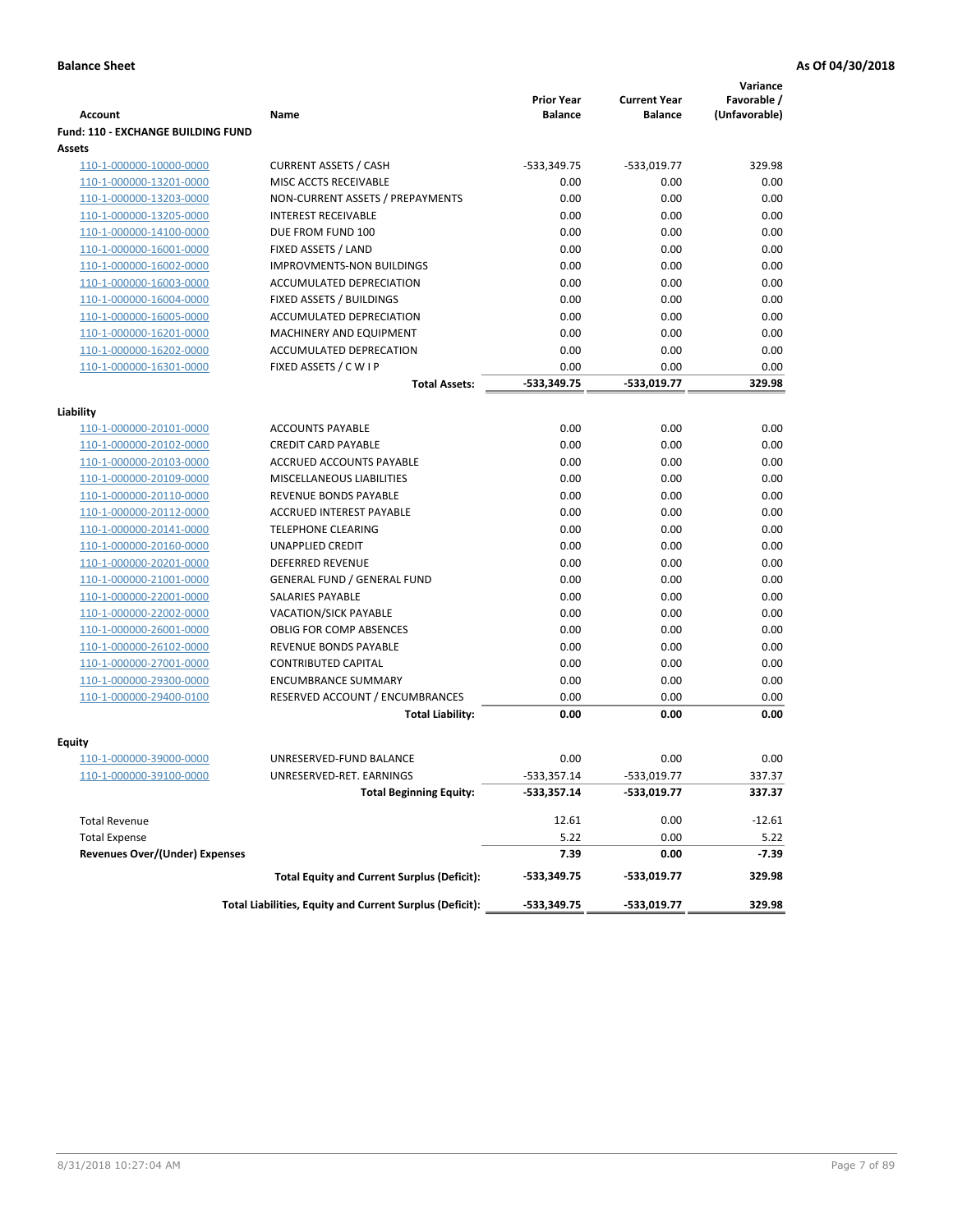|                                           |                                                          |                                     |                                       | Variance                     |
|-------------------------------------------|----------------------------------------------------------|-------------------------------------|---------------------------------------|------------------------------|
| <b>Account</b>                            | Name                                                     | <b>Prior Year</b><br><b>Balance</b> | <b>Current Year</b><br><b>Balance</b> | Favorable /<br>(Unfavorable) |
| <b>Fund: 110 - EXCHANGE BUILDING FUND</b> |                                                          |                                     |                                       |                              |
| Assets                                    |                                                          |                                     |                                       |                              |
| 110-1-000000-10000-0000                   | <b>CURRENT ASSETS / CASH</b>                             | $-533,349.75$                       | $-533,019.77$                         | 329.98                       |
| 110-1-000000-13201-0000                   | MISC ACCTS RECEIVABLE                                    | 0.00                                | 0.00                                  | 0.00                         |
| 110-1-000000-13203-0000                   | NON-CURRENT ASSETS / PREPAYMENTS                         | 0.00                                | 0.00                                  | 0.00                         |
| 110-1-000000-13205-0000                   | <b>INTEREST RECEIVABLE</b>                               | 0.00                                | 0.00                                  | 0.00                         |
| 110-1-000000-14100-0000                   | DUE FROM FUND 100                                        | 0.00                                | 0.00                                  | 0.00                         |
| 110-1-000000-16001-0000                   | FIXED ASSETS / LAND                                      | 0.00                                | 0.00                                  | 0.00                         |
| 110-1-000000-16002-0000                   | <b>IMPROVMENTS-NON BUILDINGS</b>                         | 0.00                                | 0.00                                  | 0.00                         |
| 110-1-000000-16003-0000                   | ACCUMULATED DEPRECIATION                                 | 0.00                                | 0.00                                  | 0.00                         |
| 110-1-000000-16004-0000                   | FIXED ASSETS / BUILDINGS                                 | 0.00                                | 0.00                                  | 0.00                         |
| 110-1-000000-16005-0000                   | ACCUMULATED DEPRECIATION                                 | 0.00                                | 0.00                                  | 0.00                         |
| 110-1-000000-16201-0000                   | <b>MACHINERY AND EQUIPMENT</b>                           | 0.00                                | 0.00                                  | 0.00                         |
| 110-1-000000-16202-0000                   | ACCUMULATED DEPRECATION                                  | 0.00                                | 0.00                                  | 0.00                         |
| 110-1-000000-16301-0000                   | FIXED ASSETS / C W I P                                   | 0.00                                | 0.00                                  | 0.00                         |
|                                           | <b>Total Assets:</b>                                     | $-533,349.75$                       | -533.019.77                           | 329.98                       |
|                                           |                                                          |                                     |                                       |                              |
| Liability<br>110-1-000000-20101-0000      | <b>ACCOUNTS PAYABLE</b>                                  | 0.00                                | 0.00                                  | 0.00                         |
| 110-1-000000-20102-0000                   | <b>CREDIT CARD PAYABLE</b>                               | 0.00                                | 0.00                                  | 0.00                         |
| 110-1-000000-20103-0000                   | ACCRUED ACCOUNTS PAYABLE                                 | 0.00                                | 0.00                                  | 0.00                         |
| 110-1-000000-20109-0000                   | MISCELLANEOUS LIABILITIES                                | 0.00                                | 0.00                                  | 0.00                         |
| 110-1-000000-20110-0000                   | REVENUE BONDS PAYABLE                                    | 0.00                                | 0.00                                  | 0.00                         |
| 110-1-000000-20112-0000                   | <b>ACCRUED INTEREST PAYABLE</b>                          | 0.00                                | 0.00                                  | 0.00                         |
| 110-1-000000-20141-0000                   | <b>TELEPHONE CLEARING</b>                                | 0.00                                | 0.00                                  | 0.00                         |
| 110-1-000000-20160-0000                   | <b>UNAPPLIED CREDIT</b>                                  | 0.00                                | 0.00                                  | 0.00                         |
| 110-1-000000-20201-0000                   | <b>DEFERRED REVENUE</b>                                  | 0.00                                | 0.00                                  | 0.00                         |
| 110-1-000000-21001-0000                   | <b>GENERAL FUND / GENERAL FUND</b>                       | 0.00                                | 0.00                                  | 0.00                         |
| 110-1-000000-22001-0000                   | SALARIES PAYABLE                                         | 0.00                                | 0.00                                  | 0.00                         |
| 110-1-000000-22002-0000                   | <b>VACATION/SICK PAYABLE</b>                             | 0.00                                | 0.00                                  | 0.00                         |
| 110-1-000000-26001-0000                   | <b>OBLIG FOR COMP ABSENCES</b>                           | 0.00                                | 0.00                                  | 0.00                         |
| 110-1-000000-26102-0000                   | REVENUE BONDS PAYABLE                                    | 0.00                                | 0.00                                  | 0.00                         |
| 110-1-000000-27001-0000                   | <b>CONTRIBUTED CAPITAL</b>                               | 0.00                                | 0.00                                  | 0.00                         |
| 110-1-000000-29300-0000                   | <b>ENCUMBRANCE SUMMARY</b>                               | 0.00                                | 0.00                                  | 0.00                         |
| 110-1-000000-29400-0100                   | RESERVED ACCOUNT / ENCUMBRANCES                          | 0.00                                | 0.00                                  | 0.00                         |
|                                           | <b>Total Liability:</b>                                  | 0.00                                | 0.00                                  | 0.00                         |
|                                           |                                                          |                                     |                                       |                              |
| <b>Equity</b>                             |                                                          |                                     |                                       |                              |
| 110-1-000000-39000-0000                   | UNRESERVED-FUND BALANCE                                  | 0.00                                | 0.00                                  | 0.00                         |
| <u>110-1-000000-39100-0000</u>            | UNRESERVED-RET. EARNINGS                                 | -533,357.14                         | $-533,019.77$                         | 337.37                       |
|                                           | <b>Total Beginning Equity:</b>                           | $-533,357.14$                       | -533,019.77                           | 337.37                       |
| <b>Total Revenue</b>                      |                                                          | 12.61                               | 0.00                                  | $-12.61$                     |
| <b>Total Expense</b>                      |                                                          | 5.22                                | 0.00                                  | 5.22                         |
| <b>Revenues Over/(Under) Expenses</b>     |                                                          | 7.39                                | 0.00                                  | -7.39                        |
|                                           | <b>Total Equity and Current Surplus (Deficit):</b>       | $-533,349.75$                       | -533,019.77                           | 329.98                       |
|                                           | Total Liabilities, Equity and Current Surplus (Deficit): | -533,349.75                         | -533,019.77                           | 329.98                       |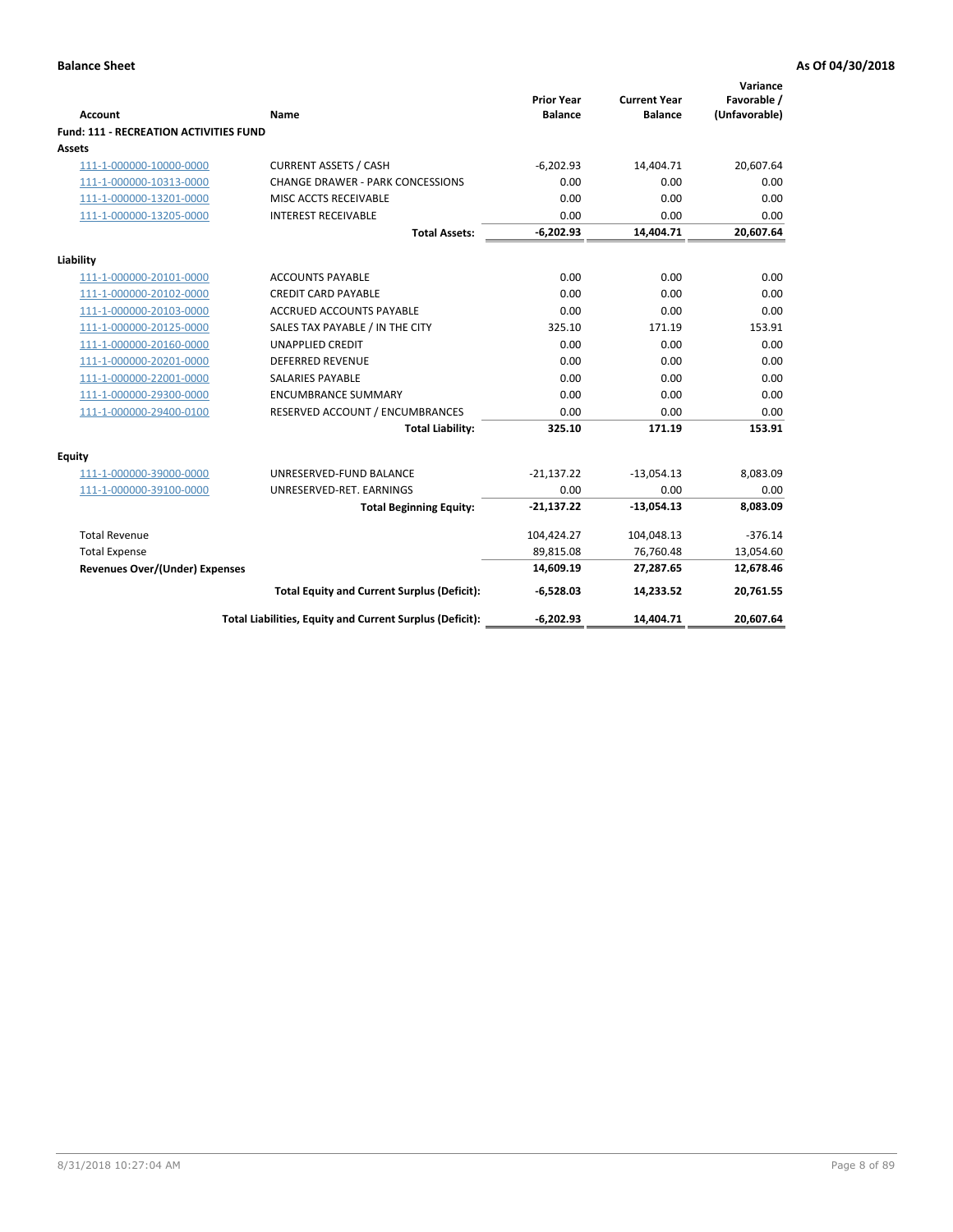|                                               |                                                          | <b>Prior Year</b> | <b>Current Year</b> | Variance<br>Favorable / |
|-----------------------------------------------|----------------------------------------------------------|-------------------|---------------------|-------------------------|
| <b>Account</b>                                | Name                                                     | <b>Balance</b>    | <b>Balance</b>      | (Unfavorable)           |
| <b>Fund: 111 - RECREATION ACTIVITIES FUND</b> |                                                          |                   |                     |                         |
| Assets                                        |                                                          |                   |                     |                         |
| 111-1-000000-10000-0000                       | <b>CURRENT ASSETS / CASH</b>                             | $-6,202.93$       | 14,404.71           | 20,607.64               |
| 111-1-000000-10313-0000                       | <b>CHANGE DRAWER - PARK CONCESSIONS</b>                  | 0.00              | 0.00                | 0.00                    |
| 111-1-000000-13201-0000                       | MISC ACCTS RECEIVABLE                                    | 0.00              | 0.00                | 0.00                    |
| 111-1-000000-13205-0000                       | <b>INTEREST RECEIVABLE</b>                               | 0.00              | 0.00                | 0.00                    |
|                                               | <b>Total Assets:</b>                                     | $-6,202.93$       | 14,404.71           | 20,607.64               |
| Liability                                     |                                                          |                   |                     |                         |
| 111-1-000000-20101-0000                       | <b>ACCOUNTS PAYABLE</b>                                  | 0.00              | 0.00                | 0.00                    |
| 111-1-000000-20102-0000                       | <b>CREDIT CARD PAYABLE</b>                               | 0.00              | 0.00                | 0.00                    |
| 111-1-000000-20103-0000                       | ACCRUED ACCOUNTS PAYABLE                                 | 0.00              | 0.00                | 0.00                    |
| 111-1-000000-20125-0000                       | SALES TAX PAYABLE / IN THE CITY                          | 325.10            | 171.19              | 153.91                  |
| 111-1-000000-20160-0000                       | <b>UNAPPLIED CREDIT</b>                                  | 0.00              | 0.00                | 0.00                    |
| 111-1-000000-20201-0000                       | <b>DEFERRED REVENUE</b>                                  | 0.00              | 0.00                | 0.00                    |
| 111-1-000000-22001-0000                       | <b>SALARIES PAYABLE</b>                                  | 0.00              | 0.00                | 0.00                    |
| 111-1-000000-29300-0000                       | <b>ENCUMBRANCE SUMMARY</b>                               | 0.00              | 0.00                | 0.00                    |
| 111-1-000000-29400-0100                       | RESERVED ACCOUNT / ENCUMBRANCES                          | 0.00              | 0.00                | 0.00                    |
|                                               | <b>Total Liability:</b>                                  | 325.10            | 171.19              | 153.91                  |
| <b>Equity</b>                                 |                                                          |                   |                     |                         |
| 111-1-000000-39000-0000                       | UNRESERVED-FUND BALANCE                                  | $-21,137.22$      | $-13,054.13$        | 8,083.09                |
| 111-1-000000-39100-0000                       | UNRESERVED-RET. EARNINGS                                 | 0.00              | 0.00                | 0.00                    |
|                                               | <b>Total Beginning Equity:</b>                           | $-21,137.22$      | $-13,054.13$        | 8,083.09                |
| <b>Total Revenue</b>                          |                                                          | 104,424.27        | 104,048.13          | $-376.14$               |
| <b>Total Expense</b>                          |                                                          | 89,815.08         | 76,760.48           | 13,054.60               |
| Revenues Over/(Under) Expenses                |                                                          | 14,609.19         | 27,287.65           | 12,678.46               |
|                                               | <b>Total Equity and Current Surplus (Deficit):</b>       | $-6,528.03$       | 14,233.52           | 20,761.55               |
|                                               | Total Liabilities, Equity and Current Surplus (Deficit): | $-6,202.93$       | 14,404.71           | 20,607.64               |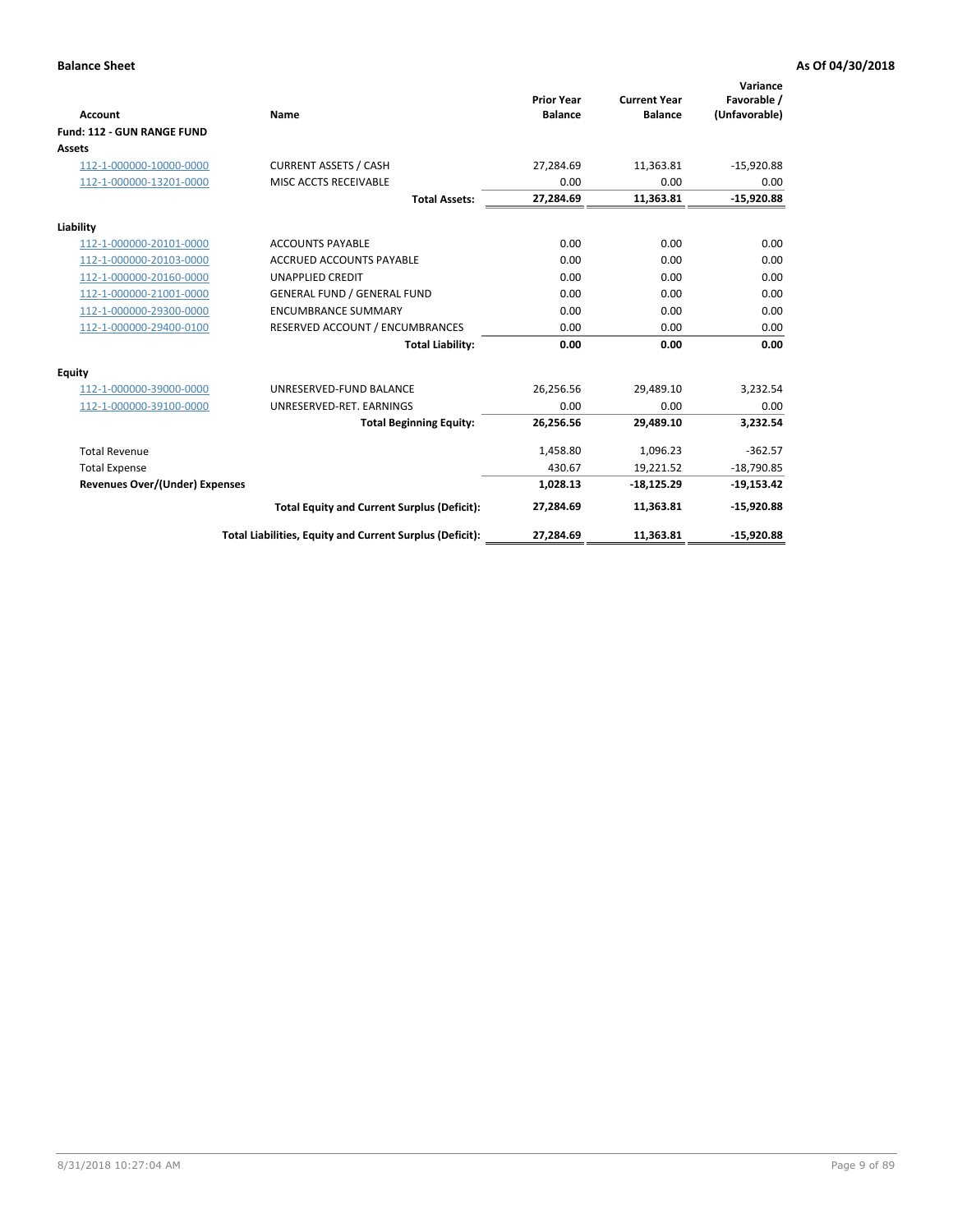|                                       |                                                          |                                     |                                       | Variance                     |
|---------------------------------------|----------------------------------------------------------|-------------------------------------|---------------------------------------|------------------------------|
| <b>Account</b>                        | Name                                                     | <b>Prior Year</b><br><b>Balance</b> | <b>Current Year</b><br><b>Balance</b> | Favorable /<br>(Unfavorable) |
| Fund: 112 - GUN RANGE FUND            |                                                          |                                     |                                       |                              |
| <b>Assets</b>                         |                                                          |                                     |                                       |                              |
| 112-1-000000-10000-0000               | <b>CURRENT ASSETS / CASH</b>                             | 27,284.69                           | 11,363.81                             | $-15,920.88$                 |
| 112-1-000000-13201-0000               | MISC ACCTS RECEIVABLE                                    | 0.00                                | 0.00                                  | 0.00                         |
|                                       | <b>Total Assets:</b>                                     | 27,284.69                           | 11,363.81                             | $-15,920.88$                 |
| Liability                             |                                                          |                                     |                                       |                              |
| 112-1-000000-20101-0000               | <b>ACCOUNTS PAYABLE</b>                                  | 0.00                                | 0.00                                  | 0.00                         |
| 112-1-000000-20103-0000               | <b>ACCRUED ACCOUNTS PAYABLE</b>                          | 0.00                                | 0.00                                  | 0.00                         |
| 112-1-000000-20160-0000               | <b>UNAPPLIED CREDIT</b>                                  | 0.00                                | 0.00                                  | 0.00                         |
| 112-1-000000-21001-0000               | <b>GENERAL FUND / GENERAL FUND</b>                       | 0.00                                | 0.00                                  | 0.00                         |
| 112-1-000000-29300-0000               | <b>ENCUMBRANCE SUMMARY</b>                               | 0.00                                | 0.00                                  | 0.00                         |
| 112-1-000000-29400-0100               | RESERVED ACCOUNT / ENCUMBRANCES                          | 0.00                                | 0.00                                  | 0.00                         |
|                                       | <b>Total Liability:</b>                                  | 0.00                                | 0.00                                  | 0.00                         |
| Equity                                |                                                          |                                     |                                       |                              |
| 112-1-000000-39000-0000               | UNRESERVED-FUND BALANCE                                  | 26,256.56                           | 29,489.10                             | 3,232.54                     |
| 112-1-000000-39100-0000               | UNRESERVED-RET. EARNINGS                                 | 0.00                                | 0.00                                  | 0.00                         |
|                                       | <b>Total Beginning Equity:</b>                           | 26,256.56                           | 29.489.10                             | 3.232.54                     |
| <b>Total Revenue</b>                  |                                                          | 1,458.80                            | 1,096.23                              | $-362.57$                    |
| <b>Total Expense</b>                  |                                                          | 430.67                              | 19,221.52                             | $-18,790.85$                 |
| <b>Revenues Over/(Under) Expenses</b> |                                                          | 1,028.13                            | $-18,125.29$                          | $-19,153.42$                 |
|                                       | <b>Total Equity and Current Surplus (Deficit):</b>       | 27,284.69                           | 11,363.81                             | $-15,920.88$                 |
|                                       | Total Liabilities, Equity and Current Surplus (Deficit): | 27,284.69                           | 11,363.81                             | $-15,920.88$                 |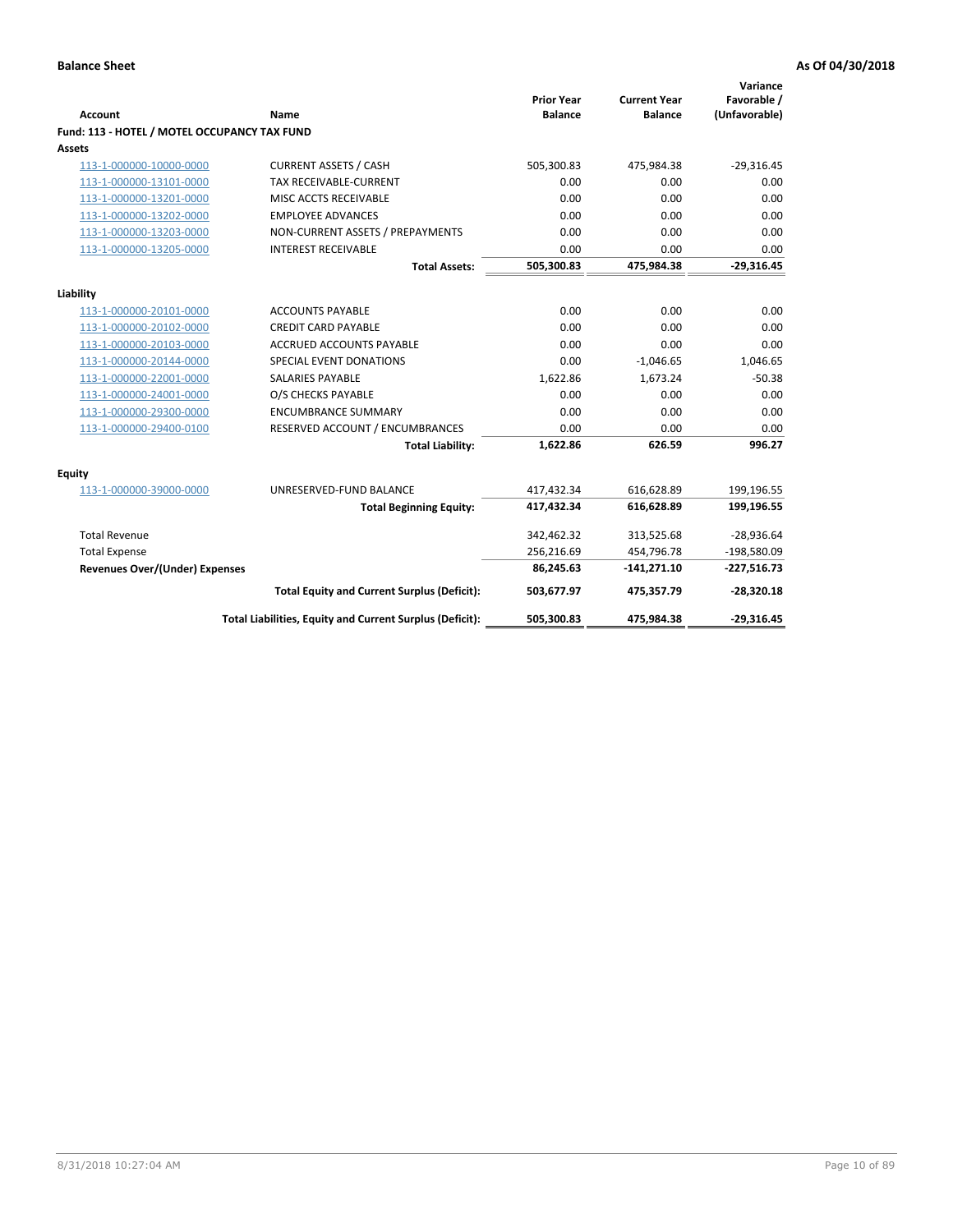| <b>Account</b>                               | <b>Name</b>                                              | <b>Prior Year</b><br><b>Balance</b> | <b>Current Year</b><br><b>Balance</b> | Variance<br>Favorable /<br>(Unfavorable) |
|----------------------------------------------|----------------------------------------------------------|-------------------------------------|---------------------------------------|------------------------------------------|
| Fund: 113 - HOTEL / MOTEL OCCUPANCY TAX FUND |                                                          |                                     |                                       |                                          |
| Assets                                       |                                                          |                                     |                                       |                                          |
| 113-1-000000-10000-0000                      | <b>CURRENT ASSETS / CASH</b>                             | 505,300.83                          | 475,984.38                            | $-29,316.45$                             |
| 113-1-000000-13101-0000                      | TAX RECEIVABLE-CURRENT                                   | 0.00                                | 0.00                                  | 0.00                                     |
| 113-1-000000-13201-0000                      | MISC ACCTS RECEIVABLE                                    | 0.00                                | 0.00                                  | 0.00                                     |
| 113-1-000000-13202-0000                      | <b>EMPLOYEE ADVANCES</b>                                 | 0.00                                | 0.00                                  | 0.00                                     |
| 113-1-000000-13203-0000                      | NON-CURRENT ASSETS / PREPAYMENTS                         | 0.00                                | 0.00                                  | 0.00                                     |
| 113-1-000000-13205-0000                      | <b>INTEREST RECEIVABLE</b>                               | 0.00                                | 0.00                                  | 0.00                                     |
|                                              | <b>Total Assets:</b>                                     | 505,300.83                          | 475,984.38                            | $-29,316.45$                             |
|                                              |                                                          |                                     |                                       |                                          |
| Liability                                    |                                                          |                                     |                                       |                                          |
| 113-1-000000-20101-0000                      | <b>ACCOUNTS PAYABLE</b>                                  | 0.00                                | 0.00                                  | 0.00                                     |
| 113-1-000000-20102-0000                      | <b>CREDIT CARD PAYABLE</b>                               | 0.00                                | 0.00                                  | 0.00                                     |
| 113-1-000000-20103-0000                      | ACCRUED ACCOUNTS PAYABLE                                 | 0.00                                | 0.00                                  | 0.00                                     |
| 113-1-000000-20144-0000                      | SPECIAL EVENT DONATIONS                                  | 0.00                                | $-1,046.65$                           | 1,046.65                                 |
| 113-1-000000-22001-0000                      | <b>SALARIES PAYABLE</b>                                  | 1,622.86                            | 1,673.24                              | $-50.38$                                 |
| 113-1-000000-24001-0000                      | O/S CHECKS PAYABLE                                       | 0.00                                | 0.00                                  | 0.00                                     |
| 113-1-000000-29300-0000                      | <b>ENCUMBRANCE SUMMARY</b>                               | 0.00                                | 0.00                                  | 0.00                                     |
| 113-1-000000-29400-0100                      | RESERVED ACCOUNT / ENCUMBRANCES                          | 0.00                                | 0.00                                  | 0.00                                     |
|                                              | <b>Total Liability:</b>                                  | 1,622.86                            | 626.59                                | 996.27                                   |
| Equity                                       |                                                          |                                     |                                       |                                          |
| 113-1-000000-39000-0000                      | UNRESERVED-FUND BALANCE                                  | 417,432.34                          | 616,628.89                            | 199,196.55                               |
|                                              | <b>Total Beginning Equity:</b>                           | 417,432.34                          | 616,628.89                            | 199,196.55                               |
| <b>Total Revenue</b>                         |                                                          | 342,462.32                          | 313,525.68                            | $-28,936.64$                             |
| <b>Total Expense</b>                         |                                                          | 256,216.69                          | 454,796.78                            | $-198,580.09$                            |
| <b>Revenues Over/(Under) Expenses</b>        |                                                          | 86,245.63                           | $-141,271.10$                         | $-227,516.73$                            |
|                                              | <b>Total Equity and Current Surplus (Deficit):</b>       | 503,677.97                          | 475,357.79                            | $-28,320.18$                             |
|                                              | Total Liabilities, Equity and Current Surplus (Deficit): | 505,300.83                          | 475,984.38                            | $-29,316.45$                             |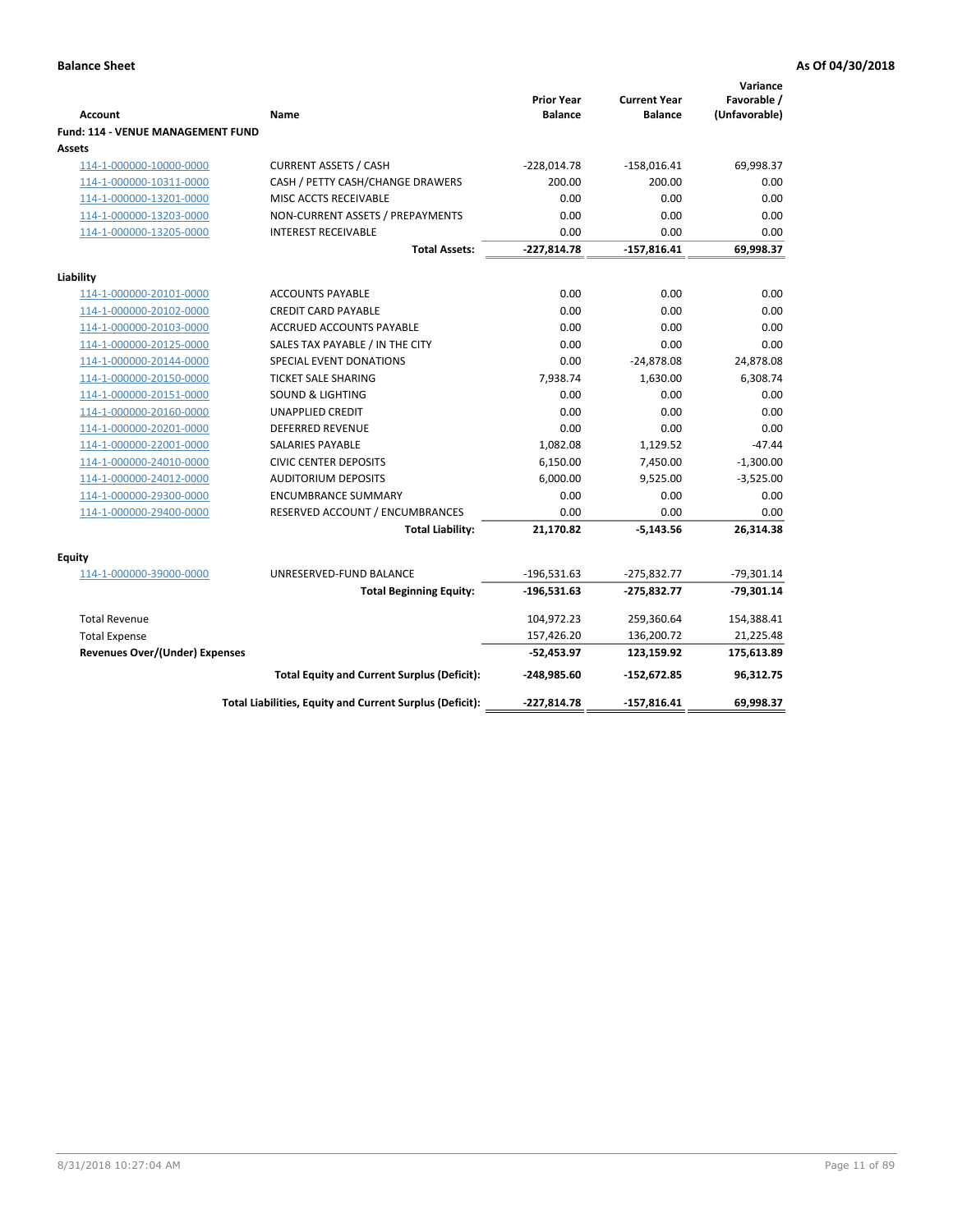| <b>Account</b>                              | Name                                                     | <b>Prior Year</b><br><b>Balance</b> | <b>Current Year</b><br><b>Balance</b> | Variance<br>Favorable /<br>(Unfavorable) |
|---------------------------------------------|----------------------------------------------------------|-------------------------------------|---------------------------------------|------------------------------------------|
| Fund: 114 - VENUE MANAGEMENT FUND<br>Assets |                                                          |                                     |                                       |                                          |
| 114-1-000000-10000-0000                     | <b>CURRENT ASSETS / CASH</b>                             | $-228,014.78$                       | $-158,016.41$                         | 69,998.37                                |
| 114-1-000000-10311-0000                     | CASH / PETTY CASH/CHANGE DRAWERS                         | 200.00                              | 200.00                                | 0.00                                     |
| 114-1-000000-13201-0000                     | MISC ACCTS RECEIVABLE                                    | 0.00                                | 0.00                                  | 0.00                                     |
| 114-1-000000-13203-0000                     | NON-CURRENT ASSETS / PREPAYMENTS                         | 0.00                                | 0.00                                  | 0.00                                     |
| 114-1-000000-13205-0000                     | <b>INTEREST RECEIVABLE</b>                               | 0.00                                | 0.00                                  | 0.00                                     |
|                                             | <b>Total Assets:</b>                                     | $-227,814.78$                       | $-157,816.41$                         | 69,998.37                                |
| Liability                                   |                                                          |                                     |                                       |                                          |
| 114-1-000000-20101-0000                     | <b>ACCOUNTS PAYABLE</b>                                  | 0.00                                | 0.00                                  | 0.00                                     |
| 114-1-000000-20102-0000                     | <b>CREDIT CARD PAYABLE</b>                               | 0.00                                | 0.00                                  | 0.00                                     |
| 114-1-000000-20103-0000                     | ACCRUED ACCOUNTS PAYABLE                                 | 0.00                                | 0.00                                  | 0.00                                     |
| 114-1-000000-20125-0000                     | SALES TAX PAYABLE / IN THE CITY                          | 0.00                                | 0.00                                  | 0.00                                     |
| 114-1-000000-20144-0000                     | SPECIAL EVENT DONATIONS                                  | 0.00                                | $-24,878.08$                          | 24,878.08                                |
| 114-1-000000-20150-0000                     | <b>TICKET SALE SHARING</b>                               | 7,938.74                            | 1,630.00                              | 6,308.74                                 |
| 114-1-000000-20151-0000                     | <b>SOUND &amp; LIGHTING</b>                              | 0.00                                | 0.00                                  | 0.00                                     |
| 114-1-000000-20160-0000                     | <b>UNAPPLIED CREDIT</b>                                  | 0.00                                | 0.00                                  | 0.00                                     |
| 114-1-000000-20201-0000                     | <b>DEFERRED REVENUE</b>                                  | 0.00                                | 0.00                                  | 0.00                                     |
| 114-1-000000-22001-0000                     | <b>SALARIES PAYABLE</b>                                  | 1,082.08                            | 1,129.52                              | $-47.44$                                 |
| 114-1-000000-24010-0000                     | <b>CIVIC CENTER DEPOSITS</b>                             | 6,150.00                            | 7,450.00                              | $-1,300.00$                              |
| 114-1-000000-24012-0000                     | <b>AUDITORIUM DEPOSITS</b>                               | 6,000.00                            | 9,525.00                              | $-3,525.00$                              |
| 114-1-000000-29300-0000                     | <b>ENCUMBRANCE SUMMARY</b>                               | 0.00                                | 0.00                                  | 0.00                                     |
| 114-1-000000-29400-0000                     | RESERVED ACCOUNT / ENCUMBRANCES                          | 0.00                                | 0.00                                  | 0.00                                     |
|                                             | <b>Total Liability:</b>                                  | 21,170.82                           | $-5,143.56$                           | 26,314.38                                |
| Equity                                      |                                                          |                                     |                                       |                                          |
| 114-1-000000-39000-0000                     | UNRESERVED-FUND BALANCE                                  | $-196,531.63$                       | $-275,832.77$                         | $-79,301.14$                             |
|                                             | <b>Total Beginning Equity:</b>                           | $-196,531.63$                       | $-275,832.77$                         | $-79,301.14$                             |
| <b>Total Revenue</b>                        |                                                          | 104,972.23                          | 259,360.64                            | 154,388.41                               |
| <b>Total Expense</b>                        |                                                          | 157,426.20                          | 136,200.72                            | 21,225.48                                |
| <b>Revenues Over/(Under) Expenses</b>       |                                                          | $-52,453.97$                        | 123,159.92                            | 175,613.89                               |
|                                             | <b>Total Equity and Current Surplus (Deficit):</b>       | $-248,985.60$                       | $-152,672.85$                         | 96,312.75                                |
|                                             | Total Liabilities, Equity and Current Surplus (Deficit): | $-227,814.78$                       | $-157,816.41$                         | 69,998.37                                |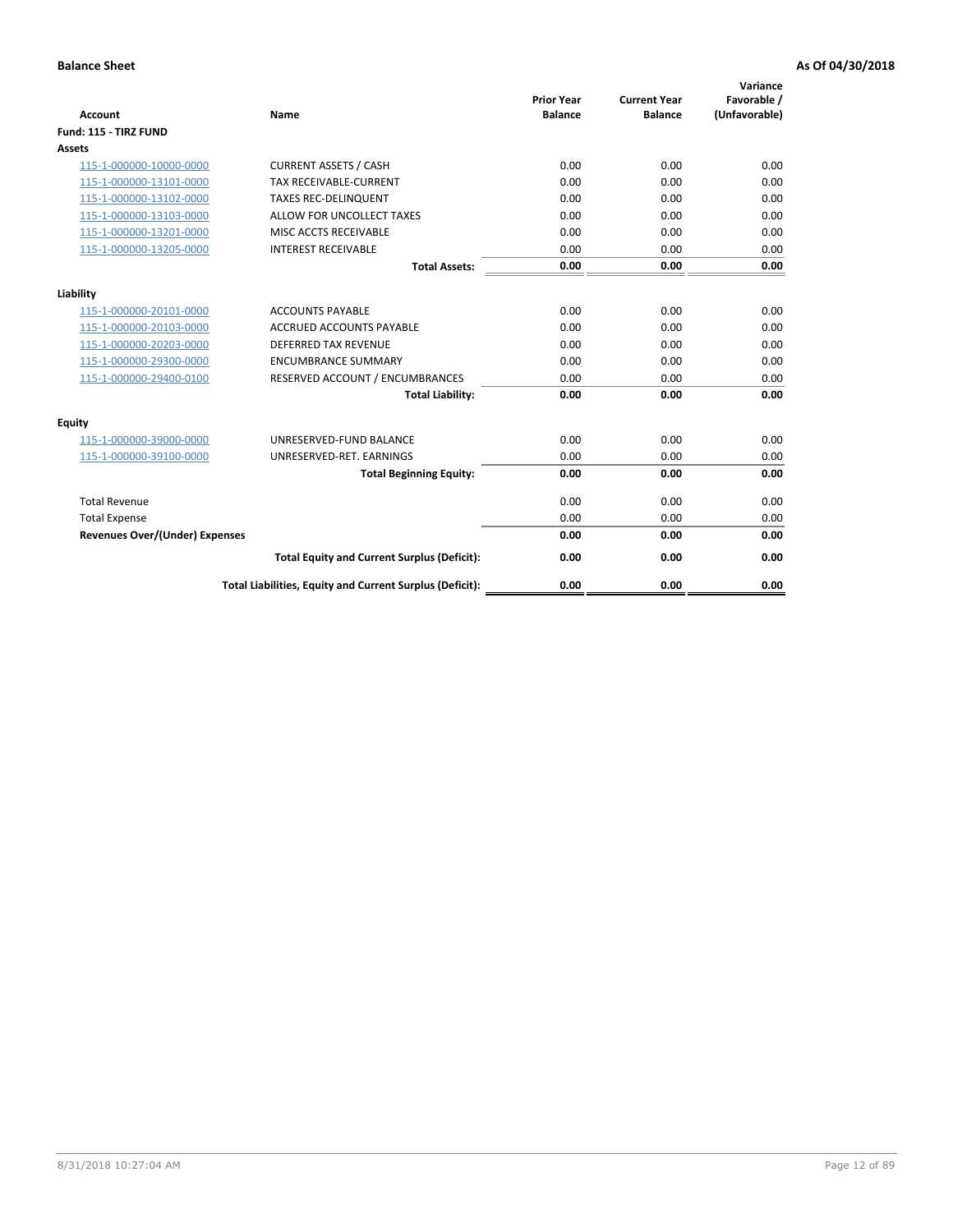| <b>Account</b>                        | <b>Name</b>                                              | <b>Prior Year</b><br><b>Balance</b> | <b>Current Year</b><br><b>Balance</b> | Variance<br>Favorable /<br>(Unfavorable) |
|---------------------------------------|----------------------------------------------------------|-------------------------------------|---------------------------------------|------------------------------------------|
| Fund: 115 - TIRZ FUND                 |                                                          |                                     |                                       |                                          |
| <b>Assets</b>                         |                                                          |                                     |                                       |                                          |
| 115-1-000000-10000-0000               | <b>CURRENT ASSETS / CASH</b>                             | 0.00                                | 0.00                                  | 0.00                                     |
| 115-1-000000-13101-0000               | <b>TAX RECEIVABLE-CURRENT</b>                            | 0.00                                | 0.00                                  | 0.00                                     |
| 115-1-000000-13102-0000               | <b>TAXES REC-DELINQUENT</b>                              | 0.00                                | 0.00                                  | 0.00                                     |
| 115-1-000000-13103-0000               | ALLOW FOR UNCOLLECT TAXES                                | 0.00                                | 0.00                                  | 0.00                                     |
| 115-1-000000-13201-0000               | MISC ACCTS RECEIVABLE                                    | 0.00                                | 0.00                                  | 0.00                                     |
| 115-1-000000-13205-0000               | <b>INTEREST RECEIVABLE</b>                               | 0.00                                | 0.00                                  | 0.00                                     |
|                                       | <b>Total Assets:</b>                                     | 0.00                                | 0.00                                  | 0.00                                     |
| Liability                             |                                                          |                                     |                                       |                                          |
| 115-1-000000-20101-0000               | <b>ACCOUNTS PAYABLE</b>                                  | 0.00                                | 0.00                                  | 0.00                                     |
| 115-1-000000-20103-0000               | <b>ACCRUED ACCOUNTS PAYABLE</b>                          | 0.00                                | 0.00                                  | 0.00                                     |
| 115-1-000000-20203-0000               | <b>DEFERRED TAX REVENUE</b>                              | 0.00                                | 0.00                                  | 0.00                                     |
| 115-1-000000-29300-0000               | <b>ENCUMBRANCE SUMMARY</b>                               | 0.00                                | 0.00                                  | 0.00                                     |
| 115-1-000000-29400-0100               | RESERVED ACCOUNT / ENCUMBRANCES                          | 0.00                                | 0.00                                  | 0.00                                     |
|                                       | <b>Total Liability:</b>                                  | 0.00                                | 0.00                                  | 0.00                                     |
| Equity                                |                                                          |                                     |                                       |                                          |
| 115-1-000000-39000-0000               | UNRESERVED-FUND BALANCE                                  | 0.00                                | 0.00                                  | 0.00                                     |
| 115-1-000000-39100-0000               | UNRESERVED-RET. EARNINGS                                 | 0.00                                | 0.00                                  | 0.00                                     |
|                                       | <b>Total Beginning Equity:</b>                           | 0.00                                | 0.00                                  | 0.00                                     |
| <b>Total Revenue</b>                  |                                                          | 0.00                                | 0.00                                  | 0.00                                     |
| <b>Total Expense</b>                  |                                                          | 0.00                                | 0.00                                  | 0.00                                     |
| <b>Revenues Over/(Under) Expenses</b> |                                                          | 0.00                                | 0.00                                  | 0.00                                     |
|                                       | <b>Total Equity and Current Surplus (Deficit):</b>       | 0.00                                | 0.00                                  | 0.00                                     |
|                                       | Total Liabilities, Equity and Current Surplus (Deficit): | 0.00                                | 0.00                                  | 0.00                                     |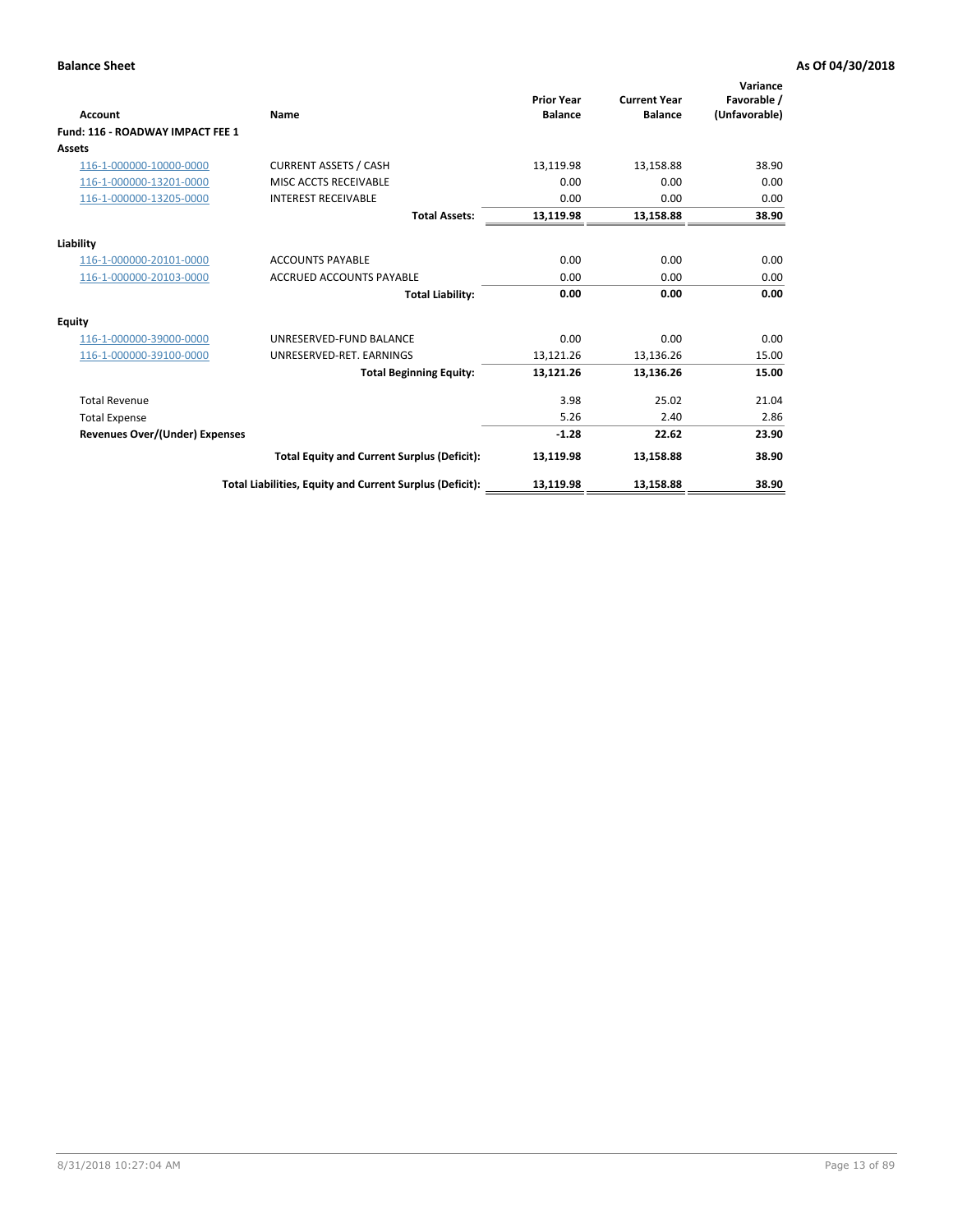| <b>Account</b>                        | Name                                                     | <b>Prior Year</b><br><b>Balance</b> | <b>Current Year</b><br><b>Balance</b> | Variance<br>Favorable /<br>(Unfavorable) |
|---------------------------------------|----------------------------------------------------------|-------------------------------------|---------------------------------------|------------------------------------------|
| Fund: 116 - ROADWAY IMPACT FEE 1      |                                                          |                                     |                                       |                                          |
| Assets                                |                                                          |                                     |                                       |                                          |
| 116-1-000000-10000-0000               | <b>CURRENT ASSETS / CASH</b>                             | 13,119.98                           | 13,158.88                             | 38.90                                    |
| 116-1-000000-13201-0000               | MISC ACCTS RECEIVABLE                                    | 0.00                                | 0.00                                  | 0.00                                     |
| 116-1-000000-13205-0000               | <b>INTEREST RECEIVABLE</b>                               | 0.00                                | 0.00                                  | 0.00                                     |
|                                       | <b>Total Assets:</b>                                     | 13,119.98                           | 13,158.88                             | 38.90                                    |
| Liability                             |                                                          |                                     |                                       |                                          |
| 116-1-000000-20101-0000               | <b>ACCOUNTS PAYABLE</b>                                  | 0.00                                | 0.00                                  | 0.00                                     |
| 116-1-000000-20103-0000               | <b>ACCRUED ACCOUNTS PAYABLE</b>                          | 0.00                                | 0.00                                  | 0.00                                     |
|                                       | <b>Total Liability:</b>                                  | 0.00                                | 0.00                                  | 0.00                                     |
| <b>Equity</b>                         |                                                          |                                     |                                       |                                          |
| 116-1-000000-39000-0000               | UNRESERVED-FUND BALANCE                                  | 0.00                                | 0.00                                  | 0.00                                     |
| 116-1-000000-39100-0000               | UNRESERVED-RET, EARNINGS                                 | 13,121.26                           | 13,136.26                             | 15.00                                    |
|                                       | <b>Total Beginning Equity:</b>                           | 13,121.26                           | 13.136.26                             | 15.00                                    |
| <b>Total Revenue</b>                  |                                                          | 3.98                                | 25.02                                 | 21.04                                    |
| <b>Total Expense</b>                  |                                                          | 5.26                                | 2.40                                  | 2.86                                     |
| <b>Revenues Over/(Under) Expenses</b> |                                                          | $-1.28$                             | 22.62                                 | 23.90                                    |
|                                       | <b>Total Equity and Current Surplus (Deficit):</b>       | 13,119.98                           | 13,158.88                             | 38.90                                    |
|                                       | Total Liabilities, Equity and Current Surplus (Deficit): | 13,119.98                           | 13,158.88                             | 38.90                                    |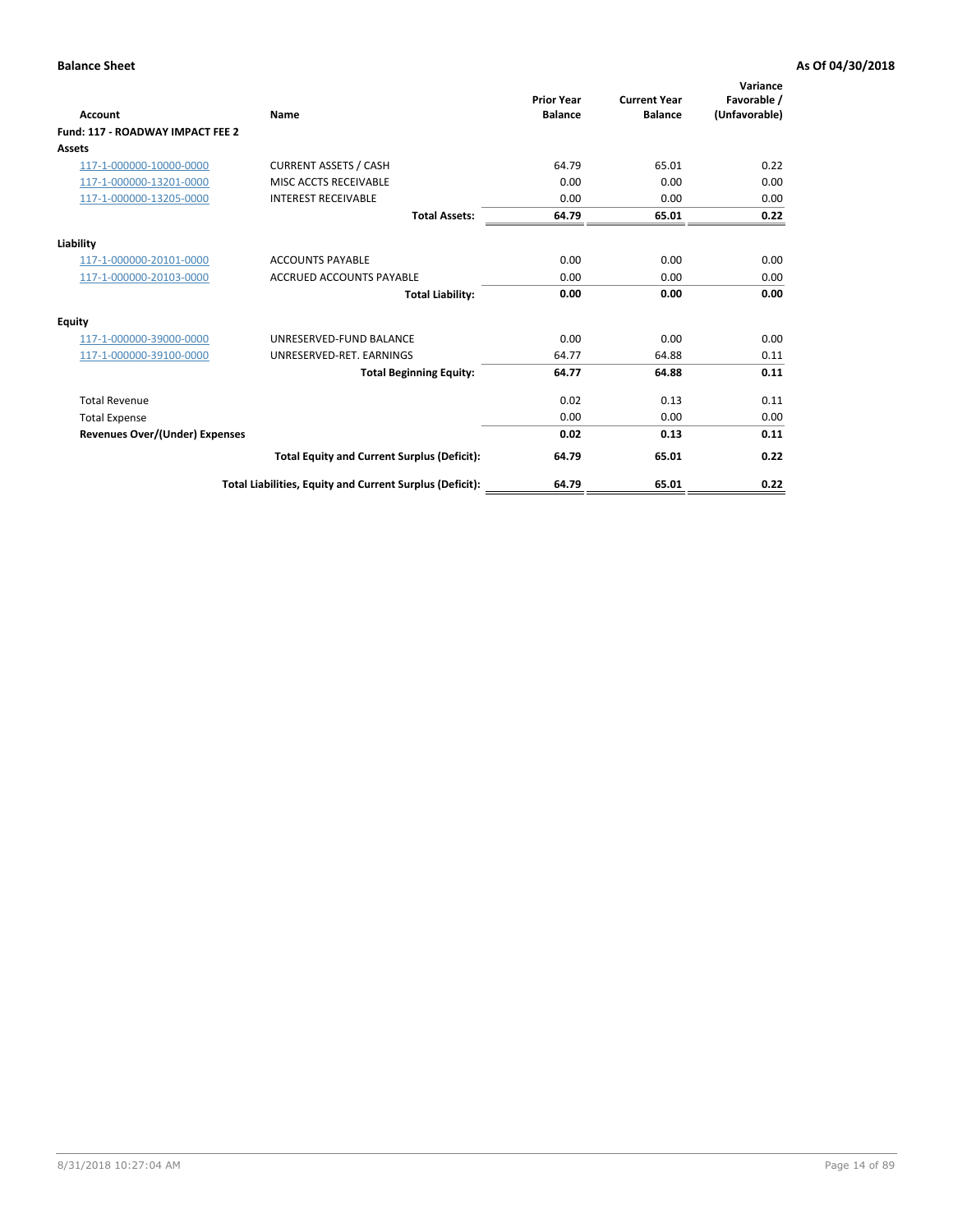| <b>Account</b>                        | Name                                                     | <b>Prior Year</b><br><b>Balance</b> | <b>Current Year</b><br><b>Balance</b> | Variance<br>Favorable /<br>(Unfavorable) |
|---------------------------------------|----------------------------------------------------------|-------------------------------------|---------------------------------------|------------------------------------------|
| Fund: 117 - ROADWAY IMPACT FEE 2      |                                                          |                                     |                                       |                                          |
| Assets                                |                                                          |                                     |                                       |                                          |
| 117-1-000000-10000-0000               | <b>CURRENT ASSETS / CASH</b>                             | 64.79                               | 65.01                                 | 0.22                                     |
| 117-1-000000-13201-0000               | MISC ACCTS RECEIVABLE                                    | 0.00                                | 0.00                                  | 0.00                                     |
| 117-1-000000-13205-0000               | <b>INTEREST RECEIVABLE</b>                               | 0.00                                | 0.00                                  | 0.00                                     |
|                                       | <b>Total Assets:</b>                                     | 64.79                               | 65.01                                 | 0.22                                     |
| Liability                             |                                                          |                                     |                                       |                                          |
| 117-1-000000-20101-0000               | <b>ACCOUNTS PAYABLE</b>                                  | 0.00                                | 0.00                                  | 0.00                                     |
| 117-1-000000-20103-0000               | <b>ACCRUED ACCOUNTS PAYABLE</b>                          | 0.00                                | 0.00                                  | 0.00                                     |
|                                       | <b>Total Liability:</b>                                  | 0.00                                | 0.00                                  | 0.00                                     |
| Equity                                |                                                          |                                     |                                       |                                          |
| 117-1-000000-39000-0000               | UNRESERVED-FUND BALANCE                                  | 0.00                                | 0.00                                  | 0.00                                     |
| 117-1-000000-39100-0000               | UNRESERVED-RET. EARNINGS                                 | 64.77                               | 64.88                                 | 0.11                                     |
|                                       | <b>Total Beginning Equity:</b>                           | 64.77                               | 64.88                                 | 0.11                                     |
| <b>Total Revenue</b>                  |                                                          | 0.02                                | 0.13                                  | 0.11                                     |
| <b>Total Expense</b>                  |                                                          | 0.00                                | 0.00                                  | 0.00                                     |
| <b>Revenues Over/(Under) Expenses</b> |                                                          | 0.02                                | 0.13                                  | 0.11                                     |
|                                       | <b>Total Equity and Current Surplus (Deficit):</b>       | 64.79                               | 65.01                                 | 0.22                                     |
|                                       | Total Liabilities, Equity and Current Surplus (Deficit): | 64.79                               | 65.01                                 | 0.22                                     |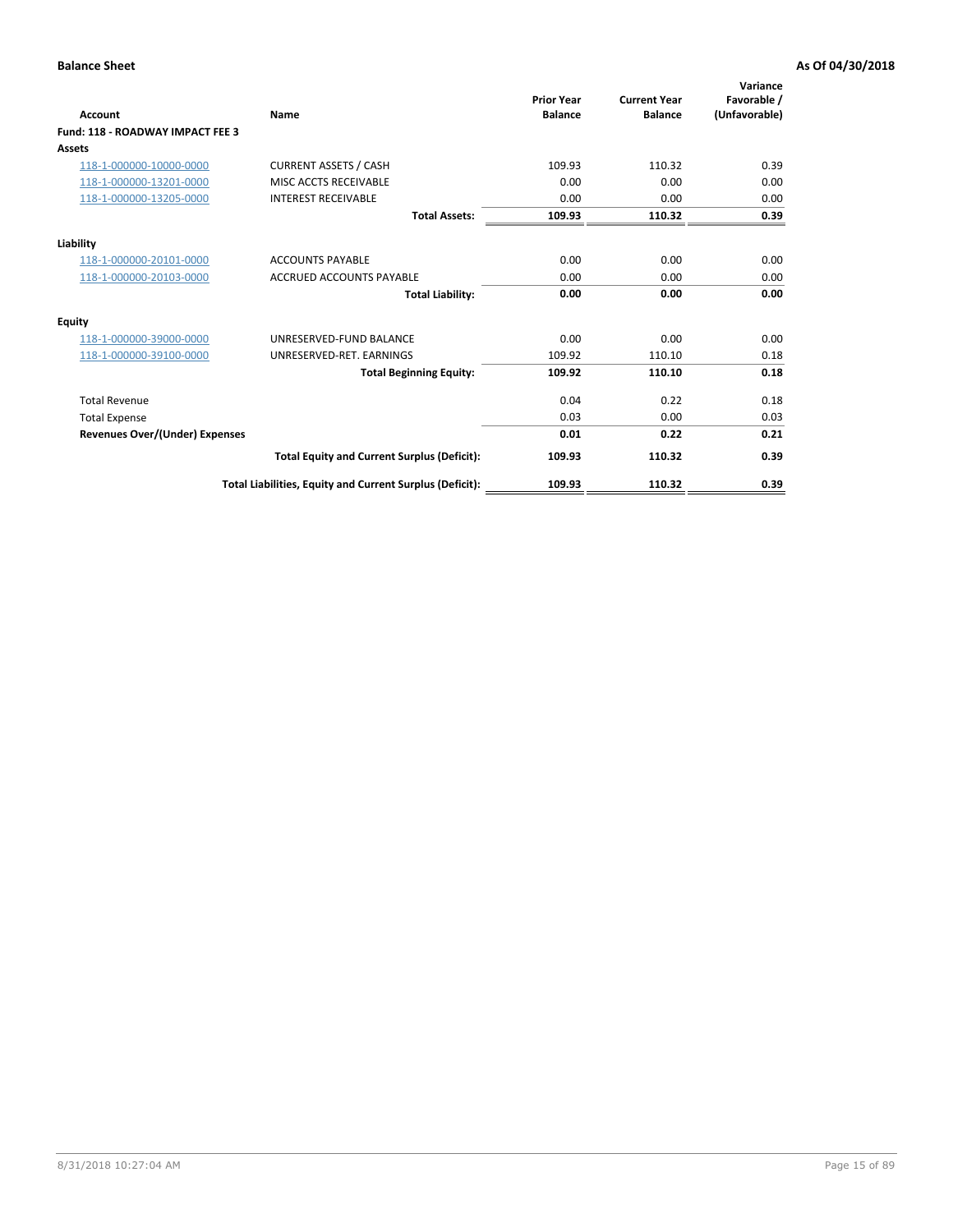| <b>Account</b>                        | Name                                                     | <b>Prior Year</b><br><b>Balance</b> | <b>Current Year</b><br><b>Balance</b> | Variance<br>Favorable /<br>(Unfavorable) |
|---------------------------------------|----------------------------------------------------------|-------------------------------------|---------------------------------------|------------------------------------------|
| Fund: 118 - ROADWAY IMPACT FEE 3      |                                                          |                                     |                                       |                                          |
| Assets                                |                                                          |                                     |                                       |                                          |
| 118-1-000000-10000-0000               | <b>CURRENT ASSETS / CASH</b>                             | 109.93                              | 110.32                                | 0.39                                     |
| 118-1-000000-13201-0000               | MISC ACCTS RECEIVABLE                                    | 0.00                                | 0.00                                  | 0.00                                     |
| 118-1-000000-13205-0000               | <b>INTEREST RECEIVABLE</b>                               | 0.00                                | 0.00                                  | 0.00                                     |
|                                       | <b>Total Assets:</b>                                     | 109.93                              | 110.32                                | 0.39                                     |
| Liability                             |                                                          |                                     |                                       |                                          |
| 118-1-000000-20101-0000               | <b>ACCOUNTS PAYABLE</b>                                  | 0.00                                | 0.00                                  | 0.00                                     |
| 118-1-000000-20103-0000               | <b>ACCRUED ACCOUNTS PAYABLE</b>                          | 0.00                                | 0.00                                  | 0.00                                     |
|                                       | <b>Total Liability:</b>                                  | 0.00                                | 0.00                                  | 0.00                                     |
| <b>Equity</b>                         |                                                          |                                     |                                       |                                          |
| 118-1-000000-39000-0000               | UNRESERVED-FUND BALANCE                                  | 0.00                                | 0.00                                  | 0.00                                     |
| 118-1-000000-39100-0000               | UNRESERVED-RET, EARNINGS                                 | 109.92                              | 110.10                                | 0.18                                     |
|                                       | <b>Total Beginning Equity:</b>                           | 109.92                              | 110.10                                | 0.18                                     |
| <b>Total Revenue</b>                  |                                                          | 0.04                                | 0.22                                  | 0.18                                     |
| <b>Total Expense</b>                  |                                                          | 0.03                                | 0.00                                  | 0.03                                     |
| <b>Revenues Over/(Under) Expenses</b> |                                                          | 0.01                                | 0.22                                  | 0.21                                     |
|                                       | <b>Total Equity and Current Surplus (Deficit):</b>       | 109.93                              | 110.32                                | 0.39                                     |
|                                       | Total Liabilities, Equity and Current Surplus (Deficit): | 109.93                              | 110.32                                | 0.39                                     |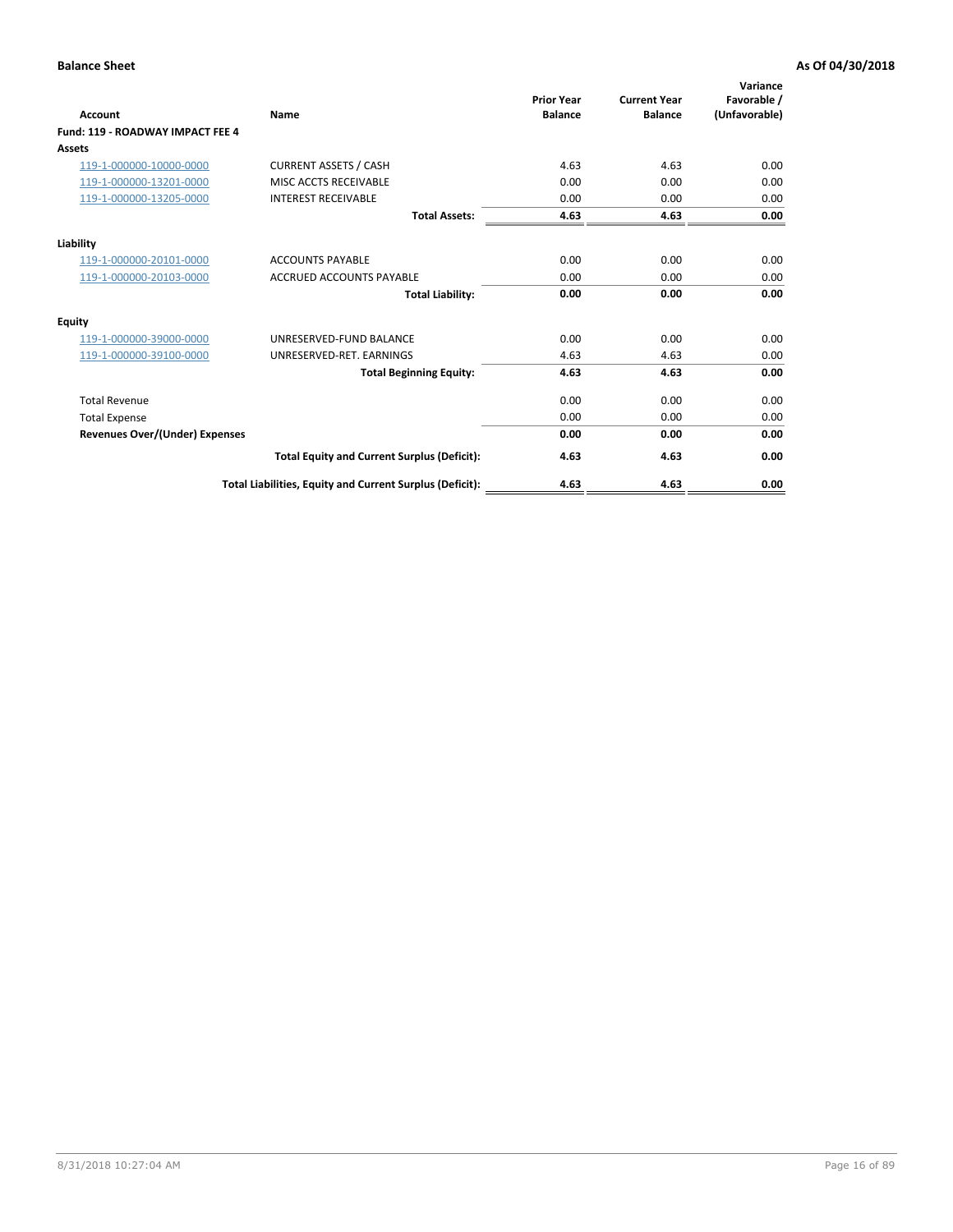| Account                                 | Name                                                     | <b>Prior Year</b><br><b>Balance</b> | <b>Current Year</b><br><b>Balance</b> | Variance<br>Favorable /<br>(Unfavorable) |
|-----------------------------------------|----------------------------------------------------------|-------------------------------------|---------------------------------------|------------------------------------------|
| <b>Fund: 119 - ROADWAY IMPACT FEE 4</b> |                                                          |                                     |                                       |                                          |
| Assets                                  |                                                          |                                     |                                       |                                          |
| 119-1-000000-10000-0000                 | <b>CURRENT ASSETS / CASH</b>                             | 4.63                                | 4.63                                  | 0.00                                     |
| 119-1-000000-13201-0000                 | <b>MISC ACCTS RECEIVABLE</b>                             | 0.00                                | 0.00                                  | 0.00                                     |
| 119-1-000000-13205-0000                 | <b>INTEREST RECEIVABLE</b>                               | 0.00                                | 0.00                                  | 0.00                                     |
|                                         | <b>Total Assets:</b>                                     | 4.63                                | 4.63                                  | 0.00                                     |
| Liability                               |                                                          |                                     |                                       |                                          |
| 119-1-000000-20101-0000                 | <b>ACCOUNTS PAYABLE</b>                                  | 0.00                                | 0.00                                  | 0.00                                     |
| 119-1-000000-20103-0000                 | <b>ACCRUED ACCOUNTS PAYABLE</b>                          | 0.00                                | 0.00                                  | 0.00                                     |
|                                         | <b>Total Liability:</b>                                  | 0.00                                | 0.00                                  | 0.00                                     |
| Equity                                  |                                                          |                                     |                                       |                                          |
| 119-1-000000-39000-0000                 | UNRESERVED-FUND BALANCE                                  | 0.00                                | 0.00                                  | 0.00                                     |
| 119-1-000000-39100-0000                 | UNRESERVED-RET. EARNINGS                                 | 4.63                                | 4.63                                  | 0.00                                     |
|                                         | <b>Total Beginning Equity:</b>                           | 4.63                                | 4.63                                  | 0.00                                     |
| <b>Total Revenue</b>                    |                                                          | 0.00                                | 0.00                                  | 0.00                                     |
| <b>Total Expense</b>                    |                                                          | 0.00                                | 0.00                                  | 0.00                                     |
| <b>Revenues Over/(Under) Expenses</b>   |                                                          | 0.00                                | 0.00                                  | 0.00                                     |
|                                         | <b>Total Equity and Current Surplus (Deficit):</b>       | 4.63                                | 4.63                                  | 0.00                                     |
|                                         | Total Liabilities, Equity and Current Surplus (Deficit): | 4.63                                | 4.63                                  | 0.00                                     |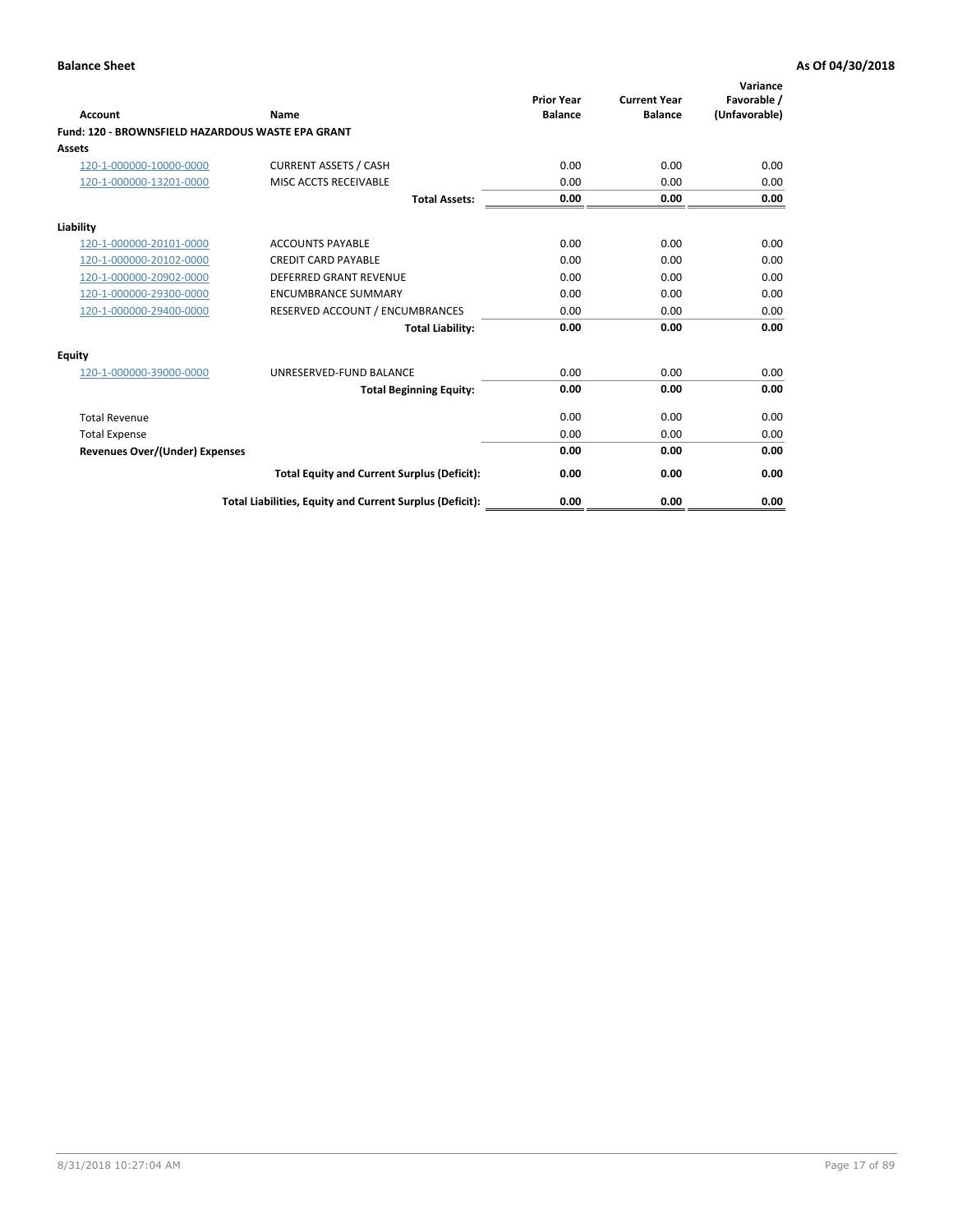|                                                   |                                                          | <b>Prior Year</b> | <b>Current Year</b> | Variance<br>Favorable / |
|---------------------------------------------------|----------------------------------------------------------|-------------------|---------------------|-------------------------|
| <b>Account</b>                                    | Name                                                     | <b>Balance</b>    | <b>Balance</b>      | (Unfavorable)           |
| Fund: 120 - BROWNSFIELD HAZARDOUS WASTE EPA GRANT |                                                          |                   |                     |                         |
| <b>Assets</b>                                     |                                                          |                   |                     |                         |
| 120-1-000000-10000-0000                           | <b>CURRENT ASSETS / CASH</b>                             | 0.00              | 0.00                | 0.00                    |
| 120-1-000000-13201-0000                           | MISC ACCTS RECEIVABLE                                    | 0.00              | 0.00                | 0.00                    |
|                                                   | <b>Total Assets:</b>                                     | 0.00              | 0.00                | 0.00                    |
| Liability                                         |                                                          |                   |                     |                         |
| 120-1-000000-20101-0000                           | <b>ACCOUNTS PAYABLE</b>                                  | 0.00              | 0.00                | 0.00                    |
| 120-1-000000-20102-0000                           | <b>CREDIT CARD PAYABLE</b>                               | 0.00              | 0.00                | 0.00                    |
| 120-1-000000-20902-0000                           | DEFERRED GRANT REVENUE                                   | 0.00              | 0.00                | 0.00                    |
| 120-1-000000-29300-0000                           | <b>ENCUMBRANCE SUMMARY</b>                               | 0.00              | 0.00                | 0.00                    |
| 120-1-000000-29400-0000                           | RESERVED ACCOUNT / ENCUMBRANCES                          | 0.00              | 0.00                | 0.00                    |
|                                                   | <b>Total Liability:</b>                                  | 0.00              | 0.00                | 0.00                    |
| Equity                                            |                                                          |                   |                     |                         |
| 120-1-000000-39000-0000                           | UNRESERVED-FUND BALANCE                                  | 0.00              | 0.00                | 0.00                    |
|                                                   | <b>Total Beginning Equity:</b>                           | 0.00              | 0.00                | 0.00                    |
| <b>Total Revenue</b>                              |                                                          | 0.00              | 0.00                | 0.00                    |
| <b>Total Expense</b>                              |                                                          | 0.00              | 0.00                | 0.00                    |
| Revenues Over/(Under) Expenses                    |                                                          | 0.00              | 0.00                | 0.00                    |
|                                                   | <b>Total Equity and Current Surplus (Deficit):</b>       | 0.00              | 0.00                | 0.00                    |
|                                                   | Total Liabilities, Equity and Current Surplus (Deficit): | 0.00              | 0.00                | 0.00                    |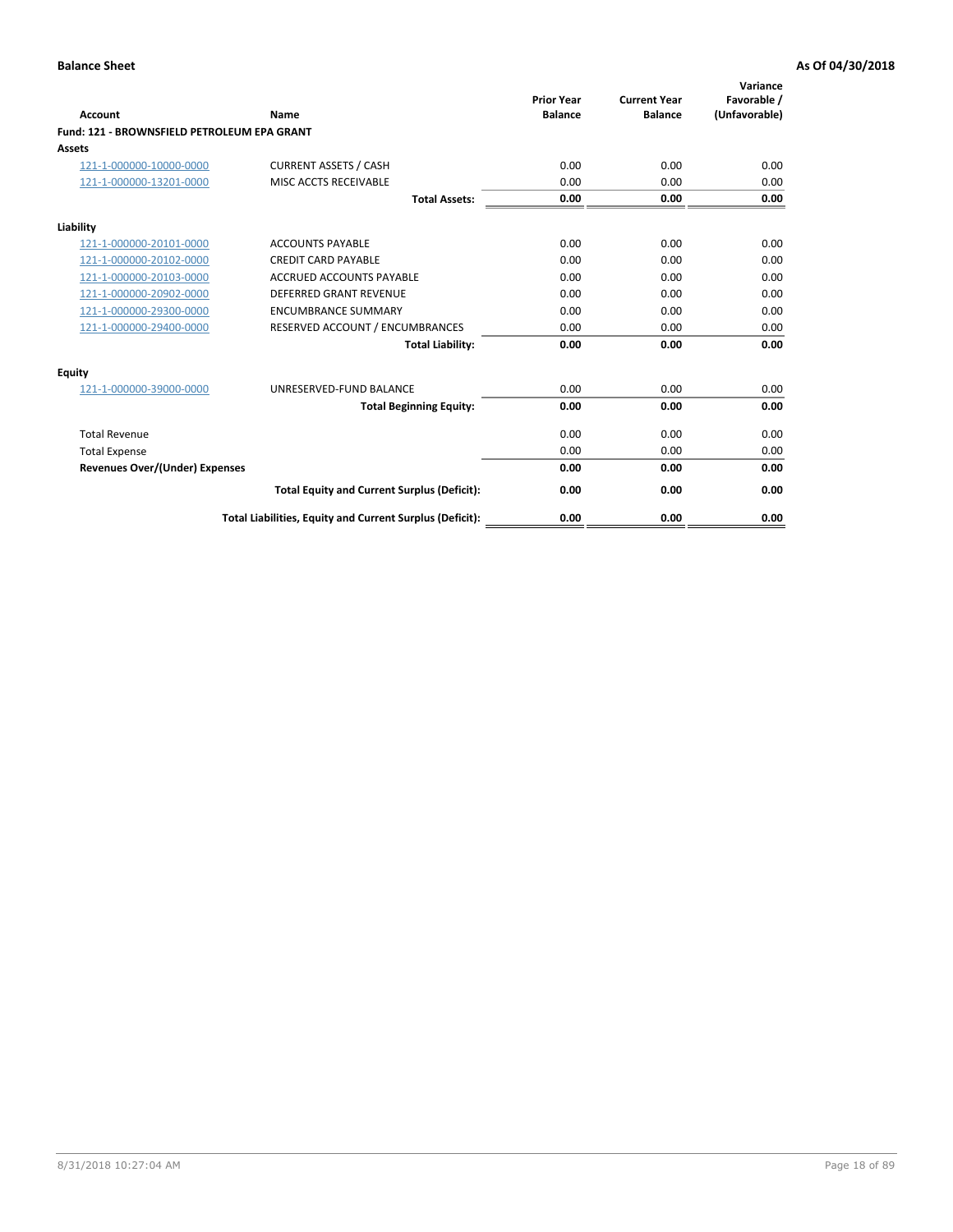| Account                                     | Name                                                     | <b>Prior Year</b><br><b>Balance</b> | <b>Current Year</b><br><b>Balance</b> | Variance<br>Favorable /<br>(Unfavorable) |
|---------------------------------------------|----------------------------------------------------------|-------------------------------------|---------------------------------------|------------------------------------------|
| Fund: 121 - BROWNSFIELD PETROLEUM EPA GRANT |                                                          |                                     |                                       |                                          |
| <b>Assets</b>                               |                                                          |                                     |                                       |                                          |
| 121-1-000000-10000-0000                     | <b>CURRENT ASSETS / CASH</b>                             | 0.00                                | 0.00                                  | 0.00                                     |
| 121-1-000000-13201-0000                     | MISC ACCTS RECEIVABLE                                    | 0.00                                | 0.00                                  | 0.00                                     |
|                                             |                                                          |                                     |                                       |                                          |
|                                             | <b>Total Assets:</b>                                     | 0.00                                | 0.00                                  | 0.00                                     |
| Liability                                   |                                                          |                                     |                                       |                                          |
| 121-1-000000-20101-0000                     | <b>ACCOUNTS PAYABLE</b>                                  | 0.00                                | 0.00                                  | 0.00                                     |
| 121-1-000000-20102-0000                     | <b>CREDIT CARD PAYABLE</b>                               | 0.00                                | 0.00                                  | 0.00                                     |
| 121-1-000000-20103-0000                     | <b>ACCRUED ACCOUNTS PAYABLE</b>                          | 0.00                                | 0.00                                  | 0.00                                     |
| 121-1-000000-20902-0000                     | <b>DEFERRED GRANT REVENUE</b>                            | 0.00                                | 0.00                                  | 0.00                                     |
| 121-1-000000-29300-0000                     | <b>ENCUMBRANCE SUMMARY</b>                               | 0.00                                | 0.00                                  | 0.00                                     |
| 121-1-000000-29400-0000                     | RESERVED ACCOUNT / ENCUMBRANCES                          | 0.00                                | 0.00                                  | 0.00                                     |
|                                             | <b>Total Liability:</b>                                  | 0.00                                | 0.00                                  | 0.00                                     |
| <b>Equity</b>                               |                                                          |                                     |                                       |                                          |
| 121-1-000000-39000-0000                     | UNRESERVED-FUND BALANCE                                  | 0.00                                | 0.00                                  | 0.00                                     |
|                                             | <b>Total Beginning Equity:</b>                           | 0.00                                | 0.00                                  | 0.00                                     |
| <b>Total Revenue</b>                        |                                                          | 0.00                                | 0.00                                  | 0.00                                     |
| <b>Total Expense</b>                        |                                                          | 0.00                                | 0.00                                  | 0.00                                     |
| <b>Revenues Over/(Under) Expenses</b>       |                                                          | 0.00                                | 0.00                                  | 0.00                                     |
|                                             | <b>Total Equity and Current Surplus (Deficit):</b>       | 0.00                                | 0.00                                  | 0.00                                     |
|                                             | Total Liabilities, Equity and Current Surplus (Deficit): | 0.00                                | 0.00                                  | 0.00                                     |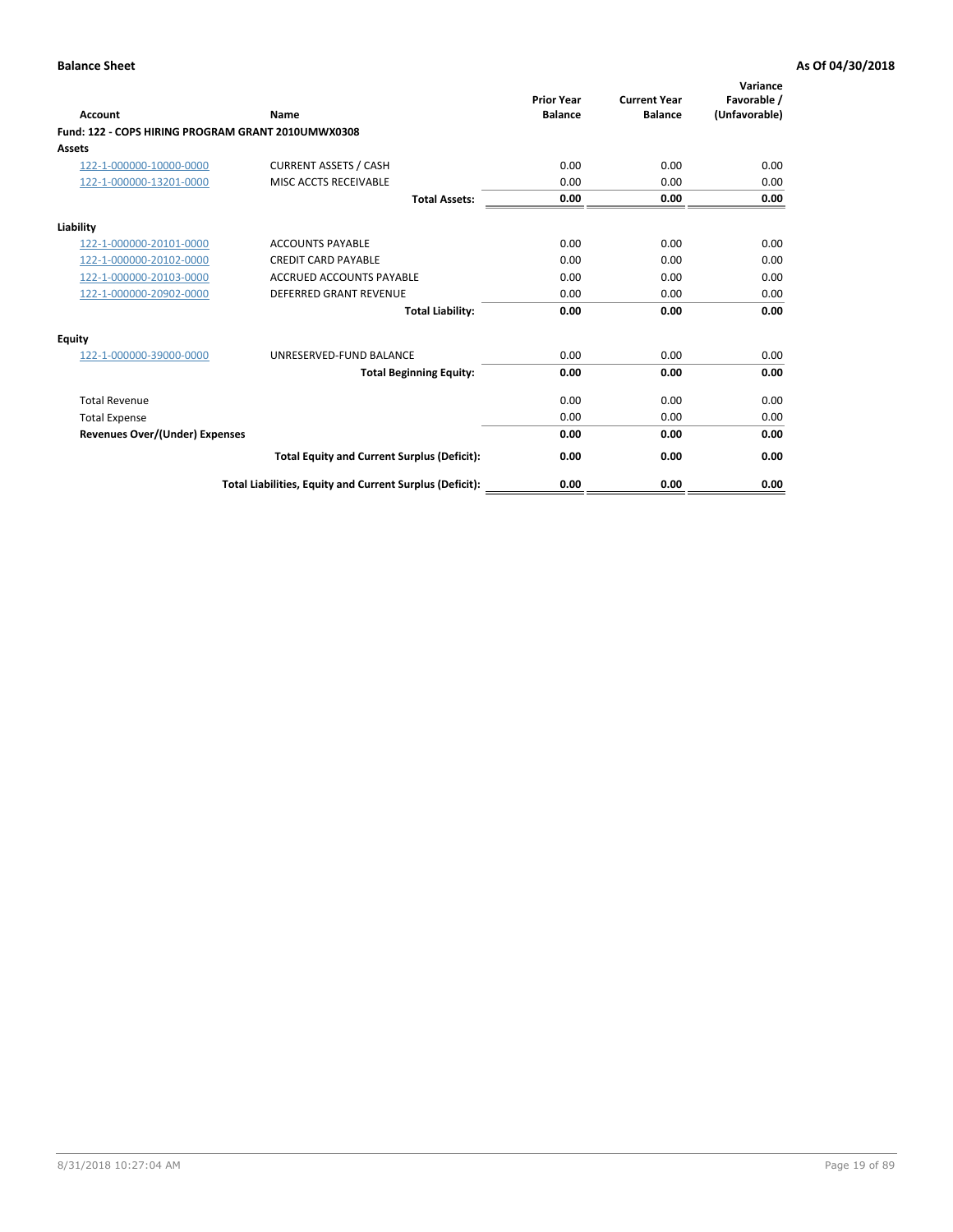| <b>Account</b>                                     | Name                                                     | <b>Prior Year</b><br><b>Balance</b> | <b>Current Year</b><br><b>Balance</b> | Variance<br>Favorable /<br>(Unfavorable) |
|----------------------------------------------------|----------------------------------------------------------|-------------------------------------|---------------------------------------|------------------------------------------|
| Fund: 122 - COPS HIRING PROGRAM GRANT 2010UMWX0308 |                                                          |                                     |                                       |                                          |
| Assets                                             |                                                          |                                     |                                       |                                          |
| 122-1-000000-10000-0000                            | <b>CURRENT ASSETS / CASH</b>                             | 0.00                                | 0.00                                  | 0.00                                     |
| 122-1-000000-13201-0000                            | MISC ACCTS RECEIVABLE                                    | 0.00                                | 0.00                                  | 0.00                                     |
|                                                    | <b>Total Assets:</b>                                     | 0.00                                | 0.00                                  | 0.00                                     |
| Liability                                          |                                                          |                                     |                                       |                                          |
| 122-1-000000-20101-0000                            | <b>ACCOUNTS PAYABLE</b>                                  | 0.00                                | 0.00                                  | 0.00                                     |
| 122-1-000000-20102-0000                            | <b>CREDIT CARD PAYABLE</b>                               | 0.00                                | 0.00                                  | 0.00                                     |
| 122-1-000000-20103-0000                            | <b>ACCRUED ACCOUNTS PAYABLE</b>                          | 0.00                                | 0.00                                  | 0.00                                     |
| 122-1-000000-20902-0000                            | <b>DEFERRED GRANT REVENUE</b>                            | 0.00                                | 0.00                                  | 0.00                                     |
|                                                    | <b>Total Liability:</b>                                  | 0.00                                | 0.00                                  | 0.00                                     |
| Equity                                             |                                                          |                                     |                                       |                                          |
| 122-1-000000-39000-0000                            | UNRESERVED-FUND BALANCE                                  | 0.00                                | 0.00                                  | 0.00                                     |
|                                                    | <b>Total Beginning Equity:</b>                           | 0.00                                | 0.00                                  | 0.00                                     |
| <b>Total Revenue</b>                               |                                                          | 0.00                                | 0.00                                  | 0.00                                     |
| <b>Total Expense</b>                               |                                                          | 0.00                                | 0.00                                  | 0.00                                     |
| <b>Revenues Over/(Under) Expenses</b>              |                                                          | 0.00                                | 0.00                                  | 0.00                                     |
|                                                    | <b>Total Equity and Current Surplus (Deficit):</b>       | 0.00                                | 0.00                                  | 0.00                                     |
|                                                    | Total Liabilities, Equity and Current Surplus (Deficit): | 0.00                                | 0.00                                  | 0.00                                     |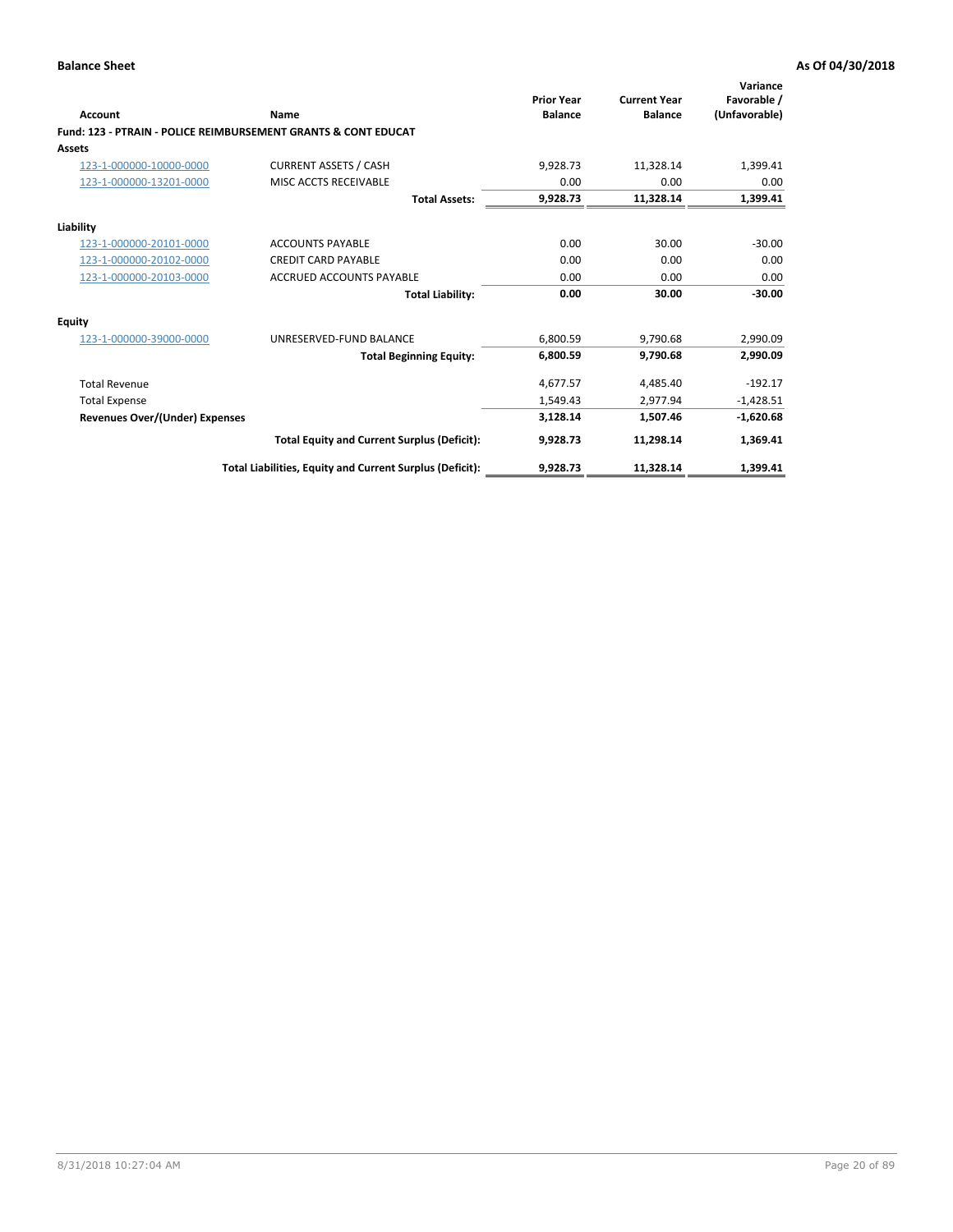| Account                        | Name                                                           | <b>Prior Year</b><br><b>Balance</b> | <b>Current Year</b><br><b>Balance</b> | Variance<br>Favorable /<br>(Unfavorable) |
|--------------------------------|----------------------------------------------------------------|-------------------------------------|---------------------------------------|------------------------------------------|
|                                | Fund: 123 - PTRAIN - POLICE REIMBURSEMENT GRANTS & CONT EDUCAT |                                     |                                       |                                          |
| Assets                         |                                                                |                                     |                                       |                                          |
| 123-1-000000-10000-0000        | <b>CURRENT ASSETS / CASH</b>                                   | 9,928.73                            | 11,328.14                             | 1,399.41                                 |
| 123-1-000000-13201-0000        | MISC ACCTS RECEIVABLE                                          | 0.00                                | 0.00                                  | 0.00                                     |
|                                | <b>Total Assets:</b>                                           | 9,928.73                            | 11,328.14                             | 1,399.41                                 |
| Liability                      |                                                                |                                     |                                       |                                          |
| 123-1-000000-20101-0000        | <b>ACCOUNTS PAYABLE</b>                                        | 0.00                                | 30.00                                 | $-30.00$                                 |
| 123-1-000000-20102-0000        | <b>CREDIT CARD PAYABLE</b>                                     | 0.00                                | 0.00                                  | 0.00                                     |
| 123-1-000000-20103-0000        | <b>ACCRUED ACCOUNTS PAYABLE</b>                                | 0.00                                | 0.00                                  | 0.00                                     |
|                                | <b>Total Liability:</b>                                        | 0.00                                | 30.00                                 | $-30.00$                                 |
| Equity                         |                                                                |                                     |                                       |                                          |
| 123-1-000000-39000-0000        | UNRESERVED-FUND BALANCE                                        | 6,800.59                            | 9,790.68                              | 2,990.09                                 |
|                                | <b>Total Beginning Equity:</b>                                 | 6,800.59                            | 9,790.68                              | 2,990.09                                 |
| <b>Total Revenue</b>           |                                                                | 4,677.57                            | 4,485.40                              | $-192.17$                                |
| <b>Total Expense</b>           |                                                                | 1,549.43                            | 2.977.94                              | $-1,428.51$                              |
| Revenues Over/(Under) Expenses |                                                                | 3,128.14                            | 1,507.46                              | $-1,620.68$                              |
|                                | <b>Total Equity and Current Surplus (Deficit):</b>             | 9,928.73                            | 11,298.14                             | 1,369.41                                 |
|                                | Total Liabilities, Equity and Current Surplus (Deficit):       | 9,928.73                            | 11,328.14                             | 1,399.41                                 |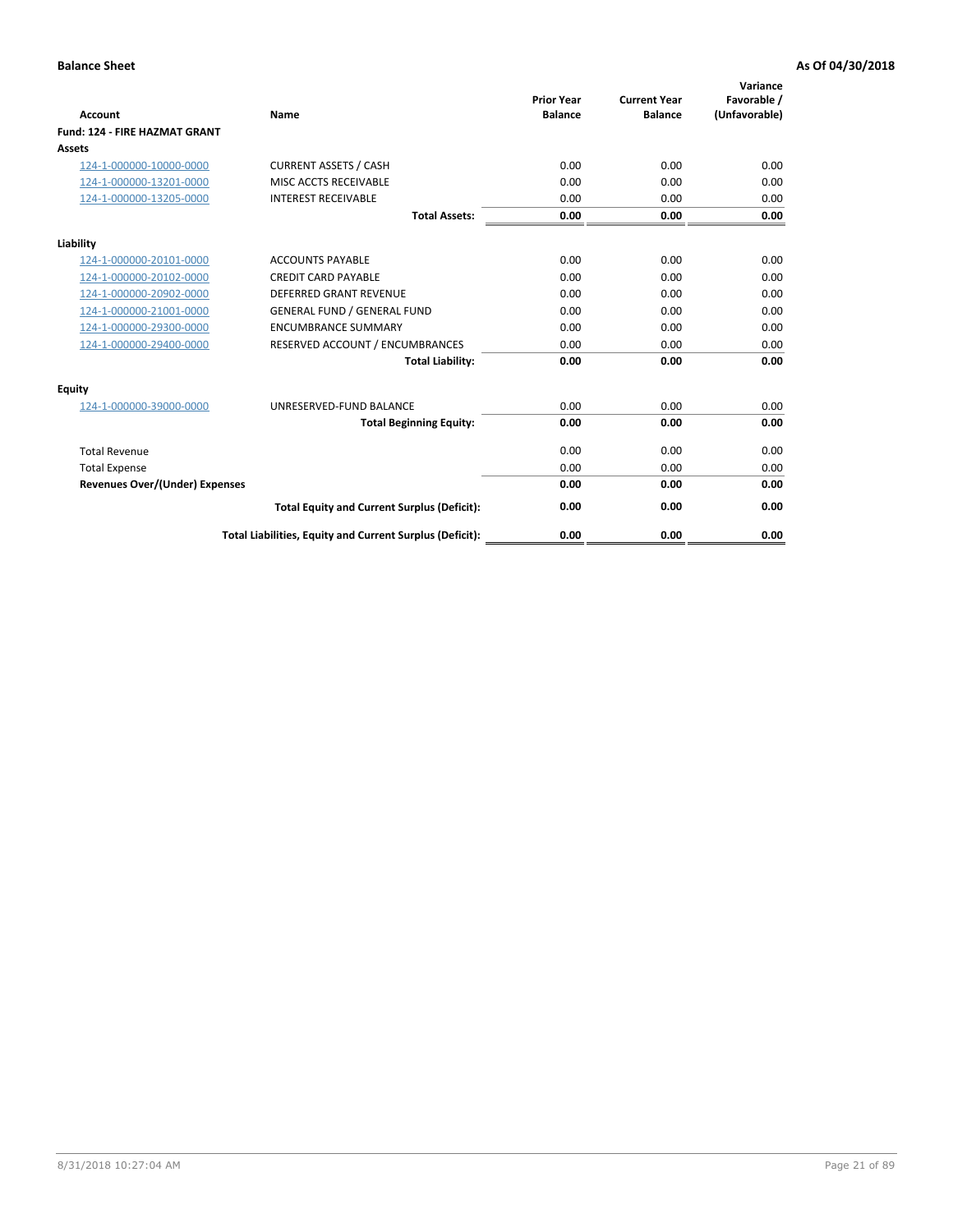| Account                               | Name                                                     | <b>Prior Year</b><br><b>Balance</b> | <b>Current Year</b><br><b>Balance</b> | Variance<br>Favorable /<br>(Unfavorable) |
|---------------------------------------|----------------------------------------------------------|-------------------------------------|---------------------------------------|------------------------------------------|
| <b>Fund: 124 - FIRE HAZMAT GRANT</b>  |                                                          |                                     |                                       |                                          |
| Assets                                |                                                          |                                     |                                       |                                          |
| 124-1-000000-10000-0000               | <b>CURRENT ASSETS / CASH</b>                             | 0.00                                | 0.00                                  | 0.00                                     |
| 124-1-000000-13201-0000               | MISC ACCTS RECEIVABLE                                    | 0.00                                | 0.00                                  | 0.00                                     |
| 124-1-000000-13205-0000               | <b>INTEREST RECEIVABLE</b>                               | 0.00                                | 0.00                                  | 0.00                                     |
|                                       | <b>Total Assets:</b>                                     | 0.00                                | 0.00                                  | 0.00                                     |
| Liability                             |                                                          |                                     |                                       |                                          |
| 124-1-000000-20101-0000               | <b>ACCOUNTS PAYABLE</b>                                  | 0.00                                | 0.00                                  | 0.00                                     |
| 124-1-000000-20102-0000               | <b>CREDIT CARD PAYABLE</b>                               | 0.00                                | 0.00                                  | 0.00                                     |
| 124-1-000000-20902-0000               | <b>DEFERRED GRANT REVENUE</b>                            | 0.00                                | 0.00                                  | 0.00                                     |
| 124-1-000000-21001-0000               | <b>GENERAL FUND / GENERAL FUND</b>                       | 0.00                                | 0.00                                  | 0.00                                     |
| 124-1-000000-29300-0000               | <b>ENCUMBRANCE SUMMARY</b>                               | 0.00                                | 0.00                                  | 0.00                                     |
| 124-1-000000-29400-0000               | RESERVED ACCOUNT / ENCUMBRANCES                          | 0.00                                | 0.00                                  | 0.00                                     |
|                                       | <b>Total Liability:</b>                                  | 0.00                                | 0.00                                  | 0.00                                     |
| <b>Equity</b>                         |                                                          |                                     |                                       |                                          |
| 124-1-000000-39000-0000               | UNRESERVED-FUND BALANCE                                  | 0.00                                | 0.00                                  | 0.00                                     |
|                                       | <b>Total Beginning Equity:</b>                           | 0.00                                | 0.00                                  | 0.00                                     |
| <b>Total Revenue</b>                  |                                                          | 0.00                                | 0.00                                  | 0.00                                     |
| <b>Total Expense</b>                  |                                                          | 0.00                                | 0.00                                  | 0.00                                     |
| <b>Revenues Over/(Under) Expenses</b> |                                                          | 0.00                                | 0.00                                  | 0.00                                     |
|                                       | <b>Total Equity and Current Surplus (Deficit):</b>       | 0.00                                | 0.00                                  | 0.00                                     |
|                                       | Total Liabilities, Equity and Current Surplus (Deficit): | 0.00                                | 0.00                                  | 0.00                                     |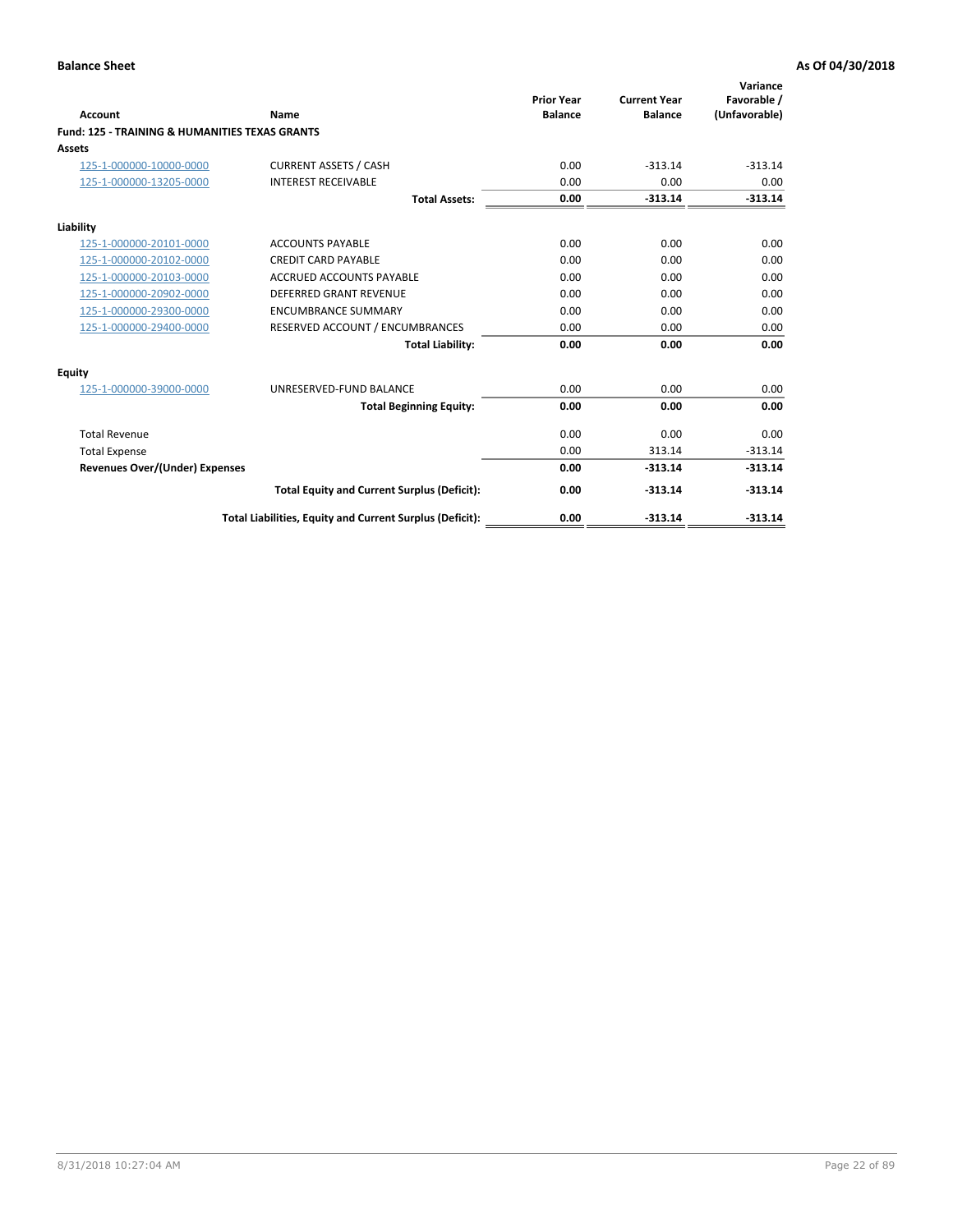| Account                                                   | Name                                                     | <b>Prior Year</b><br><b>Balance</b> | <b>Current Year</b><br><b>Balance</b> | Variance<br>Favorable /<br>(Unfavorable) |
|-----------------------------------------------------------|----------------------------------------------------------|-------------------------------------|---------------------------------------|------------------------------------------|
| <b>Fund: 125 - TRAINING &amp; HUMANITIES TEXAS GRANTS</b> |                                                          |                                     |                                       |                                          |
| <b>Assets</b>                                             |                                                          |                                     |                                       |                                          |
| 125-1-000000-10000-0000                                   | <b>CURRENT ASSETS / CASH</b>                             | 0.00                                | $-313.14$                             | $-313.14$                                |
| 125-1-000000-13205-0000                                   | <b>INTEREST RECEIVABLE</b>                               | 0.00                                | 0.00                                  | 0.00                                     |
|                                                           | <b>Total Assets:</b>                                     | 0.00                                | $-313.14$                             | $-313.14$                                |
| Liability                                                 |                                                          |                                     |                                       |                                          |
| 125-1-000000-20101-0000                                   | <b>ACCOUNTS PAYABLE</b>                                  | 0.00                                | 0.00                                  | 0.00                                     |
| 125-1-000000-20102-0000                                   | <b>CREDIT CARD PAYABLE</b>                               | 0.00                                | 0.00                                  | 0.00                                     |
| 125-1-000000-20103-0000                                   | <b>ACCRUED ACCOUNTS PAYABLE</b>                          | 0.00                                | 0.00                                  | 0.00                                     |
| 125-1-000000-20902-0000                                   | DEFERRED GRANT REVENUE                                   | 0.00                                | 0.00                                  | 0.00                                     |
| 125-1-000000-29300-0000                                   | <b>ENCUMBRANCE SUMMARY</b>                               | 0.00                                | 0.00                                  | 0.00                                     |
| 125-1-000000-29400-0000                                   | RESERVED ACCOUNT / ENCUMBRANCES                          | 0.00                                | 0.00                                  | 0.00                                     |
|                                                           | <b>Total Liability:</b>                                  | 0.00                                | 0.00                                  | 0.00                                     |
| <b>Equity</b>                                             |                                                          |                                     |                                       |                                          |
| 125-1-000000-39000-0000                                   | UNRESERVED-FUND BALANCE                                  | 0.00                                | 0.00                                  | 0.00                                     |
|                                                           | <b>Total Beginning Equity:</b>                           | 0.00                                | 0.00                                  | 0.00                                     |
| <b>Total Revenue</b>                                      |                                                          | 0.00                                | 0.00                                  | 0.00                                     |
| <b>Total Expense</b>                                      |                                                          | 0.00                                | 313.14                                | $-313.14$                                |
| <b>Revenues Over/(Under) Expenses</b>                     |                                                          | 0.00                                | $-313.14$                             | $-313.14$                                |
|                                                           | <b>Total Equity and Current Surplus (Deficit):</b>       | 0.00                                | $-313.14$                             | $-313.14$                                |
|                                                           | Total Liabilities, Equity and Current Surplus (Deficit): | 0.00                                | $-313.14$                             | $-313.14$                                |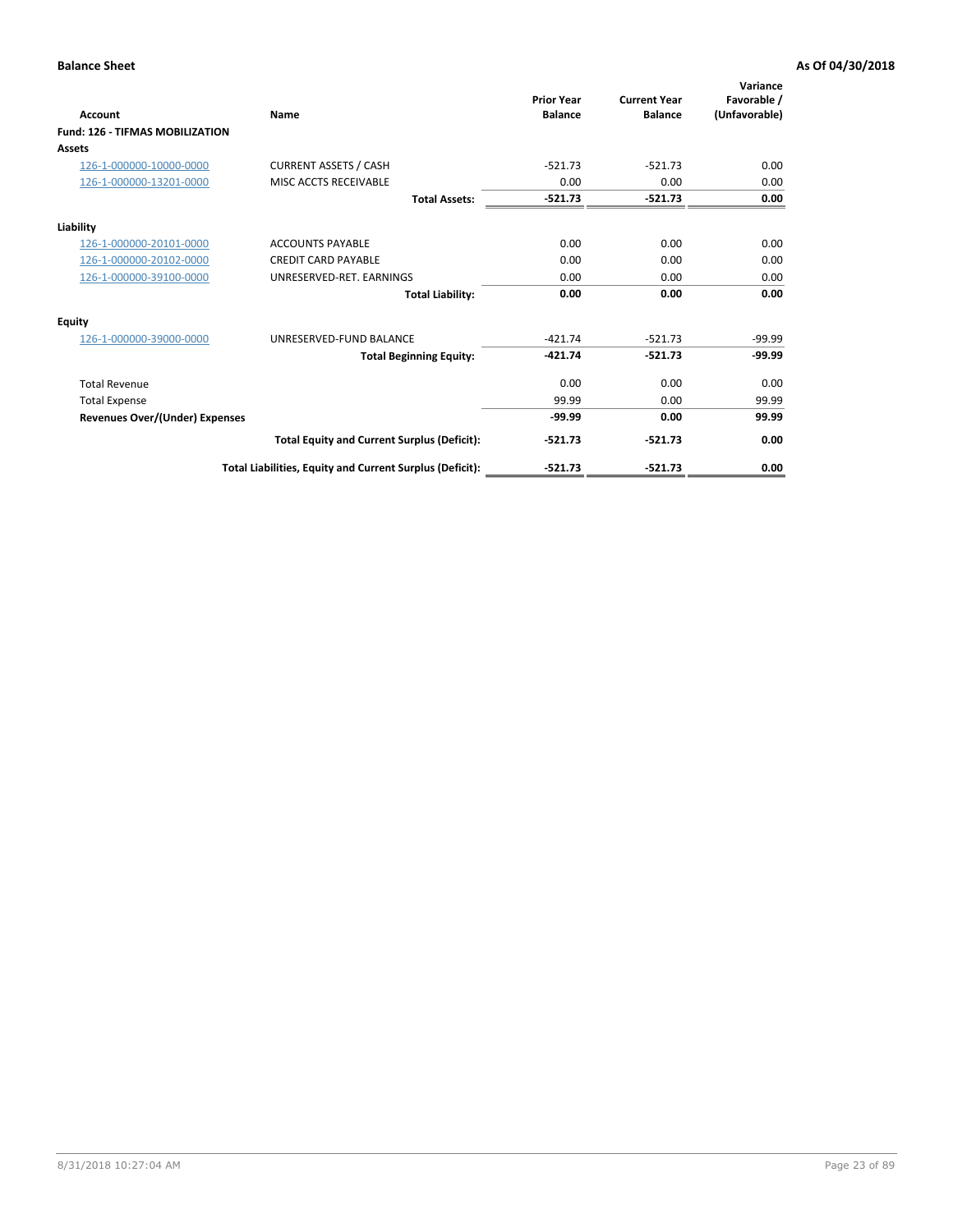| Account                                | Name                                                     | <b>Prior Year</b><br><b>Balance</b> | <b>Current Year</b><br><b>Balance</b> | Variance<br>Favorable /<br>(Unfavorable) |
|----------------------------------------|----------------------------------------------------------|-------------------------------------|---------------------------------------|------------------------------------------|
| <b>Fund: 126 - TIFMAS MOBILIZATION</b> |                                                          |                                     |                                       |                                          |
| Assets                                 |                                                          |                                     |                                       |                                          |
| 126-1-000000-10000-0000                | <b>CURRENT ASSETS / CASH</b>                             | $-521.73$                           | $-521.73$                             | 0.00                                     |
| 126-1-000000-13201-0000                | MISC ACCTS RECEIVABLE                                    | 0.00                                | 0.00                                  | 0.00                                     |
|                                        | <b>Total Assets:</b>                                     | $-521.73$                           | $-521.73$                             | 0.00                                     |
| Liability                              |                                                          |                                     |                                       |                                          |
| 126-1-000000-20101-0000                | <b>ACCOUNTS PAYABLE</b>                                  | 0.00                                | 0.00                                  | 0.00                                     |
| 126-1-000000-20102-0000                | <b>CREDIT CARD PAYABLE</b>                               | 0.00                                | 0.00                                  | 0.00                                     |
| 126-1-000000-39100-0000                | UNRESERVED-RET. EARNINGS                                 | 0.00                                | 0.00                                  | 0.00                                     |
|                                        | <b>Total Liability:</b>                                  | 0.00                                | 0.00                                  | 0.00                                     |
| <b>Equity</b>                          |                                                          |                                     |                                       |                                          |
| 126-1-000000-39000-0000                | UNRESERVED-FUND BALANCE                                  | $-421.74$                           | $-521.73$                             | $-99.99$                                 |
|                                        | <b>Total Beginning Equity:</b>                           | $-421.74$                           | $-521.73$                             | $-99.99$                                 |
| <b>Total Revenue</b>                   |                                                          | 0.00                                | 0.00                                  | 0.00                                     |
| <b>Total Expense</b>                   |                                                          | 99.99                               | 0.00                                  | 99.99                                    |
| <b>Revenues Over/(Under) Expenses</b>  |                                                          | $-99.99$                            | 0.00                                  | 99.99                                    |
|                                        | <b>Total Equity and Current Surplus (Deficit):</b>       | $-521.73$                           | $-521.73$                             | 0.00                                     |
|                                        | Total Liabilities, Equity and Current Surplus (Deficit): | $-521.73$                           | $-521.73$                             | 0.00                                     |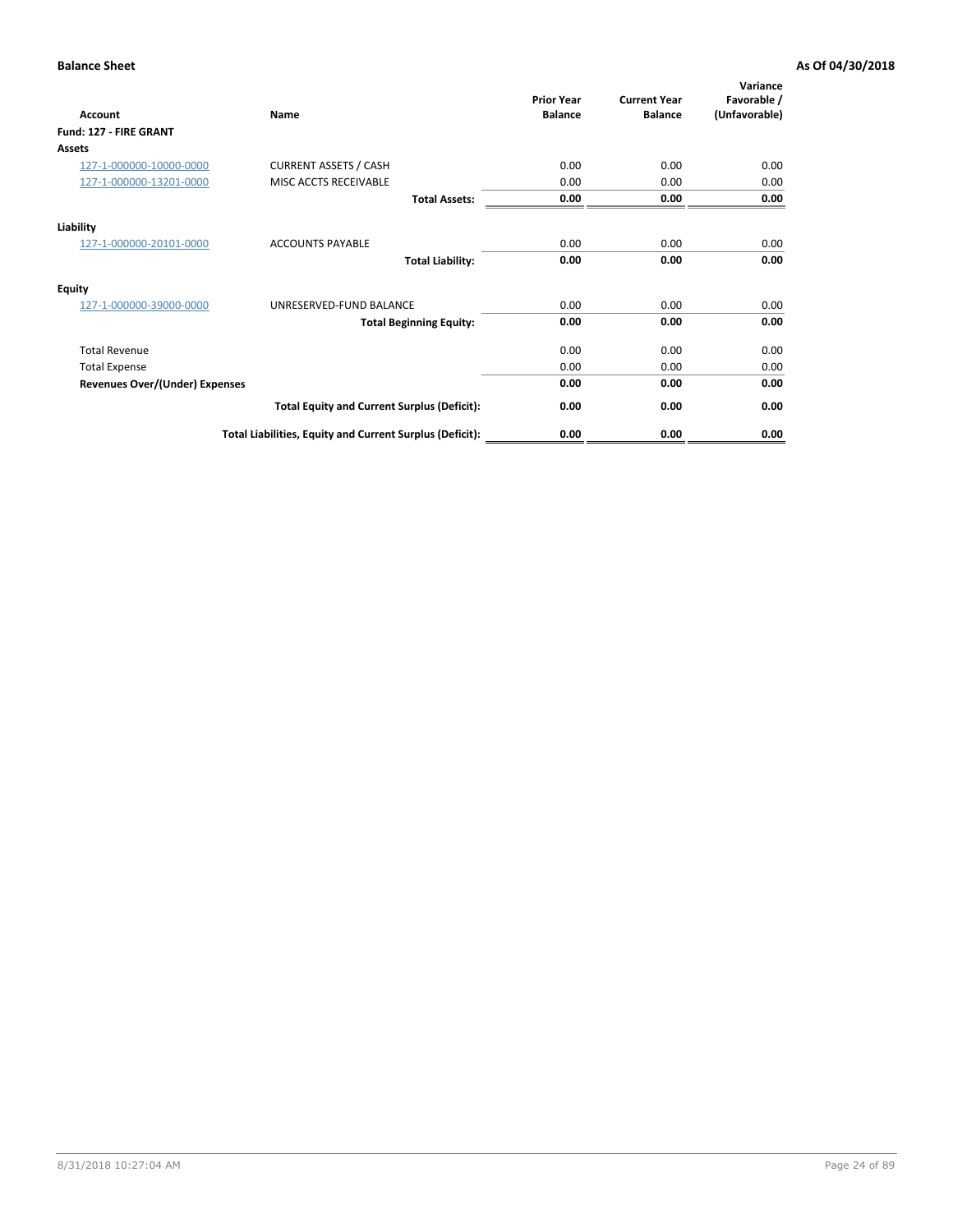| <b>Account</b>                        | Name                                                     | <b>Prior Year</b><br><b>Balance</b> | <b>Current Year</b><br><b>Balance</b> | Variance<br>Favorable /<br>(Unfavorable) |
|---------------------------------------|----------------------------------------------------------|-------------------------------------|---------------------------------------|------------------------------------------|
| Fund: 127 - FIRE GRANT                |                                                          |                                     |                                       |                                          |
| <b>Assets</b>                         |                                                          |                                     |                                       |                                          |
| 127-1-000000-10000-0000               | <b>CURRENT ASSETS / CASH</b>                             | 0.00                                | 0.00                                  | 0.00                                     |
| 127-1-000000-13201-0000               | MISC ACCTS RECEIVABLE                                    | 0.00                                | 0.00                                  | 0.00                                     |
|                                       | <b>Total Assets:</b>                                     | 0.00                                | 0.00                                  | 0.00                                     |
| Liability                             |                                                          |                                     |                                       |                                          |
| 127-1-000000-20101-0000               | <b>ACCOUNTS PAYABLE</b>                                  | 0.00                                | 0.00                                  | 0.00                                     |
|                                       | <b>Total Liability:</b>                                  | 0.00                                | 0.00                                  | 0.00                                     |
| Equity                                |                                                          |                                     |                                       |                                          |
| 127-1-000000-39000-0000               | UNRESERVED-FUND BALANCE                                  | 0.00                                | 0.00                                  | 0.00                                     |
|                                       | <b>Total Beginning Equity:</b>                           | 0.00                                | 0.00                                  | 0.00                                     |
| <b>Total Revenue</b>                  |                                                          | 0.00                                | 0.00                                  | 0.00                                     |
| <b>Total Expense</b>                  |                                                          | 0.00                                | 0.00                                  | 0.00                                     |
| <b>Revenues Over/(Under) Expenses</b> |                                                          | 0.00                                | 0.00                                  | 0.00                                     |
|                                       | <b>Total Equity and Current Surplus (Deficit):</b>       | 0.00                                | 0.00                                  | 0.00                                     |
|                                       | Total Liabilities, Equity and Current Surplus (Deficit): | 0.00                                | 0.00                                  | 0.00                                     |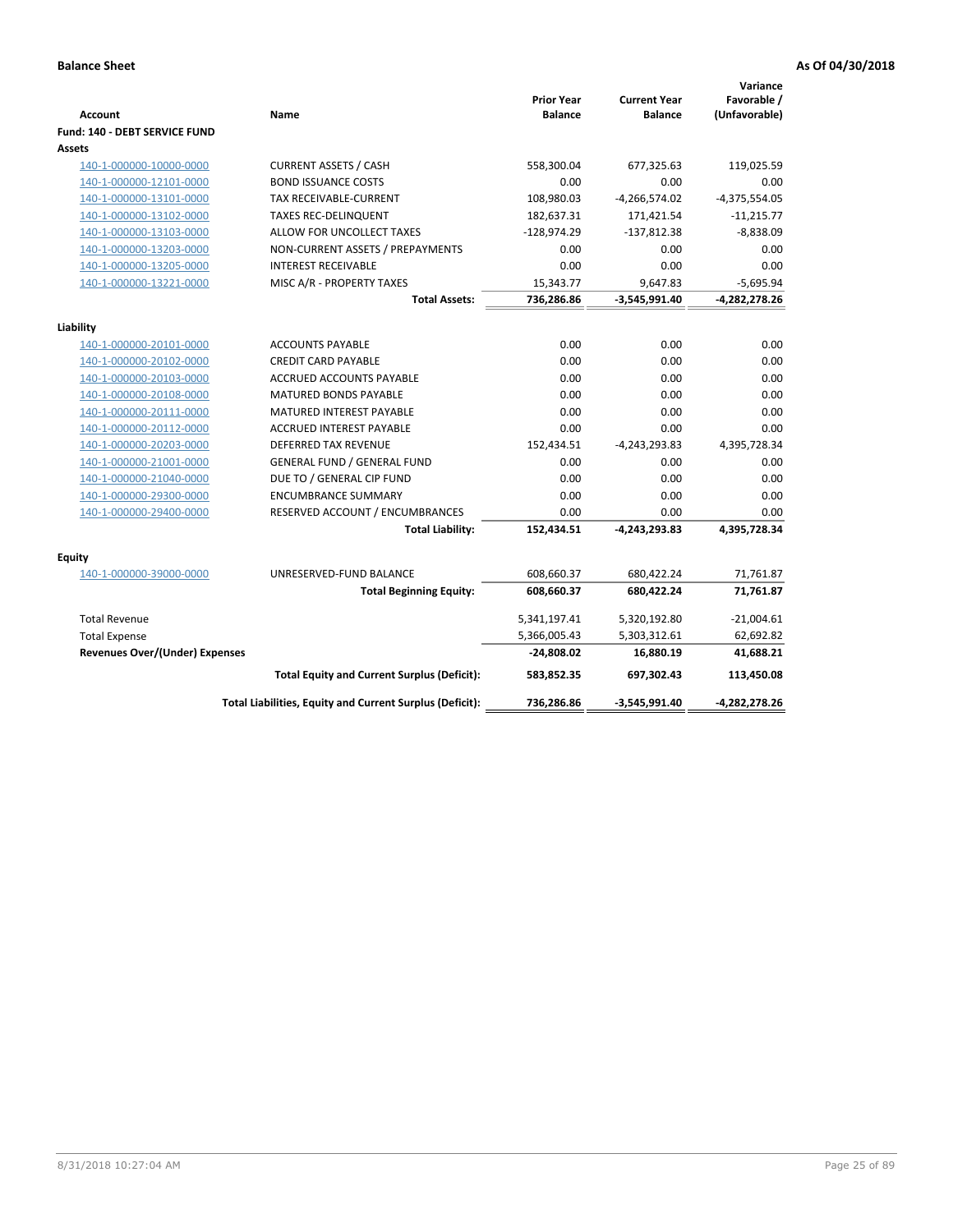| <b>Account</b>                        | Name                                                     | <b>Prior Year</b><br><b>Balance</b> | <b>Current Year</b><br><b>Balance</b> | Variance<br>Favorable /<br>(Unfavorable) |
|---------------------------------------|----------------------------------------------------------|-------------------------------------|---------------------------------------|------------------------------------------|
| Fund: 140 - DEBT SERVICE FUND         |                                                          |                                     |                                       |                                          |
| Assets                                |                                                          |                                     |                                       |                                          |
| 140-1-000000-10000-0000               | <b>CURRENT ASSETS / CASH</b>                             | 558,300.04                          | 677,325.63                            | 119,025.59                               |
| 140-1-000000-12101-0000               | <b>BOND ISSUANCE COSTS</b>                               | 0.00                                | 0.00                                  | 0.00                                     |
| 140-1-000000-13101-0000               | TAX RECEIVABLE-CURRENT                                   | 108,980.03                          | $-4,266,574.02$                       | $-4,375,554.05$                          |
| 140-1-000000-13102-0000               | <b>TAXES REC-DELINQUENT</b>                              | 182,637.31                          | 171,421.54                            | $-11,215.77$                             |
| 140-1-000000-13103-0000               | ALLOW FOR UNCOLLECT TAXES                                | $-128,974.29$                       | $-137,812.38$                         | $-8,838.09$                              |
| 140-1-000000-13203-0000               | NON-CURRENT ASSETS / PREPAYMENTS                         | 0.00                                | 0.00                                  | 0.00                                     |
| 140-1-000000-13205-0000               | <b>INTEREST RECEIVABLE</b>                               | 0.00                                | 0.00                                  | 0.00                                     |
| 140-1-000000-13221-0000               | MISC A/R - PROPERTY TAXES                                | 15,343.77                           | 9,647.83                              | $-5,695.94$                              |
|                                       | <b>Total Assets:</b>                                     | 736,286.86                          | $-3,545,991.40$                       | $-4,282,278.26$                          |
| Liability                             |                                                          |                                     |                                       |                                          |
| 140-1-000000-20101-0000               | <b>ACCOUNTS PAYABLE</b>                                  | 0.00                                | 0.00                                  | 0.00                                     |
| 140-1-000000-20102-0000               | <b>CREDIT CARD PAYABLE</b>                               | 0.00                                | 0.00                                  | 0.00                                     |
| 140-1-000000-20103-0000               | ACCRUED ACCOUNTS PAYABLE                                 | 0.00                                | 0.00                                  | 0.00                                     |
| 140-1-000000-20108-0000               | <b>MATURED BONDS PAYABLE</b>                             | 0.00                                | 0.00                                  | 0.00                                     |
| 140-1-000000-20111-0000               | MATURED INTEREST PAYABLE                                 | 0.00                                | 0.00                                  | 0.00                                     |
| 140-1-000000-20112-0000               | <b>ACCRUED INTEREST PAYABLE</b>                          | 0.00                                | 0.00                                  | 0.00                                     |
| 140-1-000000-20203-0000               | <b>DEFERRED TAX REVENUE</b>                              | 152,434.51                          | $-4,243,293.83$                       | 4,395,728.34                             |
| 140-1-000000-21001-0000               | <b>GENERAL FUND / GENERAL FUND</b>                       | 0.00                                | 0.00                                  | 0.00                                     |
| 140-1-000000-21040-0000               | DUE TO / GENERAL CIP FUND                                | 0.00                                | 0.00                                  | 0.00                                     |
| 140-1-000000-29300-0000               | <b>ENCUMBRANCE SUMMARY</b>                               | 0.00                                | 0.00                                  | 0.00                                     |
| 140-1-000000-29400-0000               | RESERVED ACCOUNT / ENCUMBRANCES                          | 0.00                                | 0.00                                  | 0.00                                     |
|                                       | <b>Total Liability:</b>                                  | 152,434.51                          | $-4,243,293.83$                       | 4,395,728.34                             |
| Equity                                |                                                          |                                     |                                       |                                          |
| 140-1-000000-39000-0000               | UNRESERVED-FUND BALANCE                                  | 608,660.37                          | 680,422.24                            | 71,761.87                                |
|                                       | <b>Total Beginning Equity:</b>                           | 608,660.37                          | 680,422.24                            | 71,761.87                                |
| <b>Total Revenue</b>                  |                                                          | 5,341,197.41                        | 5,320,192.80                          | $-21,004.61$                             |
| <b>Total Expense</b>                  |                                                          | 5,366,005.43                        | 5,303,312.61                          | 62,692.82                                |
| <b>Revenues Over/(Under) Expenses</b> |                                                          | $-24,808.02$                        | 16,880.19                             | 41,688.21                                |
|                                       | <b>Total Equity and Current Surplus (Deficit):</b>       | 583,852.35                          | 697,302.43                            | 113,450.08                               |
|                                       | Total Liabilities, Equity and Current Surplus (Deficit): | 736,286.86                          | $-3,545,991.40$                       | -4,282,278.26                            |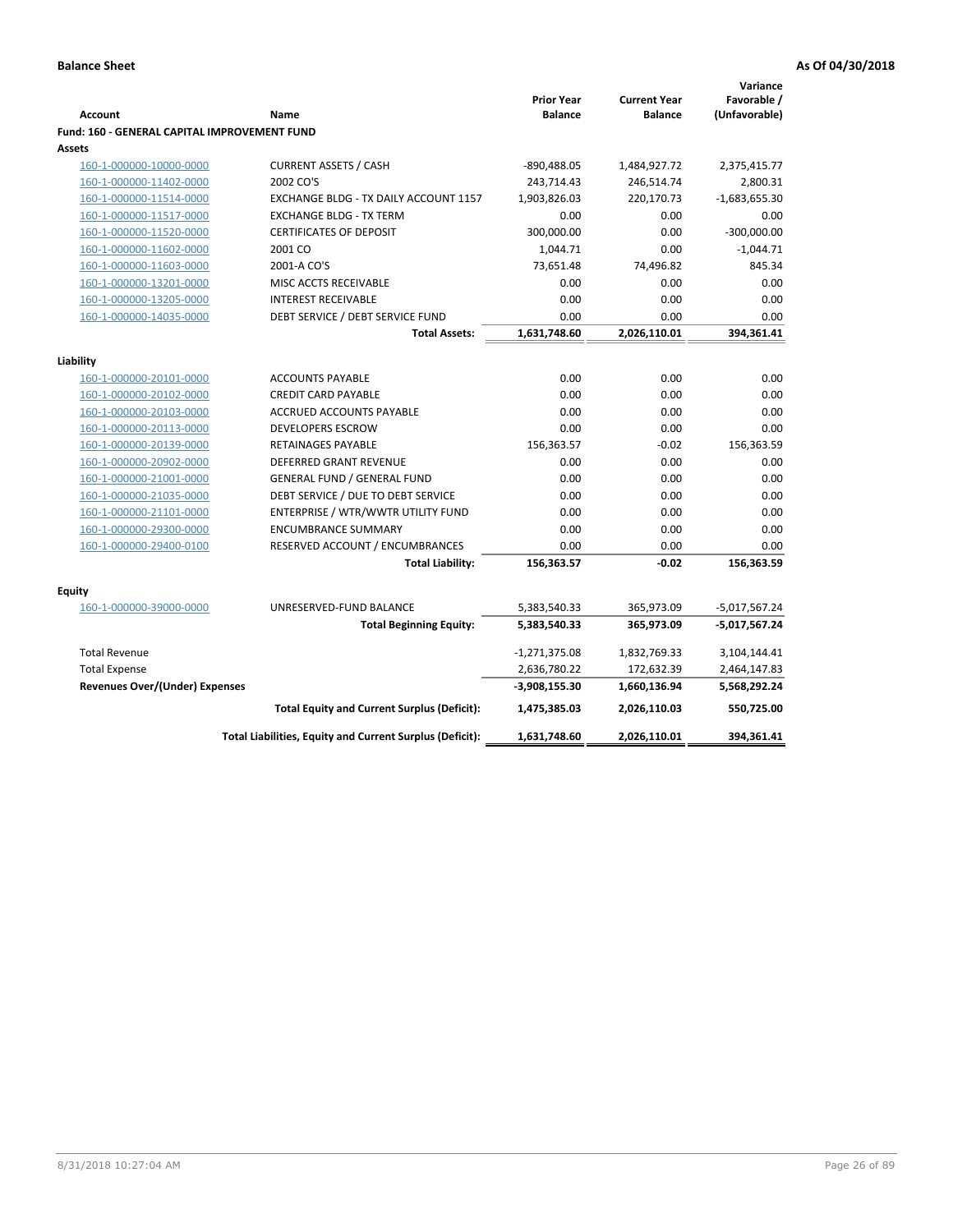|                                                    |                                                                          |                                     |                                       | Variance                     |
|----------------------------------------------------|--------------------------------------------------------------------------|-------------------------------------|---------------------------------------|------------------------------|
| <b>Account</b>                                     | Name                                                                     | <b>Prior Year</b><br><b>Balance</b> | <b>Current Year</b><br><b>Balance</b> | Favorable /<br>(Unfavorable) |
| Fund: 160 - GENERAL CAPITAL IMPROVEMENT FUND       |                                                                          |                                     |                                       |                              |
| Assets                                             |                                                                          |                                     |                                       |                              |
| 160-1-000000-10000-0000                            | <b>CURRENT ASSETS / CASH</b>                                             | -890,488.05                         | 1,484,927.72                          | 2,375,415.77                 |
| 160-1-000000-11402-0000                            | 2002 CO'S                                                                | 243,714.43                          | 246,514.74                            | 2,800.31                     |
| 160-1-000000-11514-0000                            | EXCHANGE BLDG - TX DAILY ACCOUNT 1157                                    | 1,903,826.03                        | 220,170.73                            | $-1,683,655.30$              |
| 160-1-000000-11517-0000                            | <b>EXCHANGE BLDG - TX TERM</b>                                           | 0.00                                | 0.00                                  | 0.00                         |
| 160-1-000000-11520-0000                            | <b>CERTIFICATES OF DEPOSIT</b>                                           | 300,000.00                          | 0.00                                  | $-300,000.00$                |
| 160-1-000000-11602-0000                            | 2001 CO                                                                  | 1,044.71                            | 0.00                                  | $-1,044.71$                  |
| 160-1-000000-11603-0000                            | 2001-A CO'S                                                              | 73,651.48                           | 74,496.82                             | 845.34                       |
| 160-1-000000-13201-0000                            | MISC ACCTS RECEIVABLE                                                    | 0.00                                | 0.00                                  | 0.00                         |
| 160-1-000000-13205-0000                            | <b>INTEREST RECEIVABLE</b>                                               | 0.00                                | 0.00                                  | 0.00                         |
| 160-1-000000-14035-0000                            | DEBT SERVICE / DEBT SERVICE FUND                                         | 0.00                                | 0.00                                  | 0.00                         |
|                                                    | <b>Total Assets:</b>                                                     | 1,631,748.60                        | 2,026,110.01                          | 394,361.41                   |
|                                                    |                                                                          |                                     |                                       |                              |
| Liability                                          |                                                                          |                                     |                                       |                              |
| 160-1-000000-20101-0000                            | <b>ACCOUNTS PAYABLE</b>                                                  | 0.00                                | 0.00                                  | 0.00                         |
| 160-1-000000-20102-0000                            | <b>CREDIT CARD PAYABLE</b>                                               | 0.00                                | 0.00                                  | 0.00                         |
| 160-1-000000-20103-0000<br>160-1-000000-20113-0000 | <b>ACCRUED ACCOUNTS PAYABLE</b><br><b>DEVELOPERS ESCROW</b>              | 0.00<br>0.00                        | 0.00<br>0.00                          | 0.00<br>0.00                 |
| 160-1-000000-20139-0000                            | <b>RETAINAGES PAYABLE</b>                                                | 156,363.57                          | $-0.02$                               |                              |
|                                                    | <b>DEFERRED GRANT REVENUE</b>                                            | 0.00                                | 0.00                                  | 156,363.59<br>0.00           |
| 160-1-000000-20902-0000                            |                                                                          | 0.00                                | 0.00                                  | 0.00                         |
| 160-1-000000-21001-0000                            | <b>GENERAL FUND / GENERAL FUND</b>                                       | 0.00                                | 0.00                                  | 0.00                         |
| 160-1-000000-21035-0000                            | DEBT SERVICE / DUE TO DEBT SERVICE<br>ENTERPRISE / WTR/WWTR UTILITY FUND | 0.00                                | 0.00                                  | 0.00                         |
| 160-1-000000-21101-0000<br>160-1-000000-29300-0000 | <b>ENCUMBRANCE SUMMARY</b>                                               | 0.00                                | 0.00                                  | 0.00                         |
| 160-1-000000-29400-0100                            | RESERVED ACCOUNT / ENCUMBRANCES                                          | 0.00                                | 0.00                                  | 0.00                         |
|                                                    | <b>Total Liability:</b>                                                  | 156,363.57                          | $-0.02$                               | 156,363.59                   |
|                                                    |                                                                          |                                     |                                       |                              |
| <b>Equity</b>                                      |                                                                          |                                     |                                       |                              |
| 160-1-000000-39000-0000                            | UNRESERVED-FUND BALANCE                                                  | 5,383,540.33                        | 365,973.09                            | -5,017,567.24                |
|                                                    | <b>Total Beginning Equity:</b>                                           | 5,383,540.33                        | 365,973.09                            | -5,017,567.24                |
|                                                    |                                                                          |                                     |                                       |                              |
| <b>Total Revenue</b>                               |                                                                          | $-1,271,375.08$                     | 1,832,769.33                          | 3,104,144.41                 |
| <b>Total Expense</b>                               |                                                                          | 2,636,780.22                        | 172,632.39                            | 2,464,147.83                 |
| <b>Revenues Over/(Under) Expenses</b>              |                                                                          | -3,908,155.30                       | 1,660,136.94                          | 5,568,292.24                 |
|                                                    | <b>Total Equity and Current Surplus (Deficit):</b>                       | 1,475,385.03                        | 2,026,110.03                          | 550,725.00                   |
|                                                    | Total Liabilities, Equity and Current Surplus (Deficit):                 | 1,631,748.60                        | 2,026,110.01                          | 394,361.41                   |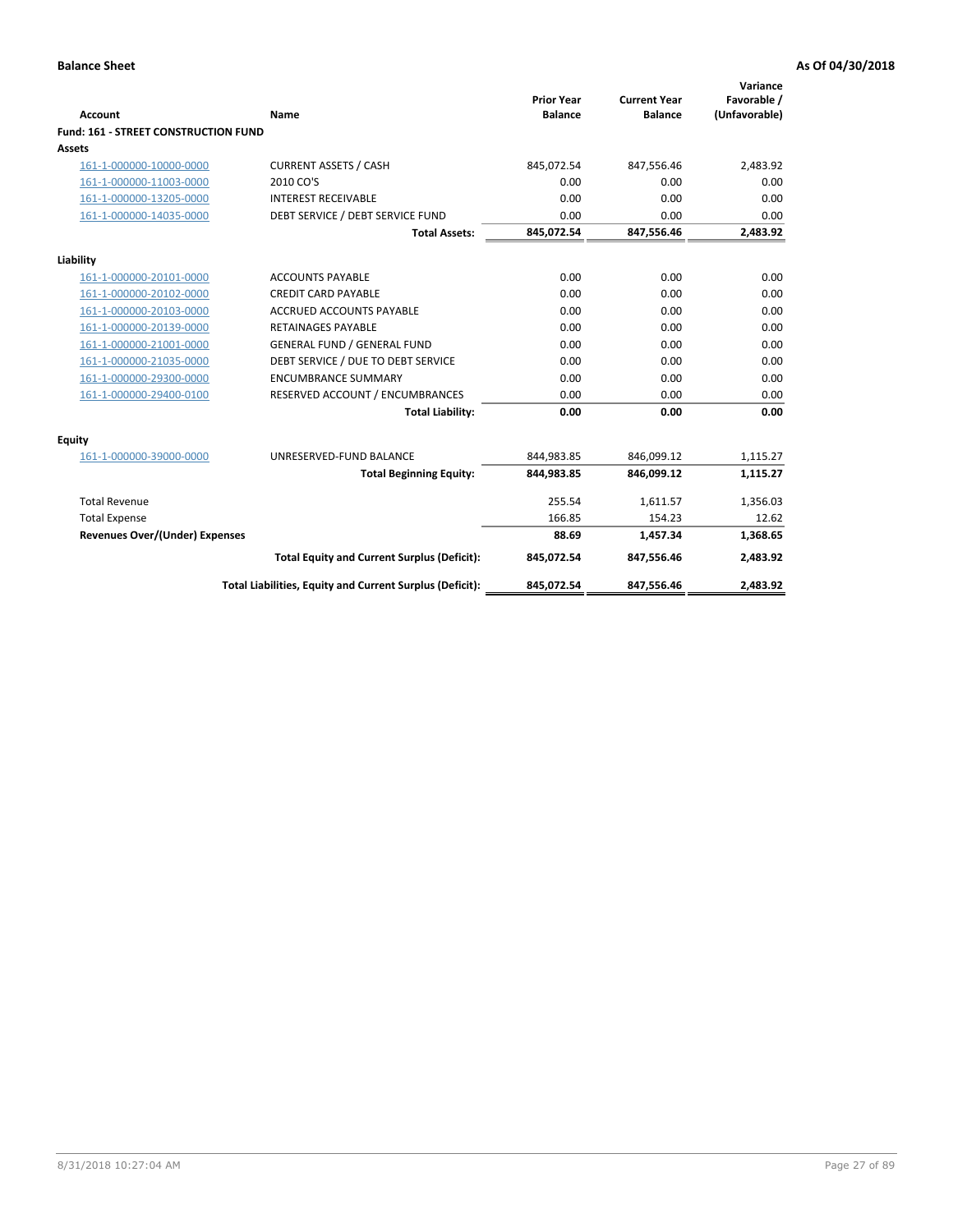| <b>Account</b>                              | Name                                                     | <b>Prior Year</b><br><b>Balance</b> | <b>Current Year</b><br><b>Balance</b> | Variance<br>Favorable /<br>(Unfavorable) |
|---------------------------------------------|----------------------------------------------------------|-------------------------------------|---------------------------------------|------------------------------------------|
| <b>Fund: 161 - STREET CONSTRUCTION FUND</b> |                                                          |                                     |                                       |                                          |
| <b>Assets</b>                               |                                                          |                                     |                                       |                                          |
| 161-1-000000-10000-0000                     | <b>CURRENT ASSETS / CASH</b>                             | 845,072.54                          | 847,556.46                            | 2,483.92                                 |
| 161-1-000000-11003-0000                     | 2010 CO'S                                                | 0.00                                | 0.00                                  | 0.00                                     |
| 161-1-000000-13205-0000                     | <b>INTEREST RECEIVABLE</b>                               | 0.00                                | 0.00                                  | 0.00                                     |
| 161-1-000000-14035-0000                     | DEBT SERVICE / DEBT SERVICE FUND                         | 0.00                                | 0.00                                  | 0.00                                     |
|                                             | <b>Total Assets:</b>                                     | 845,072.54                          | 847,556.46                            | 2,483.92                                 |
| Liability                                   |                                                          |                                     |                                       |                                          |
| 161-1-000000-20101-0000                     | <b>ACCOUNTS PAYABLE</b>                                  | 0.00                                | 0.00                                  | 0.00                                     |
| 161-1-000000-20102-0000                     | <b>CREDIT CARD PAYABLE</b>                               | 0.00                                | 0.00                                  | 0.00                                     |
| 161-1-000000-20103-0000                     | <b>ACCRUED ACCOUNTS PAYABLE</b>                          | 0.00                                | 0.00                                  | 0.00                                     |
| 161-1-000000-20139-0000                     | <b>RETAINAGES PAYABLE</b>                                | 0.00                                | 0.00                                  | 0.00                                     |
| 161-1-000000-21001-0000                     | <b>GENERAL FUND / GENERAL FUND</b>                       | 0.00                                | 0.00                                  | 0.00                                     |
| 161-1-000000-21035-0000                     | DEBT SERVICE / DUE TO DEBT SERVICE                       | 0.00                                | 0.00                                  | 0.00                                     |
| 161-1-000000-29300-0000                     | <b>ENCUMBRANCE SUMMARY</b>                               | 0.00                                | 0.00                                  | 0.00                                     |
| 161-1-000000-29400-0100                     | RESERVED ACCOUNT / ENCUMBRANCES                          | 0.00                                | 0.00                                  | 0.00                                     |
|                                             | <b>Total Liability:</b>                                  | 0.00                                | 0.00                                  | 0.00                                     |
| <b>Equity</b>                               |                                                          |                                     |                                       |                                          |
| 161-1-000000-39000-0000                     | UNRESERVED-FUND BALANCE                                  | 844,983.85                          | 846,099.12                            | 1,115.27                                 |
|                                             | <b>Total Beginning Equity:</b>                           | 844,983.85                          | 846,099.12                            | 1,115.27                                 |
| <b>Total Revenue</b>                        |                                                          | 255.54                              | 1,611.57                              | 1,356.03                                 |
| <b>Total Expense</b>                        |                                                          | 166.85                              | 154.23                                | 12.62                                    |
| <b>Revenues Over/(Under) Expenses</b>       |                                                          | 88.69                               | 1,457.34                              | 1,368.65                                 |
|                                             | <b>Total Equity and Current Surplus (Deficit):</b>       | 845,072.54                          | 847,556.46                            | 2,483.92                                 |
|                                             | Total Liabilities, Equity and Current Surplus (Deficit): | 845,072.54                          | 847,556.46                            | 2.483.92                                 |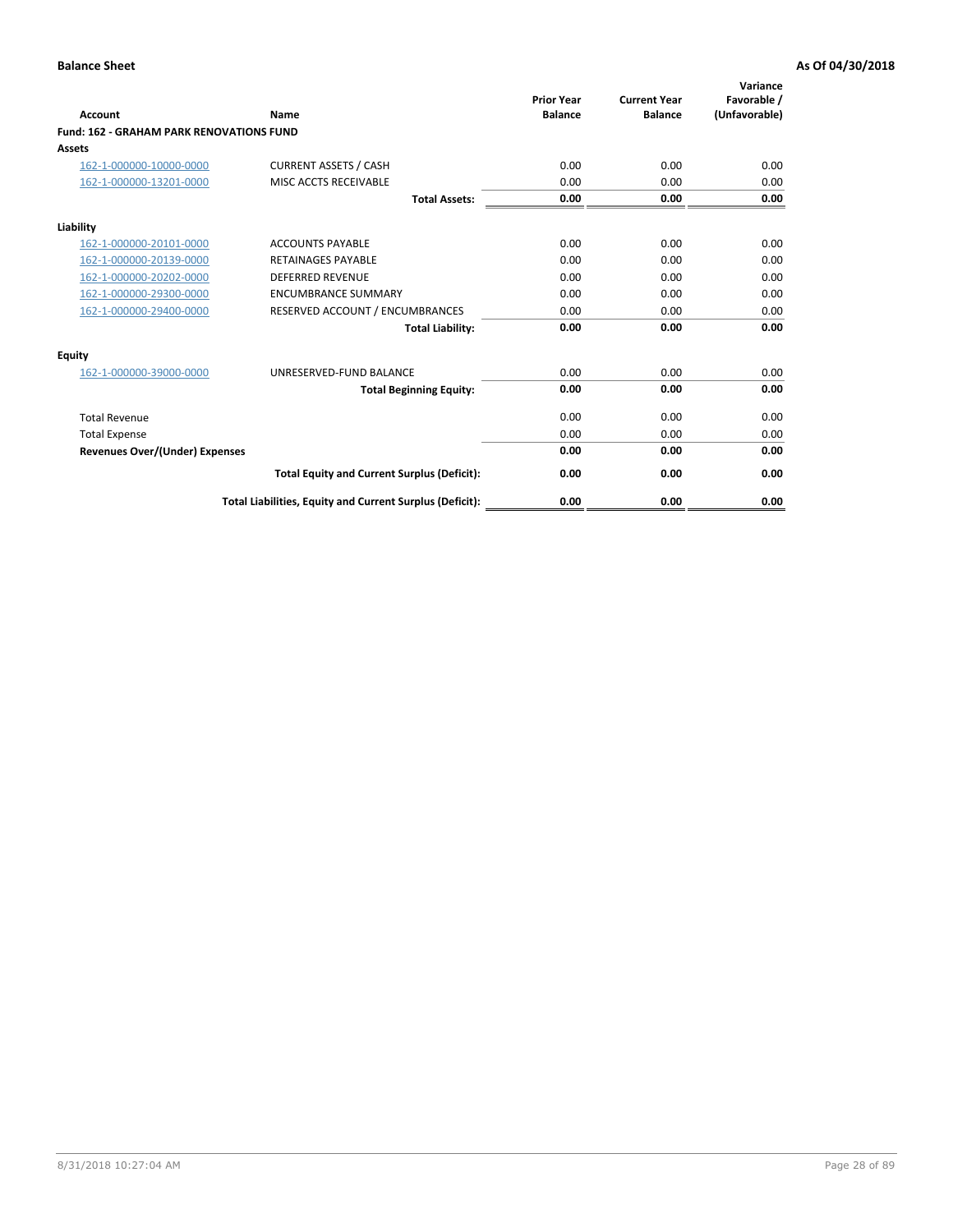|                                                 |                                                          | <b>Prior Year</b><br><b>Balance</b> | <b>Current Year</b> | Variance<br>Favorable / |
|-------------------------------------------------|----------------------------------------------------------|-------------------------------------|---------------------|-------------------------|
| <b>Account</b>                                  | Name                                                     |                                     | <b>Balance</b>      | (Unfavorable)           |
| <b>Fund: 162 - GRAHAM PARK RENOVATIONS FUND</b> |                                                          |                                     |                     |                         |
| <b>Assets</b>                                   |                                                          |                                     |                     |                         |
| 162-1-000000-10000-0000                         | <b>CURRENT ASSETS / CASH</b>                             | 0.00                                | 0.00                | 0.00                    |
| 162-1-000000-13201-0000                         | MISC ACCTS RECEIVABLE                                    | 0.00                                | 0.00                | 0.00                    |
|                                                 | <b>Total Assets:</b>                                     | 0.00                                | 0.00                | 0.00                    |
| Liability                                       |                                                          |                                     |                     |                         |
| 162-1-000000-20101-0000                         | <b>ACCOUNTS PAYABLE</b>                                  | 0.00                                | 0.00                | 0.00                    |
| 162-1-000000-20139-0000                         | <b>RETAINAGES PAYABLE</b>                                | 0.00                                | 0.00                | 0.00                    |
| 162-1-000000-20202-0000                         | <b>DEFERRED REVENUE</b>                                  | 0.00                                | 0.00                | 0.00                    |
| 162-1-000000-29300-0000                         | <b>ENCUMBRANCE SUMMARY</b>                               | 0.00                                | 0.00                | 0.00                    |
| 162-1-000000-29400-0000                         | RESERVED ACCOUNT / ENCUMBRANCES                          | 0.00                                | 0.00                | 0.00                    |
|                                                 | <b>Total Liability:</b>                                  | 0.00                                | 0.00                | 0.00                    |
| Equity                                          |                                                          |                                     |                     |                         |
| 162-1-000000-39000-0000                         | UNRESERVED-FUND BALANCE                                  | 0.00                                | 0.00                | 0.00                    |
|                                                 | <b>Total Beginning Equity:</b>                           | 0.00                                | 0.00                | 0.00                    |
| <b>Total Revenue</b>                            |                                                          | 0.00                                | 0.00                | 0.00                    |
| <b>Total Expense</b>                            |                                                          | 0.00                                | 0.00                | 0.00                    |
| Revenues Over/(Under) Expenses                  |                                                          | 0.00                                | 0.00                | 0.00                    |
|                                                 | <b>Total Equity and Current Surplus (Deficit):</b>       | 0.00                                | 0.00                | 0.00                    |
|                                                 | Total Liabilities, Equity and Current Surplus (Deficit): | 0.00                                | 0.00                | 0.00                    |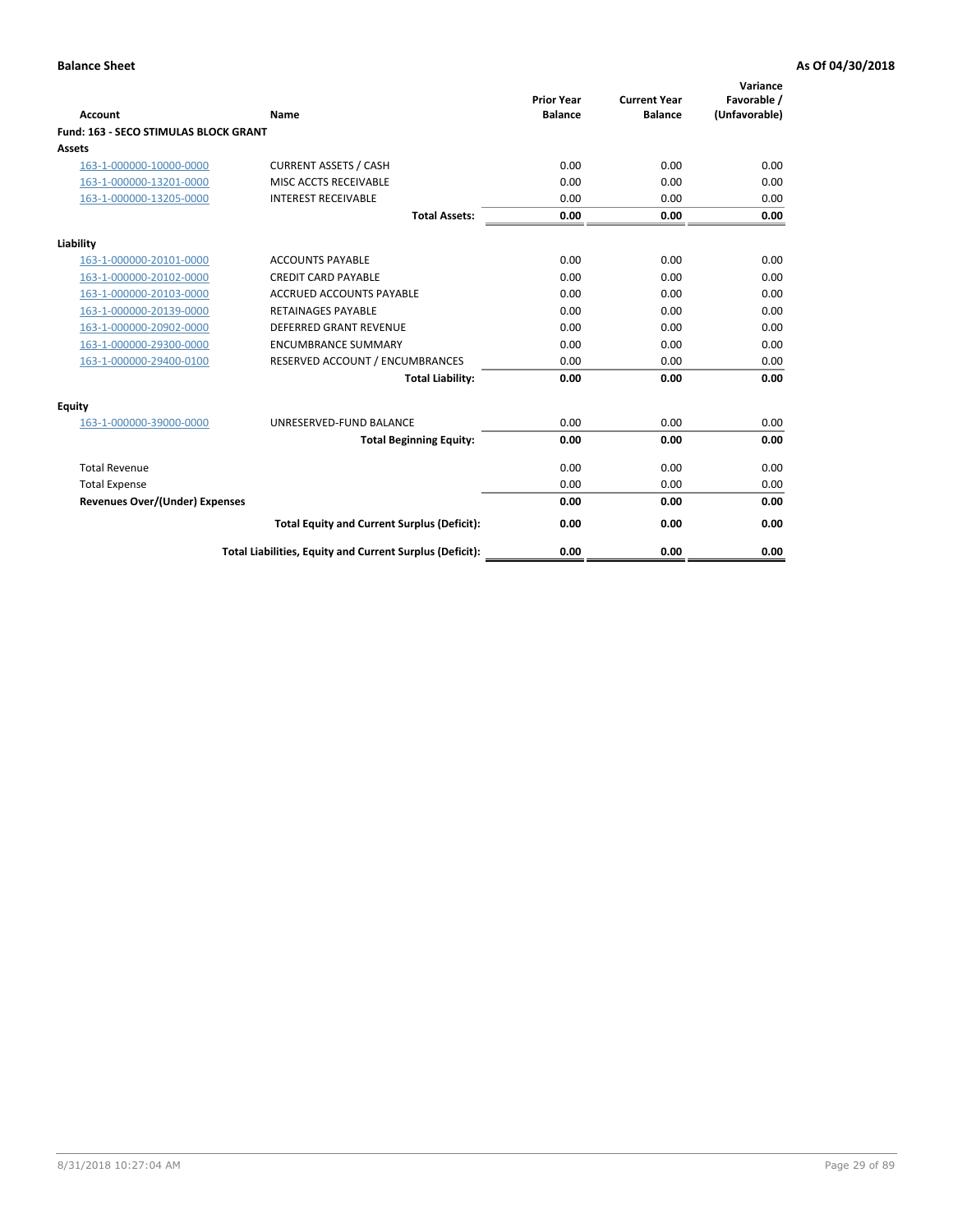| Account                               | Name                                                     | <b>Prior Year</b><br><b>Balance</b> | <b>Current Year</b><br><b>Balance</b> | Variance<br>Favorable /<br>(Unfavorable) |
|---------------------------------------|----------------------------------------------------------|-------------------------------------|---------------------------------------|------------------------------------------|
| Fund: 163 - SECO STIMULAS BLOCK GRANT |                                                          |                                     |                                       |                                          |
| <b>Assets</b>                         |                                                          |                                     |                                       |                                          |
| 163-1-000000-10000-0000               | <b>CURRENT ASSETS / CASH</b>                             | 0.00                                | 0.00                                  | 0.00                                     |
| 163-1-000000-13201-0000               | MISC ACCTS RECEIVABLE                                    | 0.00                                | 0.00                                  | 0.00                                     |
| 163-1-000000-13205-0000               | <b>INTEREST RECEIVABLE</b>                               | 0.00                                | 0.00                                  | 0.00                                     |
|                                       | <b>Total Assets:</b>                                     | 0.00                                | 0.00                                  | 0.00                                     |
| Liability                             |                                                          |                                     |                                       |                                          |
| 163-1-000000-20101-0000               | <b>ACCOUNTS PAYABLE</b>                                  | 0.00                                | 0.00                                  | 0.00                                     |
| 163-1-000000-20102-0000               | <b>CREDIT CARD PAYABLE</b>                               | 0.00                                | 0.00                                  | 0.00                                     |
| 163-1-000000-20103-0000               | <b>ACCRUED ACCOUNTS PAYABLE</b>                          | 0.00                                | 0.00                                  | 0.00                                     |
| 163-1-000000-20139-0000               | <b>RETAINAGES PAYABLE</b>                                | 0.00                                | 0.00                                  | 0.00                                     |
| 163-1-000000-20902-0000               | DEFERRED GRANT REVENUE                                   | 0.00                                | 0.00                                  | 0.00                                     |
| 163-1-000000-29300-0000               | <b>ENCUMBRANCE SUMMARY</b>                               | 0.00                                | 0.00                                  | 0.00                                     |
| 163-1-000000-29400-0100               | RESERVED ACCOUNT / ENCUMBRANCES                          | 0.00                                | 0.00                                  | 0.00                                     |
|                                       | <b>Total Liability:</b>                                  | 0.00                                | 0.00                                  | 0.00                                     |
| <b>Equity</b>                         |                                                          |                                     |                                       |                                          |
| 163-1-000000-39000-0000               | UNRESERVED-FUND BALANCE                                  | 0.00                                | 0.00                                  | 0.00                                     |
|                                       | <b>Total Beginning Equity:</b>                           | 0.00                                | 0.00                                  | 0.00                                     |
| <b>Total Revenue</b>                  |                                                          | 0.00                                | 0.00                                  | 0.00                                     |
| <b>Total Expense</b>                  |                                                          | 0.00                                | 0.00                                  | 0.00                                     |
| <b>Revenues Over/(Under) Expenses</b> |                                                          | 0.00                                | 0.00                                  | 0.00                                     |
|                                       | <b>Total Equity and Current Surplus (Deficit):</b>       | 0.00                                | 0.00                                  | 0.00                                     |
|                                       | Total Liabilities, Equity and Current Surplus (Deficit): | 0.00                                | 0.00                                  | 0.00                                     |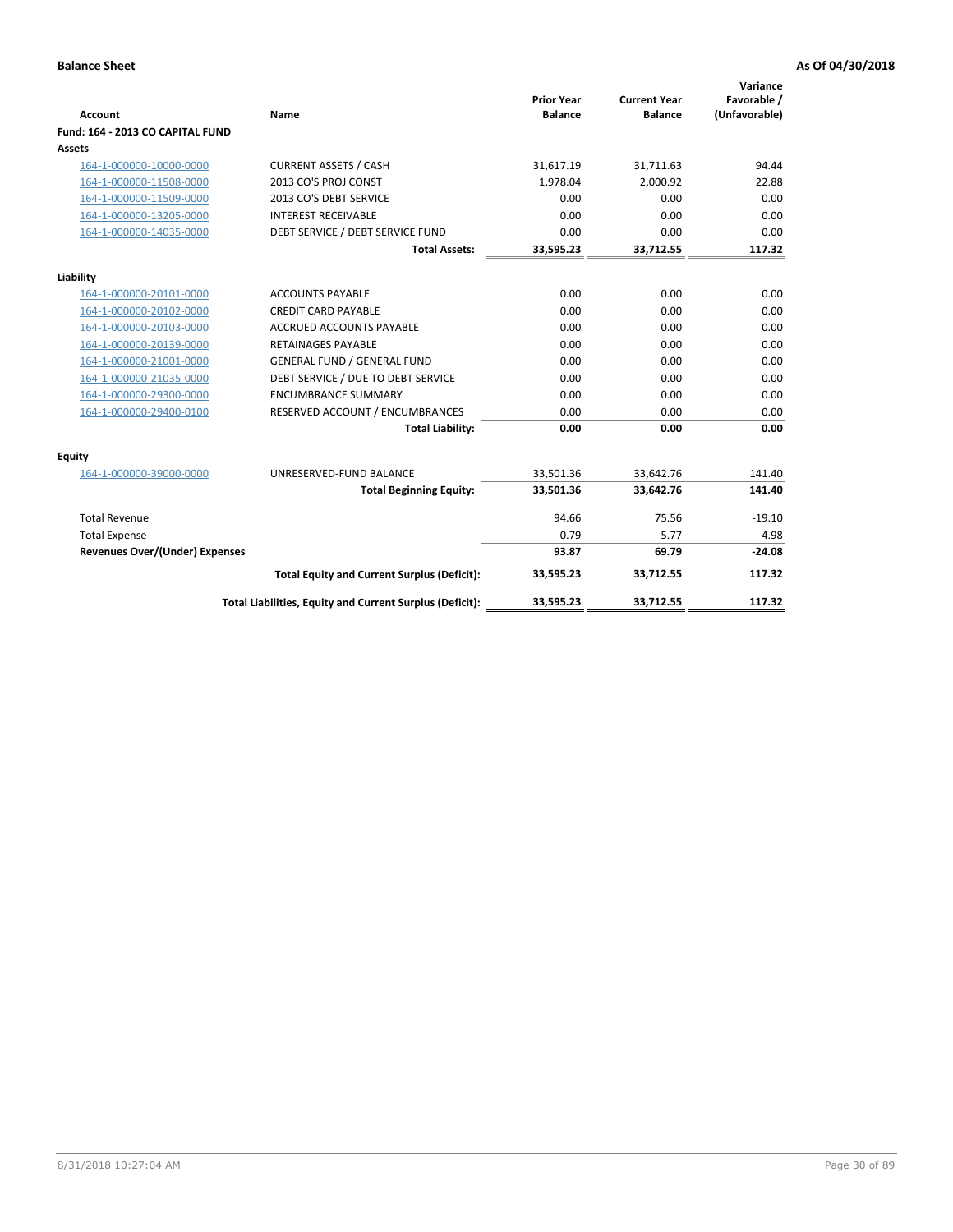| <b>Account</b>                        | <b>Name</b>                                              | <b>Prior Year</b><br><b>Balance</b> | <b>Current Year</b><br><b>Balance</b> | Variance<br>Favorable /<br>(Unfavorable) |
|---------------------------------------|----------------------------------------------------------|-------------------------------------|---------------------------------------|------------------------------------------|
| Fund: 164 - 2013 CO CAPITAL FUND      |                                                          |                                     |                                       |                                          |
| Assets                                |                                                          |                                     |                                       |                                          |
| 164-1-000000-10000-0000               | <b>CURRENT ASSETS / CASH</b>                             | 31,617.19                           | 31,711.63                             | 94.44                                    |
| 164-1-000000-11508-0000               | 2013 CO'S PROJ CONST                                     | 1,978.04                            | 2,000.92                              | 22.88                                    |
| 164-1-000000-11509-0000               | 2013 CO'S DEBT SERVICE                                   | 0.00                                | 0.00                                  | 0.00                                     |
| 164-1-000000-13205-0000               | <b>INTEREST RECEIVABLE</b>                               | 0.00                                | 0.00                                  | 0.00                                     |
| 164-1-000000-14035-0000               | DEBT SERVICE / DEBT SERVICE FUND                         | 0.00                                | 0.00                                  | 0.00                                     |
|                                       | <b>Total Assets:</b>                                     | 33,595.23                           | 33,712.55                             | 117.32                                   |
| Liability                             |                                                          |                                     |                                       |                                          |
| 164-1-000000-20101-0000               | <b>ACCOUNTS PAYABLE</b>                                  | 0.00                                | 0.00                                  | 0.00                                     |
| 164-1-000000-20102-0000               | <b>CREDIT CARD PAYABLE</b>                               | 0.00                                | 0.00                                  | 0.00                                     |
| 164-1-000000-20103-0000               | <b>ACCRUED ACCOUNTS PAYABLE</b>                          | 0.00                                | 0.00                                  | 0.00                                     |
| 164-1-000000-20139-0000               | <b>RETAINAGES PAYABLE</b>                                | 0.00                                | 0.00                                  | 0.00                                     |
| 164-1-000000-21001-0000               | <b>GENERAL FUND / GENERAL FUND</b>                       | 0.00                                | 0.00                                  | 0.00                                     |
| 164-1-000000-21035-0000               | DEBT SERVICE / DUE TO DEBT SERVICE                       | 0.00                                | 0.00                                  | 0.00                                     |
| 164-1-000000-29300-0000               | <b>ENCUMBRANCE SUMMARY</b>                               | 0.00                                | 0.00                                  | 0.00                                     |
| 164-1-000000-29400-0100               | RESERVED ACCOUNT / ENCUMBRANCES                          | 0.00                                | 0.00                                  | 0.00                                     |
|                                       | <b>Total Liability:</b>                                  | 0.00                                | 0.00                                  | 0.00                                     |
| Equity                                |                                                          |                                     |                                       |                                          |
| 164-1-000000-39000-0000               | UNRESERVED-FUND BALANCE                                  | 33,501.36                           | 33,642.76                             | 141.40                                   |
|                                       | <b>Total Beginning Equity:</b>                           | 33,501.36                           | 33,642.76                             | 141.40                                   |
| <b>Total Revenue</b>                  |                                                          | 94.66                               | 75.56                                 | $-19.10$                                 |
| <b>Total Expense</b>                  |                                                          | 0.79                                | 5.77                                  | $-4.98$                                  |
| <b>Revenues Over/(Under) Expenses</b> |                                                          | 93.87                               | 69.79                                 | $-24.08$                                 |
|                                       | <b>Total Equity and Current Surplus (Deficit):</b>       | 33,595.23                           | 33,712.55                             | 117.32                                   |
|                                       | Total Liabilities, Equity and Current Surplus (Deficit): | 33,595.23                           | 33,712.55                             | 117.32                                   |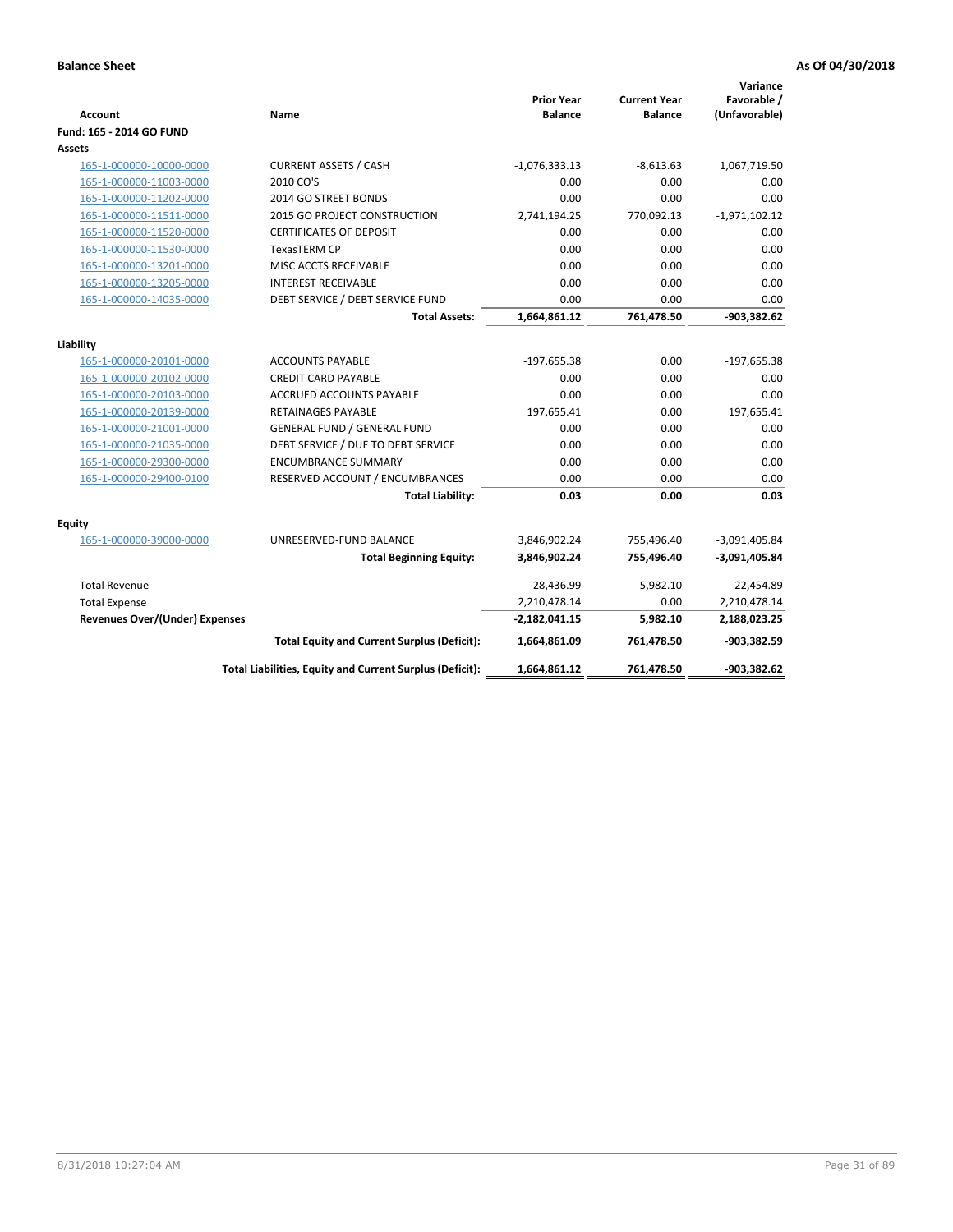| <b>Account</b>                        | Name                                                     | <b>Prior Year</b><br><b>Balance</b> | <b>Current Year</b><br><b>Balance</b> | Variance<br>Favorable /<br>(Unfavorable) |
|---------------------------------------|----------------------------------------------------------|-------------------------------------|---------------------------------------|------------------------------------------|
| Fund: 165 - 2014 GO FUND              |                                                          |                                     |                                       |                                          |
| Assets                                |                                                          |                                     |                                       |                                          |
| 165-1-000000-10000-0000               | <b>CURRENT ASSETS / CASH</b>                             | $-1,076,333.13$                     | $-8,613.63$                           | 1,067,719.50                             |
| 165-1-000000-11003-0000               | 2010 CO'S                                                | 0.00                                | 0.00                                  | 0.00                                     |
| 165-1-000000-11202-0000               | 2014 GO STREET BONDS                                     | 0.00                                | 0.00                                  | 0.00                                     |
| 165-1-000000-11511-0000               | 2015 GO PROJECT CONSTRUCTION                             | 2,741,194.25                        | 770,092.13                            | $-1,971,102.12$                          |
| 165-1-000000-11520-0000               | <b>CERTIFICATES OF DEPOSIT</b>                           | 0.00                                | 0.00                                  | 0.00                                     |
| 165-1-000000-11530-0000               | <b>TexasTERM CP</b>                                      | 0.00                                | 0.00                                  | 0.00                                     |
| 165-1-000000-13201-0000               | MISC ACCTS RECEIVABLE                                    | 0.00                                | 0.00                                  | 0.00                                     |
| 165-1-000000-13205-0000               | <b>INTEREST RECEIVABLE</b>                               | 0.00                                | 0.00                                  | 0.00                                     |
| 165-1-000000-14035-0000               | DEBT SERVICE / DEBT SERVICE FUND                         | 0.00                                | 0.00                                  | 0.00                                     |
|                                       | <b>Total Assets:</b>                                     | 1,664,861.12                        | 761,478.50                            | $-903,382.62$                            |
| Liability                             |                                                          |                                     |                                       |                                          |
| 165-1-000000-20101-0000               | <b>ACCOUNTS PAYABLE</b>                                  | $-197,655.38$                       | 0.00                                  | $-197,655.38$                            |
| 165-1-000000-20102-0000               | <b>CREDIT CARD PAYABLE</b>                               | 0.00                                | 0.00                                  | 0.00                                     |
| 165-1-000000-20103-0000               | ACCRUED ACCOUNTS PAYABLE                                 | 0.00                                | 0.00                                  | 0.00                                     |
| 165-1-000000-20139-0000               | <b>RETAINAGES PAYABLE</b>                                | 197,655.41                          | 0.00                                  | 197,655.41                               |
| 165-1-000000-21001-0000               | <b>GENERAL FUND / GENERAL FUND</b>                       | 0.00                                | 0.00                                  | 0.00                                     |
| 165-1-000000-21035-0000               | DEBT SERVICE / DUE TO DEBT SERVICE                       | 0.00                                | 0.00                                  | 0.00                                     |
| 165-1-000000-29300-0000               | <b>ENCUMBRANCE SUMMARY</b>                               | 0.00                                | 0.00                                  | 0.00                                     |
| 165-1-000000-29400-0100               | RESERVED ACCOUNT / ENCUMBRANCES                          | 0.00                                | 0.00                                  | 0.00                                     |
|                                       | <b>Total Liability:</b>                                  | 0.03                                | 0.00                                  | 0.03                                     |
| <b>Equity</b>                         |                                                          |                                     |                                       |                                          |
| 165-1-000000-39000-0000               | UNRESERVED-FUND BALANCE                                  | 3,846,902.24                        | 755,496.40                            | $-3,091,405.84$                          |
|                                       | <b>Total Beginning Equity:</b>                           | 3,846,902.24                        | 755,496.40                            | $-3,091,405.84$                          |
| <b>Total Revenue</b>                  |                                                          | 28,436.99                           | 5,982.10                              | $-22,454.89$                             |
| <b>Total Expense</b>                  |                                                          | 2,210,478.14                        | 0.00                                  | 2,210,478.14                             |
| <b>Revenues Over/(Under) Expenses</b> |                                                          | $-2,182,041.15$                     | 5,982.10                              | 2,188,023.25                             |
|                                       | <b>Total Equity and Current Surplus (Deficit):</b>       | 1,664,861.09                        | 761,478.50                            | $-903,382.59$                            |
|                                       | Total Liabilities, Equity and Current Surplus (Deficit): | 1,664,861.12                        | 761,478.50                            | -903,382.62                              |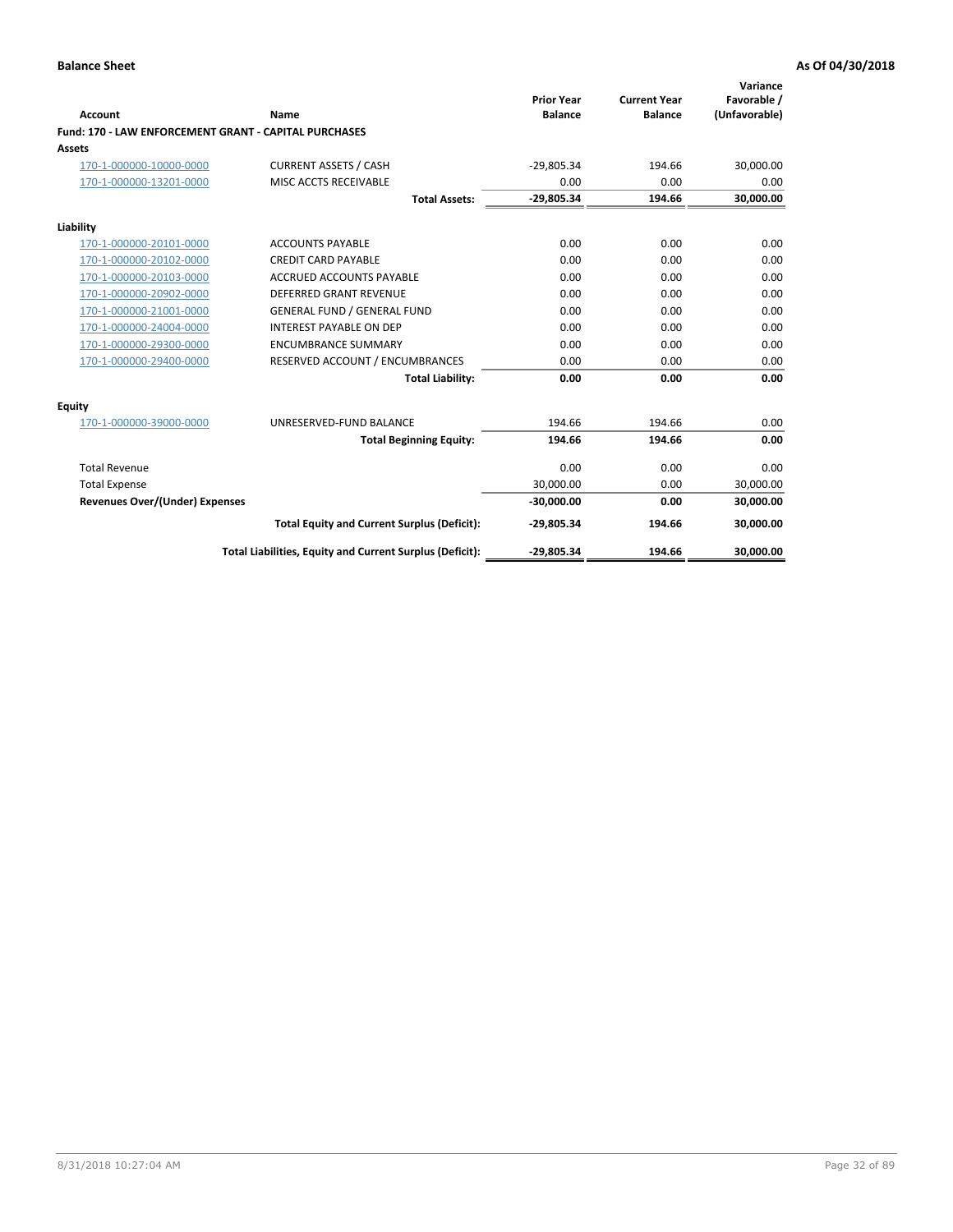| Account                                                      | Name                                                     | <b>Prior Year</b><br><b>Balance</b> | <b>Current Year</b><br><b>Balance</b> | Variance<br>Favorable /<br>(Unfavorable) |
|--------------------------------------------------------------|----------------------------------------------------------|-------------------------------------|---------------------------------------|------------------------------------------|
| <b>Fund: 170 - LAW ENFORCEMENT GRANT - CAPITAL PURCHASES</b> |                                                          |                                     |                                       |                                          |
| <b>Assets</b>                                                |                                                          |                                     |                                       |                                          |
| 170-1-000000-10000-0000                                      | <b>CURRENT ASSETS / CASH</b>                             | $-29,805.34$                        | 194.66                                | 30,000.00                                |
| 170-1-000000-13201-0000                                      | MISC ACCTS RECEIVABLE                                    | 0.00                                | 0.00                                  | 0.00                                     |
|                                                              | <b>Total Assets:</b>                                     | $-29,805.34$                        | 194.66                                | 30,000.00                                |
| Liability                                                    |                                                          |                                     |                                       |                                          |
| 170-1-000000-20101-0000                                      | <b>ACCOUNTS PAYABLE</b>                                  | 0.00                                | 0.00                                  | 0.00                                     |
| 170-1-000000-20102-0000                                      | <b>CREDIT CARD PAYABLE</b>                               | 0.00                                | 0.00                                  | 0.00                                     |
| 170-1-000000-20103-0000                                      | <b>ACCRUED ACCOUNTS PAYABLE</b>                          | 0.00                                | 0.00                                  | 0.00                                     |
| 170-1-000000-20902-0000                                      | <b>DEFERRED GRANT REVENUE</b>                            | 0.00                                | 0.00                                  | 0.00                                     |
| 170-1-000000-21001-0000                                      | <b>GENERAL FUND / GENERAL FUND</b>                       | 0.00                                | 0.00                                  | 0.00                                     |
| 170-1-000000-24004-0000                                      | <b>INTEREST PAYABLE ON DEP</b>                           | 0.00                                | 0.00                                  | 0.00                                     |
| 170-1-000000-29300-0000                                      | <b>ENCUMBRANCE SUMMARY</b>                               | 0.00                                | 0.00                                  | 0.00                                     |
| 170-1-000000-29400-0000                                      | RESERVED ACCOUNT / ENCUMBRANCES                          | 0.00                                | 0.00                                  | 0.00                                     |
|                                                              | <b>Total Liability:</b>                                  | 0.00                                | 0.00                                  | 0.00                                     |
| <b>Equity</b>                                                |                                                          |                                     |                                       |                                          |
| 170-1-000000-39000-0000                                      | UNRESERVED-FUND BALANCE                                  | 194.66                              | 194.66                                | 0.00                                     |
|                                                              | <b>Total Beginning Equity:</b>                           | 194.66                              | 194.66                                | 0.00                                     |
| <b>Total Revenue</b>                                         |                                                          | 0.00                                | 0.00                                  | 0.00                                     |
| <b>Total Expense</b>                                         |                                                          | 30.000.00                           | 0.00                                  | 30,000.00                                |
| Revenues Over/(Under) Expenses                               |                                                          | $-30,000.00$                        | 0.00                                  | 30,000.00                                |
|                                                              | <b>Total Equity and Current Surplus (Deficit):</b>       | -29,805.34                          | 194.66                                | 30,000.00                                |
|                                                              | Total Liabilities, Equity and Current Surplus (Deficit): | $-29,805.34$                        | 194.66                                | 30,000.00                                |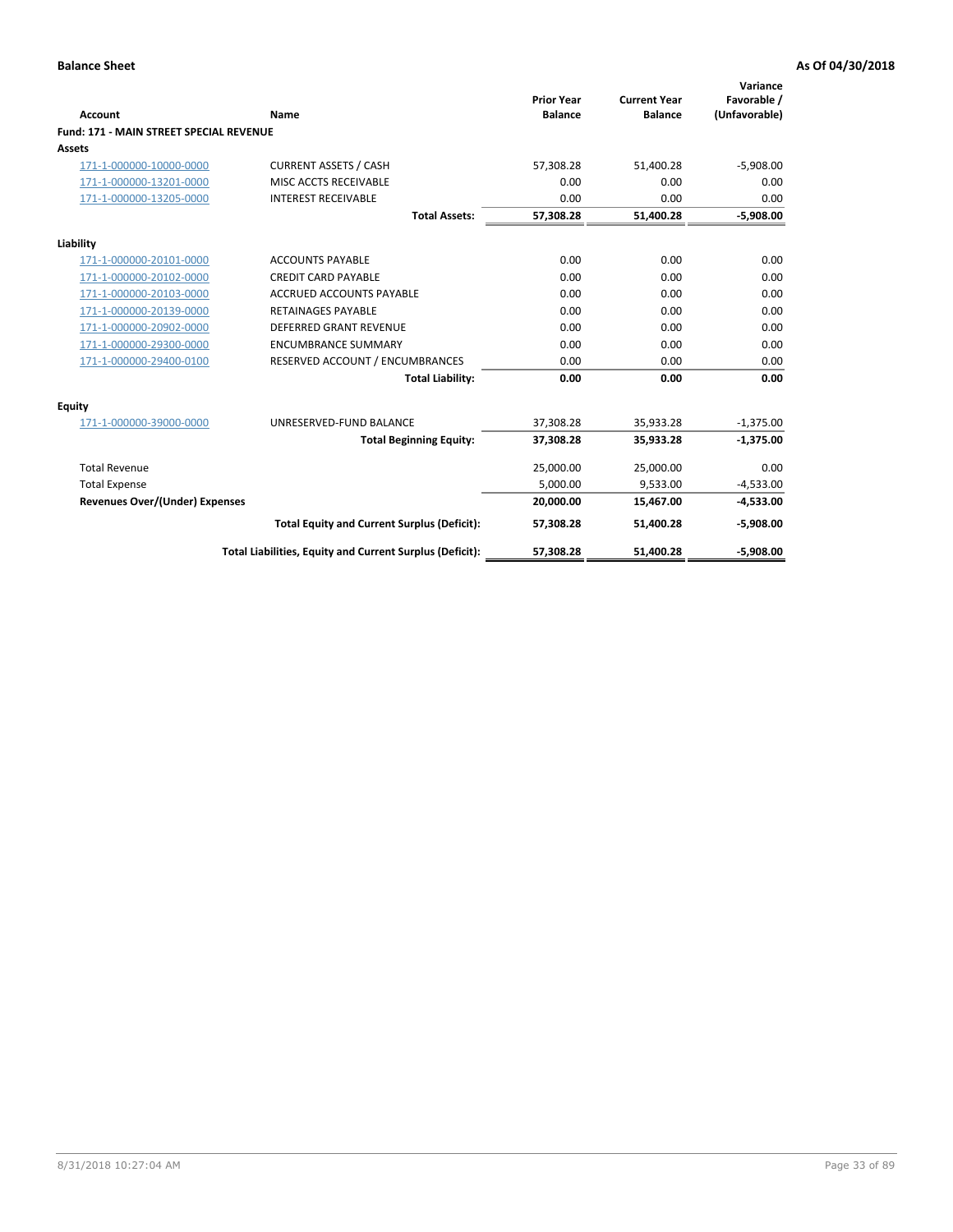|                                                |                                                          | <b>Prior Year</b> | <b>Current Year</b> | Variance<br>Favorable / |
|------------------------------------------------|----------------------------------------------------------|-------------------|---------------------|-------------------------|
| Account                                        | Name                                                     | <b>Balance</b>    | <b>Balance</b>      | (Unfavorable)           |
| <b>Fund: 171 - MAIN STREET SPECIAL REVENUE</b> |                                                          |                   |                     |                         |
| Assets                                         |                                                          |                   |                     |                         |
| 171-1-000000-10000-0000                        | <b>CURRENT ASSETS / CASH</b>                             | 57,308.28         | 51,400.28           | $-5,908.00$             |
| 171-1-000000-13201-0000                        | MISC ACCTS RECEIVABLE                                    | 0.00              | 0.00                | 0.00                    |
| 171-1-000000-13205-0000                        | <b>INTEREST RECEIVABLE</b>                               | 0.00              | 0.00                | 0.00                    |
|                                                | <b>Total Assets:</b>                                     | 57,308.28         | 51,400.28           | $-5,908.00$             |
| Liability                                      |                                                          |                   |                     |                         |
| 171-1-000000-20101-0000                        | <b>ACCOUNTS PAYABLE</b>                                  | 0.00              | 0.00                | 0.00                    |
| 171-1-000000-20102-0000                        | <b>CREDIT CARD PAYABLE</b>                               | 0.00              | 0.00                | 0.00                    |
| 171-1-000000-20103-0000                        | <b>ACCRUED ACCOUNTS PAYABLE</b>                          | 0.00              | 0.00                | 0.00                    |
| 171-1-000000-20139-0000                        | <b>RETAINAGES PAYABLE</b>                                | 0.00              | 0.00                | 0.00                    |
| 171-1-000000-20902-0000                        | <b>DEFERRED GRANT REVENUE</b>                            | 0.00              | 0.00                | 0.00                    |
| 171-1-000000-29300-0000                        | <b>ENCUMBRANCE SUMMARY</b>                               | 0.00              | 0.00                | 0.00                    |
| 171-1-000000-29400-0100                        | RESERVED ACCOUNT / ENCUMBRANCES                          | 0.00              | 0.00                | 0.00                    |
|                                                | <b>Total Liability:</b>                                  | 0.00              | 0.00                | 0.00                    |
| <b>Equity</b>                                  |                                                          |                   |                     |                         |
| 171-1-000000-39000-0000                        | UNRESERVED-FUND BALANCE                                  | 37,308.28         | 35,933.28           | $-1,375.00$             |
|                                                | <b>Total Beginning Equity:</b>                           | 37,308.28         | 35,933.28           | $-1,375.00$             |
| <b>Total Revenue</b>                           |                                                          | 25,000.00         | 25,000.00           | 0.00                    |
| <b>Total Expense</b>                           |                                                          | 5,000.00          | 9,533.00            | $-4,533.00$             |
| <b>Revenues Over/(Under) Expenses</b>          |                                                          | 20,000.00         | 15,467.00           | $-4,533.00$             |
|                                                | <b>Total Equity and Current Surplus (Deficit):</b>       | 57,308.28         | 51,400.28           | $-5,908.00$             |
|                                                | Total Liabilities, Equity and Current Surplus (Deficit): | 57,308.28         | 51,400.28           | $-5,908.00$             |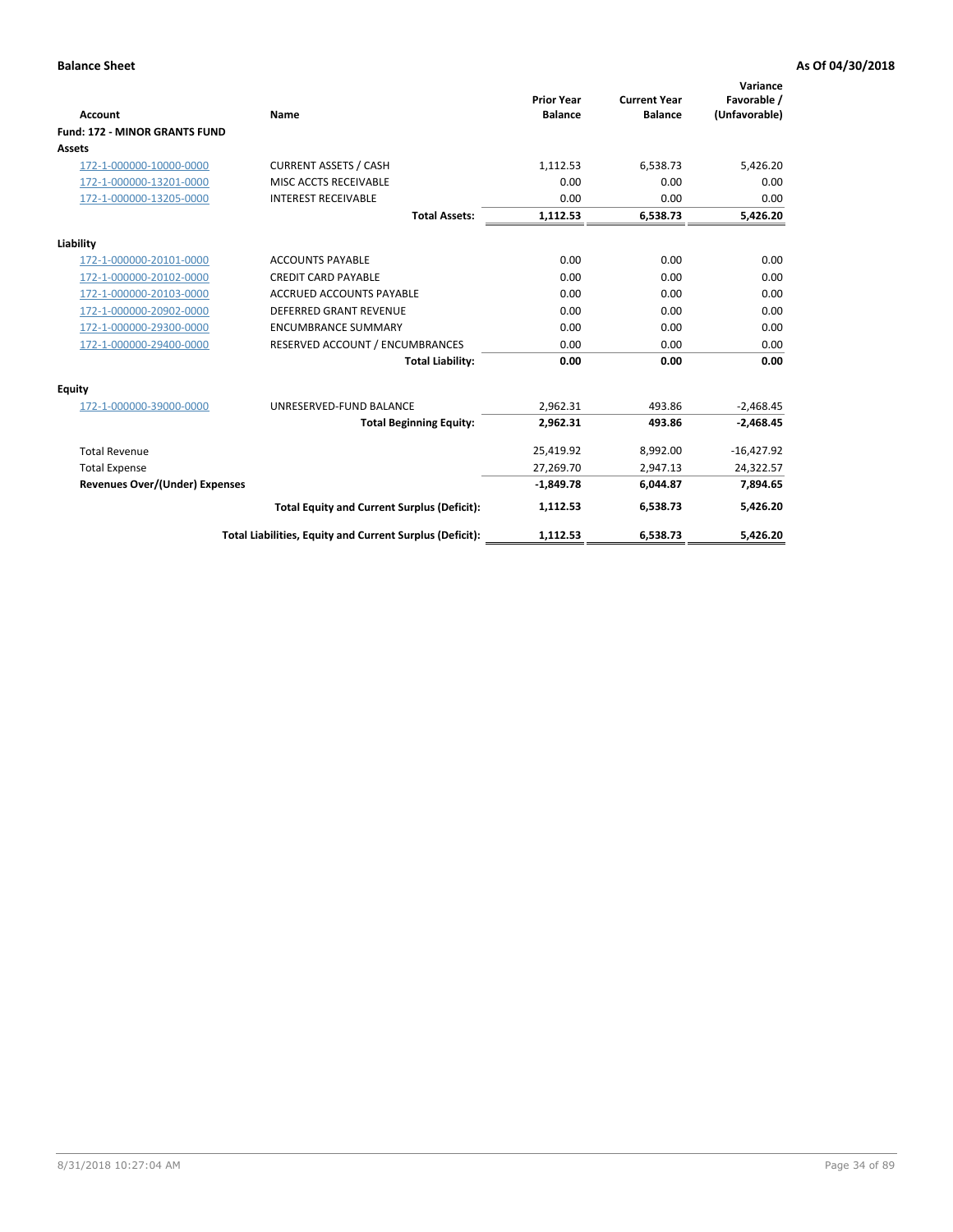|                                      |                                                          |                                     |                                       | Variance                     |
|--------------------------------------|----------------------------------------------------------|-------------------------------------|---------------------------------------|------------------------------|
| <b>Account</b>                       | Name                                                     | <b>Prior Year</b><br><b>Balance</b> | <b>Current Year</b><br><b>Balance</b> | Favorable /<br>(Unfavorable) |
| <b>Fund: 172 - MINOR GRANTS FUND</b> |                                                          |                                     |                                       |                              |
| <b>Assets</b>                        |                                                          |                                     |                                       |                              |
| 172-1-000000-10000-0000              | <b>CURRENT ASSETS / CASH</b>                             | 1,112.53                            | 6,538.73                              | 5,426.20                     |
| 172-1-000000-13201-0000              | MISC ACCTS RECEIVABLE                                    | 0.00                                | 0.00                                  | 0.00                         |
| 172-1-000000-13205-0000              | <b>INTEREST RECEIVABLE</b>                               | 0.00                                | 0.00                                  | 0.00                         |
|                                      | <b>Total Assets:</b>                                     | 1,112.53                            | 6,538.73                              | 5,426.20                     |
| Liability                            |                                                          |                                     |                                       |                              |
| 172-1-000000-20101-0000              | <b>ACCOUNTS PAYABLE</b>                                  | 0.00                                | 0.00                                  | 0.00                         |
| 172-1-000000-20102-0000              | <b>CREDIT CARD PAYABLE</b>                               | 0.00                                | 0.00                                  | 0.00                         |
| 172-1-000000-20103-0000              | <b>ACCRUED ACCOUNTS PAYABLE</b>                          | 0.00                                | 0.00                                  | 0.00                         |
| 172-1-000000-20902-0000              | DEFERRED GRANT REVENUE                                   | 0.00                                | 0.00                                  | 0.00                         |
| 172-1-000000-29300-0000              | <b>ENCUMBRANCE SUMMARY</b>                               | 0.00                                | 0.00                                  | 0.00                         |
| 172-1-000000-29400-0000              | RESERVED ACCOUNT / ENCUMBRANCES                          | 0.00                                | 0.00                                  | 0.00                         |
|                                      | <b>Total Liability:</b>                                  | 0.00                                | 0.00                                  | 0.00                         |
| Equity                               |                                                          |                                     |                                       |                              |
| 172-1-000000-39000-0000              | UNRESERVED-FUND BALANCE                                  | 2,962.31                            | 493.86                                | $-2,468.45$                  |
|                                      | <b>Total Beginning Equity:</b>                           | 2,962.31                            | 493.86                                | $-2,468.45$                  |
| <b>Total Revenue</b>                 |                                                          | 25,419.92                           | 8,992.00                              | $-16,427.92$                 |
| <b>Total Expense</b>                 |                                                          | 27,269.70                           | 2,947.13                              | 24,322.57                    |
| Revenues Over/(Under) Expenses       |                                                          | $-1,849.78$                         | 6,044.87                              | 7,894.65                     |
|                                      | <b>Total Equity and Current Surplus (Deficit):</b>       | 1,112.53                            | 6,538.73                              | 5,426.20                     |
|                                      | Total Liabilities, Equity and Current Surplus (Deficit): | 1,112.53                            | 6,538.73                              | 5,426.20                     |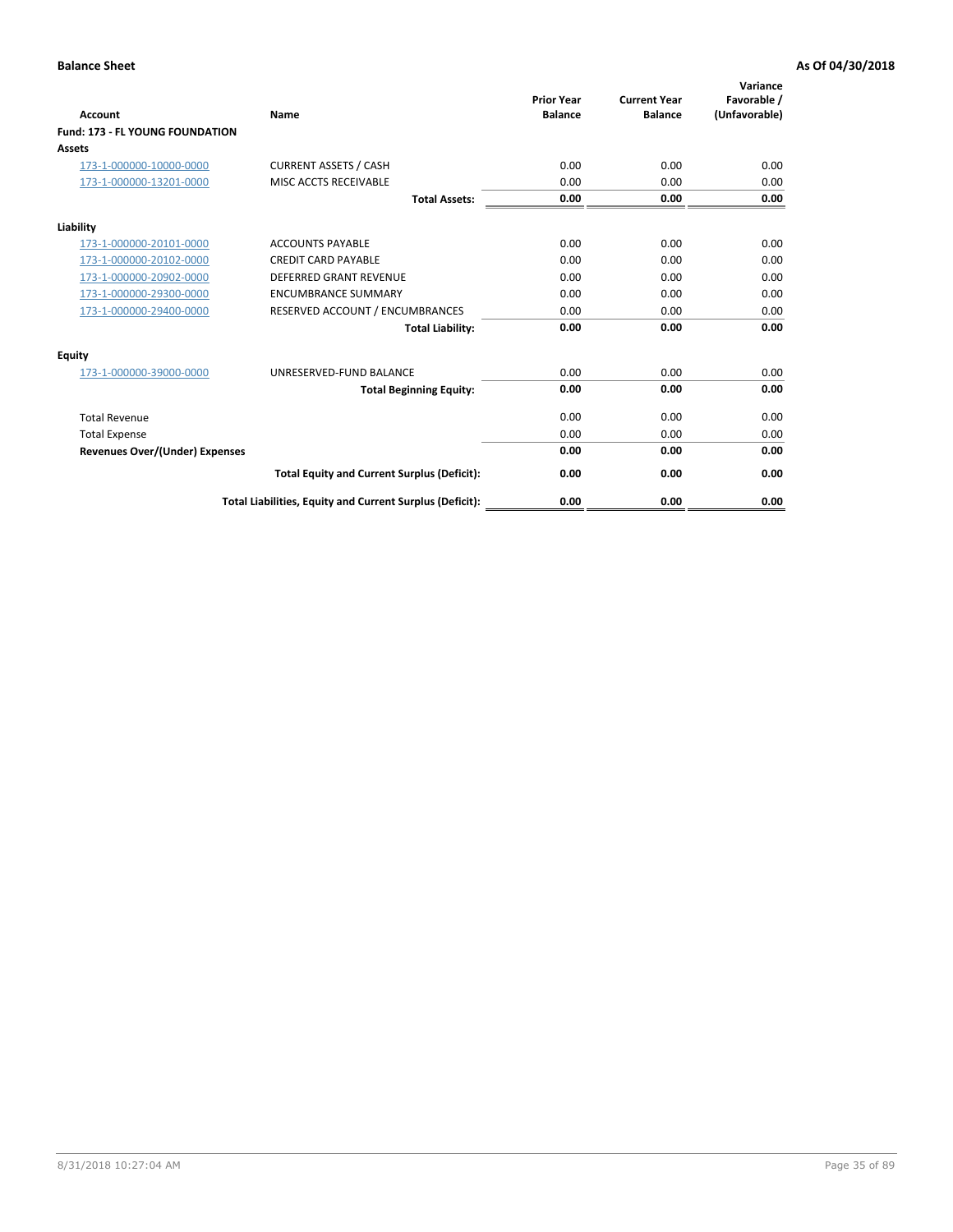| <b>Account</b>                         | <b>Name</b>                                              | <b>Prior Year</b><br><b>Balance</b> | <b>Current Year</b><br><b>Balance</b> | Variance<br>Favorable /<br>(Unfavorable) |
|----------------------------------------|----------------------------------------------------------|-------------------------------------|---------------------------------------|------------------------------------------|
| <b>Fund: 173 - FL YOUNG FOUNDATION</b> |                                                          |                                     |                                       |                                          |
| Assets                                 |                                                          |                                     |                                       |                                          |
| 173-1-000000-10000-0000                | <b>CURRENT ASSETS / CASH</b>                             | 0.00                                | 0.00                                  | 0.00                                     |
| 173-1-000000-13201-0000                | MISC ACCTS RECEIVABLE                                    | 0.00                                | 0.00                                  | 0.00                                     |
|                                        | <b>Total Assets:</b>                                     | 0.00                                | 0.00                                  | 0.00                                     |
| Liability                              |                                                          |                                     |                                       |                                          |
| 173-1-000000-20101-0000                | <b>ACCOUNTS PAYABLE</b>                                  | 0.00                                | 0.00                                  | 0.00                                     |
| 173-1-000000-20102-0000                | <b>CREDIT CARD PAYABLE</b>                               | 0.00                                | 0.00                                  | 0.00                                     |
| 173-1-000000-20902-0000                | <b>DEFERRED GRANT REVENUE</b>                            | 0.00                                | 0.00                                  | 0.00                                     |
| 173-1-000000-29300-0000                | <b>ENCUMBRANCE SUMMARY</b>                               | 0.00                                | 0.00                                  | 0.00                                     |
| 173-1-000000-29400-0000                | RESERVED ACCOUNT / ENCUMBRANCES                          | 0.00                                | 0.00                                  | 0.00                                     |
|                                        | <b>Total Liability:</b>                                  | 0.00                                | 0.00                                  | 0.00                                     |
| Equity                                 |                                                          |                                     |                                       |                                          |
| 173-1-000000-39000-0000                | UNRESERVED-FUND BALANCE                                  | 0.00                                | 0.00                                  | 0.00                                     |
|                                        | <b>Total Beginning Equity:</b>                           | 0.00                                | 0.00                                  | 0.00                                     |
| <b>Total Revenue</b>                   |                                                          | 0.00                                | 0.00                                  | 0.00                                     |
| <b>Total Expense</b>                   |                                                          | 0.00                                | 0.00                                  | 0.00                                     |
| <b>Revenues Over/(Under) Expenses</b>  |                                                          | 0.00                                | 0.00                                  | 0.00                                     |
|                                        | <b>Total Equity and Current Surplus (Deficit):</b>       | 0.00                                | 0.00                                  | 0.00                                     |
|                                        | Total Liabilities, Equity and Current Surplus (Deficit): | 0.00                                | 0.00                                  | 0.00                                     |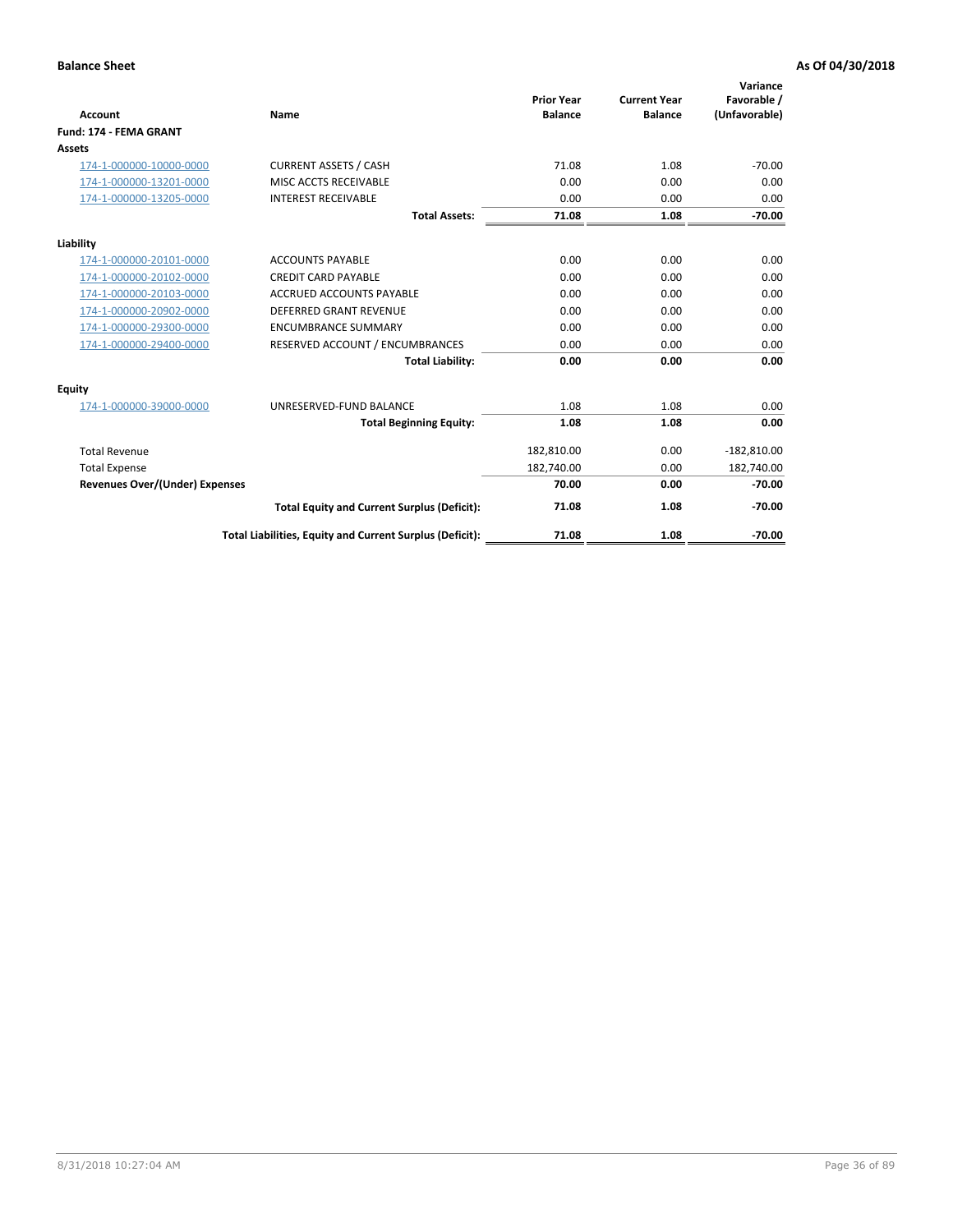| <b>Account</b>                        | Name                                                     | <b>Prior Year</b><br><b>Balance</b> | <b>Current Year</b><br><b>Balance</b> | Variance<br>Favorable /<br>(Unfavorable) |
|---------------------------------------|----------------------------------------------------------|-------------------------------------|---------------------------------------|------------------------------------------|
| Fund: 174 - FEMA GRANT                |                                                          |                                     |                                       |                                          |
| Assets                                |                                                          |                                     |                                       |                                          |
| 174-1-000000-10000-0000               | <b>CURRENT ASSETS / CASH</b>                             | 71.08                               | 1.08                                  | $-70.00$                                 |
| 174-1-000000-13201-0000               | MISC ACCTS RECEIVABLE                                    | 0.00                                | 0.00                                  | 0.00                                     |
| 174-1-000000-13205-0000               | <b>INTEREST RECEIVABLE</b>                               | 0.00                                | 0.00                                  | 0.00                                     |
|                                       | <b>Total Assets:</b>                                     | 71.08                               | 1.08                                  | $-70.00$                                 |
| Liability                             |                                                          |                                     |                                       |                                          |
| 174-1-000000-20101-0000               | <b>ACCOUNTS PAYABLE</b>                                  | 0.00                                | 0.00                                  | 0.00                                     |
| 174-1-000000-20102-0000               | <b>CREDIT CARD PAYABLE</b>                               | 0.00                                | 0.00                                  | 0.00                                     |
| 174-1-000000-20103-0000               | <b>ACCRUED ACCOUNTS PAYABLE</b>                          | 0.00                                | 0.00                                  | 0.00                                     |
| 174-1-000000-20902-0000               | <b>DEFERRED GRANT REVENUE</b>                            | 0.00                                | 0.00                                  | 0.00                                     |
| 174-1-000000-29300-0000               | <b>ENCUMBRANCE SUMMARY</b>                               | 0.00                                | 0.00                                  | 0.00                                     |
| 174-1-000000-29400-0000               | RESERVED ACCOUNT / ENCUMBRANCES                          | 0.00                                | 0.00                                  | 0.00                                     |
|                                       | <b>Total Liability:</b>                                  | 0.00                                | 0.00                                  | 0.00                                     |
| <b>Equity</b>                         |                                                          |                                     |                                       |                                          |
| 174-1-000000-39000-0000               | UNRESERVED-FUND BALANCE                                  | 1.08                                | 1.08                                  | 0.00                                     |
|                                       | <b>Total Beginning Equity:</b>                           | 1.08                                | 1.08                                  | 0.00                                     |
| <b>Total Revenue</b>                  |                                                          | 182,810.00                          | 0.00                                  | $-182,810.00$                            |
| <b>Total Expense</b>                  |                                                          | 182,740.00                          | 0.00                                  | 182,740.00                               |
| <b>Revenues Over/(Under) Expenses</b> |                                                          | 70.00                               | 0.00                                  | $-70.00$                                 |
|                                       | <b>Total Equity and Current Surplus (Deficit):</b>       | 71.08                               | 1.08                                  | $-70.00$                                 |
|                                       | Total Liabilities, Equity and Current Surplus (Deficit): | 71.08                               | 1.08                                  | $-70.00$                                 |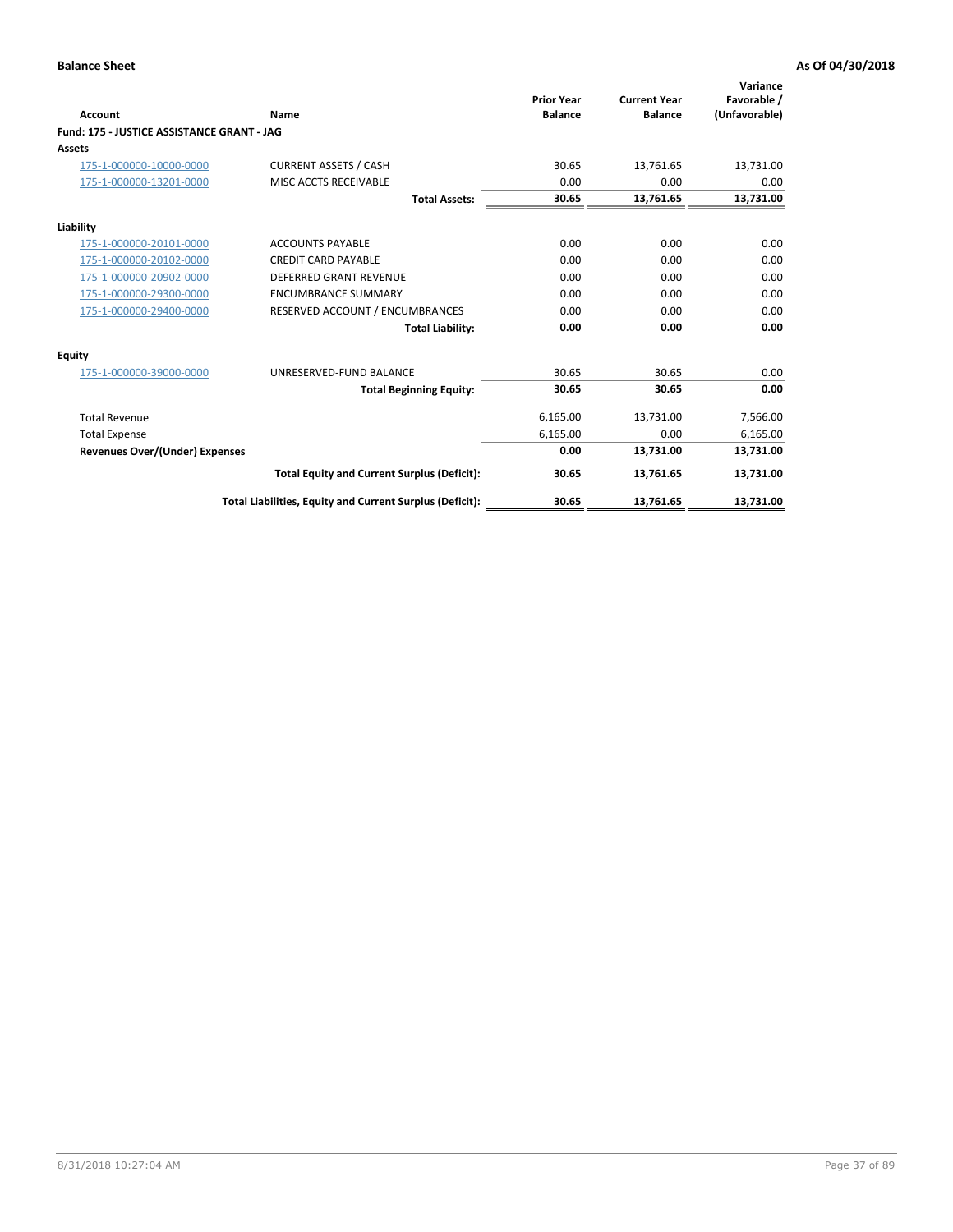| <b>Account</b>                             | Name                                                     | <b>Prior Year</b><br><b>Balance</b> | <b>Current Year</b><br><b>Balance</b> | Variance<br>Favorable /<br>(Unfavorable) |
|--------------------------------------------|----------------------------------------------------------|-------------------------------------|---------------------------------------|------------------------------------------|
| Fund: 175 - JUSTICE ASSISTANCE GRANT - JAG |                                                          |                                     |                                       |                                          |
| <b>Assets</b>                              |                                                          |                                     |                                       |                                          |
| 175-1-000000-10000-0000                    | <b>CURRENT ASSETS / CASH</b>                             | 30.65                               | 13,761.65                             | 13,731.00                                |
| 175-1-000000-13201-0000                    | MISC ACCTS RECEIVABLE                                    | 0.00                                | 0.00                                  | 0.00                                     |
|                                            | <b>Total Assets:</b>                                     | 30.65                               | 13,761.65                             | 13,731.00                                |
| Liability                                  |                                                          |                                     |                                       |                                          |
| 175-1-000000-20101-0000                    | <b>ACCOUNTS PAYABLE</b>                                  | 0.00                                | 0.00                                  | 0.00                                     |
| 175-1-000000-20102-0000                    | <b>CREDIT CARD PAYABLE</b>                               | 0.00                                | 0.00                                  | 0.00                                     |
| 175-1-000000-20902-0000                    | <b>DEFERRED GRANT REVENUE</b>                            | 0.00                                | 0.00                                  | 0.00                                     |
| 175-1-000000-29300-0000                    | <b>ENCUMBRANCE SUMMARY</b>                               | 0.00                                | 0.00                                  | 0.00                                     |
| 175-1-000000-29400-0000                    | RESERVED ACCOUNT / ENCUMBRANCES                          | 0.00                                | 0.00                                  | 0.00                                     |
|                                            | <b>Total Liability:</b>                                  | 0.00                                | 0.00                                  | 0.00                                     |
| Equity                                     |                                                          |                                     |                                       |                                          |
| 175-1-000000-39000-0000                    | UNRESERVED-FUND BALANCE                                  | 30.65                               | 30.65                                 | 0.00                                     |
|                                            | <b>Total Beginning Equity:</b>                           | 30.65                               | 30.65                                 | 0.00                                     |
| <b>Total Revenue</b>                       |                                                          | 6,165.00                            | 13,731.00                             | 7,566.00                                 |
| <b>Total Expense</b>                       |                                                          | 6,165.00                            | 0.00                                  | 6,165.00                                 |
| Revenues Over/(Under) Expenses             |                                                          | 0.00                                | 13,731.00                             | 13,731.00                                |
|                                            | <b>Total Equity and Current Surplus (Deficit):</b>       | 30.65                               | 13,761.65                             | 13,731.00                                |
|                                            | Total Liabilities, Equity and Current Surplus (Deficit): | 30.65                               | 13,761.65                             | 13,731.00                                |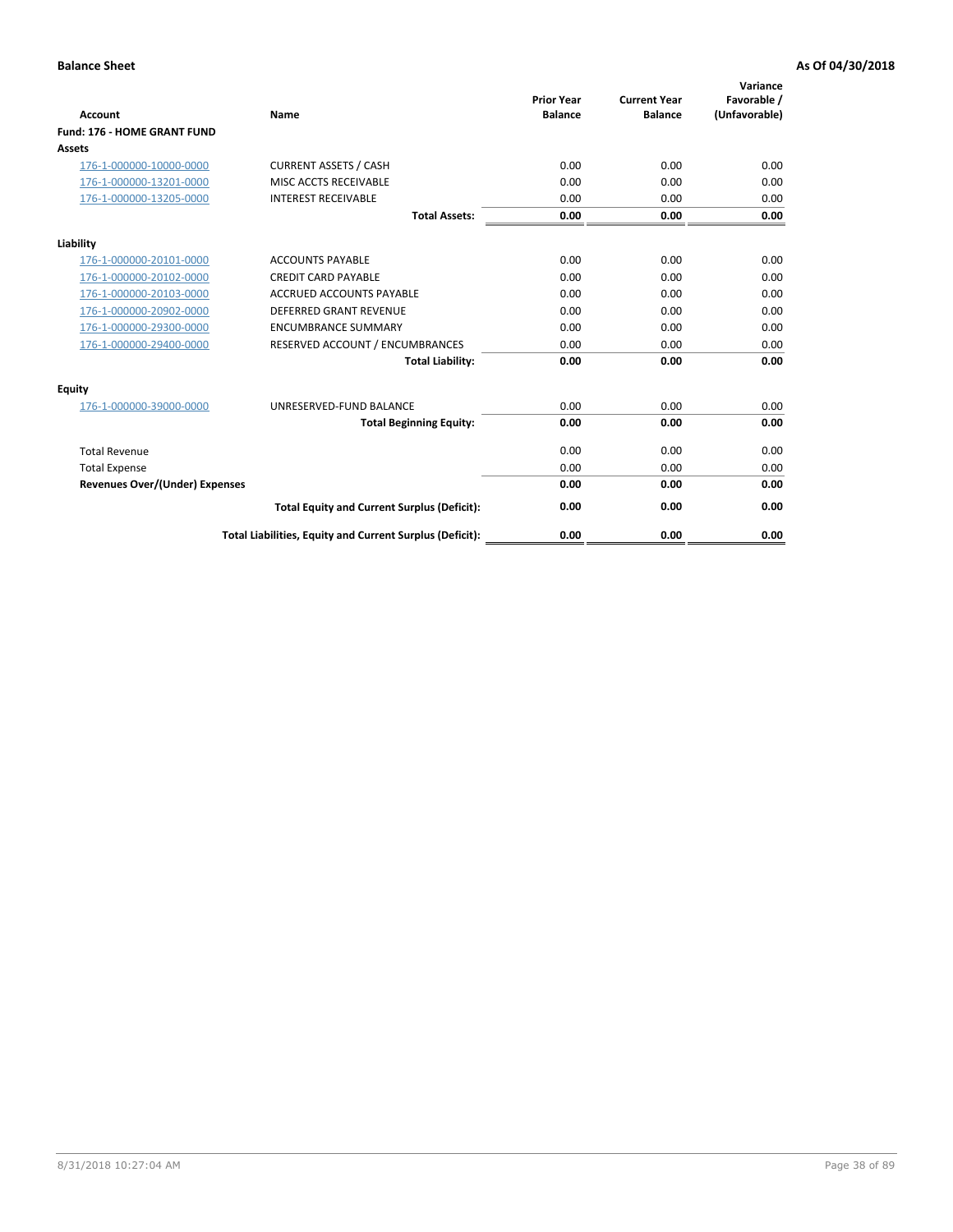| Account                               | Name                                                     | <b>Prior Year</b><br><b>Balance</b> | <b>Current Year</b><br><b>Balance</b> | Variance<br>Favorable /<br>(Unfavorable) |
|---------------------------------------|----------------------------------------------------------|-------------------------------------|---------------------------------------|------------------------------------------|
| Fund: 176 - HOME GRANT FUND           |                                                          |                                     |                                       |                                          |
| Assets                                |                                                          |                                     |                                       |                                          |
| 176-1-000000-10000-0000               | <b>CURRENT ASSETS / CASH</b>                             | 0.00                                | 0.00                                  | 0.00                                     |
| 176-1-000000-13201-0000               | MISC ACCTS RECEIVABLE                                    | 0.00                                | 0.00                                  | 0.00                                     |
| 176-1-000000-13205-0000               | <b>INTEREST RECEIVABLE</b>                               | 0.00                                | 0.00                                  | 0.00                                     |
|                                       | <b>Total Assets:</b>                                     | 0.00                                | 0.00                                  | 0.00                                     |
| Liability                             |                                                          |                                     |                                       |                                          |
| 176-1-000000-20101-0000               | <b>ACCOUNTS PAYABLE</b>                                  | 0.00                                | 0.00                                  | 0.00                                     |
| 176-1-000000-20102-0000               | <b>CREDIT CARD PAYABLE</b>                               | 0.00                                | 0.00                                  | 0.00                                     |
| 176-1-000000-20103-0000               | <b>ACCRUED ACCOUNTS PAYABLE</b>                          | 0.00                                | 0.00                                  | 0.00                                     |
| 176-1-000000-20902-0000               | <b>DEFERRED GRANT REVENUE</b>                            | 0.00                                | 0.00                                  | 0.00                                     |
| 176-1-000000-29300-0000               | <b>ENCUMBRANCE SUMMARY</b>                               | 0.00                                | 0.00                                  | 0.00                                     |
| 176-1-000000-29400-0000               | RESERVED ACCOUNT / ENCUMBRANCES                          | 0.00                                | 0.00                                  | 0.00                                     |
|                                       | <b>Total Liability:</b>                                  | 0.00                                | 0.00                                  | 0.00                                     |
| <b>Equity</b>                         |                                                          |                                     |                                       |                                          |
| 176-1-000000-39000-0000               | UNRESERVED-FUND BALANCE                                  | 0.00                                | 0.00                                  | 0.00                                     |
|                                       | <b>Total Beginning Equity:</b>                           | 0.00                                | 0.00                                  | 0.00                                     |
| <b>Total Revenue</b>                  |                                                          | 0.00                                | 0.00                                  | 0.00                                     |
| <b>Total Expense</b>                  |                                                          | 0.00                                | 0.00                                  | 0.00                                     |
| <b>Revenues Over/(Under) Expenses</b> |                                                          | 0.00                                | 0.00                                  | 0.00                                     |
|                                       | <b>Total Equity and Current Surplus (Deficit):</b>       | 0.00                                | 0.00                                  | 0.00                                     |
|                                       | Total Liabilities, Equity and Current Surplus (Deficit): | 0.00                                | 0.00                                  | 0.00                                     |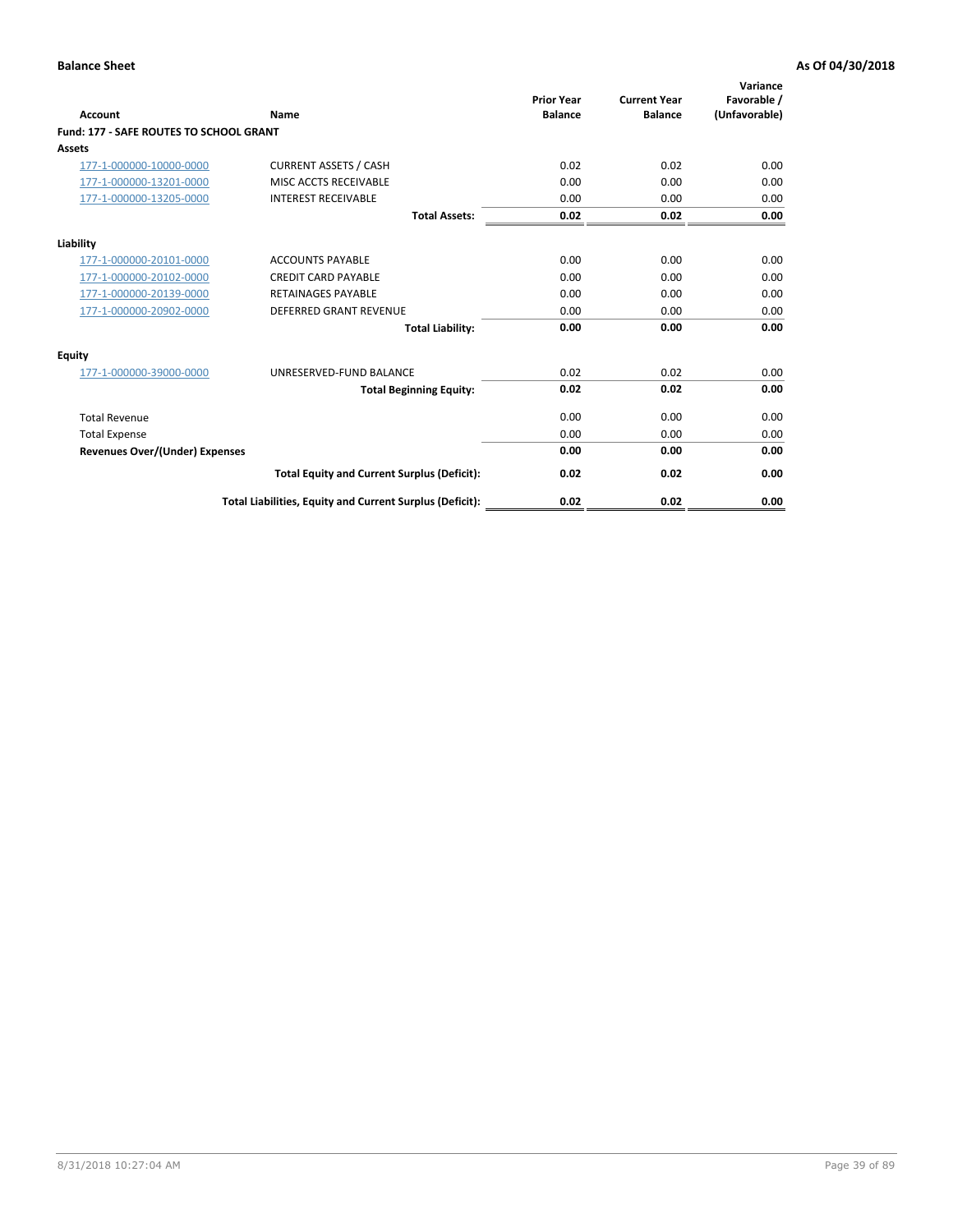| Account                                        | Name                                                     | <b>Prior Year</b><br><b>Balance</b> | <b>Current Year</b><br><b>Balance</b> | Variance<br>Favorable /<br>(Unfavorable) |
|------------------------------------------------|----------------------------------------------------------|-------------------------------------|---------------------------------------|------------------------------------------|
| <b>Fund: 177 - SAFE ROUTES TO SCHOOL GRANT</b> |                                                          |                                     |                                       |                                          |
| <b>Assets</b>                                  |                                                          |                                     |                                       |                                          |
| 177-1-000000-10000-0000                        | <b>CURRENT ASSETS / CASH</b>                             | 0.02                                | 0.02                                  | 0.00                                     |
| 177-1-000000-13201-0000                        | MISC ACCTS RECEIVABLE                                    | 0.00                                | 0.00                                  | 0.00                                     |
| 177-1-000000-13205-0000                        | <b>INTEREST RECEIVABLE</b>                               | 0.00                                | 0.00                                  | 0.00                                     |
|                                                | <b>Total Assets:</b>                                     | 0.02                                | 0.02                                  | 0.00                                     |
| Liability                                      |                                                          |                                     |                                       |                                          |
| 177-1-000000-20101-0000                        | <b>ACCOUNTS PAYABLE</b>                                  | 0.00                                | 0.00                                  | 0.00                                     |
| 177-1-000000-20102-0000                        | <b>CREDIT CARD PAYABLE</b>                               | 0.00                                | 0.00                                  | 0.00                                     |
| 177-1-000000-20139-0000                        | <b>RETAINAGES PAYABLE</b>                                | 0.00                                | 0.00                                  | 0.00                                     |
| 177-1-000000-20902-0000                        | <b>DEFERRED GRANT REVENUE</b>                            | 0.00                                | 0.00                                  | 0.00                                     |
|                                                | <b>Total Liability:</b>                                  | 0.00                                | 0.00                                  | 0.00                                     |
| Equity                                         |                                                          |                                     |                                       |                                          |
| 177-1-000000-39000-0000                        | UNRESERVED-FUND BALANCE                                  | 0.02                                | 0.02                                  | 0.00                                     |
|                                                | <b>Total Beginning Equity:</b>                           | 0.02                                | 0.02                                  | 0.00                                     |
| <b>Total Revenue</b>                           |                                                          | 0.00                                | 0.00                                  | 0.00                                     |
| <b>Total Expense</b>                           |                                                          | 0.00                                | 0.00                                  | 0.00                                     |
| <b>Revenues Over/(Under) Expenses</b>          |                                                          | 0.00                                | 0.00                                  | 0.00                                     |
|                                                | <b>Total Equity and Current Surplus (Deficit):</b>       | 0.02                                | 0.02                                  | 0.00                                     |
|                                                | Total Liabilities, Equity and Current Surplus (Deficit): | 0.02                                | 0.02                                  | 0.00                                     |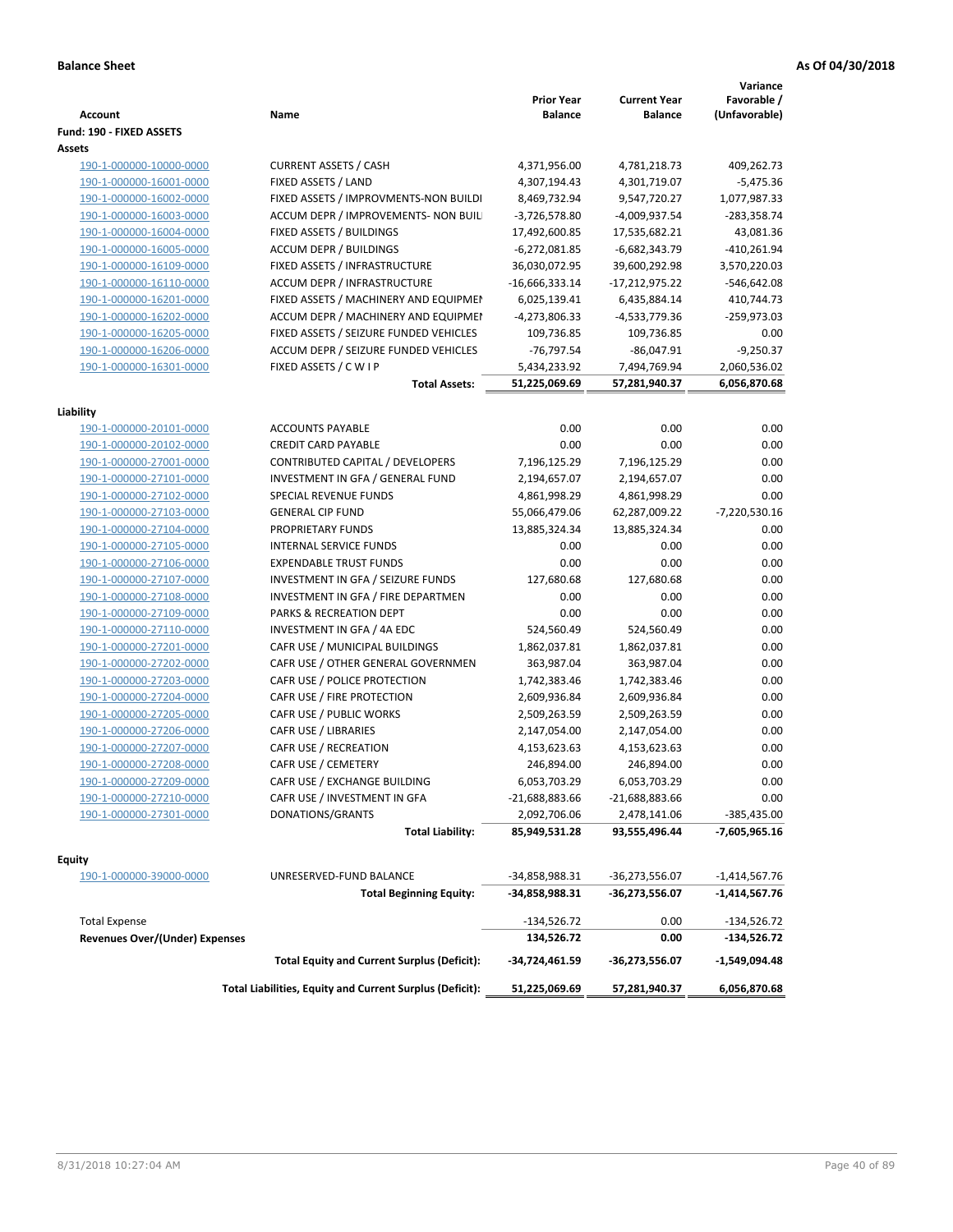| <b>Account</b>                 | Name                                                     | <b>Prior Year</b><br>Balance | <b>Current Year</b><br><b>Balance</b> | Variance<br>Favorable /<br>(Unfavorable) |
|--------------------------------|----------------------------------------------------------|------------------------------|---------------------------------------|------------------------------------------|
| Fund: 190 - FIXED ASSETS       |                                                          |                              |                                       |                                          |
| Assets                         |                                                          |                              |                                       |                                          |
| 190-1-000000-10000-0000        | <b>CURRENT ASSETS / CASH</b>                             | 4,371,956.00                 | 4,781,218.73                          | 409,262.73                               |
| 190-1-000000-16001-0000        | FIXED ASSETS / LAND                                      | 4,307,194.43                 | 4,301,719.07                          | $-5,475.36$                              |
| 190-1-000000-16002-0000        | FIXED ASSETS / IMPROVMENTS-NON BUILDI                    | 8,469,732.94                 | 9,547,720.27                          | 1,077,987.33                             |
| 190-1-000000-16003-0000        | ACCUM DEPR / IMPROVEMENTS- NON BUIL                      | $-3,726,578.80$              | -4,009,937.54                         | $-283,358.74$                            |
| 190-1-000000-16004-0000        | FIXED ASSETS / BUILDINGS                                 | 17,492,600.85                | 17,535,682.21                         | 43,081.36                                |
| 190-1-000000-16005-0000        | <b>ACCUM DEPR / BUILDINGS</b>                            | $-6,272,081.85$              | -6,682,343.79                         | $-410,261.94$                            |
| 190-1-000000-16109-0000        | FIXED ASSETS / INFRASTRUCTURE                            | 36,030,072.95                | 39,600,292.98                         | 3,570,220.03                             |
| 190-1-000000-16110-0000        | <b>ACCUM DEPR / INFRASTRUCTURE</b>                       | -16,666,333.14               | -17,212,975.22                        | $-546,642.08$                            |
| 190-1-000000-16201-0000        | FIXED ASSETS / MACHINERY AND EQUIPMEN                    | 6,025,139.41                 | 6,435,884.14                          | 410,744.73                               |
| 190-1-000000-16202-0000        | ACCUM DEPR / MACHINERY AND EQUIPMEI                      | -4,273,806.33                | -4,533,779.36                         | -259,973.03                              |
| 190-1-000000-16205-0000        | FIXED ASSETS / SEIZURE FUNDED VEHICLES                   | 109,736.85                   | 109,736.85                            | 0.00                                     |
| 190-1-000000-16206-0000        | ACCUM DEPR / SEIZURE FUNDED VEHICLES                     | $-76,797.54$                 | $-86,047.91$                          | $-9,250.37$                              |
| 190-1-000000-16301-0000        | FIXED ASSETS / C W I P                                   | 5,434,233.92                 | 7,494,769.94                          | 2,060,536.02                             |
|                                | <b>Total Assets:</b>                                     | 51,225,069.69                | 57,281,940.37                         | 6,056,870.68                             |
| Liability                      |                                                          |                              |                                       |                                          |
| 190-1-000000-20101-0000        | <b>ACCOUNTS PAYABLE</b>                                  | 0.00                         | 0.00                                  | 0.00                                     |
| 190-1-000000-20102-0000        | <b>CREDIT CARD PAYABLE</b>                               | 0.00                         | 0.00                                  | 0.00                                     |
| 190-1-000000-27001-0000        | CONTRIBUTED CAPITAL / DEVELOPERS                         | 7,196,125.29                 | 7,196,125.29                          | 0.00                                     |
| 190-1-000000-27101-0000        | INVESTMENT IN GFA / GENERAL FUND                         | 2,194,657.07                 | 2,194,657.07                          | 0.00                                     |
| 190-1-000000-27102-0000        | <b>SPECIAL REVENUE FUNDS</b>                             | 4,861,998.29                 | 4,861,998.29                          | 0.00                                     |
| 190-1-000000-27103-0000        | <b>GENERAL CIP FUND</b>                                  | 55,066,479.06                | 62,287,009.22                         | -7,220,530.16                            |
| 190-1-000000-27104-0000        | PROPRIETARY FUNDS                                        | 13,885,324.34                | 13,885,324.34                         | 0.00                                     |
| 190-1-000000-27105-0000        | <b>INTERNAL SERVICE FUNDS</b>                            | 0.00                         | 0.00                                  | 0.00                                     |
| 190-1-000000-27106-0000        | <b>EXPENDABLE TRUST FUNDS</b>                            | 0.00                         | 0.00                                  | 0.00                                     |
| 190-1-000000-27107-0000        | INVESTMENT IN GFA / SEIZURE FUNDS                        | 127,680.68                   | 127,680.68                            | 0.00                                     |
| 190-1-000000-27108-0000        | INVESTMENT IN GFA / FIRE DEPARTMEN                       | 0.00                         | 0.00                                  | 0.00                                     |
| 190-1-000000-27109-0000        | PARKS & RECREATION DEPT                                  | 0.00                         | 0.00                                  | 0.00                                     |
| 190-1-000000-27110-0000        | INVESTMENT IN GFA / 4A EDC                               | 524,560.49                   | 524,560.49                            | 0.00                                     |
| 190-1-000000-27201-0000        | CAFR USE / MUNICIPAL BUILDINGS                           | 1,862,037.81                 | 1,862,037.81                          | 0.00                                     |
| 190-1-000000-27202-0000        | CAFR USE / OTHER GENERAL GOVERNMEN                       | 363,987.04                   | 363,987.04                            | 0.00                                     |
| 190-1-000000-27203-0000        | CAFR USE / POLICE PROTECTION                             | 1,742,383.46                 | 1,742,383.46                          | 0.00                                     |
| 190-1-000000-27204-0000        | CAFR USE / FIRE PROTECTION                               | 2,609,936.84                 | 2,609,936.84                          | 0.00                                     |
| 190-1-000000-27205-0000        | CAFR USE / PUBLIC WORKS                                  | 2,509,263.59                 | 2,509,263.59                          | 0.00                                     |
| 190-1-000000-27206-0000        | CAFR USE / LIBRARIES                                     | 2,147,054.00                 | 2,147,054.00                          | 0.00                                     |
| 190-1-000000-27207-0000        | CAFR USE / RECREATION                                    | 4,153,623.63                 | 4,153,623.63                          | 0.00                                     |
| 190-1-000000-27208-0000        | CAFR USE / CEMETERY                                      | 246,894.00                   | 246,894.00                            | 0.00                                     |
| 190-1-000000-27209-0000        | CAFR USE / EXCHANGE BUILDING                             | 6,053,703.29                 | 6,053,703.29                          | 0.00                                     |
| 190-1-000000-27210-0000        | CAFR USE / INVESTMENT IN GFA                             | -21,688,883.66               | $-21,688,883.66$                      | 0.00                                     |
| 190-1-000000-27301-0000        | DONATIONS/GRANTS                                         | 2,092,706.06                 | 2,478,141.06                          | -385,435.00                              |
|                                | <b>Total Liability:</b>                                  | 85,949,531.28                | 93,555,496.44                         | -7,605,965.16                            |
|                                |                                                          |                              |                                       |                                          |
| Equity                         |                                                          |                              |                                       |                                          |
| 190-1-000000-39000-0000        | UNRESERVED-FUND BALANCE                                  | -34,858,988.31               | -36,273,556.07                        | -1,414,567.76                            |
|                                | <b>Total Beginning Equity:</b>                           | -34,858,988.31               | -36,273,556.07                        | -1,414,567.76                            |
| <b>Total Expense</b>           |                                                          | $-134,526.72$                | 0.00                                  | -134,526.72                              |
| Revenues Over/(Under) Expenses |                                                          | 134,526.72                   | 0.00                                  | $-134,526.72$                            |
|                                | <b>Total Equity and Current Surplus (Deficit):</b>       | -34,724,461.59               | -36,273,556.07                        | $-1,549,094.48$                          |
|                                | Total Liabilities, Equity and Current Surplus (Deficit): | 51,225,069.69                | 57,281,940.37                         | 6,056,870.68                             |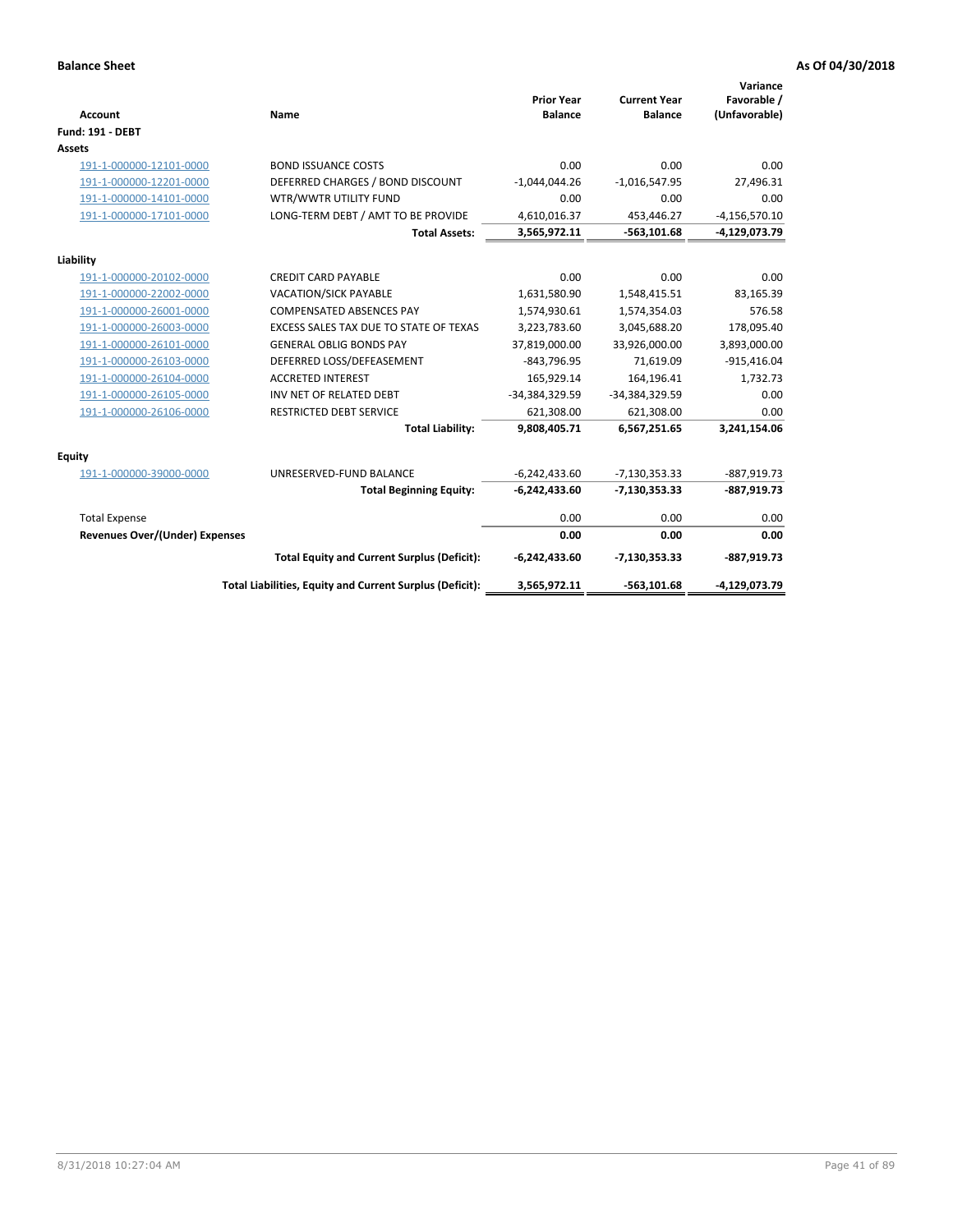| <b>Account</b>                 | Name                                                     | <b>Prior Year</b><br><b>Balance</b> | <b>Current Year</b><br><b>Balance</b> | Variance<br>Favorable /<br>(Unfavorable) |
|--------------------------------|----------------------------------------------------------|-------------------------------------|---------------------------------------|------------------------------------------|
| <b>Fund: 191 - DEBT</b>        |                                                          |                                     |                                       |                                          |
| <b>Assets</b>                  |                                                          |                                     |                                       |                                          |
| 191-1-000000-12101-0000        | <b>BOND ISSUANCE COSTS</b>                               | 0.00                                | 0.00                                  | 0.00                                     |
| 191-1-000000-12201-0000        | DEFERRED CHARGES / BOND DISCOUNT                         | $-1,044,044.26$                     | $-1,016,547.95$                       | 27,496.31                                |
| 191-1-000000-14101-0000        | WTR/WWTR UTILITY FUND                                    | 0.00                                | 0.00                                  | 0.00                                     |
| 191-1-000000-17101-0000        | LONG-TERM DEBT / AMT TO BE PROVIDE                       | 4,610,016.37                        | 453,446.27                            | $-4,156,570.10$                          |
|                                | <b>Total Assets:</b>                                     | 3,565,972.11                        | $-563, 101.68$                        | -4,129,073.79                            |
| Liability                      |                                                          |                                     |                                       |                                          |
| 191-1-000000-20102-0000        | <b>CREDIT CARD PAYABLE</b>                               | 0.00                                | 0.00                                  | 0.00                                     |
| 191-1-000000-22002-0000        | <b>VACATION/SICK PAYABLE</b>                             | 1,631,580.90                        | 1,548,415.51                          | 83,165.39                                |
| 191-1-000000-26001-0000        | <b>COMPENSATED ABSENCES PAY</b>                          | 1,574,930.61                        | 1,574,354.03                          | 576.58                                   |
| 191-1-000000-26003-0000        | EXCESS SALES TAX DUE TO STATE OF TEXAS                   | 3,223,783.60                        | 3,045,688.20                          | 178,095.40                               |
| 191-1-000000-26101-0000        | <b>GENERAL OBLIG BONDS PAY</b>                           | 37,819,000.00                       | 33,926,000.00                         | 3,893,000.00                             |
| 191-1-000000-26103-0000        | DEFERRED LOSS/DEFEASEMENT                                | $-843,796.95$                       | 71,619.09                             | $-915,416.04$                            |
| 191-1-000000-26104-0000        | <b>ACCRETED INTEREST</b>                                 | 165,929.14                          | 164,196.41                            | 1,732.73                                 |
| 191-1-000000-26105-0000        | INV NET OF RELATED DEBT                                  | -34,384,329.59                      | -34,384,329.59                        | 0.00                                     |
| 191-1-000000-26106-0000        | <b>RESTRICTED DEBT SERVICE</b>                           | 621,308.00                          | 621,308.00                            | 0.00                                     |
|                                | <b>Total Liability:</b>                                  | 9,808,405.71                        | 6,567,251.65                          | 3,241,154.06                             |
| Equity                         |                                                          |                                     |                                       |                                          |
| 191-1-000000-39000-0000        | UNRESERVED-FUND BALANCE                                  | $-6,242,433.60$                     | $-7,130,353.33$                       | $-887,919.73$                            |
|                                | <b>Total Beginning Equity:</b>                           | $-6,242,433.60$                     | $-7,130,353.33$                       | $-887,919.73$                            |
| <b>Total Expense</b>           |                                                          | 0.00                                | 0.00                                  | 0.00                                     |
| Revenues Over/(Under) Expenses |                                                          | 0.00                                | 0.00                                  | 0.00                                     |
|                                | <b>Total Equity and Current Surplus (Deficit):</b>       | $-6,242,433.60$                     | $-7,130,353.33$                       | $-887,919.73$                            |
|                                | Total Liabilities, Equity and Current Surplus (Deficit): | 3,565,972.11                        | $-563,101.68$                         | -4,129,073.79                            |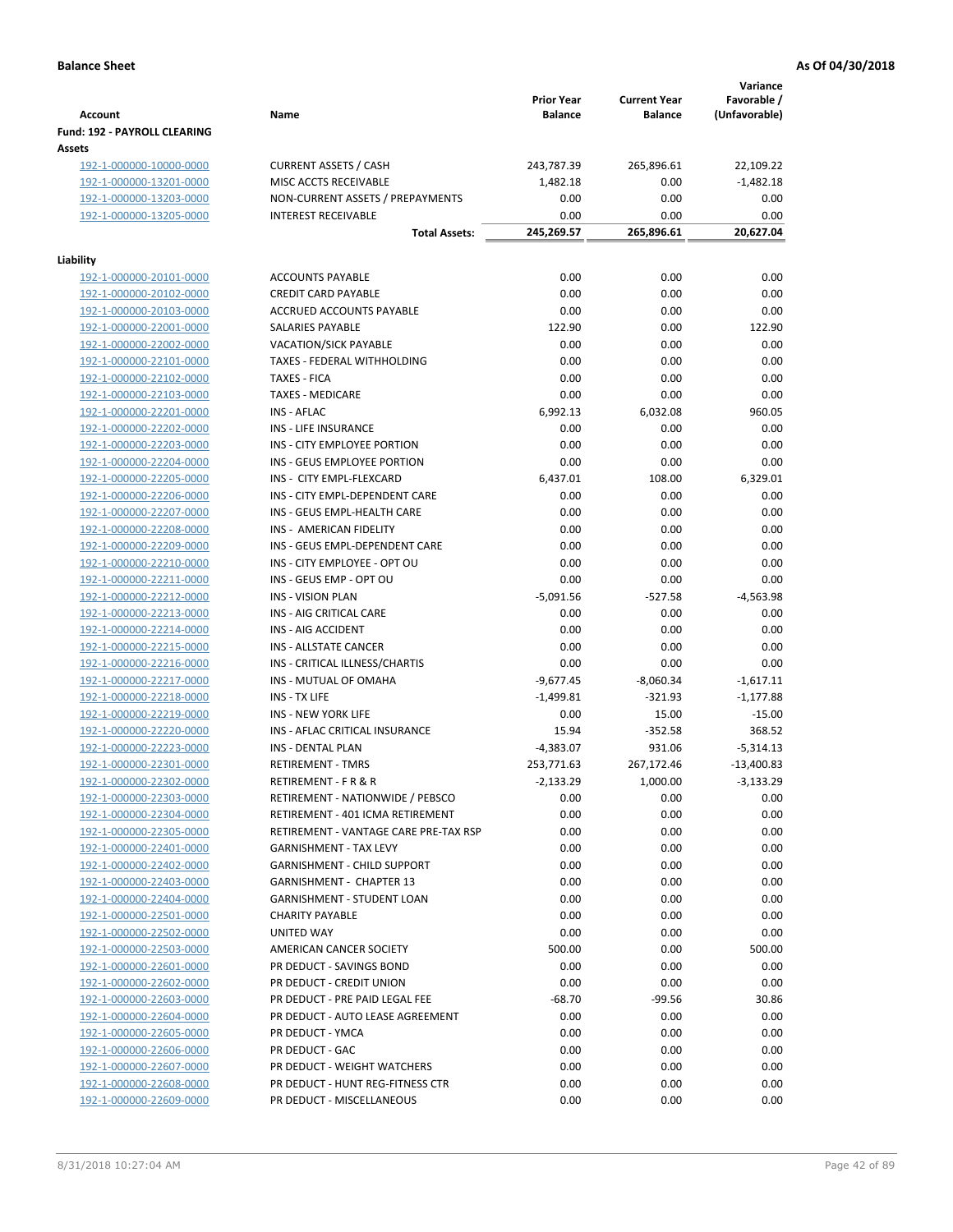|                                                    |                                             |                   |                                       | Variance           |
|----------------------------------------------------|---------------------------------------------|-------------------|---------------------------------------|--------------------|
|                                                    |                                             | <b>Prior Year</b> | <b>Current Year</b><br><b>Balance</b> | Favorable /        |
| <b>Account</b><br>Fund: 192 - PAYROLL CLEARING     | Name                                        | <b>Balance</b>    |                                       | (Unfavorable)      |
| Assets                                             |                                             |                   |                                       |                    |
| 192-1-000000-10000-0000                            | <b>CURRENT ASSETS / CASH</b>                | 243,787.39        | 265,896.61                            | 22,109.22          |
| 192-1-000000-13201-0000                            | MISC ACCTS RECEIVABLE                       | 1,482.18          | 0.00                                  | $-1,482.18$        |
| 192-1-000000-13203-0000                            | NON-CURRENT ASSETS / PREPAYMENTS            | 0.00              | 0.00                                  | 0.00               |
| 192-1-000000-13205-0000                            | <b>INTEREST RECEIVABLE</b>                  | 0.00              | 0.00                                  | 0.00               |
|                                                    | <b>Total Assets:</b>                        | 245,269.57        | 265,896.61                            | 20,627.04          |
| Liability                                          |                                             |                   |                                       |                    |
| 192-1-000000-20101-0000                            | <b>ACCOUNTS PAYABLE</b>                     | 0.00              | 0.00                                  | 0.00               |
| 192-1-000000-20102-0000                            | <b>CREDIT CARD PAYABLE</b>                  | 0.00              | 0.00                                  | 0.00               |
| 192-1-000000-20103-0000                            | ACCRUED ACCOUNTS PAYABLE                    | 0.00              | 0.00                                  | 0.00               |
| 192-1-000000-22001-0000                            | SALARIES PAYABLE                            | 122.90            | 0.00                                  | 122.90             |
| 192-1-000000-22002-0000                            | <b>VACATION/SICK PAYABLE</b>                | 0.00              | 0.00                                  | 0.00               |
| 192-1-000000-22101-0000                            | TAXES - FEDERAL WITHHOLDING                 | 0.00              | 0.00                                  | 0.00               |
| 192-1-000000-22102-0000                            | <b>TAXES - FICA</b>                         | 0.00              | 0.00                                  | 0.00               |
| 192-1-000000-22103-0000                            | <b>TAXES - MEDICARE</b>                     | 0.00              | 0.00                                  | 0.00               |
| 192-1-000000-22201-0000                            | <b>INS - AFLAC</b>                          | 6,992.13          | 6,032.08                              | 960.05             |
| 192-1-000000-22202-0000                            | INS - LIFE INSURANCE                        | 0.00              | 0.00                                  | 0.00               |
| 192-1-000000-22203-0000                            | INS - CITY EMPLOYEE PORTION                 | 0.00              | 0.00                                  | 0.00               |
| 192-1-000000-22204-0000                            | INS - GEUS EMPLOYEE PORTION                 | 0.00              | 0.00                                  | 0.00               |
| 192-1-000000-22205-0000                            | INS - CITY EMPL-FLEXCARD                    | 6,437.01          | 108.00                                | 6,329.01           |
| 192-1-000000-22206-0000                            | INS - CITY EMPL-DEPENDENT CARE              | 0.00              | 0.00                                  | 0.00               |
| 192-1-000000-22207-0000                            | INS - GEUS EMPL-HEALTH CARE                 | 0.00              | 0.00                                  | 0.00               |
| 192-1-000000-22208-0000                            | INS - AMERICAN FIDELITY                     | 0.00              | 0.00                                  | 0.00               |
| 192-1-000000-22209-0000                            | INS - GEUS EMPL-DEPENDENT CARE              | 0.00              | 0.00                                  | 0.00               |
| 192-1-000000-22210-0000                            | INS - CITY EMPLOYEE - OPT OU                | 0.00              | 0.00                                  | 0.00               |
| 192-1-000000-22211-0000                            | INS - GEUS EMP - OPT OU                     | 0.00              | 0.00                                  | 0.00               |
| 192-1-000000-22212-0000                            | <b>INS - VISION PLAN</b>                    | $-5,091.56$       | $-527.58$                             | $-4,563.98$        |
| 192-1-000000-22213-0000                            | INS - AIG CRITICAL CARE                     | 0.00              | 0.00                                  | 0.00               |
| 192-1-000000-22214-0000                            | INS - AIG ACCIDENT                          | 0.00              | 0.00                                  | 0.00               |
| 192-1-000000-22215-0000                            | INS - ALLSTATE CANCER                       | 0.00              | 0.00                                  | 0.00               |
| 192-1-000000-22216-0000                            | INS - CRITICAL ILLNESS/CHARTIS              | 0.00              | 0.00                                  | 0.00               |
| 192-1-000000-22217-0000                            | INS - MUTUAL OF OMAHA                       | $-9,677.45$       | $-8,060.34$                           | $-1,617.11$        |
| 192-1-000000-22218-0000                            | INS - TX LIFE<br><b>INS - NEW YORK LIFE</b> | $-1,499.81$       | $-321.93$                             | $-1,177.88$        |
| 192-1-000000-22219-0000<br>192-1-000000-22220-0000 | INS - AFLAC CRITICAL INSURANCE              | 0.00<br>15.94     | 15.00<br>$-352.58$                    | $-15.00$<br>368.52 |
| 192-1-000000-22223-0000                            | INS - DENTAL PLAN                           | $-4,383.07$       | 931.06                                | $-5,314.13$        |
| <u>192-1-000000-22301-0000</u>                     | <b>RETIREMENT - TMRS</b>                    | 253,771.63        | 267,172.46                            | $-13,400.83$       |
| 192-1-000000-22302-0000                            | RETIREMENT - F R & R                        | $-2,133.29$       | 1,000.00                              | $-3,133.29$        |
| 192-1-000000-22303-0000                            | RETIREMENT - NATIONWIDE / PEBSCO            | 0.00              | 0.00                                  | 0.00               |
| 192-1-000000-22304-0000                            | RETIREMENT - 401 ICMA RETIREMENT            | 0.00              | 0.00                                  | 0.00               |
| 192-1-000000-22305-0000                            | RETIREMENT - VANTAGE CARE PRE-TAX RSP       | 0.00              | 0.00                                  | 0.00               |
| 192-1-000000-22401-0000                            | <b>GARNISHMENT - TAX LEVY</b>               | 0.00              | 0.00                                  | 0.00               |
| 192-1-000000-22402-0000                            | <b>GARNISHMENT - CHILD SUPPORT</b>          | 0.00              | 0.00                                  | 0.00               |
| 192-1-000000-22403-0000                            | <b>GARNISHMENT - CHAPTER 13</b>             | 0.00              | 0.00                                  | 0.00               |
| 192-1-000000-22404-0000                            | <b>GARNISHMENT - STUDENT LOAN</b>           | 0.00              | 0.00                                  | 0.00               |
| 192-1-000000-22501-0000                            | <b>CHARITY PAYABLE</b>                      | 0.00              | 0.00                                  | 0.00               |
| 192-1-000000-22502-0000                            | UNITED WAY                                  | 0.00              | 0.00                                  | 0.00               |
| 192-1-000000-22503-0000                            | AMERICAN CANCER SOCIETY                     | 500.00            | 0.00                                  | 500.00             |
| 192-1-000000-22601-0000                            | PR DEDUCT - SAVINGS BOND                    | 0.00              | 0.00                                  | 0.00               |
| 192-1-000000-22602-0000                            | PR DEDUCT - CREDIT UNION                    | 0.00              | 0.00                                  | 0.00               |
| 192-1-000000-22603-0000                            | PR DEDUCT - PRE PAID LEGAL FEE              | $-68.70$          | $-99.56$                              | 30.86              |
| 192-1-000000-22604-0000                            | PR DEDUCT - AUTO LEASE AGREEMENT            | 0.00              | 0.00                                  | 0.00               |
| 192-1-000000-22605-0000                            | PR DEDUCT - YMCA                            | 0.00              | 0.00                                  | 0.00               |
| 192-1-000000-22606-0000                            | PR DEDUCT - GAC                             | 0.00              | 0.00                                  | 0.00               |
| 192-1-000000-22607-0000                            | PR DEDUCT - WEIGHT WATCHERS                 | 0.00              | 0.00                                  | 0.00               |
| 192-1-000000-22608-0000                            | PR DEDUCT - HUNT REG-FITNESS CTR            | 0.00              | 0.00                                  | 0.00               |
| 192-1-000000-22609-0000                            | PR DEDUCT - MISCELLANEOUS                   | 0.00              | 0.00                                  | 0.00               |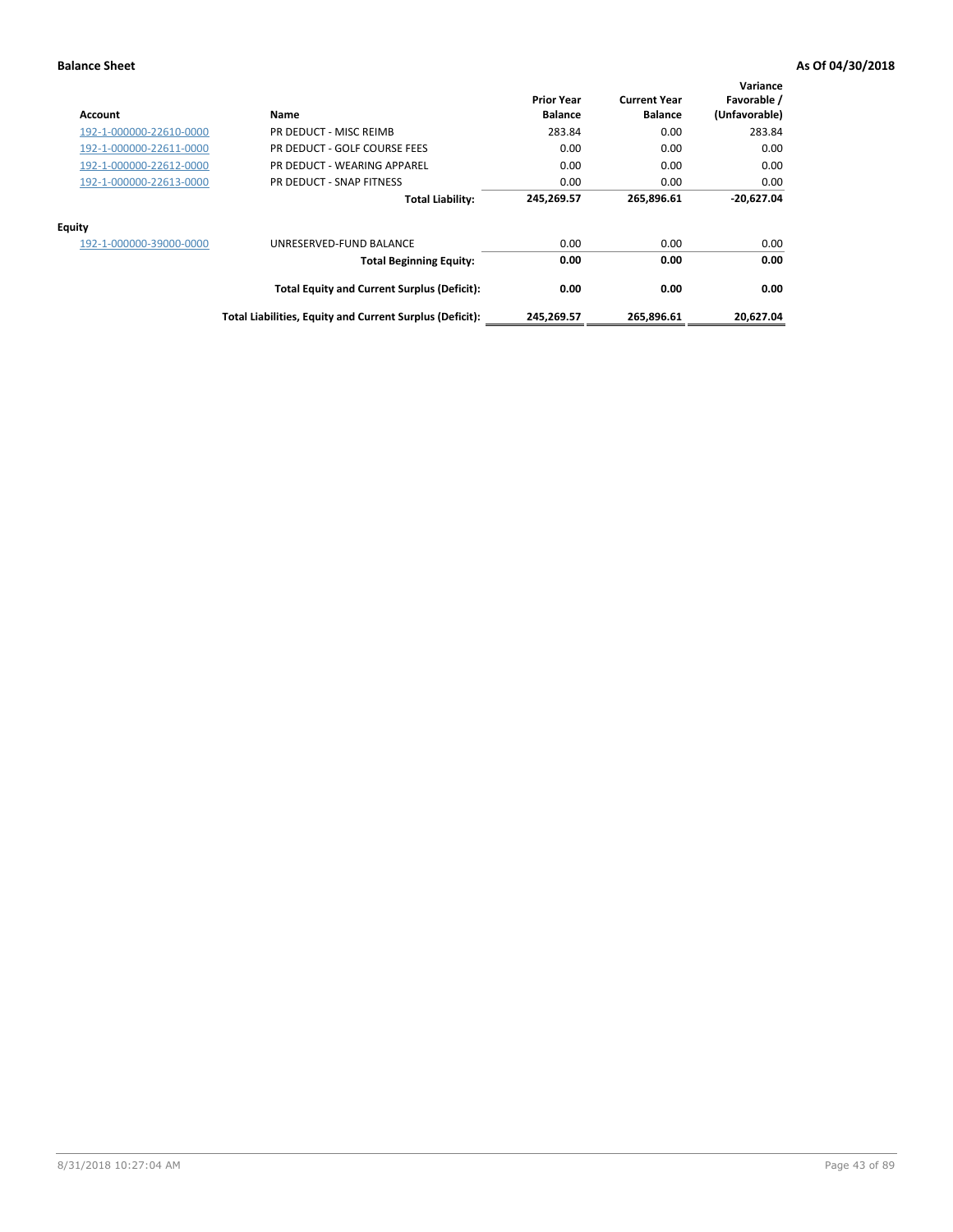| Account                 | Name                                                     | <b>Prior Year</b><br><b>Balance</b> | <b>Current Year</b><br><b>Balance</b> | Variance<br>Favorable /<br>(Unfavorable) |
|-------------------------|----------------------------------------------------------|-------------------------------------|---------------------------------------|------------------------------------------|
| 192-1-000000-22610-0000 | PR DEDUCT - MISC REIMB                                   | 283.84                              | 0.00                                  | 283.84                                   |
| 192-1-000000-22611-0000 | PR DEDUCT - GOLF COURSE FEES                             | 0.00                                | 0.00                                  | 0.00                                     |
| 192-1-000000-22612-0000 | PR DEDUCT - WEARING APPAREL                              | 0.00                                | 0.00                                  | 0.00                                     |
| 192-1-000000-22613-0000 | PR DEDUCT - SNAP FITNESS                                 | 0.00                                | 0.00                                  | 0.00                                     |
|                         | <b>Total Liability:</b>                                  | 245,269.57                          | 265,896.61                            | $-20,627.04$                             |
| <b>Equity</b>           |                                                          |                                     |                                       |                                          |
| 192-1-000000-39000-0000 | UNRESERVED-FUND BALANCE                                  | 0.00                                | 0.00                                  | 0.00                                     |
|                         | <b>Total Beginning Equity:</b>                           | 0.00                                | 0.00                                  | 0.00                                     |
|                         | <b>Total Equity and Current Surplus (Deficit):</b>       | 0.00                                | 0.00                                  | 0.00                                     |
|                         | Total Liabilities, Equity and Current Surplus (Deficit): | 245,269.57                          | 265,896.61                            | 20.627.04                                |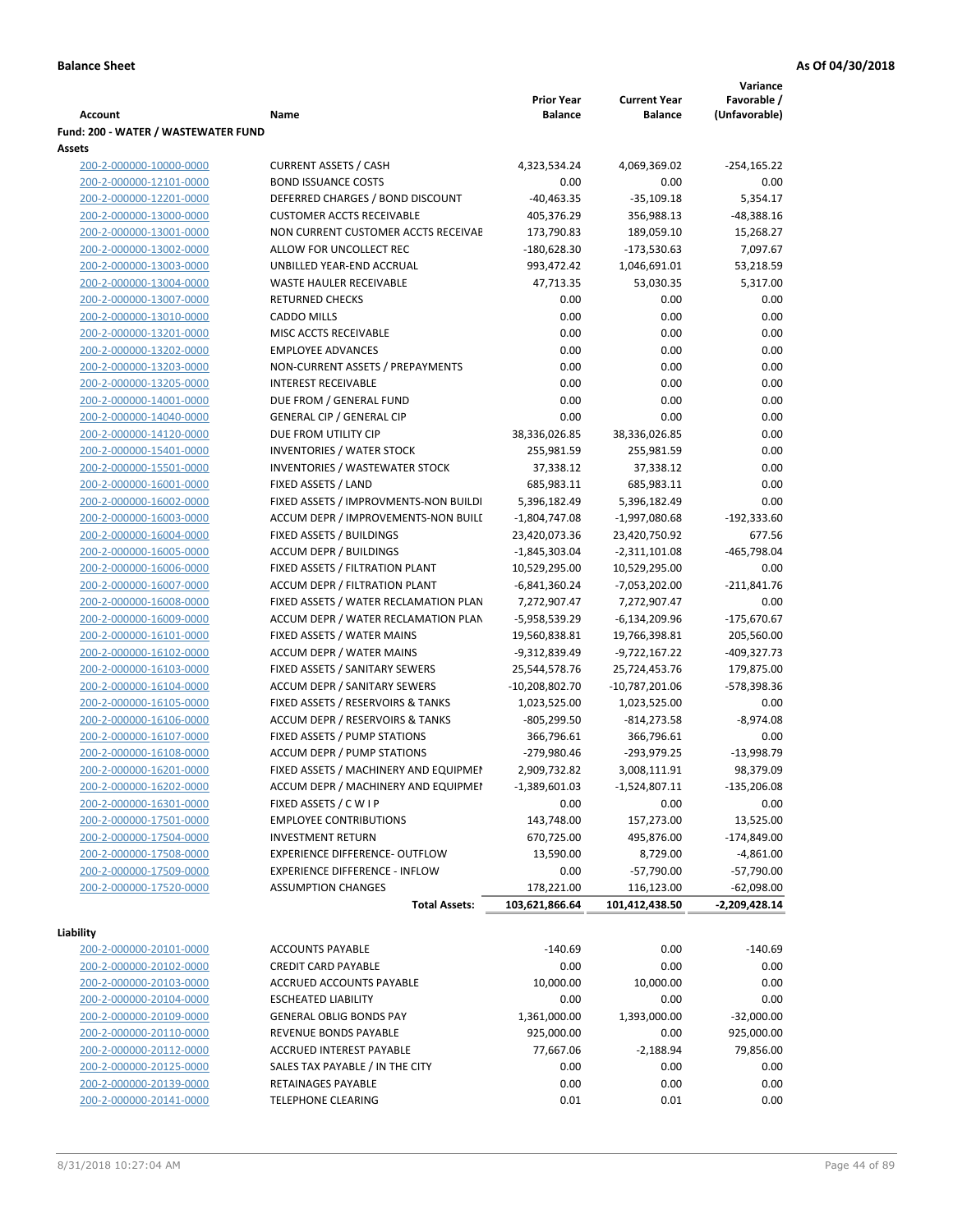|                                     |                                            |                   |                     | Variance      |
|-------------------------------------|--------------------------------------------|-------------------|---------------------|---------------|
|                                     |                                            | <b>Prior Year</b> | <b>Current Year</b> | Favorable /   |
| Account                             | Name                                       | <b>Balance</b>    | <b>Balance</b>      | (Unfavorable) |
| Fund: 200 - WATER / WASTEWATER FUND |                                            |                   |                     |               |
| Assets                              |                                            |                   |                     |               |
| 200-2-000000-10000-0000             | <b>CURRENT ASSETS / CASH</b>               | 4,323,534.24      | 4,069,369.02        | $-254,165.22$ |
| 200-2-000000-12101-0000             | <b>BOND ISSUANCE COSTS</b>                 | 0.00              | 0.00                | 0.00          |
| 200-2-000000-12201-0000             | DEFERRED CHARGES / BOND DISCOUNT           | $-40,463.35$      | $-35,109.18$        | 5,354.17      |
| 200-2-000000-13000-0000             | <b>CUSTOMER ACCTS RECEIVABLE</b>           | 405,376.29        | 356,988.13          | $-48,388.16$  |
| 200-2-000000-13001-0000             | NON CURRENT CUSTOMER ACCTS RECEIVAE        | 173,790.83        | 189,059.10          | 15,268.27     |
| 200-2-000000-13002-0000             | ALLOW FOR UNCOLLECT REC                    | $-180,628.30$     | $-173,530.63$       | 7,097.67      |
| 200-2-000000-13003-0000             | UNBILLED YEAR-END ACCRUAL                  | 993,472.42        | 1,046,691.01        | 53,218.59     |
| 200-2-000000-13004-0000             | <b>WASTE HAULER RECEIVABLE</b>             | 47,713.35         | 53,030.35           | 5,317.00      |
| 200-2-000000-13007-0000             | <b>RETURNED CHECKS</b>                     | 0.00              | 0.00                | 0.00          |
| 200-2-000000-13010-0000             | <b>CADDO MILLS</b>                         | 0.00              | 0.00                | 0.00          |
| 200-2-000000-13201-0000             | MISC ACCTS RECEIVABLE                      | 0.00              | 0.00                | 0.00          |
| 200-2-000000-13202-0000             | <b>EMPLOYEE ADVANCES</b>                   | 0.00              | 0.00                | 0.00          |
| 200-2-000000-13203-0000             | NON-CURRENT ASSETS / PREPAYMENTS           | 0.00              | 0.00                | 0.00          |
| 200-2-000000-13205-0000             | <b>INTEREST RECEIVABLE</b>                 | 0.00              | 0.00                | 0.00          |
| 200-2-000000-14001-0000             | DUE FROM / GENERAL FUND                    | 0.00              | 0.00                | 0.00          |
| 200-2-000000-14040-0000             | <b>GENERAL CIP / GENERAL CIP</b>           | 0.00              | 0.00                | 0.00          |
| 200-2-000000-14120-0000             | DUE FROM UTILITY CIP                       | 38,336,026.85     | 38,336,026.85       | 0.00          |
| 200-2-000000-15401-0000             | <b>INVENTORIES / WATER STOCK</b>           | 255,981.59        | 255,981.59          | 0.00          |
| 200-2-000000-15501-0000             | <b>INVENTORIES / WASTEWATER STOCK</b>      | 37,338.12         | 37,338.12           | 0.00          |
| 200-2-000000-16001-0000             | FIXED ASSETS / LAND                        | 685,983.11        | 685,983.11          | 0.00          |
| 200-2-000000-16002-0000             | FIXED ASSETS / IMPROVMENTS-NON BUILDI      | 5,396,182.49      | 5,396,182.49        | 0.00          |
| 200-2-000000-16003-0000             | ACCUM DEPR / IMPROVEMENTS-NON BUILI        | $-1,804,747.08$   | $-1,997,080.68$     | $-192,333.60$ |
| 200-2-000000-16004-0000             | FIXED ASSETS / BUILDINGS                   | 23,420,073.36     | 23,420,750.92       | 677.56        |
| 200-2-000000-16005-0000             | <b>ACCUM DEPR / BUILDINGS</b>              | $-1,845,303.04$   | $-2,311,101.08$     | $-465,798.04$ |
| 200-2-000000-16006-0000             | FIXED ASSETS / FILTRATION PLANT            | 10,529,295.00     | 10,529,295.00       | 0.00          |
| 200-2-000000-16007-0000             | ACCUM DEPR / FILTRATION PLANT              | $-6,841,360.24$   | $-7,053,202.00$     | $-211,841.76$ |
| 200-2-000000-16008-0000             | FIXED ASSETS / WATER RECLAMATION PLAN      | 7,272,907.47      | 7,272,907.47        | 0.00          |
| 200-2-000000-16009-0000             | ACCUM DEPR / WATER RECLAMATION PLAN        | -5,958,539.29     | $-6,134,209.96$     | $-175,670.67$ |
| 200-2-000000-16101-0000             | FIXED ASSETS / WATER MAINS                 | 19,560,838.81     | 19,766,398.81       | 205,560.00    |
| 200-2-000000-16102-0000             | <b>ACCUM DEPR / WATER MAINS</b>            | -9,312,839.49     | -9,722,167.22       | -409,327.73   |
| 200-2-000000-16103-0000             | FIXED ASSETS / SANITARY SEWERS             | 25,544,578.76     | 25,724,453.76       | 179,875.00    |
| 200-2-000000-16104-0000             | <b>ACCUM DEPR / SANITARY SEWERS</b>        | -10,208,802.70    | $-10,787,201.06$    | -578,398.36   |
| 200-2-000000-16105-0000             | FIXED ASSETS / RESERVOIRS & TANKS          | 1,023,525.00      | 1,023,525.00        | 0.00          |
| 200-2-000000-16106-0000             | <b>ACCUM DEPR / RESERVOIRS &amp; TANKS</b> | $-805,299.50$     | $-814,273.58$       | $-8,974.08$   |
| 200-2-000000-16107-0000             | FIXED ASSETS / PUMP STATIONS               | 366,796.61        | 366,796.61          | 0.00          |
| 200-2-000000-16108-0000             | <b>ACCUM DEPR / PUMP STATIONS</b>          | -279,980.46       | -293,979.25         | $-13,998.79$  |
| 200-2-000000-16201-0000             | FIXED ASSETS / MACHINERY AND EQUIPMEN      | 2,909,732.82      | 3,008,111.91        | 98,379.09     |
| 200-2-000000-16202-0000             | ACCUM DEPR / MACHINERY AND EQUIPMEI        | $-1,389,601.03$   | $-1,524,807.11$     | $-135,206.08$ |
| 200-2-000000-16301-0000             | FIXED ASSETS / C W I P                     | 0.00              | 0.00                | 0.00          |
| 200-2-000000-17501-0000             | <b>EMPLOYEE CONTRIBUTIONS</b>              | 143,748.00        | 157,273.00          | 13,525.00     |
| 200-2-000000-17504-0000             | <b>INVESTMENT RETURN</b>                   | 670,725.00        | 495,876.00          | $-174,849.00$ |
| 200-2-000000-17508-0000             | EXPERIENCE DIFFERENCE- OUTFLOW             | 13,590.00         | 8,729.00            | $-4,861.00$   |
| 200-2-000000-17509-0000             | <b>EXPERIENCE DIFFERENCE - INFLOW</b>      | 0.00              | $-57,790.00$        | $-57,790.00$  |
| 200-2-000000-17520-0000             | <b>ASSUMPTION CHANGES</b>                  | 178,221.00        | 116,123.00          | $-62,098.00$  |
|                                     | <b>Total Assets:</b>                       | 103,621,866.64    | 101,412,438.50      | -2,209,428.14 |
|                                     |                                            |                   |                     |               |
| Liability                           |                                            |                   |                     |               |
| 200-2-000000-20101-0000             | <b>ACCOUNTS PAYABLE</b>                    | $-140.69$         | 0.00                | $-140.69$     |
| 200-2-000000-20102-0000             | <b>CREDIT CARD PAYABLE</b>                 | 0.00              | 0.00                | 0.00          |
| 200-2-000000-20103-0000             | ACCRUED ACCOUNTS PAYABLE                   | 10,000.00         | 10,000.00           | 0.00          |
| 200-2-000000-20104-0000             | <b>ESCHEATED LIABILITY</b>                 | 0.00              | 0.00                | 0.00          |
| 200-2-000000-20109-0000             | <b>GENERAL OBLIG BONDS PAY</b>             | 1,361,000.00      | 1,393,000.00        | $-32,000.00$  |
| 200-2-000000-20110-0000             | REVENUE BONDS PAYABLE                      | 925,000.00        | 0.00                | 925,000.00    |
| 200-2-000000-20112-0000             | ACCRUED INTEREST PAYABLE                   | 77,667.06         | $-2,188.94$         | 79,856.00     |
| 200-2-000000-20125-0000             | SALES TAX PAYABLE / IN THE CITY            | 0.00              | 0.00                | 0.00          |
| 200-2-000000-20139-0000             | RETAINAGES PAYABLE                         | 0.00              | 0.00                | 0.00          |
| 200-2-000000-20141-0000             | <b>TELEPHONE CLEARING</b>                  | 0.01              | 0.01                | 0.00          |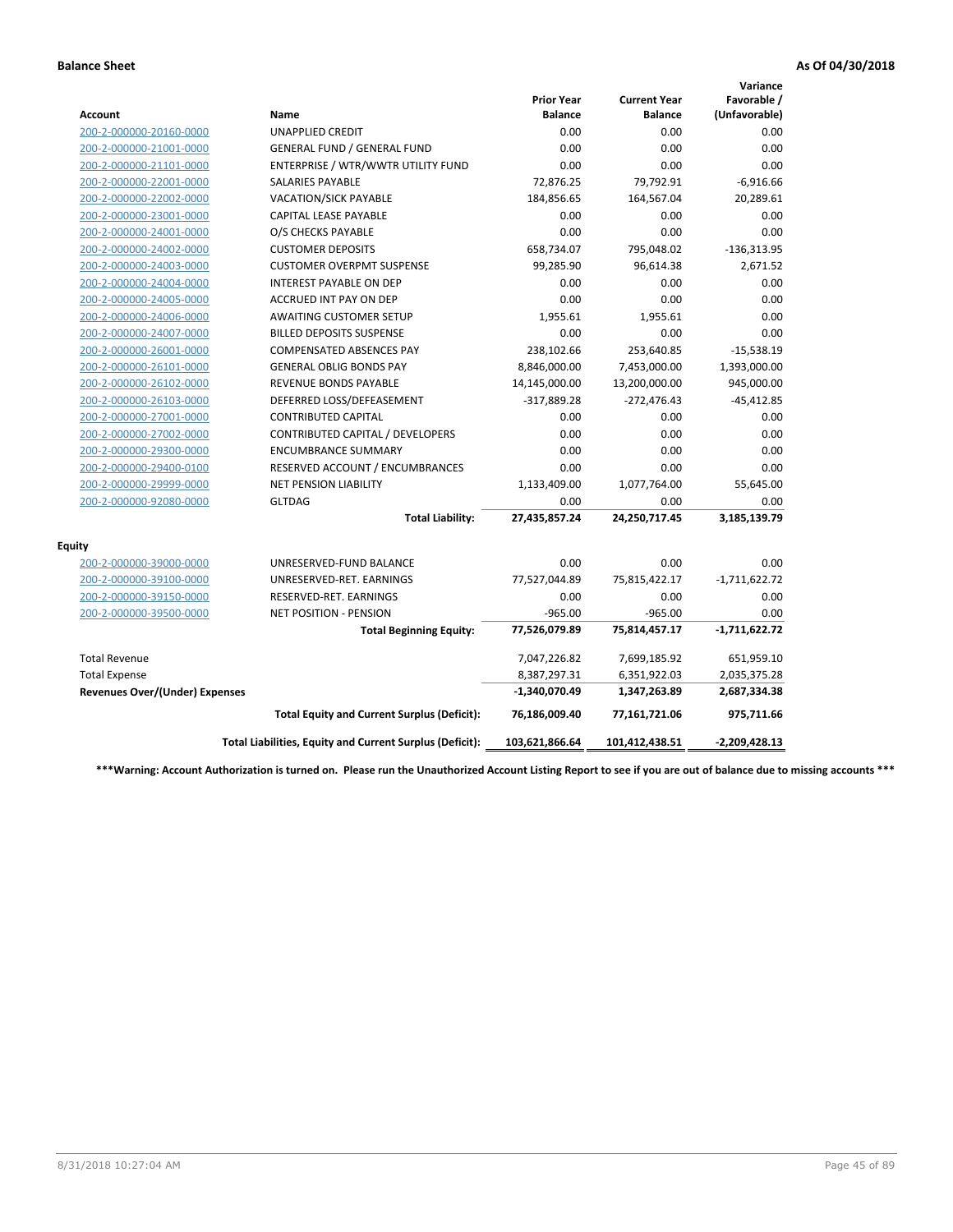|                                       |                                                          |                                     |                                       | Variance                     |
|---------------------------------------|----------------------------------------------------------|-------------------------------------|---------------------------------------|------------------------------|
| <b>Account</b>                        | Name                                                     | <b>Prior Year</b><br><b>Balance</b> | <b>Current Year</b><br><b>Balance</b> | Favorable /<br>(Unfavorable) |
| 200-2-000000-20160-0000               | <b>UNAPPLIED CREDIT</b>                                  | 0.00                                | 0.00                                  | 0.00                         |
| 200-2-000000-21001-0000               | <b>GENERAL FUND / GENERAL FUND</b>                       | 0.00                                | 0.00                                  | 0.00                         |
| 200-2-000000-21101-0000               | ENTERPRISE / WTR/WWTR UTILITY FUND                       | 0.00                                | 0.00                                  | 0.00                         |
| 200-2-000000-22001-0000               | <b>SALARIES PAYABLE</b>                                  | 72,876.25                           | 79,792.91                             | $-6,916.66$                  |
| 200-2-000000-22002-0000               | VACATION/SICK PAYABLE                                    | 184,856.65                          | 164,567.04                            | 20,289.61                    |
| 200-2-000000-23001-0000               | <b>CAPITAL LEASE PAYABLE</b>                             | 0.00                                | 0.00                                  | 0.00                         |
| 200-2-000000-24001-0000               | O/S CHECKS PAYABLE                                       | 0.00                                | 0.00                                  | 0.00                         |
| 200-2-000000-24002-0000               | <b>CUSTOMER DEPOSITS</b>                                 | 658,734.07                          | 795,048.02                            | $-136,313.95$                |
| 200-2-000000-24003-0000               | <b>CUSTOMER OVERPMT SUSPENSE</b>                         | 99,285.90                           | 96,614.38                             | 2,671.52                     |
| 200-2-000000-24004-0000               | <b>INTEREST PAYABLE ON DEP</b>                           | 0.00                                | 0.00                                  | 0.00                         |
| 200-2-000000-24005-0000               | <b>ACCRUED INT PAY ON DEP</b>                            | 0.00                                | 0.00                                  | 0.00                         |
| 200-2-000000-24006-0000               | <b>AWAITING CUSTOMER SETUP</b>                           | 1,955.61                            | 1,955.61                              | 0.00                         |
| 200-2-000000-24007-0000               | <b>BILLED DEPOSITS SUSPENSE</b>                          | 0.00                                | 0.00                                  | 0.00                         |
| 200-2-000000-26001-0000               | <b>COMPENSATED ABSENCES PAY</b>                          | 238,102.66                          | 253,640.85                            | $-15,538.19$                 |
| 200-2-000000-26101-0000               | <b>GENERAL OBLIG BONDS PAY</b>                           | 8,846,000.00                        | 7,453,000.00                          | 1,393,000.00                 |
| 200-2-000000-26102-0000               | <b>REVENUE BONDS PAYABLE</b>                             | 14,145,000.00                       | 13,200,000.00                         | 945,000.00                   |
| 200-2-000000-26103-0000               | DEFERRED LOSS/DEFEASEMENT                                | $-317,889.28$                       | $-272,476.43$                         | $-45,412.85$                 |
| 200-2-000000-27001-0000               | <b>CONTRIBUTED CAPITAL</b>                               | 0.00                                | 0.00                                  | 0.00                         |
| 200-2-000000-27002-0000               | CONTRIBUTED CAPITAL / DEVELOPERS                         | 0.00                                | 0.00                                  | 0.00                         |
| 200-2-000000-29300-0000               | <b>ENCUMBRANCE SUMMARY</b>                               | 0.00                                | 0.00                                  | 0.00                         |
| 200-2-000000-29400-0100               | RESERVED ACCOUNT / ENCUMBRANCES                          | 0.00                                | 0.00                                  | 0.00                         |
| 200-2-000000-29999-0000               | NET PENSION LIABILITY                                    | 1,133,409.00                        | 1,077,764.00                          | 55,645.00                    |
| 200-2-000000-92080-0000               | <b>GLTDAG</b>                                            | 0.00                                | 0.00                                  | 0.00                         |
|                                       | <b>Total Liability:</b>                                  | 27,435,857.24                       | 24,250,717.45                         | 3,185,139.79                 |
| <b>Equity</b>                         |                                                          |                                     |                                       |                              |
| 200-2-000000-39000-0000               | UNRESERVED-FUND BALANCE                                  | 0.00                                | 0.00                                  | 0.00                         |
| 200-2-000000-39100-0000               | UNRESERVED-RET. EARNINGS                                 | 77,527,044.89                       | 75,815,422.17                         | $-1,711,622.72$              |
| 200-2-000000-39150-0000               | RESERVED-RET. EARNINGS                                   | 0.00                                | 0.00                                  | 0.00                         |
| 200-2-000000-39500-0000               | <b>NET POSITION - PENSION</b>                            | $-965.00$                           | $-965.00$                             | 0.00                         |
|                                       | <b>Total Beginning Equity:</b>                           | 77,526,079.89                       | 75,814,457.17                         | $-1,711,622.72$              |
| <b>Total Revenue</b>                  |                                                          | 7,047,226.82                        | 7,699,185.92                          | 651,959.10                   |
| <b>Total Expense</b>                  |                                                          | 8,387,297.31                        | 6,351,922.03                          | 2,035,375.28                 |
| <b>Revenues Over/(Under) Expenses</b> |                                                          | -1,340,070.49                       | 1,347,263.89                          | 2,687,334.38                 |
|                                       | <b>Total Equity and Current Surplus (Deficit):</b>       | 76,186,009.40                       | 77,161,721.06                         | 975,711.66                   |
|                                       | Total Liabilities, Equity and Current Surplus (Deficit): | 103,621,866.64                      | 101,412,438.51                        | $-2,209,428.13$              |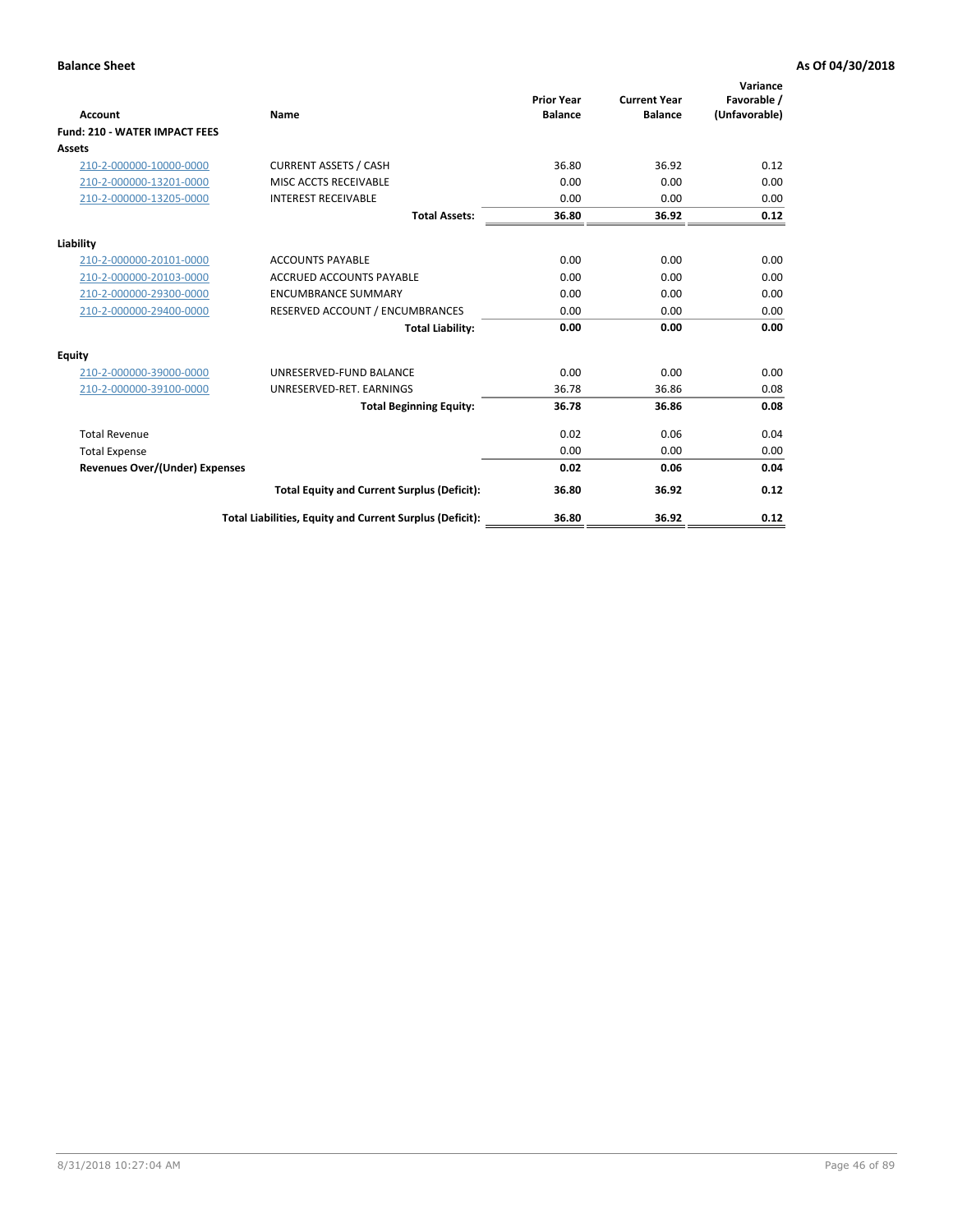| Account                               | Name                                                     | <b>Prior Year</b><br><b>Balance</b> | <b>Current Year</b><br><b>Balance</b> | Variance<br>Favorable /<br>(Unfavorable) |
|---------------------------------------|----------------------------------------------------------|-------------------------------------|---------------------------------------|------------------------------------------|
| <b>Fund: 210 - WATER IMPACT FEES</b>  |                                                          |                                     |                                       |                                          |
| <b>Assets</b>                         |                                                          |                                     |                                       |                                          |
| 210-2-000000-10000-0000               | <b>CURRENT ASSETS / CASH</b>                             | 36.80                               | 36.92                                 | 0.12                                     |
| 210-2-000000-13201-0000               | MISC ACCTS RECEIVABLE                                    | 0.00                                | 0.00                                  | 0.00                                     |
| 210-2-000000-13205-0000               | <b>INTEREST RECEIVABLE</b>                               | 0.00                                | 0.00                                  | 0.00                                     |
|                                       | <b>Total Assets:</b>                                     | 36.80                               | 36.92                                 | 0.12                                     |
| Liability                             |                                                          |                                     |                                       |                                          |
| 210-2-000000-20101-0000               | <b>ACCOUNTS PAYABLE</b>                                  | 0.00                                | 0.00                                  | 0.00                                     |
| 210-2-000000-20103-0000               | <b>ACCRUED ACCOUNTS PAYABLE</b>                          | 0.00                                | 0.00                                  | 0.00                                     |
| 210-2-000000-29300-0000               | <b>ENCUMBRANCE SUMMARY</b>                               | 0.00                                | 0.00                                  | 0.00                                     |
| 210-2-000000-29400-0000               | RESERVED ACCOUNT / ENCUMBRANCES                          | 0.00                                | 0.00                                  | 0.00                                     |
|                                       | <b>Total Liability:</b>                                  | 0.00                                | 0.00                                  | 0.00                                     |
| Equity                                |                                                          |                                     |                                       |                                          |
| 210-2-000000-39000-0000               | UNRESERVED-FUND BALANCE                                  | 0.00                                | 0.00                                  | 0.00                                     |
| 210-2-000000-39100-0000               | UNRESERVED-RET. EARNINGS                                 | 36.78                               | 36.86                                 | 0.08                                     |
|                                       | <b>Total Beginning Equity:</b>                           | 36.78                               | 36.86                                 | 0.08                                     |
| <b>Total Revenue</b>                  |                                                          | 0.02                                | 0.06                                  | 0.04                                     |
| <b>Total Expense</b>                  |                                                          | 0.00                                | 0.00                                  | 0.00                                     |
| <b>Revenues Over/(Under) Expenses</b> |                                                          | 0.02                                | 0.06                                  | 0.04                                     |
|                                       | <b>Total Equity and Current Surplus (Deficit):</b>       | 36.80                               | 36.92                                 | 0.12                                     |
|                                       | Total Liabilities, Equity and Current Surplus (Deficit): | 36.80                               | 36.92                                 | 0.12                                     |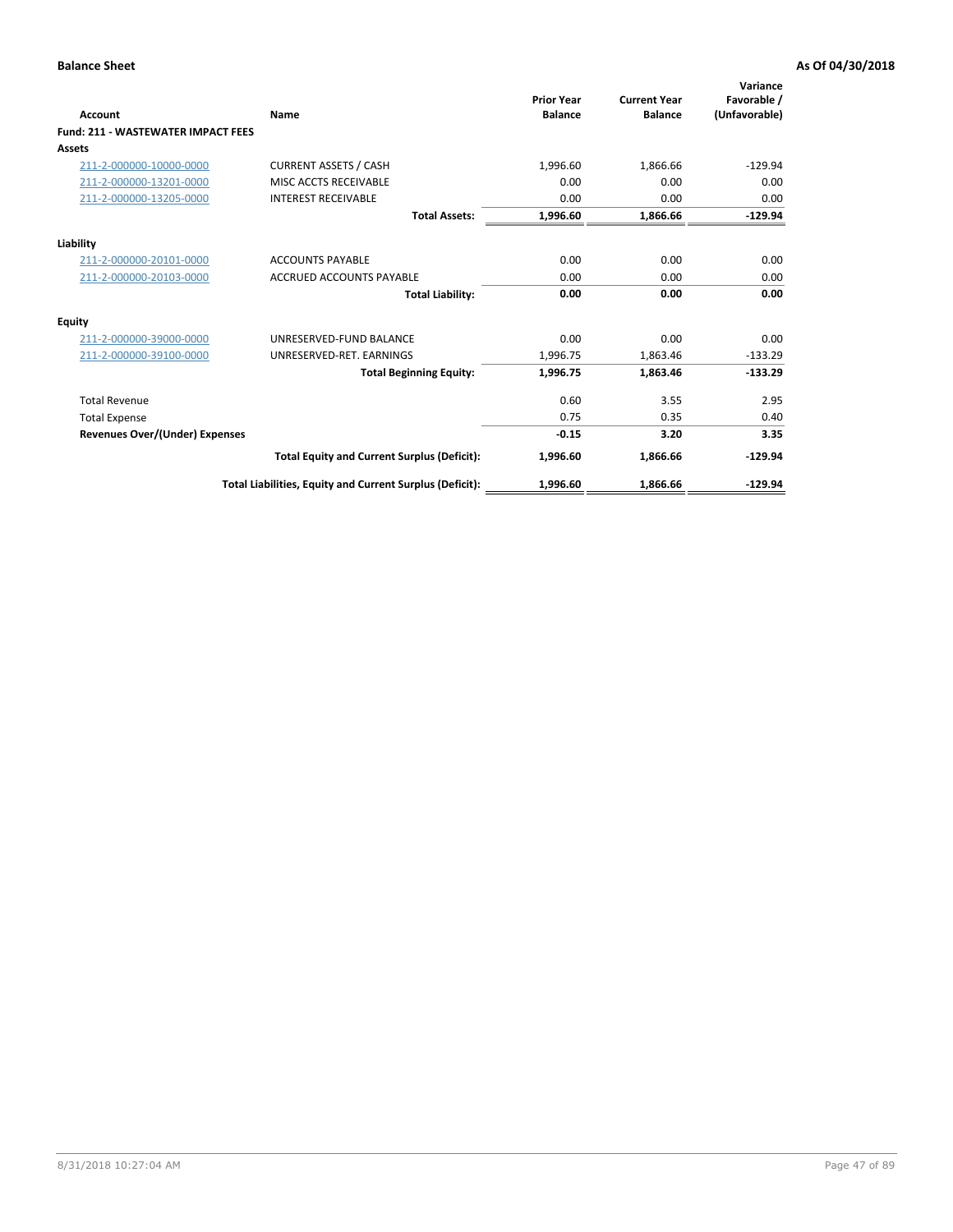| <b>Account</b>                            | Name                                                     | <b>Prior Year</b><br><b>Balance</b> | <b>Current Year</b><br><b>Balance</b> | Variance<br>Favorable /<br>(Unfavorable) |
|-------------------------------------------|----------------------------------------------------------|-------------------------------------|---------------------------------------|------------------------------------------|
| <b>Fund: 211 - WASTEWATER IMPACT FEES</b> |                                                          |                                     |                                       |                                          |
| <b>Assets</b>                             |                                                          |                                     |                                       |                                          |
| 211-2-000000-10000-0000                   | <b>CURRENT ASSETS / CASH</b>                             | 1,996.60                            | 1,866.66                              | $-129.94$                                |
| 211-2-000000-13201-0000                   | MISC ACCTS RECEIVABLE                                    | 0.00                                | 0.00                                  | 0.00                                     |
| 211-2-000000-13205-0000                   | <b>INTEREST RECEIVABLE</b>                               | 0.00                                | 0.00                                  | 0.00                                     |
|                                           | <b>Total Assets:</b>                                     | 1,996.60                            | 1,866.66                              | $-129.94$                                |
| Liability                                 |                                                          |                                     |                                       |                                          |
| 211-2-000000-20101-0000                   | <b>ACCOUNTS PAYABLE</b>                                  | 0.00                                | 0.00                                  | 0.00                                     |
| 211-2-000000-20103-0000                   | <b>ACCRUED ACCOUNTS PAYABLE</b>                          | 0.00                                | 0.00                                  | 0.00                                     |
|                                           | <b>Total Liability:</b>                                  | 0.00                                | 0.00                                  | 0.00                                     |
| Equity                                    |                                                          |                                     |                                       |                                          |
| 211-2-000000-39000-0000                   | UNRESERVED-FUND BALANCE                                  | 0.00                                | 0.00                                  | 0.00                                     |
| 211-2-000000-39100-0000                   | UNRESERVED-RET. EARNINGS                                 | 1,996.75                            | 1,863.46                              | $-133.29$                                |
|                                           | <b>Total Beginning Equity:</b>                           | 1,996.75                            | 1,863.46                              | $-133.29$                                |
| <b>Total Revenue</b>                      |                                                          | 0.60                                | 3.55                                  | 2.95                                     |
| <b>Total Expense</b>                      |                                                          | 0.75                                | 0.35                                  | 0.40                                     |
| <b>Revenues Over/(Under) Expenses</b>     |                                                          | $-0.15$                             | 3.20                                  | 3.35                                     |
|                                           | <b>Total Equity and Current Surplus (Deficit):</b>       | 1,996.60                            | 1,866.66                              | $-129.94$                                |
|                                           | Total Liabilities, Equity and Current Surplus (Deficit): | 1,996.60                            | 1,866.66                              | $-129.94$                                |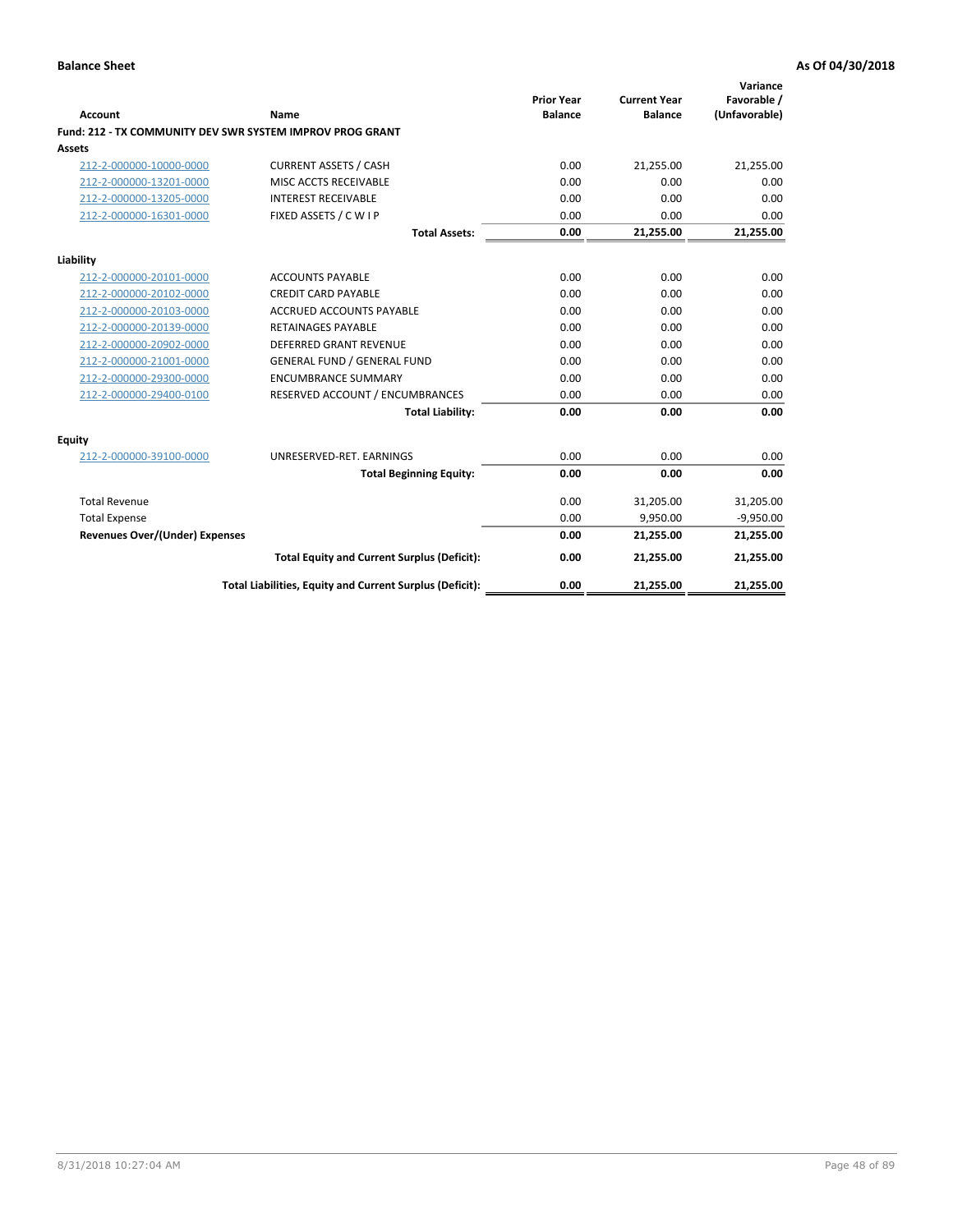| <b>Account</b>                        | <b>Name</b>                                                      | <b>Prior Year</b><br><b>Balance</b> | <b>Current Year</b><br><b>Balance</b> | Variance<br>Favorable /<br>(Unfavorable) |
|---------------------------------------|------------------------------------------------------------------|-------------------------------------|---------------------------------------|------------------------------------------|
|                                       | <b>Fund: 212 - TX COMMUNITY DEV SWR SYSTEM IMPROV PROG GRANT</b> |                                     |                                       |                                          |
| Assets                                |                                                                  |                                     |                                       |                                          |
| 212-2-000000-10000-0000               | <b>CURRENT ASSETS / CASH</b>                                     | 0.00                                | 21,255.00                             | 21,255.00                                |
| 212-2-000000-13201-0000               | MISC ACCTS RECEIVABLE                                            | 0.00                                | 0.00                                  | 0.00                                     |
| 212-2-000000-13205-0000               | <b>INTEREST RECEIVABLE</b>                                       | 0.00                                | 0.00                                  | 0.00                                     |
| 212-2-000000-16301-0000               | FIXED ASSETS / C W I P                                           | 0.00                                | 0.00                                  | 0.00                                     |
|                                       | <b>Total Assets:</b>                                             | 0.00                                | 21,255.00                             | 21,255.00                                |
| Liability                             |                                                                  |                                     |                                       |                                          |
| 212-2-000000-20101-0000               | <b>ACCOUNTS PAYABLE</b>                                          | 0.00                                | 0.00                                  | 0.00                                     |
| 212-2-000000-20102-0000               | <b>CREDIT CARD PAYABLE</b>                                       | 0.00                                | 0.00                                  | 0.00                                     |
| 212-2-000000-20103-0000               | <b>ACCRUED ACCOUNTS PAYABLE</b>                                  | 0.00                                | 0.00                                  | 0.00                                     |
| 212-2-000000-20139-0000               | <b>RETAINAGES PAYABLE</b>                                        | 0.00                                | 0.00                                  | 0.00                                     |
| 212-2-000000-20902-0000               | <b>DEFERRED GRANT REVENUE</b>                                    | 0.00                                | 0.00                                  | 0.00                                     |
| 212-2-000000-21001-0000               | <b>GENERAL FUND / GENERAL FUND</b>                               | 0.00                                | 0.00                                  | 0.00                                     |
| 212-2-000000-29300-0000               | <b>ENCUMBRANCE SUMMARY</b>                                       | 0.00                                | 0.00                                  | 0.00                                     |
| 212-2-000000-29400-0100               | RESERVED ACCOUNT / ENCUMBRANCES                                  | 0.00                                | 0.00                                  | 0.00                                     |
|                                       | <b>Total Liability:</b>                                          | 0.00                                | 0.00                                  | 0.00                                     |
| <b>Equity</b>                         |                                                                  |                                     |                                       |                                          |
| 212-2-000000-39100-0000               | UNRESERVED-RET. EARNINGS                                         | 0.00                                | 0.00                                  | 0.00                                     |
|                                       | <b>Total Beginning Equity:</b>                                   | 0.00                                | 0.00                                  | 0.00                                     |
| <b>Total Revenue</b>                  |                                                                  | 0.00                                | 31,205.00                             | 31,205.00                                |
| <b>Total Expense</b>                  |                                                                  | 0.00                                | 9,950.00                              | $-9,950.00$                              |
| <b>Revenues Over/(Under) Expenses</b> |                                                                  | 0.00                                | 21,255.00                             | 21,255.00                                |
|                                       | <b>Total Equity and Current Surplus (Deficit):</b>               | 0.00                                | 21,255.00                             | 21,255.00                                |
|                                       | Total Liabilities, Equity and Current Surplus (Deficit):         | 0.00                                | 21,255.00                             | 21,255.00                                |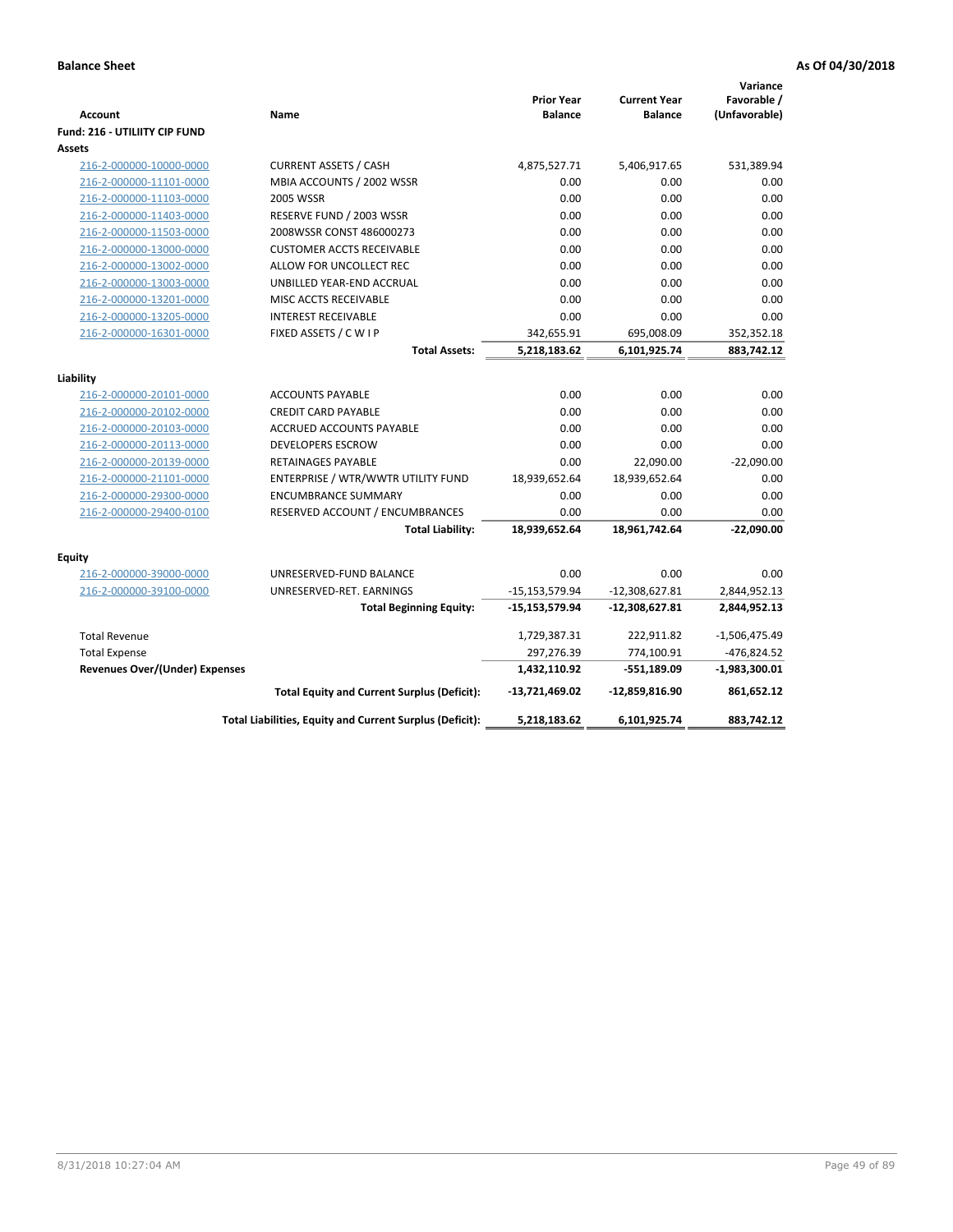| Account                               | Name                                                     | <b>Prior Year</b><br><b>Balance</b> | <b>Current Year</b><br><b>Balance</b> | Variance<br>Favorable /<br>(Unfavorable) |
|---------------------------------------|----------------------------------------------------------|-------------------------------------|---------------------------------------|------------------------------------------|
| Fund: 216 - UTILIITY CIP FUND         |                                                          |                                     |                                       |                                          |
| <b>Assets</b>                         |                                                          |                                     |                                       |                                          |
| 216-2-000000-10000-0000               | <b>CURRENT ASSETS / CASH</b>                             | 4,875,527.71                        | 5,406,917.65                          | 531,389.94                               |
| 216-2-000000-11101-0000               | MBIA ACCOUNTS / 2002 WSSR                                | 0.00                                | 0.00                                  | 0.00                                     |
| 216-2-000000-11103-0000               | <b>2005 WSSR</b>                                         | 0.00                                | 0.00                                  | 0.00                                     |
| 216-2-000000-11403-0000               | RESERVE FUND / 2003 WSSR                                 | 0.00                                | 0.00                                  | 0.00                                     |
| 216-2-000000-11503-0000               | 2008WSSR CONST 486000273                                 | 0.00                                | 0.00                                  | 0.00                                     |
| 216-2-000000-13000-0000               | <b>CUSTOMER ACCTS RECEIVABLE</b>                         | 0.00                                | 0.00                                  | 0.00                                     |
| 216-2-000000-13002-0000               | ALLOW FOR UNCOLLECT REC                                  | 0.00                                | 0.00                                  | 0.00                                     |
| 216-2-000000-13003-0000               | UNBILLED YEAR-END ACCRUAL                                | 0.00                                | 0.00                                  | 0.00                                     |
| 216-2-000000-13201-0000               | MISC ACCTS RECEIVABLE                                    | 0.00                                | 0.00                                  | 0.00                                     |
| 216-2-000000-13205-0000               | <b>INTEREST RECEIVABLE</b>                               | 0.00                                | 0.00                                  | 0.00                                     |
| 216-2-000000-16301-0000               | FIXED ASSETS / C W I P                                   | 342,655.91                          | 695,008.09                            | 352,352.18                               |
|                                       | <b>Total Assets:</b>                                     | 5,218,183.62                        | 6,101,925.74                          | 883,742.12                               |
| Liability                             |                                                          |                                     |                                       |                                          |
| 216-2-000000-20101-0000               | <b>ACCOUNTS PAYABLE</b>                                  | 0.00                                | 0.00                                  | 0.00                                     |
| 216-2-000000-20102-0000               | <b>CREDIT CARD PAYABLE</b>                               | 0.00                                | 0.00                                  | 0.00                                     |
| 216-2-000000-20103-0000               | <b>ACCRUED ACCOUNTS PAYABLE</b>                          | 0.00                                | 0.00                                  | 0.00                                     |
| 216-2-000000-20113-0000               | <b>DEVELOPERS ESCROW</b>                                 | 0.00                                | 0.00                                  | 0.00                                     |
| 216-2-000000-20139-0000               | <b>RETAINAGES PAYABLE</b>                                | 0.00                                | 22,090.00                             | $-22,090.00$                             |
| 216-2-000000-21101-0000               | ENTERPRISE / WTR/WWTR UTILITY FUND                       | 18,939,652.64                       | 18,939,652.64                         | 0.00                                     |
| 216-2-000000-29300-0000               | <b>ENCUMBRANCE SUMMARY</b>                               | 0.00                                | 0.00                                  | 0.00                                     |
| 216-2-000000-29400-0100               | RESERVED ACCOUNT / ENCUMBRANCES                          | 0.00                                | 0.00                                  | 0.00                                     |
|                                       | <b>Total Liability:</b>                                  | 18,939,652.64                       | 18,961,742.64                         | $-22,090.00$                             |
|                                       |                                                          |                                     |                                       |                                          |
| Equity                                |                                                          |                                     |                                       |                                          |
| 216-2-000000-39000-0000               | UNRESERVED-FUND BALANCE                                  | 0.00                                | 0.00                                  | 0.00                                     |
| 216-2-000000-39100-0000               | UNRESERVED-RET. EARNINGS                                 | $-15,153,579.94$                    | $-12,308,627.81$                      | 2,844,952.13                             |
|                                       | <b>Total Beginning Equity:</b>                           | $-15,153,579.94$                    | $-12,308,627.81$                      | 2,844,952.13                             |
| <b>Total Revenue</b>                  |                                                          | 1,729,387.31                        | 222,911.82                            | $-1,506,475.49$                          |
| <b>Total Expense</b>                  |                                                          | 297,276.39                          | 774,100.91                            | -476,824.52                              |
| <b>Revenues Over/(Under) Expenses</b> |                                                          | 1,432,110.92                        | -551,189.09                           | $-1,983,300.01$                          |
|                                       | <b>Total Equity and Current Surplus (Deficit):</b>       | -13,721,469.02                      | $-12,859,816.90$                      | 861,652.12                               |
|                                       | Total Liabilities, Equity and Current Surplus (Deficit): | 5,218,183.62                        | 6,101,925.74                          | 883,742.12                               |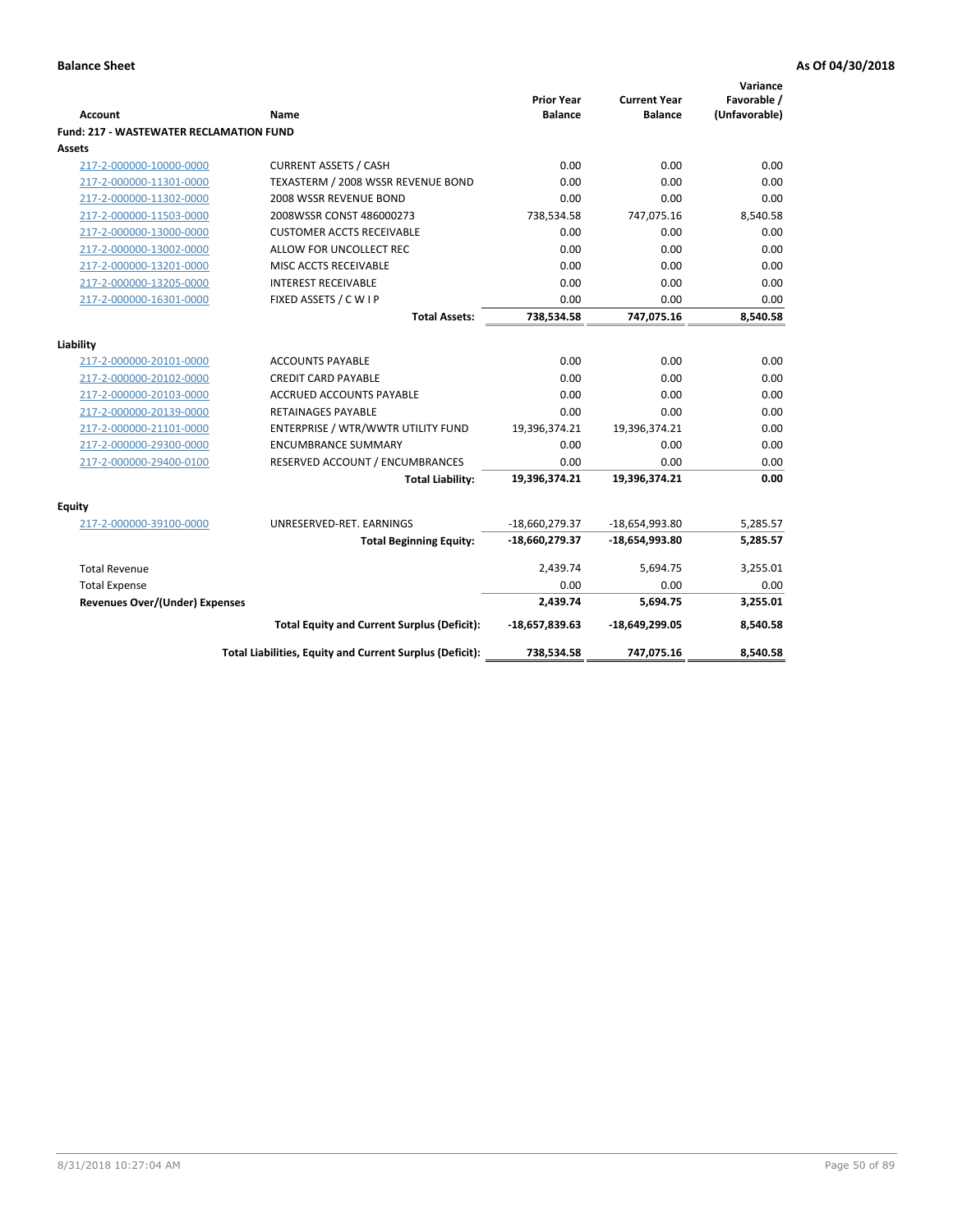| <b>Account</b>                                 | <b>Name</b>                                              | <b>Prior Year</b><br><b>Balance</b> | <b>Current Year</b><br><b>Balance</b> | Variance<br>Favorable /<br>(Unfavorable) |
|------------------------------------------------|----------------------------------------------------------|-------------------------------------|---------------------------------------|------------------------------------------|
| <b>Fund: 217 - WASTEWATER RECLAMATION FUND</b> |                                                          |                                     |                                       |                                          |
| Assets                                         |                                                          |                                     |                                       |                                          |
| 217-2-000000-10000-0000                        | <b>CURRENT ASSETS / CASH</b>                             | 0.00                                | 0.00                                  | 0.00                                     |
| 217-2-000000-11301-0000                        | TEXASTERM / 2008 WSSR REVENUE BOND                       | 0.00                                | 0.00                                  | 0.00                                     |
| 217-2-000000-11302-0000                        | 2008 WSSR REVENUE BOND                                   | 0.00                                | 0.00                                  | 0.00                                     |
| 217-2-000000-11503-0000                        | 2008WSSR CONST 486000273                                 | 738,534.58                          | 747,075.16                            | 8,540.58                                 |
| 217-2-000000-13000-0000                        | <b>CUSTOMER ACCTS RECEIVABLE</b>                         | 0.00                                | 0.00                                  | 0.00                                     |
| 217-2-000000-13002-0000                        | ALLOW FOR UNCOLLECT REC                                  | 0.00                                | 0.00                                  | 0.00                                     |
| 217-2-000000-13201-0000                        | MISC ACCTS RECEIVABLE                                    | 0.00                                | 0.00                                  | 0.00                                     |
| 217-2-000000-13205-0000                        | <b>INTEREST RECEIVABLE</b>                               | 0.00                                | 0.00                                  | 0.00                                     |
| 217-2-000000-16301-0000                        | FIXED ASSETS / C W I P                                   | 0.00                                | 0.00                                  | 0.00                                     |
|                                                | <b>Total Assets:</b>                                     | 738,534.58                          | 747,075.16                            | 8,540.58                                 |
|                                                |                                                          |                                     |                                       |                                          |
| Liability                                      |                                                          |                                     |                                       |                                          |
| 217-2-000000-20101-0000                        | <b>ACCOUNTS PAYABLE</b>                                  | 0.00                                | 0.00                                  | 0.00                                     |
| 217-2-000000-20102-0000                        | <b>CREDIT CARD PAYABLE</b>                               | 0.00                                | 0.00                                  | 0.00                                     |
| 217-2-000000-20103-0000                        | <b>ACCRUED ACCOUNTS PAYABLE</b>                          | 0.00                                | 0.00                                  | 0.00                                     |
| 217-2-000000-20139-0000                        | <b>RETAINAGES PAYABLE</b>                                | 0.00                                | 0.00                                  | 0.00                                     |
| 217-2-000000-21101-0000                        | ENTERPRISE / WTR/WWTR UTILITY FUND                       | 19,396,374.21                       | 19,396,374.21                         | 0.00                                     |
| 217-2-000000-29300-0000                        | <b>ENCUMBRANCE SUMMARY</b>                               | 0.00                                | 0.00                                  | 0.00                                     |
| 217-2-000000-29400-0100                        | RESERVED ACCOUNT / ENCUMBRANCES                          | 0.00                                | 0.00                                  | 0.00                                     |
|                                                | <b>Total Liability:</b>                                  | 19,396,374.21                       | 19,396,374.21                         | 0.00                                     |
| <b>Equity</b>                                  |                                                          |                                     |                                       |                                          |
| 217-2-000000-39100-0000                        | UNRESERVED-RET. EARNINGS                                 | -18,660,279.37                      | -18,654,993.80                        | 5,285.57                                 |
|                                                | <b>Total Beginning Equity:</b>                           | -18,660,279.37                      | $-18,654,993.80$                      | 5,285.57                                 |
| <b>Total Revenue</b>                           |                                                          | 2,439.74                            | 5,694.75                              | 3,255.01                                 |
| <b>Total Expense</b>                           |                                                          | 0.00                                | 0.00                                  | 0.00                                     |
| Revenues Over/(Under) Expenses                 |                                                          | 2,439.74                            | 5,694.75                              | 3,255.01                                 |
|                                                | <b>Total Equity and Current Surplus (Deficit):</b>       | $-18,657,839.63$                    | $-18,649,299.05$                      | 8,540.58                                 |
|                                                | Total Liabilities, Equity and Current Surplus (Deficit): | 738,534.58                          | 747,075.16                            | 8,540.58                                 |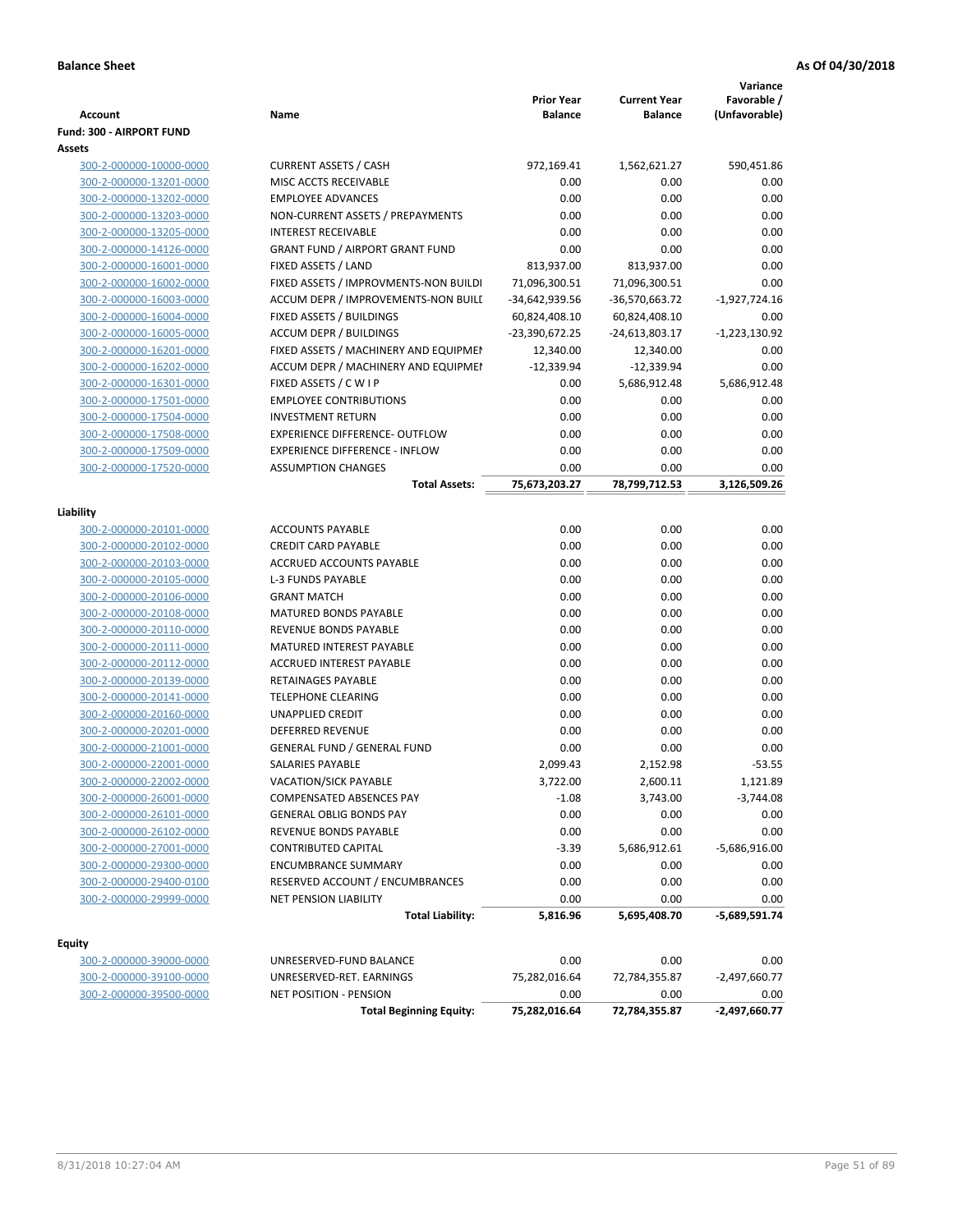| <b>Account</b>           | Name                                   | <b>Prior Year</b><br><b>Balance</b> | <b>Current Year</b><br><b>Balance</b> | Variance<br>Favorable /<br>(Unfavorable) |
|--------------------------|----------------------------------------|-------------------------------------|---------------------------------------|------------------------------------------|
| Fund: 300 - AIRPORT FUND |                                        |                                     |                                       |                                          |
| Assets                   |                                        |                                     |                                       |                                          |
| 300-2-000000-10000-0000  | <b>CURRENT ASSETS / CASH</b>           | 972,169.41                          | 1,562,621.27                          | 590,451.86                               |
| 300-2-000000-13201-0000  | MISC ACCTS RECEIVABLE                  | 0.00                                | 0.00                                  | 0.00                                     |
| 300-2-000000-13202-0000  | <b>EMPLOYEE ADVANCES</b>               | 0.00                                | 0.00                                  | 0.00                                     |
| 300-2-000000-13203-0000  | NON-CURRENT ASSETS / PREPAYMENTS       | 0.00                                | 0.00                                  | 0.00                                     |
| 300-2-000000-13205-0000  | <b>INTEREST RECEIVABLE</b>             | 0.00                                | 0.00                                  | 0.00                                     |
| 300-2-000000-14126-0000  | <b>GRANT FUND / AIRPORT GRANT FUND</b> | 0.00                                | 0.00                                  | 0.00                                     |
| 300-2-000000-16001-0000  | FIXED ASSETS / LAND                    | 813,937.00                          | 813,937.00                            | 0.00                                     |
| 300-2-000000-16002-0000  | FIXED ASSETS / IMPROVMENTS-NON BUILDI  | 71,096,300.51                       | 71,096,300.51                         | 0.00                                     |
| 300-2-000000-16003-0000  | ACCUM DEPR / IMPROVEMENTS-NON BUILI    | -34,642,939.56                      | -36,570,663.72                        | $-1,927,724.16$                          |
| 300-2-000000-16004-0000  | FIXED ASSETS / BUILDINGS               | 60,824,408.10                       | 60,824,408.10                         | 0.00                                     |
| 300-2-000000-16005-0000  | <b>ACCUM DEPR / BUILDINGS</b>          | -23,390,672.25                      | -24,613,803.17                        | $-1,223,130.92$                          |
| 300-2-000000-16201-0000  | FIXED ASSETS / MACHINERY AND EQUIPMEN  | 12,340.00                           | 12,340.00                             | 0.00                                     |
| 300-2-000000-16202-0000  | ACCUM DEPR / MACHINERY AND EQUIPMEI    | $-12,339.94$                        | $-12,339.94$                          | 0.00                                     |
| 300-2-000000-16301-0000  | FIXED ASSETS / C W I P                 | 0.00                                | 5,686,912.48                          | 5,686,912.48                             |
| 300-2-000000-17501-0000  | <b>EMPLOYEE CONTRIBUTIONS</b>          | 0.00                                | 0.00                                  | 0.00                                     |
| 300-2-000000-17504-0000  | <b>INVESTMENT RETURN</b>               | 0.00                                | 0.00                                  | 0.00                                     |
| 300-2-000000-17508-0000  | EXPERIENCE DIFFERENCE- OUTFLOW         | 0.00                                | 0.00                                  | 0.00                                     |
| 300-2-000000-17509-0000  | <b>EXPERIENCE DIFFERENCE - INFLOW</b>  | 0.00                                | 0.00                                  | 0.00                                     |
| 300-2-000000-17520-0000  | <b>ASSUMPTION CHANGES</b>              | 0.00                                | 0.00                                  | 0.00                                     |
|                          | <b>Total Assets:</b>                   | 75,673,203.27                       | 78,799,712.53                         | 3,126,509.26                             |
|                          |                                        |                                     |                                       |                                          |
| Liability                |                                        |                                     |                                       |                                          |
| 300-2-000000-20101-0000  | <b>ACCOUNTS PAYABLE</b>                | 0.00                                | 0.00                                  | 0.00                                     |
| 300-2-000000-20102-0000  | <b>CREDIT CARD PAYABLE</b>             | 0.00                                | 0.00                                  | 0.00                                     |
| 300-2-000000-20103-0000  | ACCRUED ACCOUNTS PAYABLE               | 0.00                                | 0.00                                  | 0.00                                     |
| 300-2-000000-20105-0000  | <b>L-3 FUNDS PAYABLE</b>               | 0.00                                | 0.00                                  | 0.00                                     |
| 300-2-000000-20106-0000  | <b>GRANT MATCH</b>                     | 0.00                                | 0.00                                  | 0.00                                     |
| 300-2-000000-20108-0000  | <b>MATURED BONDS PAYABLE</b>           | 0.00                                | 0.00                                  | 0.00                                     |
| 300-2-000000-20110-0000  | REVENUE BONDS PAYABLE                  | 0.00                                | 0.00                                  | 0.00                                     |
| 300-2-000000-20111-0000  | MATURED INTEREST PAYABLE               | 0.00                                | 0.00                                  | 0.00                                     |
| 300-2-000000-20112-0000  | <b>ACCRUED INTEREST PAYABLE</b>        | 0.00                                | 0.00                                  | 0.00                                     |
| 300-2-000000-20139-0000  | <b>RETAINAGES PAYABLE</b>              | 0.00                                | 0.00                                  | 0.00                                     |
| 300-2-000000-20141-0000  | <b>TELEPHONE CLEARING</b>              | 0.00                                | 0.00                                  | 0.00                                     |
| 300-2-000000-20160-0000  | <b>UNAPPLIED CREDIT</b>                | 0.00                                | 0.00                                  | 0.00                                     |
| 300-2-000000-20201-0000  | <b>DEFERRED REVENUE</b>                | 0.00                                | 0.00                                  | 0.00                                     |
| 300-2-000000-21001-0000  | <b>GENERAL FUND / GENERAL FUND</b>     | 0.00                                | 0.00                                  | 0.00                                     |
| 300-2-000000-22001-0000  | SALARIES PAYABLE                       | 2,099.43                            | 2,152.98                              | $-53.55$                                 |
| 300-2-000000-22002-0000  | VACATION/SICK PAYABLE                  | 3,722.00                            | 2,600.11                              | 1,121.89                                 |
| 300-2-000000-26001-0000  | <b>COMPENSATED ABSENCES PAY</b>        | $-1.08$                             | 3,743.00                              | $-3,744.08$                              |
| 300-2-000000-26101-0000  | <b>GENERAL OBLIG BONDS PAY</b>         | 0.00                                | 0.00                                  | 0.00                                     |
| 300-2-000000-26102-0000  | REVENUE BONDS PAYABLE                  | 0.00                                | 0.00                                  | 0.00                                     |
| 300-2-000000-27001-0000  | <b>CONTRIBUTED CAPITAL</b>             | $-3.39$                             | 5,686,912.61                          | $-5,686,916.00$                          |
| 300-2-000000-29300-0000  | <b>ENCUMBRANCE SUMMARY</b>             | 0.00                                | 0.00                                  | 0.00                                     |
| 300-2-000000-29400-0100  | RESERVED ACCOUNT / ENCUMBRANCES        | 0.00                                | 0.00                                  | 0.00                                     |
| 300-2-000000-29999-0000  | NET PENSION LIABILITY                  | 0.00                                | 0.00                                  | 0.00                                     |
|                          | <b>Total Liability:</b>                | 5,816.96                            | 5,695,408.70                          | $-5,689,591.74$                          |
|                          |                                        |                                     |                                       |                                          |
| <b>Equity</b>            |                                        |                                     |                                       |                                          |
| 300-2-000000-39000-0000  | UNRESERVED-FUND BALANCE                | 0.00                                | 0.00                                  | 0.00                                     |
| 300-2-000000-39100-0000  | UNRESERVED-RET. EARNINGS               | 75,282,016.64                       | 72,784,355.87                         | $-2,497,660.77$                          |
| 300-2-000000-39500-0000  | <b>NET POSITION - PENSION</b>          | 0.00                                | 0.00                                  | 0.00                                     |
|                          | <b>Total Beginning Equity:</b>         | 75,282,016.64                       | 72,784,355.87                         | $-2,497,660.77$                          |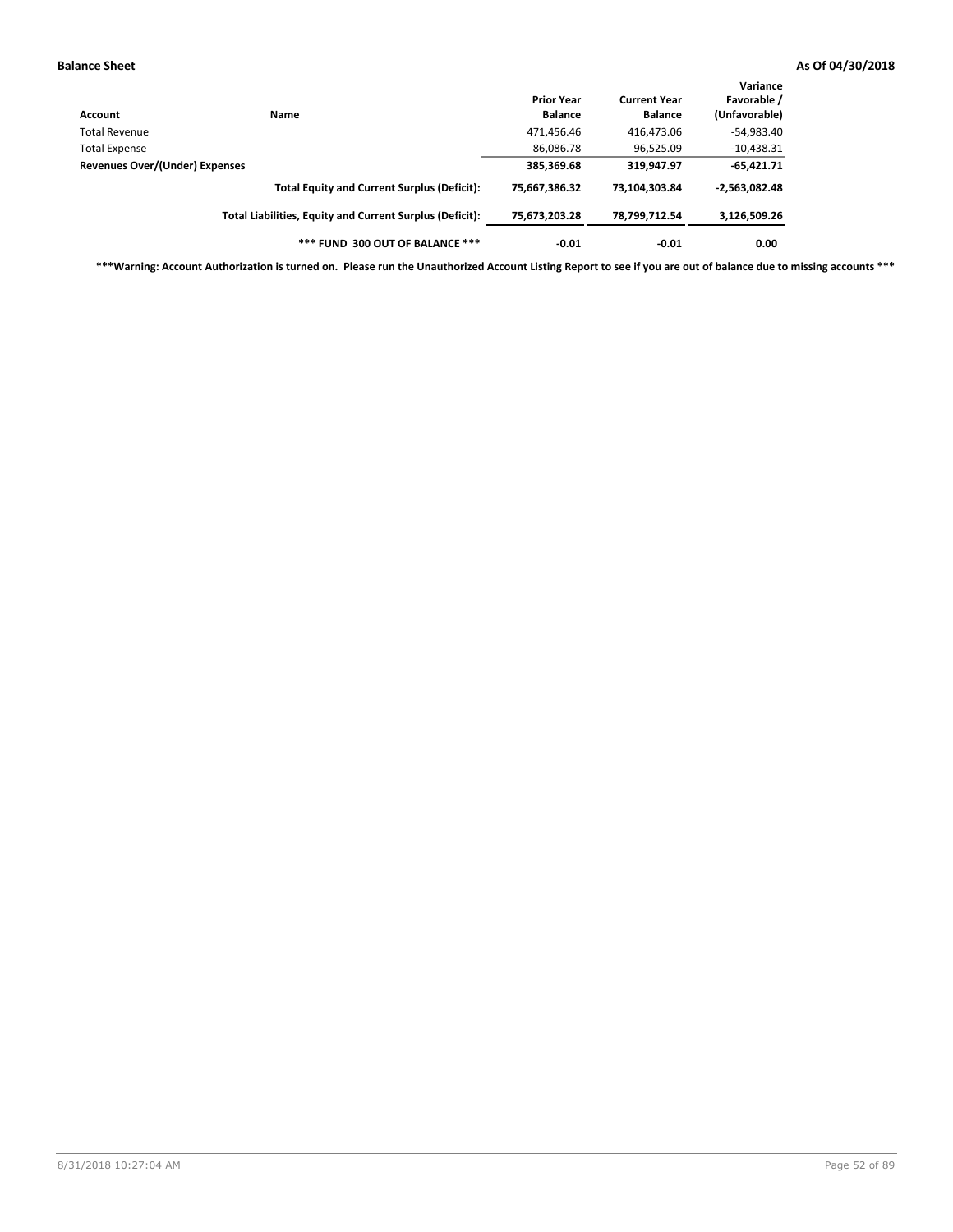| Account                        | Name                                                     | <b>Prior Year</b><br><b>Balance</b> | <b>Current Year</b><br><b>Balance</b> | Variance<br>Favorable /<br>(Unfavorable) |
|--------------------------------|----------------------------------------------------------|-------------------------------------|---------------------------------------|------------------------------------------|
| Total Revenue                  |                                                          | 471,456.46                          | 416,473.06                            | $-54,983.40$                             |
| <b>Total Expense</b>           |                                                          | 86,086.78                           | 96,525.09                             | $-10,438.31$                             |
| Revenues Over/(Under) Expenses |                                                          | 385,369.68                          | 319,947.97                            | $-65,421.71$                             |
|                                | <b>Total Equity and Current Surplus (Deficit):</b>       | 75.667.386.32                       | 73.104.303.84                         | $-2,563,082.48$                          |
|                                | Total Liabilities, Equity and Current Surplus (Deficit): | 75,673,203.28                       | 78,799,712.54                         | 3,126,509.26                             |
|                                | *** FUND 300 OUT OF BALANCE ***                          | $-0.01$                             | $-0.01$                               | 0.00                                     |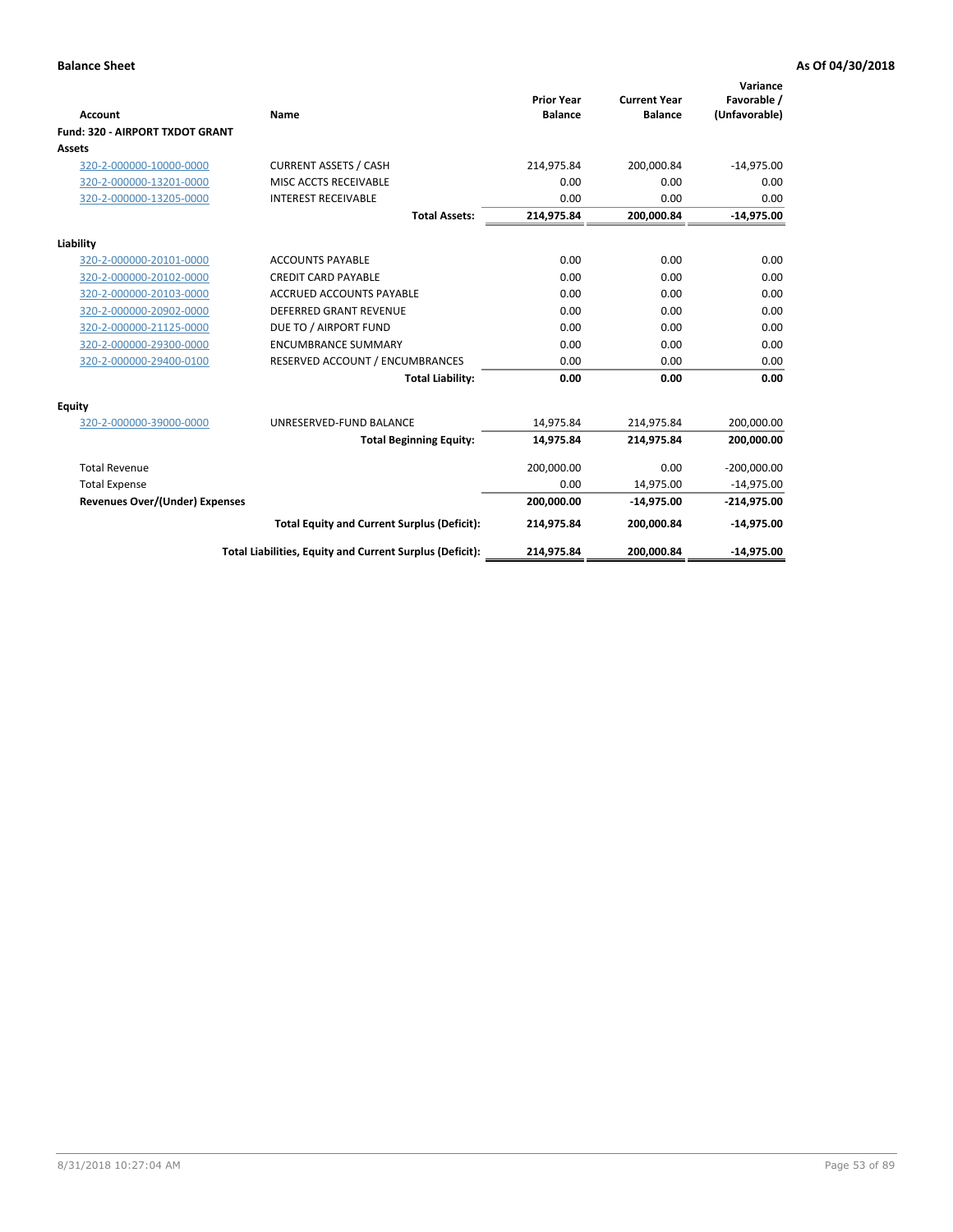|                                       |                                                          |                                     |                                       | Variance                     |
|---------------------------------------|----------------------------------------------------------|-------------------------------------|---------------------------------------|------------------------------|
| Account                               | Name                                                     | <b>Prior Year</b><br><b>Balance</b> | <b>Current Year</b><br><b>Balance</b> | Favorable /<br>(Unfavorable) |
| Fund: 320 - AIRPORT TXDOT GRANT       |                                                          |                                     |                                       |                              |
| Assets                                |                                                          |                                     |                                       |                              |
| 320-2-000000-10000-0000               | <b>CURRENT ASSETS / CASH</b>                             | 214,975.84                          | 200,000.84                            | $-14,975.00$                 |
| 320-2-000000-13201-0000               | MISC ACCTS RECEIVABLE                                    | 0.00                                | 0.00                                  | 0.00                         |
| 320-2-000000-13205-0000               | <b>INTEREST RECEIVABLE</b>                               | 0.00                                | 0.00                                  | 0.00                         |
|                                       | <b>Total Assets:</b>                                     | 214,975.84                          | 200,000.84                            | $-14,975.00$                 |
| Liability                             |                                                          |                                     |                                       |                              |
| 320-2-000000-20101-0000               | <b>ACCOUNTS PAYABLE</b>                                  | 0.00                                | 0.00                                  | 0.00                         |
| 320-2-000000-20102-0000               | <b>CREDIT CARD PAYABLE</b>                               | 0.00                                | 0.00                                  | 0.00                         |
| 320-2-000000-20103-0000               | <b>ACCRUED ACCOUNTS PAYABLE</b>                          | 0.00                                | 0.00                                  | 0.00                         |
| 320-2-000000-20902-0000               | <b>DEFERRED GRANT REVENUE</b>                            | 0.00                                | 0.00                                  | 0.00                         |
| 320-2-000000-21125-0000               | DUE TO / AIRPORT FUND                                    | 0.00                                | 0.00                                  | 0.00                         |
| 320-2-000000-29300-0000               | <b>ENCUMBRANCE SUMMARY</b>                               | 0.00                                | 0.00                                  | 0.00                         |
| 320-2-000000-29400-0100               | RESERVED ACCOUNT / ENCUMBRANCES                          | 0.00                                | 0.00                                  | 0.00                         |
|                                       | <b>Total Liability:</b>                                  | 0.00                                | 0.00                                  | 0.00                         |
| <b>Equity</b>                         |                                                          |                                     |                                       |                              |
| 320-2-000000-39000-0000               | UNRESERVED-FUND BALANCE                                  | 14,975.84                           | 214,975.84                            | 200,000.00                   |
|                                       | <b>Total Beginning Equity:</b>                           | 14,975.84                           | 214,975.84                            | 200,000.00                   |
| <b>Total Revenue</b>                  |                                                          | 200,000.00                          | 0.00                                  | $-200,000.00$                |
| <b>Total Expense</b>                  |                                                          | 0.00                                | 14,975.00                             | $-14,975.00$                 |
| <b>Revenues Over/(Under) Expenses</b> |                                                          | 200,000.00                          | $-14,975.00$                          | $-214,975.00$                |
|                                       | <b>Total Equity and Current Surplus (Deficit):</b>       | 214,975.84                          | 200,000.84                            | $-14,975.00$                 |
|                                       | Total Liabilities, Equity and Current Surplus (Deficit): | 214,975.84                          | 200,000.84                            | $-14,975.00$                 |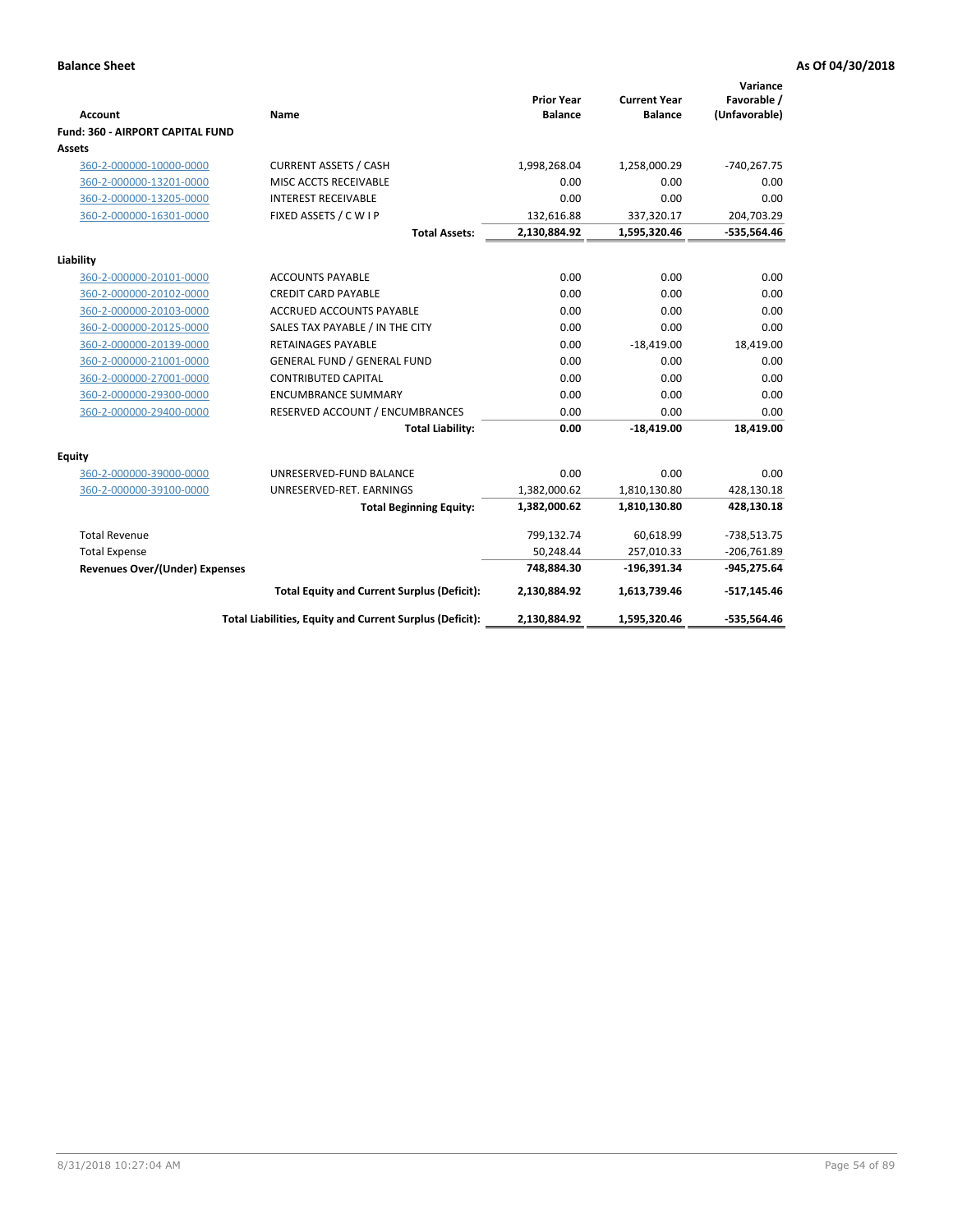| <b>Account</b>                          | Name                                                     | <b>Prior Year</b><br><b>Balance</b> | <b>Current Year</b><br><b>Balance</b> | Variance<br>Favorable /<br>(Unfavorable) |
|-----------------------------------------|----------------------------------------------------------|-------------------------------------|---------------------------------------|------------------------------------------|
| <b>Fund: 360 - AIRPORT CAPITAL FUND</b> |                                                          |                                     |                                       |                                          |
| Assets                                  |                                                          |                                     |                                       |                                          |
| 360-2-000000-10000-0000                 | <b>CURRENT ASSETS / CASH</b>                             | 1,998,268.04                        | 1,258,000.29                          | $-740,267.75$                            |
| 360-2-000000-13201-0000                 | MISC ACCTS RECEIVABLE                                    | 0.00                                | 0.00                                  | 0.00                                     |
| 360-2-000000-13205-0000                 | <b>INTEREST RECEIVABLE</b>                               | 0.00                                | 0.00                                  | 0.00                                     |
| 360-2-000000-16301-0000                 | FIXED ASSETS / C W I P                                   | 132,616.88                          | 337,320.17                            | 204,703.29                               |
|                                         | <b>Total Assets:</b>                                     | 2,130,884.92                        | 1,595,320.46                          | -535,564.46                              |
| Liability                               |                                                          |                                     |                                       |                                          |
| 360-2-000000-20101-0000                 | <b>ACCOUNTS PAYABLE</b>                                  | 0.00                                | 0.00                                  | 0.00                                     |
| 360-2-000000-20102-0000                 | <b>CREDIT CARD PAYABLE</b>                               | 0.00                                | 0.00                                  | 0.00                                     |
| 360-2-000000-20103-0000                 | ACCRUED ACCOUNTS PAYABLE                                 | 0.00                                | 0.00                                  | 0.00                                     |
| 360-2-000000-20125-0000                 | SALES TAX PAYABLE / IN THE CITY                          | 0.00                                | 0.00                                  | 0.00                                     |
| 360-2-000000-20139-0000                 | <b>RETAINAGES PAYABLE</b>                                | 0.00                                | $-18,419.00$                          | 18,419.00                                |
| 360-2-000000-21001-0000                 | <b>GENERAL FUND / GENERAL FUND</b>                       | 0.00                                | 0.00                                  | 0.00                                     |
| 360-2-000000-27001-0000                 | <b>CONTRIBUTED CAPITAL</b>                               | 0.00                                | 0.00                                  | 0.00                                     |
| 360-2-000000-29300-0000                 | <b>ENCUMBRANCE SUMMARY</b>                               | 0.00                                | 0.00                                  | 0.00                                     |
| 360-2-000000-29400-0000                 | RESERVED ACCOUNT / ENCUMBRANCES                          | 0.00                                | 0.00                                  | 0.00                                     |
|                                         | <b>Total Liability:</b>                                  | 0.00                                | $-18,419.00$                          | 18,419.00                                |
| Equity                                  |                                                          |                                     |                                       |                                          |
| 360-2-000000-39000-0000                 | UNRESERVED-FUND BALANCE                                  | 0.00                                | 0.00                                  | 0.00                                     |
| 360-2-000000-39100-0000                 | UNRESERVED-RET. EARNINGS                                 | 1,382,000.62                        | 1,810,130.80                          | 428,130.18                               |
|                                         | <b>Total Beginning Equity:</b>                           | 1,382,000.62                        | 1,810,130.80                          | 428,130.18                               |
|                                         |                                                          |                                     |                                       |                                          |
| <b>Total Revenue</b>                    |                                                          | 799,132.74                          | 60,618.99                             | $-738,513.75$                            |
| <b>Total Expense</b>                    |                                                          | 50,248.44                           | 257,010.33                            | $-206,761.89$                            |
| <b>Revenues Over/(Under) Expenses</b>   |                                                          | 748,884.30                          | $-196,391.34$                         | $-945,275.64$                            |
|                                         | <b>Total Equity and Current Surplus (Deficit):</b>       | 2,130,884.92                        | 1,613,739.46                          | $-517,145.46$                            |
|                                         | Total Liabilities, Equity and Current Surplus (Deficit): | 2,130,884.92                        | 1,595,320.46                          | $-535,564.46$                            |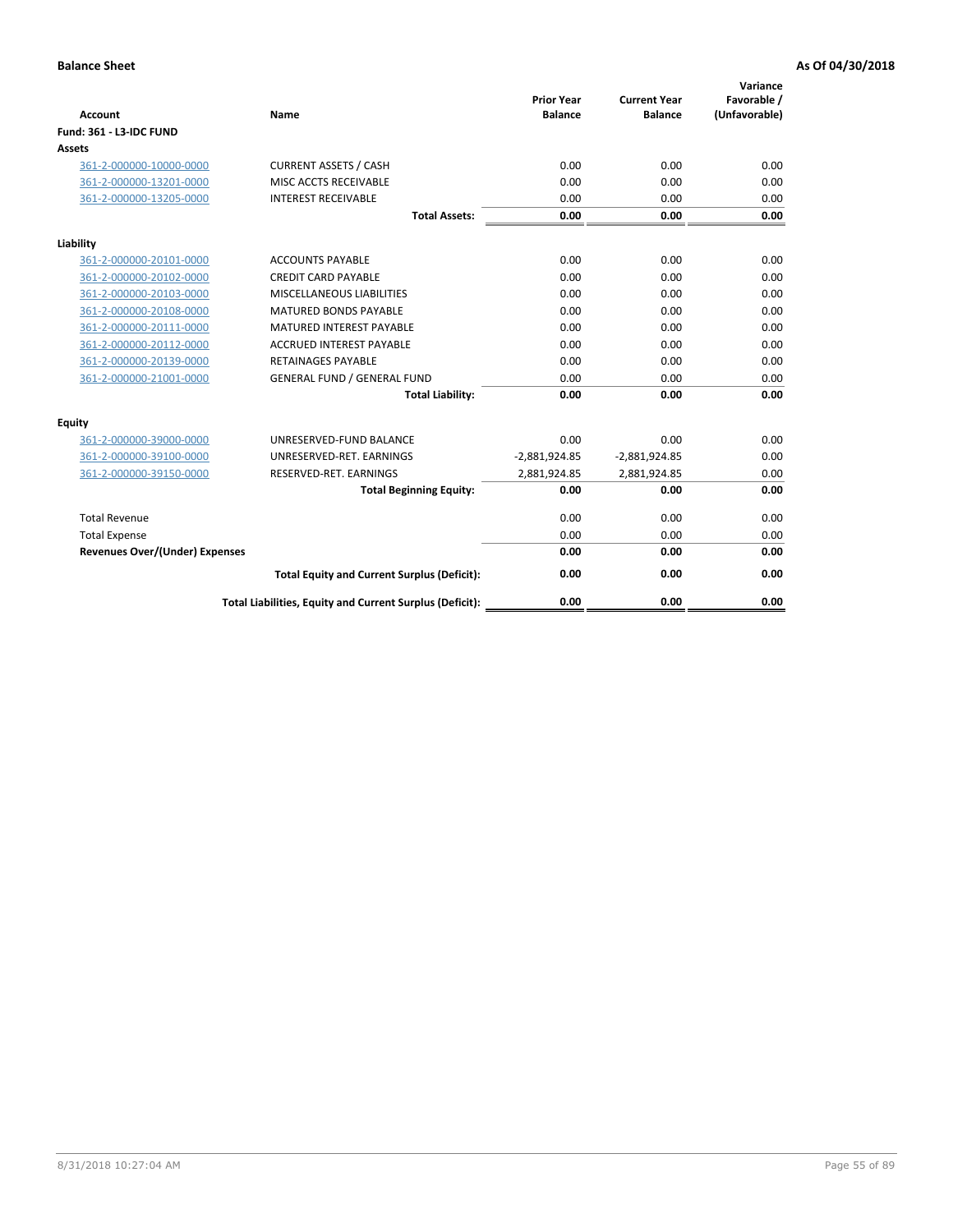| <b>Account</b>                        | <b>Name</b>                                              | <b>Prior Year</b><br><b>Balance</b> | <b>Current Year</b><br><b>Balance</b> | Variance<br>Favorable /<br>(Unfavorable) |
|---------------------------------------|----------------------------------------------------------|-------------------------------------|---------------------------------------|------------------------------------------|
| <b>Fund: 361 - L3-IDC FUND</b>        |                                                          |                                     |                                       |                                          |
| Assets                                |                                                          |                                     |                                       |                                          |
| 361-2-000000-10000-0000               | <b>CURRENT ASSETS / CASH</b>                             | 0.00                                | 0.00                                  | 0.00                                     |
| 361-2-000000-13201-0000               | MISC ACCTS RECEIVABLE                                    | 0.00                                | 0.00                                  | 0.00                                     |
| 361-2-000000-13205-0000               | <b>INTEREST RECEIVABLE</b>                               | 0.00                                | 0.00                                  | 0.00                                     |
|                                       | <b>Total Assets:</b>                                     | 0.00                                | 0.00                                  | 0.00                                     |
| Liability                             |                                                          |                                     |                                       |                                          |
| 361-2-000000-20101-0000               | <b>ACCOUNTS PAYABLE</b>                                  | 0.00                                | 0.00                                  | 0.00                                     |
| 361-2-000000-20102-0000               | <b>CREDIT CARD PAYABLE</b>                               | 0.00                                | 0.00                                  | 0.00                                     |
| 361-2-000000-20103-0000               | <b>MISCELLANEOUS LIABILITIES</b>                         | 0.00                                | 0.00                                  | 0.00                                     |
| 361-2-000000-20108-0000               | <b>MATURED BONDS PAYABLE</b>                             | 0.00                                | 0.00                                  | 0.00                                     |
| 361-2-000000-20111-0000               | <b>MATURED INTEREST PAYABLE</b>                          | 0.00                                | 0.00                                  | 0.00                                     |
| 361-2-000000-20112-0000               | <b>ACCRUED INTEREST PAYABLE</b>                          | 0.00                                | 0.00                                  | 0.00                                     |
| 361-2-000000-20139-0000               | <b>RETAINAGES PAYABLE</b>                                | 0.00                                | 0.00                                  | 0.00                                     |
| 361-2-000000-21001-0000               | <b>GENERAL FUND / GENERAL FUND</b>                       | 0.00                                | 0.00                                  | 0.00                                     |
|                                       | <b>Total Liability:</b>                                  | 0.00                                | 0.00                                  | 0.00                                     |
| Equity                                |                                                          |                                     |                                       |                                          |
| 361-2-000000-39000-0000               | UNRESERVED-FUND BALANCE                                  | 0.00                                | 0.00                                  | 0.00                                     |
| 361-2-000000-39100-0000               | UNRESERVED-RET. EARNINGS                                 | $-2,881,924.85$                     | $-2,881,924.85$                       | 0.00                                     |
| 361-2-000000-39150-0000               | RESERVED-RET. EARNINGS                                   | 2,881,924.85                        | 2,881,924.85                          | 0.00                                     |
|                                       | <b>Total Beginning Equity:</b>                           | 0.00                                | 0.00                                  | 0.00                                     |
| <b>Total Revenue</b>                  |                                                          | 0.00                                | 0.00                                  | 0.00                                     |
| <b>Total Expense</b>                  |                                                          | 0.00                                | 0.00                                  | 0.00                                     |
| <b>Revenues Over/(Under) Expenses</b> |                                                          | 0.00                                | 0.00                                  | 0.00                                     |
|                                       | <b>Total Equity and Current Surplus (Deficit):</b>       | 0.00                                | 0.00                                  | 0.00                                     |
|                                       | Total Liabilities, Equity and Current Surplus (Deficit): | 0.00                                | 0.00                                  | 0.00                                     |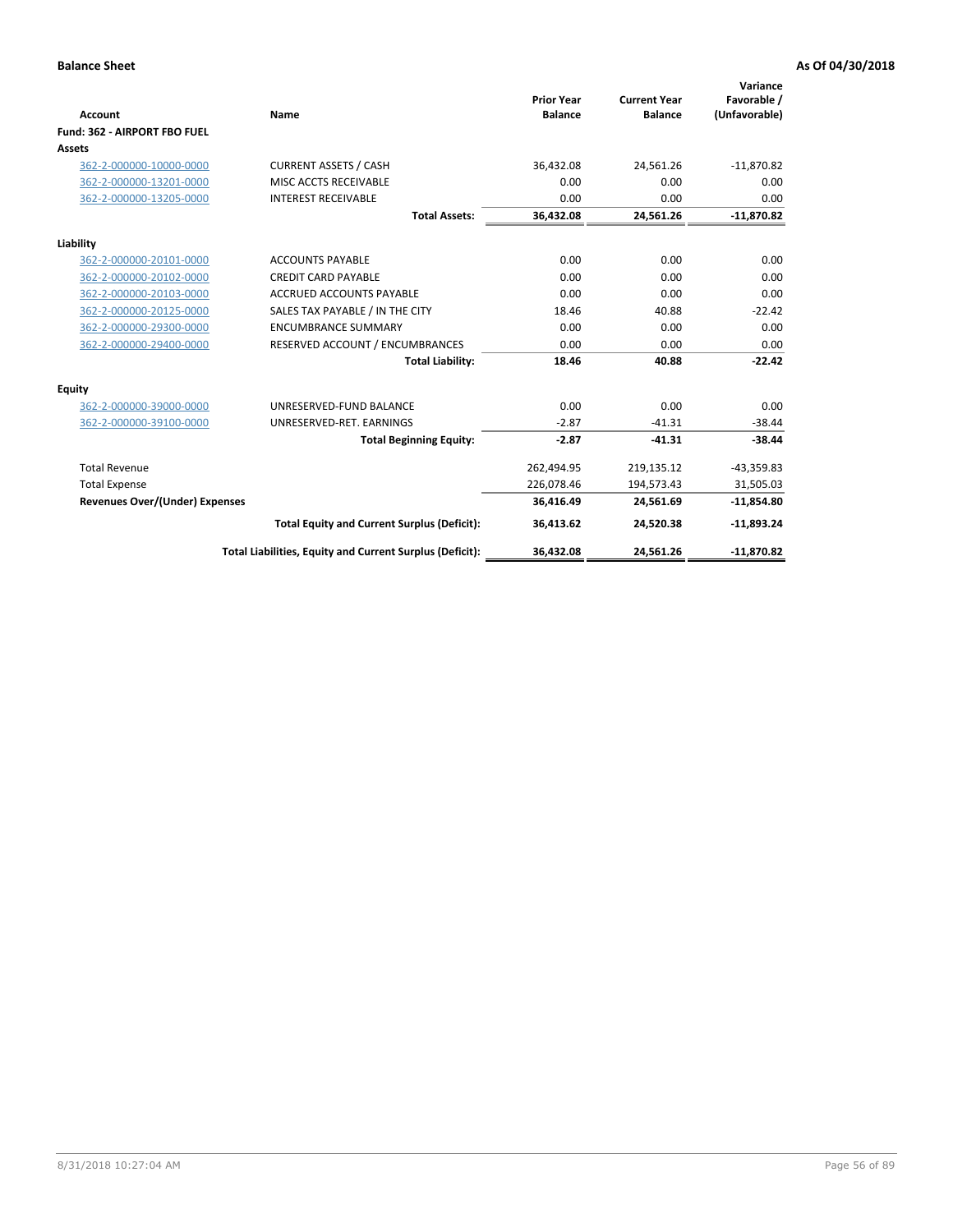|                                       |                                                          |                                     |                                       | Variance                     |
|---------------------------------------|----------------------------------------------------------|-------------------------------------|---------------------------------------|------------------------------|
| Account                               | Name                                                     | <b>Prior Year</b><br><b>Balance</b> | <b>Current Year</b><br><b>Balance</b> | Favorable /<br>(Unfavorable) |
| Fund: 362 - AIRPORT FBO FUEL          |                                                          |                                     |                                       |                              |
| Assets                                |                                                          |                                     |                                       |                              |
| 362-2-000000-10000-0000               | <b>CURRENT ASSETS / CASH</b>                             | 36,432.08                           | 24,561.26                             | $-11,870.82$                 |
| 362-2-000000-13201-0000               | MISC ACCTS RECEIVABLE                                    | 0.00                                | 0.00                                  | 0.00                         |
| 362-2-000000-13205-0000               | <b>INTEREST RECEIVABLE</b>                               | 0.00                                | 0.00                                  | 0.00                         |
|                                       | <b>Total Assets:</b>                                     | 36,432.08                           | 24,561.26                             | $-11,870.82$                 |
| Liability                             |                                                          |                                     |                                       |                              |
| 362-2-000000-20101-0000               | <b>ACCOUNTS PAYABLE</b>                                  | 0.00                                | 0.00                                  | 0.00                         |
| 362-2-000000-20102-0000               | <b>CREDIT CARD PAYABLE</b>                               | 0.00                                | 0.00                                  | 0.00                         |
| 362-2-000000-20103-0000               | <b>ACCRUED ACCOUNTS PAYABLE</b>                          | 0.00                                | 0.00                                  | 0.00                         |
| 362-2-000000-20125-0000               | SALES TAX PAYABLE / IN THE CITY                          | 18.46                               | 40.88                                 | $-22.42$                     |
| 362-2-000000-29300-0000               | <b>ENCUMBRANCE SUMMARY</b>                               | 0.00                                | 0.00                                  | 0.00                         |
| 362-2-000000-29400-0000               | RESERVED ACCOUNT / ENCUMBRANCES                          | 0.00                                | 0.00                                  | 0.00                         |
|                                       | <b>Total Liability:</b>                                  | 18.46                               | 40.88                                 | $-22.42$                     |
| Equity                                |                                                          |                                     |                                       |                              |
| 362-2-000000-39000-0000               | UNRESERVED-FUND BALANCE                                  | 0.00                                | 0.00                                  | 0.00                         |
| 362-2-000000-39100-0000               | UNRESERVED-RET. EARNINGS                                 | $-2.87$                             | $-41.31$                              | $-38.44$                     |
|                                       | <b>Total Beginning Equity:</b>                           | $-2.87$                             | $-41.31$                              | $-38.44$                     |
| <b>Total Revenue</b>                  |                                                          | 262,494.95                          | 219,135.12                            | $-43,359.83$                 |
| <b>Total Expense</b>                  |                                                          | 226,078.46                          | 194,573.43                            | 31,505.03                    |
| <b>Revenues Over/(Under) Expenses</b> |                                                          | 36,416.49                           | 24,561.69                             | $-11,854.80$                 |
|                                       | <b>Total Equity and Current Surplus (Deficit):</b>       | 36,413.62                           | 24,520.38                             | $-11,893.24$                 |
|                                       | Total Liabilities, Equity and Current Surplus (Deficit): | 36,432.08                           | 24,561.26                             | $-11,870.82$                 |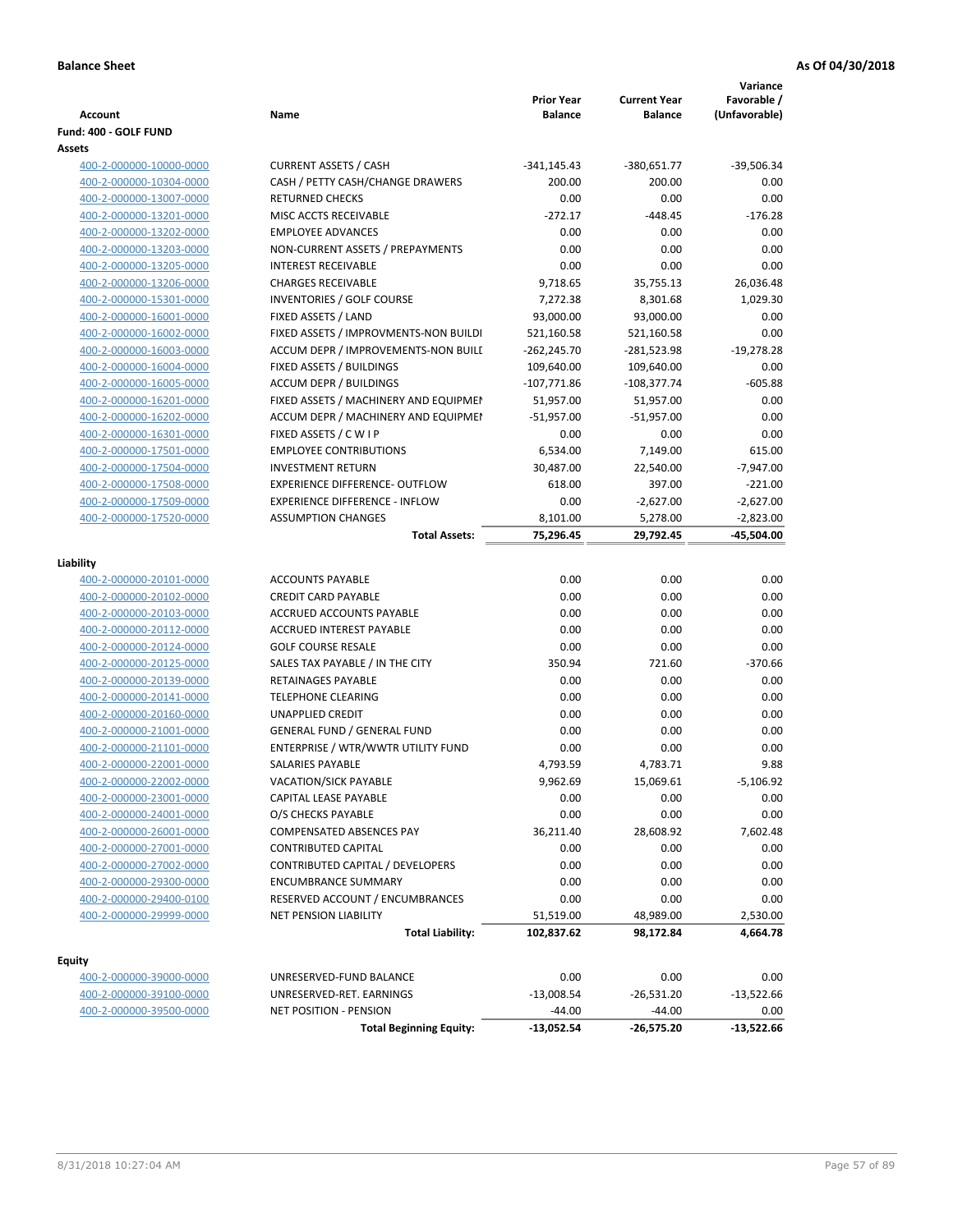| Assets<br><b>CURRENT ASSETS / CASH</b><br>$-341,145.43$<br>$-39,506.34$<br>400-2-000000-10000-0000<br>$-380,651.77$<br>400-2-000000-10304-0000<br>CASH / PETTY CASH/CHANGE DRAWERS<br>200.00<br>200.00<br>0.00<br>400-2-000000-13007-0000<br><b>RETURNED CHECKS</b><br>0.00<br>0.00<br>0.00<br>$-176.28$<br>400-2-000000-13201-0000<br>MISC ACCTS RECEIVABLE<br>$-272.17$<br>$-448.45$<br><b>EMPLOYEE ADVANCES</b><br>0.00<br>0.00<br>0.00<br>400-2-000000-13202-0000<br>NON-CURRENT ASSETS / PREPAYMENTS<br>0.00<br>0.00<br>0.00<br>400-2-000000-13203-0000<br>400-2-000000-13205-0000<br><b>INTEREST RECEIVABLE</b><br>0.00<br>0.00<br>0.00<br>400-2-000000-13206-0000<br><b>CHARGES RECEIVABLE</b><br>9,718.65<br>35,755.13<br>26,036.48<br><b>INVENTORIES / GOLF COURSE</b><br>400-2-000000-15301-0000<br>7,272.38<br>8,301.68<br>1,029.30<br>FIXED ASSETS / LAND<br>93,000.00<br>400-2-000000-16001-0000<br>93,000.00<br>0.00<br>FIXED ASSETS / IMPROVMENTS-NON BUILDI<br>0.00<br>400-2-000000-16002-0000<br>521,160.58<br>521,160.58<br>400-2-000000-16003-0000<br>ACCUM DEPR / IMPROVEMENTS-NON BUILI<br>$-262,245.70$<br>$-19,278.28$<br>-281,523.98<br>400-2-000000-16004-0000<br>FIXED ASSETS / BUILDINGS<br>109,640.00<br>0.00<br>109,640.00<br><b>ACCUM DEPR / BUILDINGS</b><br>$-107,771.86$<br>$-605.88$<br>400-2-000000-16005-0000<br>-108,377.74<br>FIXED ASSETS / MACHINERY AND EQUIPMEN<br>0.00<br>400-2-000000-16201-0000<br>51,957.00<br>51,957.00<br>ACCUM DEPR / MACHINERY AND EQUIPMEI<br>$-51,957.00$<br>0.00<br>400-2-000000-16202-0000<br>$-51,957.00$<br>400-2-000000-16301-0000<br>FIXED ASSETS / C W I P<br>0.00<br>0.00<br>0.00<br>400-2-000000-17501-0000<br><b>EMPLOYEE CONTRIBUTIONS</b><br>7,149.00<br>615.00<br>6,534.00<br>400-2-000000-17504-0000<br><b>INVESTMENT RETURN</b><br>30,487.00<br>22,540.00<br>$-7,947.00$<br><b>EXPERIENCE DIFFERENCE- OUTFLOW</b><br>397.00<br>$-221.00$<br>400-2-000000-17508-0000<br>618.00<br>400-2-000000-17509-0000<br><b>EXPERIENCE DIFFERENCE - INFLOW</b><br>0.00<br>$-2,627.00$<br>$-2,627.00$<br>400-2-000000-17520-0000<br><b>ASSUMPTION CHANGES</b><br>8,101.00<br>5,278.00<br>$-2,823.00$<br>$-45,504.00$<br>75,296.45<br>29,792.45<br><b>Total Assets:</b><br>Liability<br><b>ACCOUNTS PAYABLE</b><br>0.00<br>0.00<br>0.00<br>400-2-000000-20101-0000<br><b>CREDIT CARD PAYABLE</b><br>0.00<br>0.00<br>0.00<br>400-2-000000-20102-0000<br>400-2-000000-20103-0000<br>ACCRUED ACCOUNTS PAYABLE<br>0.00<br>0.00<br>0.00<br>400-2-000000-20112-0000<br><b>ACCRUED INTEREST PAYABLE</b><br>0.00<br>0.00<br>0.00<br>0.00<br>400-2-000000-20124-0000<br><b>GOLF COURSE RESALE</b><br>0.00<br>0.00<br>SALES TAX PAYABLE / IN THE CITY<br>350.94<br>721.60<br>$-370.66$<br>400-2-000000-20125-0000<br>RETAINAGES PAYABLE<br>0.00<br>0.00<br>0.00<br>400-2-000000-20139-0000<br>400-2-000000-20141-0000<br><b>TELEPHONE CLEARING</b><br>0.00<br>0.00<br>0.00<br>400-2-000000-20160-0000<br><b>UNAPPLIED CREDIT</b><br>0.00<br>0.00<br>0.00<br>400-2-000000-21001-0000<br><b>GENERAL FUND / GENERAL FUND</b><br>0.00<br>0.00<br>0.00<br>0.00<br>400-2-000000-21101-0000<br>ENTERPRISE / WTR/WWTR UTILITY FUND<br>0.00<br>0.00<br>9.88<br>4,793.59<br>4,783.71<br>400-2-000000-22001-0000<br>SALARIES PAYABLE<br>400-2-000000-22002-0000<br>VACATION/SICK PAYABLE<br>9,962.69<br>15,069.61<br>$-5,106.92$<br>400-2-000000-23001-0000<br>CAPITAL LEASE PAYABLE<br>0.00<br>0.00<br>0.00<br>400-2-000000-24001-0000<br>O/S CHECKS PAYABLE<br>0.00<br>0.00<br>0.00<br>400-2-000000-26001-0000<br>COMPENSATED ABSENCES PAY<br>36,211.40<br>28,608.92<br>7,602.48<br><b>CONTRIBUTED CAPITAL</b><br>0.00<br>0.00<br>0.00<br>400-2-000000-27001-0000<br>400-2-000000-27002-0000<br><b>CONTRIBUTED CAPITAL / DEVELOPERS</b><br>0.00<br>0.00<br>0.00<br>400-2-000000-29300-0000<br><b>ENCUMBRANCE SUMMARY</b><br>0.00<br>0.00<br>0.00<br>0.00<br>RESERVED ACCOUNT / ENCUMBRANCES<br>0.00<br>0.00<br>400-2-000000-29400-0100<br>400-2-000000-29999-0000<br>NET PENSION LIABILITY<br>51,519.00<br>48,989.00<br>2,530.00<br>102,837.62<br>4,664.78<br><b>Total Liability:</b><br>98,172.84<br><b>Equity</b><br>UNRESERVED-FUND BALANCE<br>0.00<br>0.00<br>0.00<br>400-2-000000-39000-0000<br>400-2-000000-39100-0000<br>UNRESERVED-RET. EARNINGS<br>$-13,008.54$<br>$-26,531.20$<br>$-13,522.66$<br>$-44.00$<br>$-44.00$<br>400-2-000000-39500-0000<br>NET POSITION - PENSION<br>0.00 | <b>Account</b><br>Fund: 400 - GOLF FUND | Name                           | <b>Prior Year</b><br><b>Balance</b> | <b>Current Year</b><br><b>Balance</b> | Variance<br>Favorable /<br>(Unfavorable) |
|------------------------------------------------------------------------------------------------------------------------------------------------------------------------------------------------------------------------------------------------------------------------------------------------------------------------------------------------------------------------------------------------------------------------------------------------------------------------------------------------------------------------------------------------------------------------------------------------------------------------------------------------------------------------------------------------------------------------------------------------------------------------------------------------------------------------------------------------------------------------------------------------------------------------------------------------------------------------------------------------------------------------------------------------------------------------------------------------------------------------------------------------------------------------------------------------------------------------------------------------------------------------------------------------------------------------------------------------------------------------------------------------------------------------------------------------------------------------------------------------------------------------------------------------------------------------------------------------------------------------------------------------------------------------------------------------------------------------------------------------------------------------------------------------------------------------------------------------------------------------------------------------------------------------------------------------------------------------------------------------------------------------------------------------------------------------------------------------------------------------------------------------------------------------------------------------------------------------------------------------------------------------------------------------------------------------------------------------------------------------------------------------------------------------------------------------------------------------------------------------------------------------------------------------------------------------------------------------------------------------------------------------------------------------------------------------------------------------------------------------------------------------------------------------------------------------------------------------------------------------------------------------------------------------------------------------------------------------------------------------------------------------------------------------------------------------------------------------------------------------------------------------------------------------------------------------------------------------------------------------------------------------------------------------------------------------------------------------------------------------------------------------------------------------------------------------------------------------------------------------------------------------------------------------------------------------------------------------------------------------------------------------------------------------------------------------------------------------------------------------------------------------------------------------------------------------------------------------------------------------------------------------------------------------------------------------------------------------------------------------------------------------------------------------------------------------------------------------------------------------------------------------------------------------------------------------------------------------------------------------------------------------------------------------------------------------------------------------------------------------------------------------------------------------------------------------|-----------------------------------------|--------------------------------|-------------------------------------|---------------------------------------|------------------------------------------|
|                                                                                                                                                                                                                                                                                                                                                                                                                                                                                                                                                                                                                                                                                                                                                                                                                                                                                                                                                                                                                                                                                                                                                                                                                                                                                                                                                                                                                                                                                                                                                                                                                                                                                                                                                                                                                                                                                                                                                                                                                                                                                                                                                                                                                                                                                                                                                                                                                                                                                                                                                                                                                                                                                                                                                                                                                                                                                                                                                                                                                                                                                                                                                                                                                                                                                                                                                                                                                                                                                                                                                                                                                                                                                                                                                                                                                                                                                                                                                                                                                                                                                                                                                                                                                                                                                                                                                                                                                                                |                                         |                                |                                     |                                       |                                          |
|                                                                                                                                                                                                                                                                                                                                                                                                                                                                                                                                                                                                                                                                                                                                                                                                                                                                                                                                                                                                                                                                                                                                                                                                                                                                                                                                                                                                                                                                                                                                                                                                                                                                                                                                                                                                                                                                                                                                                                                                                                                                                                                                                                                                                                                                                                                                                                                                                                                                                                                                                                                                                                                                                                                                                                                                                                                                                                                                                                                                                                                                                                                                                                                                                                                                                                                                                                                                                                                                                                                                                                                                                                                                                                                                                                                                                                                                                                                                                                                                                                                                                                                                                                                                                                                                                                                                                                                                                                                |                                         |                                |                                     |                                       |                                          |
|                                                                                                                                                                                                                                                                                                                                                                                                                                                                                                                                                                                                                                                                                                                                                                                                                                                                                                                                                                                                                                                                                                                                                                                                                                                                                                                                                                                                                                                                                                                                                                                                                                                                                                                                                                                                                                                                                                                                                                                                                                                                                                                                                                                                                                                                                                                                                                                                                                                                                                                                                                                                                                                                                                                                                                                                                                                                                                                                                                                                                                                                                                                                                                                                                                                                                                                                                                                                                                                                                                                                                                                                                                                                                                                                                                                                                                                                                                                                                                                                                                                                                                                                                                                                                                                                                                                                                                                                                                                |                                         |                                |                                     |                                       |                                          |
|                                                                                                                                                                                                                                                                                                                                                                                                                                                                                                                                                                                                                                                                                                                                                                                                                                                                                                                                                                                                                                                                                                                                                                                                                                                                                                                                                                                                                                                                                                                                                                                                                                                                                                                                                                                                                                                                                                                                                                                                                                                                                                                                                                                                                                                                                                                                                                                                                                                                                                                                                                                                                                                                                                                                                                                                                                                                                                                                                                                                                                                                                                                                                                                                                                                                                                                                                                                                                                                                                                                                                                                                                                                                                                                                                                                                                                                                                                                                                                                                                                                                                                                                                                                                                                                                                                                                                                                                                                                |                                         |                                |                                     |                                       |                                          |
|                                                                                                                                                                                                                                                                                                                                                                                                                                                                                                                                                                                                                                                                                                                                                                                                                                                                                                                                                                                                                                                                                                                                                                                                                                                                                                                                                                                                                                                                                                                                                                                                                                                                                                                                                                                                                                                                                                                                                                                                                                                                                                                                                                                                                                                                                                                                                                                                                                                                                                                                                                                                                                                                                                                                                                                                                                                                                                                                                                                                                                                                                                                                                                                                                                                                                                                                                                                                                                                                                                                                                                                                                                                                                                                                                                                                                                                                                                                                                                                                                                                                                                                                                                                                                                                                                                                                                                                                                                                |                                         |                                |                                     |                                       |                                          |
|                                                                                                                                                                                                                                                                                                                                                                                                                                                                                                                                                                                                                                                                                                                                                                                                                                                                                                                                                                                                                                                                                                                                                                                                                                                                                                                                                                                                                                                                                                                                                                                                                                                                                                                                                                                                                                                                                                                                                                                                                                                                                                                                                                                                                                                                                                                                                                                                                                                                                                                                                                                                                                                                                                                                                                                                                                                                                                                                                                                                                                                                                                                                                                                                                                                                                                                                                                                                                                                                                                                                                                                                                                                                                                                                                                                                                                                                                                                                                                                                                                                                                                                                                                                                                                                                                                                                                                                                                                                |                                         |                                |                                     |                                       |                                          |
|                                                                                                                                                                                                                                                                                                                                                                                                                                                                                                                                                                                                                                                                                                                                                                                                                                                                                                                                                                                                                                                                                                                                                                                                                                                                                                                                                                                                                                                                                                                                                                                                                                                                                                                                                                                                                                                                                                                                                                                                                                                                                                                                                                                                                                                                                                                                                                                                                                                                                                                                                                                                                                                                                                                                                                                                                                                                                                                                                                                                                                                                                                                                                                                                                                                                                                                                                                                                                                                                                                                                                                                                                                                                                                                                                                                                                                                                                                                                                                                                                                                                                                                                                                                                                                                                                                                                                                                                                                                |                                         |                                |                                     |                                       |                                          |
|                                                                                                                                                                                                                                                                                                                                                                                                                                                                                                                                                                                                                                                                                                                                                                                                                                                                                                                                                                                                                                                                                                                                                                                                                                                                                                                                                                                                                                                                                                                                                                                                                                                                                                                                                                                                                                                                                                                                                                                                                                                                                                                                                                                                                                                                                                                                                                                                                                                                                                                                                                                                                                                                                                                                                                                                                                                                                                                                                                                                                                                                                                                                                                                                                                                                                                                                                                                                                                                                                                                                                                                                                                                                                                                                                                                                                                                                                                                                                                                                                                                                                                                                                                                                                                                                                                                                                                                                                                                |                                         |                                |                                     |                                       |                                          |
|                                                                                                                                                                                                                                                                                                                                                                                                                                                                                                                                                                                                                                                                                                                                                                                                                                                                                                                                                                                                                                                                                                                                                                                                                                                                                                                                                                                                                                                                                                                                                                                                                                                                                                                                                                                                                                                                                                                                                                                                                                                                                                                                                                                                                                                                                                                                                                                                                                                                                                                                                                                                                                                                                                                                                                                                                                                                                                                                                                                                                                                                                                                                                                                                                                                                                                                                                                                                                                                                                                                                                                                                                                                                                                                                                                                                                                                                                                                                                                                                                                                                                                                                                                                                                                                                                                                                                                                                                                                |                                         |                                |                                     |                                       |                                          |
|                                                                                                                                                                                                                                                                                                                                                                                                                                                                                                                                                                                                                                                                                                                                                                                                                                                                                                                                                                                                                                                                                                                                                                                                                                                                                                                                                                                                                                                                                                                                                                                                                                                                                                                                                                                                                                                                                                                                                                                                                                                                                                                                                                                                                                                                                                                                                                                                                                                                                                                                                                                                                                                                                                                                                                                                                                                                                                                                                                                                                                                                                                                                                                                                                                                                                                                                                                                                                                                                                                                                                                                                                                                                                                                                                                                                                                                                                                                                                                                                                                                                                                                                                                                                                                                                                                                                                                                                                                                |                                         |                                |                                     |                                       |                                          |
|                                                                                                                                                                                                                                                                                                                                                                                                                                                                                                                                                                                                                                                                                                                                                                                                                                                                                                                                                                                                                                                                                                                                                                                                                                                                                                                                                                                                                                                                                                                                                                                                                                                                                                                                                                                                                                                                                                                                                                                                                                                                                                                                                                                                                                                                                                                                                                                                                                                                                                                                                                                                                                                                                                                                                                                                                                                                                                                                                                                                                                                                                                                                                                                                                                                                                                                                                                                                                                                                                                                                                                                                                                                                                                                                                                                                                                                                                                                                                                                                                                                                                                                                                                                                                                                                                                                                                                                                                                                |                                         |                                |                                     |                                       |                                          |
|                                                                                                                                                                                                                                                                                                                                                                                                                                                                                                                                                                                                                                                                                                                                                                                                                                                                                                                                                                                                                                                                                                                                                                                                                                                                                                                                                                                                                                                                                                                                                                                                                                                                                                                                                                                                                                                                                                                                                                                                                                                                                                                                                                                                                                                                                                                                                                                                                                                                                                                                                                                                                                                                                                                                                                                                                                                                                                                                                                                                                                                                                                                                                                                                                                                                                                                                                                                                                                                                                                                                                                                                                                                                                                                                                                                                                                                                                                                                                                                                                                                                                                                                                                                                                                                                                                                                                                                                                                                |                                         |                                |                                     |                                       |                                          |
|                                                                                                                                                                                                                                                                                                                                                                                                                                                                                                                                                                                                                                                                                                                                                                                                                                                                                                                                                                                                                                                                                                                                                                                                                                                                                                                                                                                                                                                                                                                                                                                                                                                                                                                                                                                                                                                                                                                                                                                                                                                                                                                                                                                                                                                                                                                                                                                                                                                                                                                                                                                                                                                                                                                                                                                                                                                                                                                                                                                                                                                                                                                                                                                                                                                                                                                                                                                                                                                                                                                                                                                                                                                                                                                                                                                                                                                                                                                                                                                                                                                                                                                                                                                                                                                                                                                                                                                                                                                |                                         |                                |                                     |                                       |                                          |
|                                                                                                                                                                                                                                                                                                                                                                                                                                                                                                                                                                                                                                                                                                                                                                                                                                                                                                                                                                                                                                                                                                                                                                                                                                                                                                                                                                                                                                                                                                                                                                                                                                                                                                                                                                                                                                                                                                                                                                                                                                                                                                                                                                                                                                                                                                                                                                                                                                                                                                                                                                                                                                                                                                                                                                                                                                                                                                                                                                                                                                                                                                                                                                                                                                                                                                                                                                                                                                                                                                                                                                                                                                                                                                                                                                                                                                                                                                                                                                                                                                                                                                                                                                                                                                                                                                                                                                                                                                                |                                         |                                |                                     |                                       |                                          |
|                                                                                                                                                                                                                                                                                                                                                                                                                                                                                                                                                                                                                                                                                                                                                                                                                                                                                                                                                                                                                                                                                                                                                                                                                                                                                                                                                                                                                                                                                                                                                                                                                                                                                                                                                                                                                                                                                                                                                                                                                                                                                                                                                                                                                                                                                                                                                                                                                                                                                                                                                                                                                                                                                                                                                                                                                                                                                                                                                                                                                                                                                                                                                                                                                                                                                                                                                                                                                                                                                                                                                                                                                                                                                                                                                                                                                                                                                                                                                                                                                                                                                                                                                                                                                                                                                                                                                                                                                                                |                                         |                                |                                     |                                       |                                          |
|                                                                                                                                                                                                                                                                                                                                                                                                                                                                                                                                                                                                                                                                                                                                                                                                                                                                                                                                                                                                                                                                                                                                                                                                                                                                                                                                                                                                                                                                                                                                                                                                                                                                                                                                                                                                                                                                                                                                                                                                                                                                                                                                                                                                                                                                                                                                                                                                                                                                                                                                                                                                                                                                                                                                                                                                                                                                                                                                                                                                                                                                                                                                                                                                                                                                                                                                                                                                                                                                                                                                                                                                                                                                                                                                                                                                                                                                                                                                                                                                                                                                                                                                                                                                                                                                                                                                                                                                                                                |                                         |                                |                                     |                                       |                                          |
|                                                                                                                                                                                                                                                                                                                                                                                                                                                                                                                                                                                                                                                                                                                                                                                                                                                                                                                                                                                                                                                                                                                                                                                                                                                                                                                                                                                                                                                                                                                                                                                                                                                                                                                                                                                                                                                                                                                                                                                                                                                                                                                                                                                                                                                                                                                                                                                                                                                                                                                                                                                                                                                                                                                                                                                                                                                                                                                                                                                                                                                                                                                                                                                                                                                                                                                                                                                                                                                                                                                                                                                                                                                                                                                                                                                                                                                                                                                                                                                                                                                                                                                                                                                                                                                                                                                                                                                                                                                |                                         |                                |                                     |                                       |                                          |
|                                                                                                                                                                                                                                                                                                                                                                                                                                                                                                                                                                                                                                                                                                                                                                                                                                                                                                                                                                                                                                                                                                                                                                                                                                                                                                                                                                                                                                                                                                                                                                                                                                                                                                                                                                                                                                                                                                                                                                                                                                                                                                                                                                                                                                                                                                                                                                                                                                                                                                                                                                                                                                                                                                                                                                                                                                                                                                                                                                                                                                                                                                                                                                                                                                                                                                                                                                                                                                                                                                                                                                                                                                                                                                                                                                                                                                                                                                                                                                                                                                                                                                                                                                                                                                                                                                                                                                                                                                                |                                         |                                |                                     |                                       |                                          |
|                                                                                                                                                                                                                                                                                                                                                                                                                                                                                                                                                                                                                                                                                                                                                                                                                                                                                                                                                                                                                                                                                                                                                                                                                                                                                                                                                                                                                                                                                                                                                                                                                                                                                                                                                                                                                                                                                                                                                                                                                                                                                                                                                                                                                                                                                                                                                                                                                                                                                                                                                                                                                                                                                                                                                                                                                                                                                                                                                                                                                                                                                                                                                                                                                                                                                                                                                                                                                                                                                                                                                                                                                                                                                                                                                                                                                                                                                                                                                                                                                                                                                                                                                                                                                                                                                                                                                                                                                                                |                                         |                                |                                     |                                       |                                          |
|                                                                                                                                                                                                                                                                                                                                                                                                                                                                                                                                                                                                                                                                                                                                                                                                                                                                                                                                                                                                                                                                                                                                                                                                                                                                                                                                                                                                                                                                                                                                                                                                                                                                                                                                                                                                                                                                                                                                                                                                                                                                                                                                                                                                                                                                                                                                                                                                                                                                                                                                                                                                                                                                                                                                                                                                                                                                                                                                                                                                                                                                                                                                                                                                                                                                                                                                                                                                                                                                                                                                                                                                                                                                                                                                                                                                                                                                                                                                                                                                                                                                                                                                                                                                                                                                                                                                                                                                                                                |                                         |                                |                                     |                                       |                                          |
|                                                                                                                                                                                                                                                                                                                                                                                                                                                                                                                                                                                                                                                                                                                                                                                                                                                                                                                                                                                                                                                                                                                                                                                                                                                                                                                                                                                                                                                                                                                                                                                                                                                                                                                                                                                                                                                                                                                                                                                                                                                                                                                                                                                                                                                                                                                                                                                                                                                                                                                                                                                                                                                                                                                                                                                                                                                                                                                                                                                                                                                                                                                                                                                                                                                                                                                                                                                                                                                                                                                                                                                                                                                                                                                                                                                                                                                                                                                                                                                                                                                                                                                                                                                                                                                                                                                                                                                                                                                |                                         |                                |                                     |                                       |                                          |
|                                                                                                                                                                                                                                                                                                                                                                                                                                                                                                                                                                                                                                                                                                                                                                                                                                                                                                                                                                                                                                                                                                                                                                                                                                                                                                                                                                                                                                                                                                                                                                                                                                                                                                                                                                                                                                                                                                                                                                                                                                                                                                                                                                                                                                                                                                                                                                                                                                                                                                                                                                                                                                                                                                                                                                                                                                                                                                                                                                                                                                                                                                                                                                                                                                                                                                                                                                                                                                                                                                                                                                                                                                                                                                                                                                                                                                                                                                                                                                                                                                                                                                                                                                                                                                                                                                                                                                                                                                                |                                         |                                |                                     |                                       |                                          |
|                                                                                                                                                                                                                                                                                                                                                                                                                                                                                                                                                                                                                                                                                                                                                                                                                                                                                                                                                                                                                                                                                                                                                                                                                                                                                                                                                                                                                                                                                                                                                                                                                                                                                                                                                                                                                                                                                                                                                                                                                                                                                                                                                                                                                                                                                                                                                                                                                                                                                                                                                                                                                                                                                                                                                                                                                                                                                                                                                                                                                                                                                                                                                                                                                                                                                                                                                                                                                                                                                                                                                                                                                                                                                                                                                                                                                                                                                                                                                                                                                                                                                                                                                                                                                                                                                                                                                                                                                                                |                                         |                                |                                     |                                       |                                          |
|                                                                                                                                                                                                                                                                                                                                                                                                                                                                                                                                                                                                                                                                                                                                                                                                                                                                                                                                                                                                                                                                                                                                                                                                                                                                                                                                                                                                                                                                                                                                                                                                                                                                                                                                                                                                                                                                                                                                                                                                                                                                                                                                                                                                                                                                                                                                                                                                                                                                                                                                                                                                                                                                                                                                                                                                                                                                                                                                                                                                                                                                                                                                                                                                                                                                                                                                                                                                                                                                                                                                                                                                                                                                                                                                                                                                                                                                                                                                                                                                                                                                                                                                                                                                                                                                                                                                                                                                                                                |                                         |                                |                                     |                                       |                                          |
|                                                                                                                                                                                                                                                                                                                                                                                                                                                                                                                                                                                                                                                                                                                                                                                                                                                                                                                                                                                                                                                                                                                                                                                                                                                                                                                                                                                                                                                                                                                                                                                                                                                                                                                                                                                                                                                                                                                                                                                                                                                                                                                                                                                                                                                                                                                                                                                                                                                                                                                                                                                                                                                                                                                                                                                                                                                                                                                                                                                                                                                                                                                                                                                                                                                                                                                                                                                                                                                                                                                                                                                                                                                                                                                                                                                                                                                                                                                                                                                                                                                                                                                                                                                                                                                                                                                                                                                                                                                |                                         |                                |                                     |                                       |                                          |
|                                                                                                                                                                                                                                                                                                                                                                                                                                                                                                                                                                                                                                                                                                                                                                                                                                                                                                                                                                                                                                                                                                                                                                                                                                                                                                                                                                                                                                                                                                                                                                                                                                                                                                                                                                                                                                                                                                                                                                                                                                                                                                                                                                                                                                                                                                                                                                                                                                                                                                                                                                                                                                                                                                                                                                                                                                                                                                                                                                                                                                                                                                                                                                                                                                                                                                                                                                                                                                                                                                                                                                                                                                                                                                                                                                                                                                                                                                                                                                                                                                                                                                                                                                                                                                                                                                                                                                                                                                                |                                         |                                |                                     |                                       |                                          |
|                                                                                                                                                                                                                                                                                                                                                                                                                                                                                                                                                                                                                                                                                                                                                                                                                                                                                                                                                                                                                                                                                                                                                                                                                                                                                                                                                                                                                                                                                                                                                                                                                                                                                                                                                                                                                                                                                                                                                                                                                                                                                                                                                                                                                                                                                                                                                                                                                                                                                                                                                                                                                                                                                                                                                                                                                                                                                                                                                                                                                                                                                                                                                                                                                                                                                                                                                                                                                                                                                                                                                                                                                                                                                                                                                                                                                                                                                                                                                                                                                                                                                                                                                                                                                                                                                                                                                                                                                                                |                                         |                                |                                     |                                       |                                          |
|                                                                                                                                                                                                                                                                                                                                                                                                                                                                                                                                                                                                                                                                                                                                                                                                                                                                                                                                                                                                                                                                                                                                                                                                                                                                                                                                                                                                                                                                                                                                                                                                                                                                                                                                                                                                                                                                                                                                                                                                                                                                                                                                                                                                                                                                                                                                                                                                                                                                                                                                                                                                                                                                                                                                                                                                                                                                                                                                                                                                                                                                                                                                                                                                                                                                                                                                                                                                                                                                                                                                                                                                                                                                                                                                                                                                                                                                                                                                                                                                                                                                                                                                                                                                                                                                                                                                                                                                                                                |                                         |                                |                                     |                                       |                                          |
|                                                                                                                                                                                                                                                                                                                                                                                                                                                                                                                                                                                                                                                                                                                                                                                                                                                                                                                                                                                                                                                                                                                                                                                                                                                                                                                                                                                                                                                                                                                                                                                                                                                                                                                                                                                                                                                                                                                                                                                                                                                                                                                                                                                                                                                                                                                                                                                                                                                                                                                                                                                                                                                                                                                                                                                                                                                                                                                                                                                                                                                                                                                                                                                                                                                                                                                                                                                                                                                                                                                                                                                                                                                                                                                                                                                                                                                                                                                                                                                                                                                                                                                                                                                                                                                                                                                                                                                                                                                |                                         |                                |                                     |                                       |                                          |
|                                                                                                                                                                                                                                                                                                                                                                                                                                                                                                                                                                                                                                                                                                                                                                                                                                                                                                                                                                                                                                                                                                                                                                                                                                                                                                                                                                                                                                                                                                                                                                                                                                                                                                                                                                                                                                                                                                                                                                                                                                                                                                                                                                                                                                                                                                                                                                                                                                                                                                                                                                                                                                                                                                                                                                                                                                                                                                                                                                                                                                                                                                                                                                                                                                                                                                                                                                                                                                                                                                                                                                                                                                                                                                                                                                                                                                                                                                                                                                                                                                                                                                                                                                                                                                                                                                                                                                                                                                                |                                         |                                |                                     |                                       |                                          |
|                                                                                                                                                                                                                                                                                                                                                                                                                                                                                                                                                                                                                                                                                                                                                                                                                                                                                                                                                                                                                                                                                                                                                                                                                                                                                                                                                                                                                                                                                                                                                                                                                                                                                                                                                                                                                                                                                                                                                                                                                                                                                                                                                                                                                                                                                                                                                                                                                                                                                                                                                                                                                                                                                                                                                                                                                                                                                                                                                                                                                                                                                                                                                                                                                                                                                                                                                                                                                                                                                                                                                                                                                                                                                                                                                                                                                                                                                                                                                                                                                                                                                                                                                                                                                                                                                                                                                                                                                                                |                                         |                                |                                     |                                       |                                          |
|                                                                                                                                                                                                                                                                                                                                                                                                                                                                                                                                                                                                                                                                                                                                                                                                                                                                                                                                                                                                                                                                                                                                                                                                                                                                                                                                                                                                                                                                                                                                                                                                                                                                                                                                                                                                                                                                                                                                                                                                                                                                                                                                                                                                                                                                                                                                                                                                                                                                                                                                                                                                                                                                                                                                                                                                                                                                                                                                                                                                                                                                                                                                                                                                                                                                                                                                                                                                                                                                                                                                                                                                                                                                                                                                                                                                                                                                                                                                                                                                                                                                                                                                                                                                                                                                                                                                                                                                                                                |                                         |                                |                                     |                                       |                                          |
|                                                                                                                                                                                                                                                                                                                                                                                                                                                                                                                                                                                                                                                                                                                                                                                                                                                                                                                                                                                                                                                                                                                                                                                                                                                                                                                                                                                                                                                                                                                                                                                                                                                                                                                                                                                                                                                                                                                                                                                                                                                                                                                                                                                                                                                                                                                                                                                                                                                                                                                                                                                                                                                                                                                                                                                                                                                                                                                                                                                                                                                                                                                                                                                                                                                                                                                                                                                                                                                                                                                                                                                                                                                                                                                                                                                                                                                                                                                                                                                                                                                                                                                                                                                                                                                                                                                                                                                                                                                |                                         |                                |                                     |                                       |                                          |
|                                                                                                                                                                                                                                                                                                                                                                                                                                                                                                                                                                                                                                                                                                                                                                                                                                                                                                                                                                                                                                                                                                                                                                                                                                                                                                                                                                                                                                                                                                                                                                                                                                                                                                                                                                                                                                                                                                                                                                                                                                                                                                                                                                                                                                                                                                                                                                                                                                                                                                                                                                                                                                                                                                                                                                                                                                                                                                                                                                                                                                                                                                                                                                                                                                                                                                                                                                                                                                                                                                                                                                                                                                                                                                                                                                                                                                                                                                                                                                                                                                                                                                                                                                                                                                                                                                                                                                                                                                                |                                         |                                |                                     |                                       |                                          |
|                                                                                                                                                                                                                                                                                                                                                                                                                                                                                                                                                                                                                                                                                                                                                                                                                                                                                                                                                                                                                                                                                                                                                                                                                                                                                                                                                                                                                                                                                                                                                                                                                                                                                                                                                                                                                                                                                                                                                                                                                                                                                                                                                                                                                                                                                                                                                                                                                                                                                                                                                                                                                                                                                                                                                                                                                                                                                                                                                                                                                                                                                                                                                                                                                                                                                                                                                                                                                                                                                                                                                                                                                                                                                                                                                                                                                                                                                                                                                                                                                                                                                                                                                                                                                                                                                                                                                                                                                                                |                                         |                                |                                     |                                       |                                          |
|                                                                                                                                                                                                                                                                                                                                                                                                                                                                                                                                                                                                                                                                                                                                                                                                                                                                                                                                                                                                                                                                                                                                                                                                                                                                                                                                                                                                                                                                                                                                                                                                                                                                                                                                                                                                                                                                                                                                                                                                                                                                                                                                                                                                                                                                                                                                                                                                                                                                                                                                                                                                                                                                                                                                                                                                                                                                                                                                                                                                                                                                                                                                                                                                                                                                                                                                                                                                                                                                                                                                                                                                                                                                                                                                                                                                                                                                                                                                                                                                                                                                                                                                                                                                                                                                                                                                                                                                                                                |                                         |                                |                                     |                                       |                                          |
|                                                                                                                                                                                                                                                                                                                                                                                                                                                                                                                                                                                                                                                                                                                                                                                                                                                                                                                                                                                                                                                                                                                                                                                                                                                                                                                                                                                                                                                                                                                                                                                                                                                                                                                                                                                                                                                                                                                                                                                                                                                                                                                                                                                                                                                                                                                                                                                                                                                                                                                                                                                                                                                                                                                                                                                                                                                                                                                                                                                                                                                                                                                                                                                                                                                                                                                                                                                                                                                                                                                                                                                                                                                                                                                                                                                                                                                                                                                                                                                                                                                                                                                                                                                                                                                                                                                                                                                                                                                |                                         |                                |                                     |                                       |                                          |
|                                                                                                                                                                                                                                                                                                                                                                                                                                                                                                                                                                                                                                                                                                                                                                                                                                                                                                                                                                                                                                                                                                                                                                                                                                                                                                                                                                                                                                                                                                                                                                                                                                                                                                                                                                                                                                                                                                                                                                                                                                                                                                                                                                                                                                                                                                                                                                                                                                                                                                                                                                                                                                                                                                                                                                                                                                                                                                                                                                                                                                                                                                                                                                                                                                                                                                                                                                                                                                                                                                                                                                                                                                                                                                                                                                                                                                                                                                                                                                                                                                                                                                                                                                                                                                                                                                                                                                                                                                                |                                         |                                |                                     |                                       |                                          |
|                                                                                                                                                                                                                                                                                                                                                                                                                                                                                                                                                                                                                                                                                                                                                                                                                                                                                                                                                                                                                                                                                                                                                                                                                                                                                                                                                                                                                                                                                                                                                                                                                                                                                                                                                                                                                                                                                                                                                                                                                                                                                                                                                                                                                                                                                                                                                                                                                                                                                                                                                                                                                                                                                                                                                                                                                                                                                                                                                                                                                                                                                                                                                                                                                                                                                                                                                                                                                                                                                                                                                                                                                                                                                                                                                                                                                                                                                                                                                                                                                                                                                                                                                                                                                                                                                                                                                                                                                                                |                                         |                                |                                     |                                       |                                          |
|                                                                                                                                                                                                                                                                                                                                                                                                                                                                                                                                                                                                                                                                                                                                                                                                                                                                                                                                                                                                                                                                                                                                                                                                                                                                                                                                                                                                                                                                                                                                                                                                                                                                                                                                                                                                                                                                                                                                                                                                                                                                                                                                                                                                                                                                                                                                                                                                                                                                                                                                                                                                                                                                                                                                                                                                                                                                                                                                                                                                                                                                                                                                                                                                                                                                                                                                                                                                                                                                                                                                                                                                                                                                                                                                                                                                                                                                                                                                                                                                                                                                                                                                                                                                                                                                                                                                                                                                                                                |                                         |                                |                                     |                                       |                                          |
|                                                                                                                                                                                                                                                                                                                                                                                                                                                                                                                                                                                                                                                                                                                                                                                                                                                                                                                                                                                                                                                                                                                                                                                                                                                                                                                                                                                                                                                                                                                                                                                                                                                                                                                                                                                                                                                                                                                                                                                                                                                                                                                                                                                                                                                                                                                                                                                                                                                                                                                                                                                                                                                                                                                                                                                                                                                                                                                                                                                                                                                                                                                                                                                                                                                                                                                                                                                                                                                                                                                                                                                                                                                                                                                                                                                                                                                                                                                                                                                                                                                                                                                                                                                                                                                                                                                                                                                                                                                |                                         |                                |                                     |                                       |                                          |
|                                                                                                                                                                                                                                                                                                                                                                                                                                                                                                                                                                                                                                                                                                                                                                                                                                                                                                                                                                                                                                                                                                                                                                                                                                                                                                                                                                                                                                                                                                                                                                                                                                                                                                                                                                                                                                                                                                                                                                                                                                                                                                                                                                                                                                                                                                                                                                                                                                                                                                                                                                                                                                                                                                                                                                                                                                                                                                                                                                                                                                                                                                                                                                                                                                                                                                                                                                                                                                                                                                                                                                                                                                                                                                                                                                                                                                                                                                                                                                                                                                                                                                                                                                                                                                                                                                                                                                                                                                                |                                         |                                |                                     |                                       |                                          |
|                                                                                                                                                                                                                                                                                                                                                                                                                                                                                                                                                                                                                                                                                                                                                                                                                                                                                                                                                                                                                                                                                                                                                                                                                                                                                                                                                                                                                                                                                                                                                                                                                                                                                                                                                                                                                                                                                                                                                                                                                                                                                                                                                                                                                                                                                                                                                                                                                                                                                                                                                                                                                                                                                                                                                                                                                                                                                                                                                                                                                                                                                                                                                                                                                                                                                                                                                                                                                                                                                                                                                                                                                                                                                                                                                                                                                                                                                                                                                                                                                                                                                                                                                                                                                                                                                                                                                                                                                                                |                                         |                                |                                     |                                       |                                          |
|                                                                                                                                                                                                                                                                                                                                                                                                                                                                                                                                                                                                                                                                                                                                                                                                                                                                                                                                                                                                                                                                                                                                                                                                                                                                                                                                                                                                                                                                                                                                                                                                                                                                                                                                                                                                                                                                                                                                                                                                                                                                                                                                                                                                                                                                                                                                                                                                                                                                                                                                                                                                                                                                                                                                                                                                                                                                                                                                                                                                                                                                                                                                                                                                                                                                                                                                                                                                                                                                                                                                                                                                                                                                                                                                                                                                                                                                                                                                                                                                                                                                                                                                                                                                                                                                                                                                                                                                                                                |                                         |                                |                                     |                                       |                                          |
|                                                                                                                                                                                                                                                                                                                                                                                                                                                                                                                                                                                                                                                                                                                                                                                                                                                                                                                                                                                                                                                                                                                                                                                                                                                                                                                                                                                                                                                                                                                                                                                                                                                                                                                                                                                                                                                                                                                                                                                                                                                                                                                                                                                                                                                                                                                                                                                                                                                                                                                                                                                                                                                                                                                                                                                                                                                                                                                                                                                                                                                                                                                                                                                                                                                                                                                                                                                                                                                                                                                                                                                                                                                                                                                                                                                                                                                                                                                                                                                                                                                                                                                                                                                                                                                                                                                                                                                                                                                |                                         |                                |                                     |                                       |                                          |
|                                                                                                                                                                                                                                                                                                                                                                                                                                                                                                                                                                                                                                                                                                                                                                                                                                                                                                                                                                                                                                                                                                                                                                                                                                                                                                                                                                                                                                                                                                                                                                                                                                                                                                                                                                                                                                                                                                                                                                                                                                                                                                                                                                                                                                                                                                                                                                                                                                                                                                                                                                                                                                                                                                                                                                                                                                                                                                                                                                                                                                                                                                                                                                                                                                                                                                                                                                                                                                                                                                                                                                                                                                                                                                                                                                                                                                                                                                                                                                                                                                                                                                                                                                                                                                                                                                                                                                                                                                                |                                         |                                |                                     |                                       |                                          |
|                                                                                                                                                                                                                                                                                                                                                                                                                                                                                                                                                                                                                                                                                                                                                                                                                                                                                                                                                                                                                                                                                                                                                                                                                                                                                                                                                                                                                                                                                                                                                                                                                                                                                                                                                                                                                                                                                                                                                                                                                                                                                                                                                                                                                                                                                                                                                                                                                                                                                                                                                                                                                                                                                                                                                                                                                                                                                                                                                                                                                                                                                                                                                                                                                                                                                                                                                                                                                                                                                                                                                                                                                                                                                                                                                                                                                                                                                                                                                                                                                                                                                                                                                                                                                                                                                                                                                                                                                                                |                                         |                                |                                     |                                       |                                          |
|                                                                                                                                                                                                                                                                                                                                                                                                                                                                                                                                                                                                                                                                                                                                                                                                                                                                                                                                                                                                                                                                                                                                                                                                                                                                                                                                                                                                                                                                                                                                                                                                                                                                                                                                                                                                                                                                                                                                                                                                                                                                                                                                                                                                                                                                                                                                                                                                                                                                                                                                                                                                                                                                                                                                                                                                                                                                                                                                                                                                                                                                                                                                                                                                                                                                                                                                                                                                                                                                                                                                                                                                                                                                                                                                                                                                                                                                                                                                                                                                                                                                                                                                                                                                                                                                                                                                                                                                                                                |                                         |                                |                                     |                                       |                                          |
|                                                                                                                                                                                                                                                                                                                                                                                                                                                                                                                                                                                                                                                                                                                                                                                                                                                                                                                                                                                                                                                                                                                                                                                                                                                                                                                                                                                                                                                                                                                                                                                                                                                                                                                                                                                                                                                                                                                                                                                                                                                                                                                                                                                                                                                                                                                                                                                                                                                                                                                                                                                                                                                                                                                                                                                                                                                                                                                                                                                                                                                                                                                                                                                                                                                                                                                                                                                                                                                                                                                                                                                                                                                                                                                                                                                                                                                                                                                                                                                                                                                                                                                                                                                                                                                                                                                                                                                                                                                |                                         |                                |                                     |                                       |                                          |
|                                                                                                                                                                                                                                                                                                                                                                                                                                                                                                                                                                                                                                                                                                                                                                                                                                                                                                                                                                                                                                                                                                                                                                                                                                                                                                                                                                                                                                                                                                                                                                                                                                                                                                                                                                                                                                                                                                                                                                                                                                                                                                                                                                                                                                                                                                                                                                                                                                                                                                                                                                                                                                                                                                                                                                                                                                                                                                                                                                                                                                                                                                                                                                                                                                                                                                                                                                                                                                                                                                                                                                                                                                                                                                                                                                                                                                                                                                                                                                                                                                                                                                                                                                                                                                                                                                                                                                                                                                                |                                         |                                |                                     |                                       |                                          |
|                                                                                                                                                                                                                                                                                                                                                                                                                                                                                                                                                                                                                                                                                                                                                                                                                                                                                                                                                                                                                                                                                                                                                                                                                                                                                                                                                                                                                                                                                                                                                                                                                                                                                                                                                                                                                                                                                                                                                                                                                                                                                                                                                                                                                                                                                                                                                                                                                                                                                                                                                                                                                                                                                                                                                                                                                                                                                                                                                                                                                                                                                                                                                                                                                                                                                                                                                                                                                                                                                                                                                                                                                                                                                                                                                                                                                                                                                                                                                                                                                                                                                                                                                                                                                                                                                                                                                                                                                                                |                                         |                                |                                     |                                       |                                          |
|                                                                                                                                                                                                                                                                                                                                                                                                                                                                                                                                                                                                                                                                                                                                                                                                                                                                                                                                                                                                                                                                                                                                                                                                                                                                                                                                                                                                                                                                                                                                                                                                                                                                                                                                                                                                                                                                                                                                                                                                                                                                                                                                                                                                                                                                                                                                                                                                                                                                                                                                                                                                                                                                                                                                                                                                                                                                                                                                                                                                                                                                                                                                                                                                                                                                                                                                                                                                                                                                                                                                                                                                                                                                                                                                                                                                                                                                                                                                                                                                                                                                                                                                                                                                                                                                                                                                                                                                                                                |                                         | <b>Total Beginning Equity:</b> | -13,052.54                          | -26,575.20                            | $-13,522.66$                             |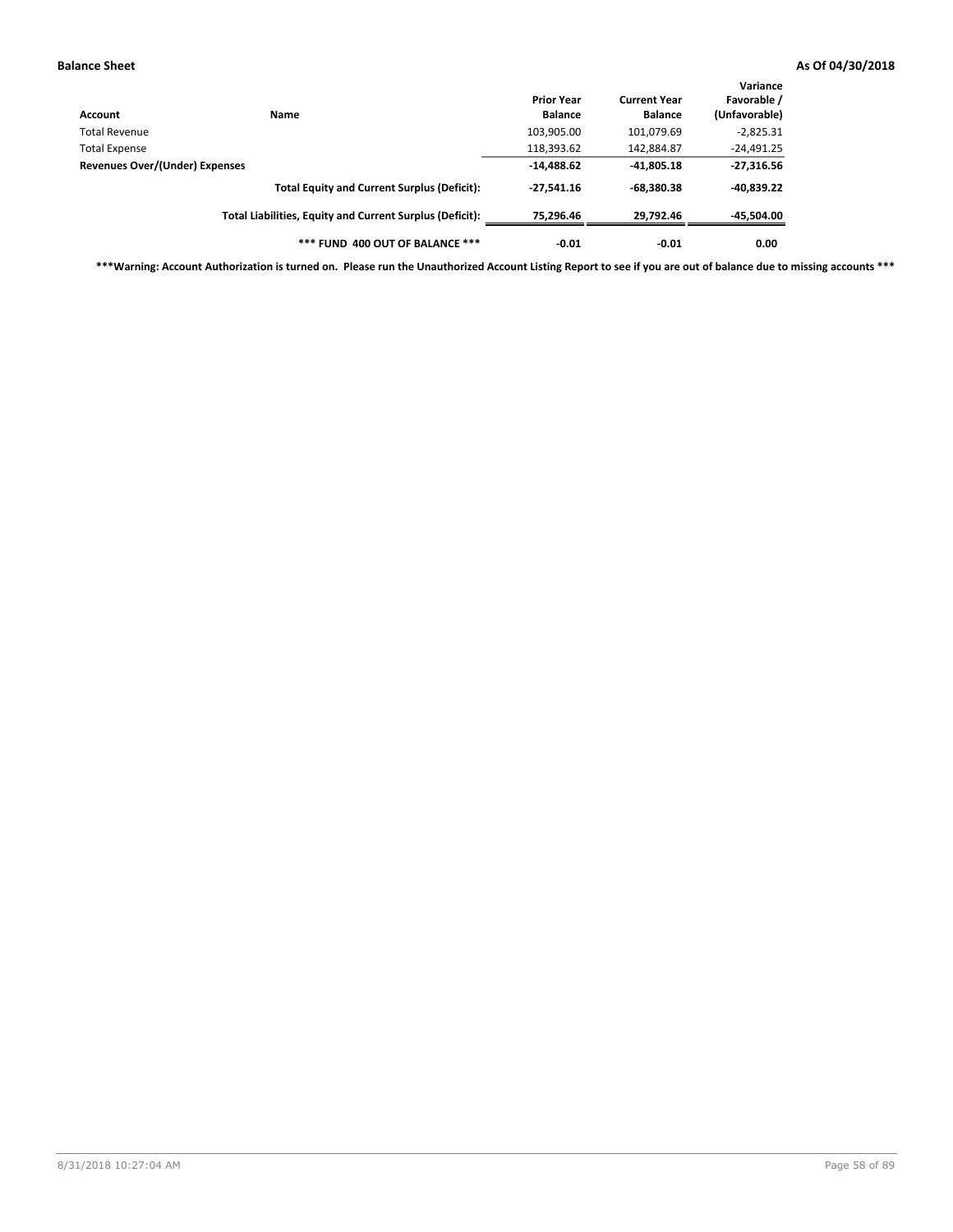| Account                        | <b>Name</b>                                              | <b>Prior Year</b><br><b>Balance</b> | <b>Current Year</b><br><b>Balance</b> | Variance<br>Favorable /<br>(Unfavorable) |
|--------------------------------|----------------------------------------------------------|-------------------------------------|---------------------------------------|------------------------------------------|
| Total Revenue                  |                                                          | 103,905.00                          | 101,079.69                            | $-2,825.31$                              |
| <b>Total Expense</b>           |                                                          | 118,393.62                          | 142,884.87                            | $-24,491.25$                             |
| Revenues Over/(Under) Expenses |                                                          | $-14,488.62$                        | $-41,805.18$                          | $-27,316.56$                             |
|                                | <b>Total Equity and Current Surplus (Deficit):</b>       | $-27,541.16$                        | $-68.380.38$                          | -40,839.22                               |
|                                | Total Liabilities, Equity and Current Surplus (Deficit): | 75.296.46                           | 29,792.46                             | -45,504.00                               |
|                                | *** FUND 400 OUT OF BALANCE ***                          | $-0.01$                             | $-0.01$                               | 0.00                                     |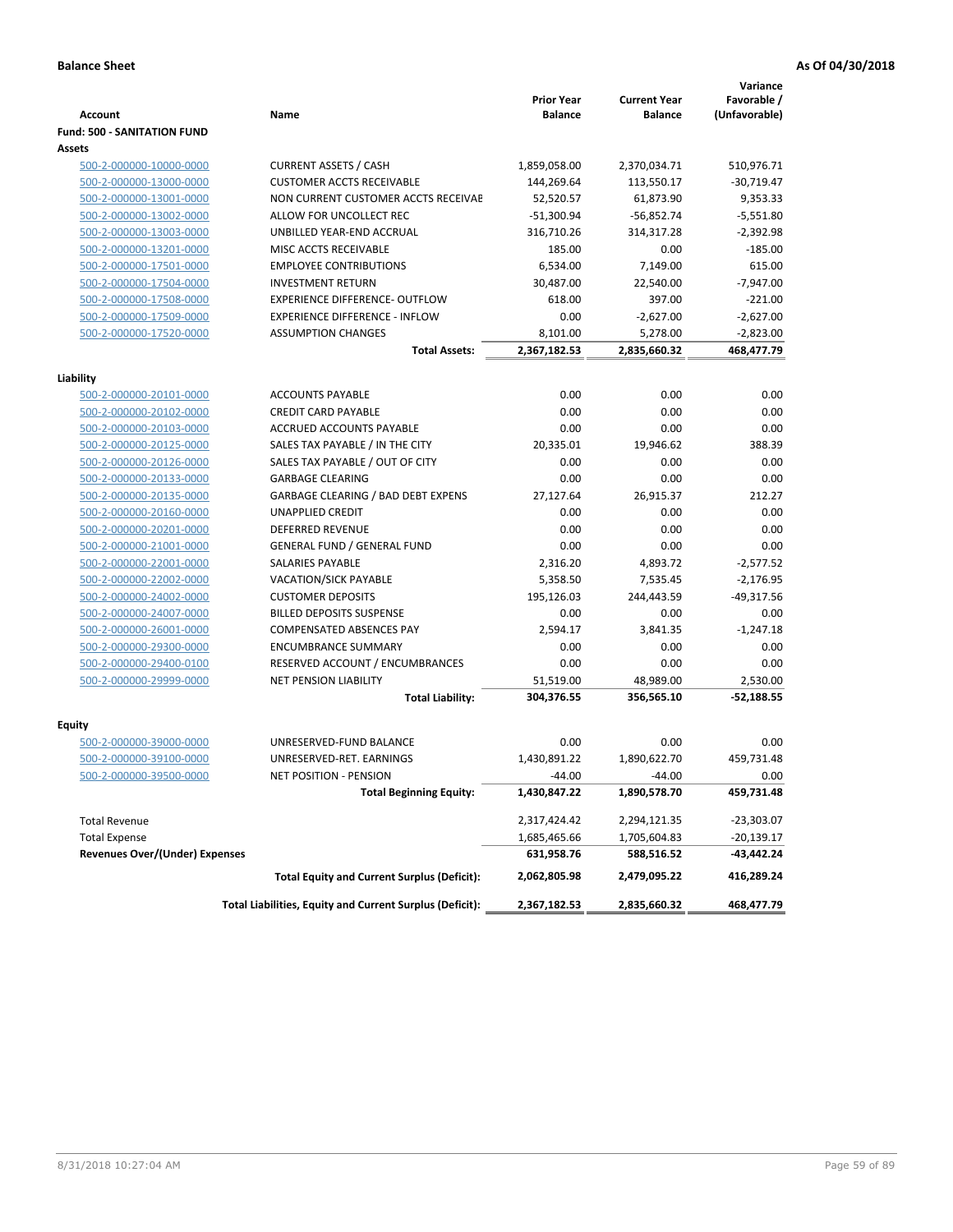|                                                    |                                                                      | <b>Prior Year</b>      | <b>Current Year</b>    | Variance<br>Favorable /     |
|----------------------------------------------------|----------------------------------------------------------------------|------------------------|------------------------|-----------------------------|
| <b>Account</b>                                     | Name                                                                 | <b>Balance</b>         | <b>Balance</b>         | (Unfavorable)               |
| <b>Fund: 500 - SANITATION FUND</b>                 |                                                                      |                        |                        |                             |
| Assets                                             |                                                                      |                        |                        |                             |
| 500-2-000000-10000-0000                            | <b>CURRENT ASSETS / CASH</b>                                         | 1,859,058.00           | 2,370,034.71           | 510,976.71                  |
| 500-2-000000-13000-0000                            | <b>CUSTOMER ACCTS RECEIVABLE</b>                                     | 144,269.64             | 113,550.17             | $-30,719.47$                |
| 500-2-000000-13001-0000                            | NON CURRENT CUSTOMER ACCTS RECEIVAE                                  | 52,520.57              | 61,873.90              | 9,353.33                    |
| 500-2-000000-13002-0000                            | ALLOW FOR UNCOLLECT REC                                              | $-51,300.94$           | $-56,852.74$           | $-5,551.80$                 |
| 500-2-000000-13003-0000                            | UNBILLED YEAR-END ACCRUAL                                            | 316,710.26             | 314,317.28             | $-2,392.98$                 |
| 500-2-000000-13201-0000                            | <b>MISC ACCTS RECEIVABLE</b>                                         | 185.00                 | 0.00                   | $-185.00$                   |
| 500-2-000000-17501-0000                            | <b>EMPLOYEE CONTRIBUTIONS</b>                                        | 6.534.00               | 7,149.00               | 615.00                      |
| 500-2-000000-17504-0000                            | <b>INVESTMENT RETURN</b>                                             | 30,487.00              | 22,540.00              | $-7.947.00$                 |
| 500-2-000000-17508-0000                            | <b>EXPERIENCE DIFFERENCE- OUTFLOW</b>                                | 618.00                 | 397.00                 | $-221.00$                   |
| 500-2-000000-17509-0000                            | <b>EXPERIENCE DIFFERENCE - INFLOW</b>                                | 0.00                   | $-2,627.00$            | $-2,627.00$                 |
| 500-2-000000-17520-0000                            | <b>ASSUMPTION CHANGES</b>                                            | 8,101.00               | 5,278.00               | $-2,823.00$                 |
|                                                    | <b>Total Assets:</b>                                                 | 2,367,182.53           | 2,835,660.32           | 468,477.79                  |
|                                                    |                                                                      |                        |                        |                             |
| Liability                                          |                                                                      |                        |                        |                             |
| 500-2-000000-20101-0000                            | <b>ACCOUNTS PAYABLE</b>                                              | 0.00                   | 0.00                   | 0.00                        |
| 500-2-000000-20102-0000                            | <b>CREDIT CARD PAYABLE</b>                                           | 0.00                   | 0.00                   | 0.00                        |
| 500-2-000000-20103-0000                            | ACCRUED ACCOUNTS PAYABLE                                             | 0.00                   | 0.00                   | 0.00                        |
| 500-2-000000-20125-0000                            | SALES TAX PAYABLE / IN THE CITY                                      | 20,335.01              | 19,946.62              | 388.39                      |
| 500-2-000000-20126-0000                            | SALES TAX PAYABLE / OUT OF CITY                                      | 0.00                   | 0.00                   | 0.00                        |
| 500-2-000000-20133-0000                            | <b>GARBAGE CLEARING</b>                                              | 0.00                   | 0.00                   | 0.00                        |
| 500-2-000000-20135-0000                            | <b>GARBAGE CLEARING / BAD DEBT EXPENS</b><br><b>UNAPPLIED CREDIT</b> | 27,127.64              | 26,915.37              | 212.27                      |
| 500-2-000000-20160-0000                            |                                                                      | 0.00                   | 0.00                   | 0.00                        |
| 500-2-000000-20201-0000                            | <b>DEFERRED REVENUE</b>                                              | 0.00                   | 0.00                   | 0.00                        |
| 500-2-000000-21001-0000                            | <b>GENERAL FUND / GENERAL FUND</b>                                   | 0.00                   | 0.00                   | 0.00                        |
| 500-2-000000-22001-0000                            | <b>SALARIES PAYABLE</b>                                              | 2,316.20               | 4,893.72               | $-2,577.52$                 |
| 500-2-000000-22002-0000<br>500-2-000000-24002-0000 | <b>VACATION/SICK PAYABLE</b><br><b>CUSTOMER DEPOSITS</b>             | 5,358.50<br>195,126.03 | 7,535.45<br>244,443.59 | $-2,176.95$<br>$-49,317.56$ |
| 500-2-000000-24007-0000                            | <b>BILLED DEPOSITS SUSPENSE</b>                                      | 0.00                   | 0.00                   | 0.00                        |
|                                                    | <b>COMPENSATED ABSENCES PAY</b>                                      | 2,594.17               | 3,841.35               | $-1,247.18$                 |
| 500-2-000000-26001-0000                            |                                                                      |                        |                        |                             |
| 500-2-000000-29300-0000                            | <b>ENCUMBRANCE SUMMARY</b>                                           | 0.00<br>0.00           | 0.00<br>0.00           | 0.00<br>0.00                |
| 500-2-000000-29400-0100<br>500-2-000000-29999-0000 | RESERVED ACCOUNT / ENCUMBRANCES<br><b>NET PENSION LIABILITY</b>      | 51,519.00              | 48,989.00              | 2.530.00                    |
|                                                    |                                                                      | 304,376.55             |                        |                             |
|                                                    | <b>Total Liability:</b>                                              |                        | 356,565.10             | $-52,188.55$                |
| Equity                                             |                                                                      |                        |                        |                             |
| 500-2-000000-39000-0000                            | UNRESERVED-FUND BALANCE                                              | 0.00                   | 0.00                   | 0.00                        |
| 500-2-000000-39100-0000                            | UNRESERVED-RET. EARNINGS                                             | 1,430,891.22           | 1,890,622.70           | 459,731.48                  |
| <u>500-2-000000-39500-0000</u>                     | NET POSITION - PENSION                                               | $-44.00$               | $-44.00$               | 0.00                        |
|                                                    | <b>Total Beginning Equity:</b>                                       | 1,430,847.22           | 1,890,578.70           | 459,731.48                  |
| <b>Total Revenue</b>                               |                                                                      | 2,317,424.42           | 2,294,121.35           | -23,303.07                  |
| <b>Total Expense</b>                               |                                                                      | 1,685,465.66           | 1,705,604.83           | -20,139.17                  |
| <b>Revenues Over/(Under) Expenses</b>              |                                                                      | 631,958.76             | 588,516.52             | -43,442.24                  |
|                                                    | <b>Total Equity and Current Surplus (Deficit):</b>                   | 2,062,805.98           | 2,479,095.22           | 416,289.24                  |
|                                                    | Total Liabilities, Equity and Current Surplus (Deficit):             | 2,367,182.53           | 2,835,660.32           | 468,477.79                  |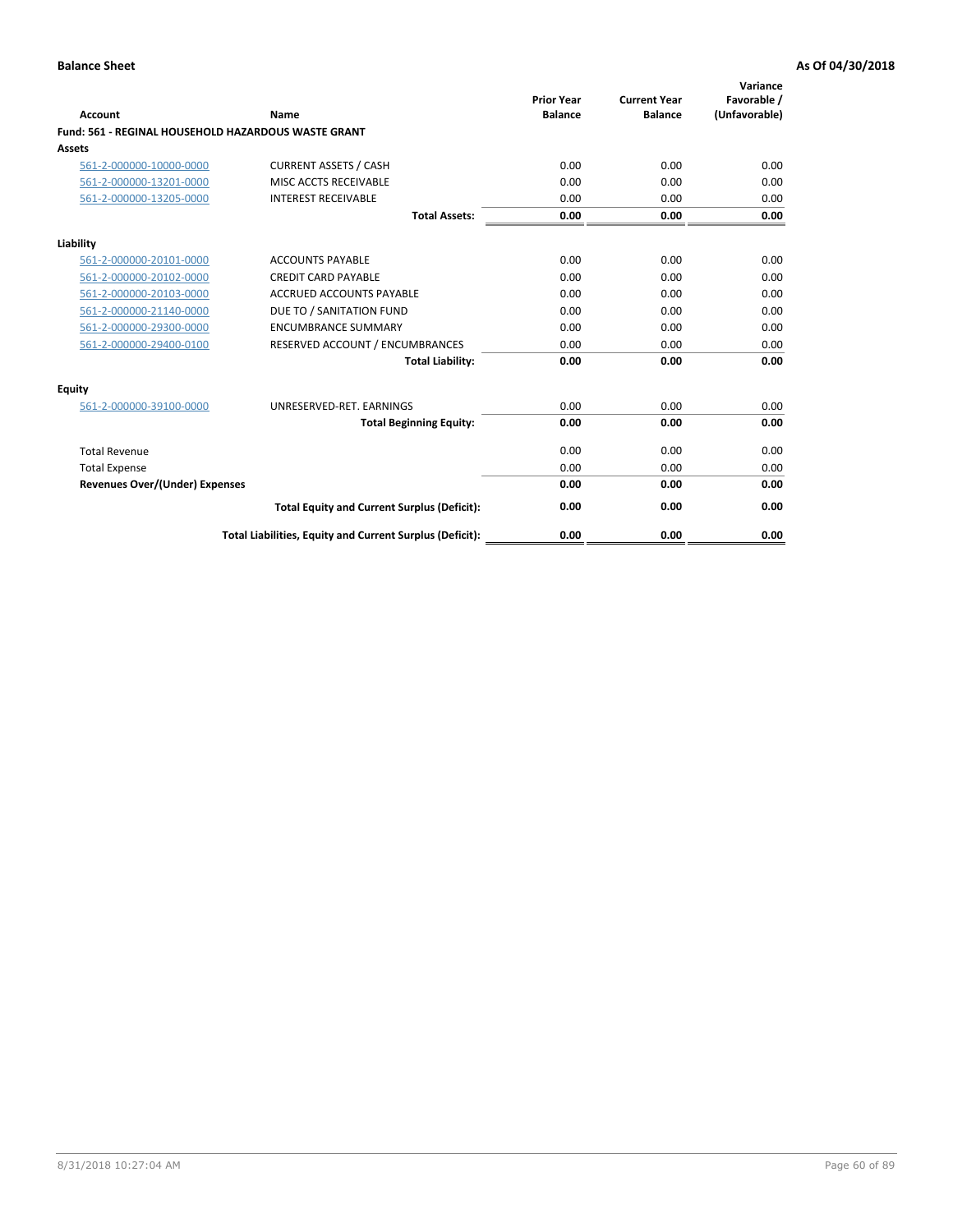| Account                                             | Name                                                     | <b>Prior Year</b><br><b>Balance</b> | <b>Current Year</b><br><b>Balance</b> | Variance<br>Favorable /<br>(Unfavorable) |
|-----------------------------------------------------|----------------------------------------------------------|-------------------------------------|---------------------------------------|------------------------------------------|
| Fund: 561 - REGINAL HOUSEHOLD HAZARDOUS WASTE GRANT |                                                          |                                     |                                       |                                          |
| <b>Assets</b>                                       |                                                          |                                     |                                       |                                          |
| 561-2-000000-10000-0000                             | <b>CURRENT ASSETS / CASH</b>                             | 0.00                                | 0.00                                  | 0.00                                     |
| 561-2-000000-13201-0000                             | MISC ACCTS RECEIVABLE                                    | 0.00                                | 0.00                                  | 0.00                                     |
| 561-2-000000-13205-0000                             | <b>INTEREST RECEIVABLE</b>                               | 0.00                                | 0.00                                  | 0.00                                     |
|                                                     | <b>Total Assets:</b>                                     | 0.00                                | 0.00                                  | 0.00                                     |
| Liability                                           |                                                          |                                     |                                       |                                          |
| 561-2-000000-20101-0000                             | <b>ACCOUNTS PAYABLE</b>                                  | 0.00                                | 0.00                                  | 0.00                                     |
| 561-2-000000-20102-0000                             | <b>CREDIT CARD PAYABLE</b>                               | 0.00                                | 0.00                                  | 0.00                                     |
| 561-2-000000-20103-0000                             | <b>ACCRUED ACCOUNTS PAYABLE</b>                          | 0.00                                | 0.00                                  | 0.00                                     |
| 561-2-000000-21140-0000                             | DUE TO / SANITATION FUND                                 | 0.00                                | 0.00                                  | 0.00                                     |
| 561-2-000000-29300-0000                             | <b>ENCUMBRANCE SUMMARY</b>                               | 0.00                                | 0.00                                  | 0.00                                     |
| 561-2-000000-29400-0100                             | RESERVED ACCOUNT / ENCUMBRANCES                          | 0.00                                | 0.00                                  | 0.00                                     |
|                                                     | <b>Total Liability:</b>                                  | 0.00                                | 0.00                                  | 0.00                                     |
| <b>Equity</b>                                       |                                                          |                                     |                                       |                                          |
| 561-2-000000-39100-0000                             | UNRESERVED-RET. EARNINGS                                 | 0.00                                | 0.00                                  | 0.00                                     |
|                                                     | <b>Total Beginning Equity:</b>                           | 0.00                                | 0.00                                  | 0.00                                     |
| <b>Total Revenue</b>                                |                                                          | 0.00                                | 0.00                                  | 0.00                                     |
| <b>Total Expense</b>                                |                                                          | 0.00                                | 0.00                                  | 0.00                                     |
| <b>Revenues Over/(Under) Expenses</b>               |                                                          | 0.00                                | 0.00                                  | 0.00                                     |
|                                                     | <b>Total Equity and Current Surplus (Deficit):</b>       | 0.00                                | 0.00                                  | 0.00                                     |
|                                                     | Total Liabilities, Equity and Current Surplus (Deficit): | 0.00                                | 0.00                                  | 0.00                                     |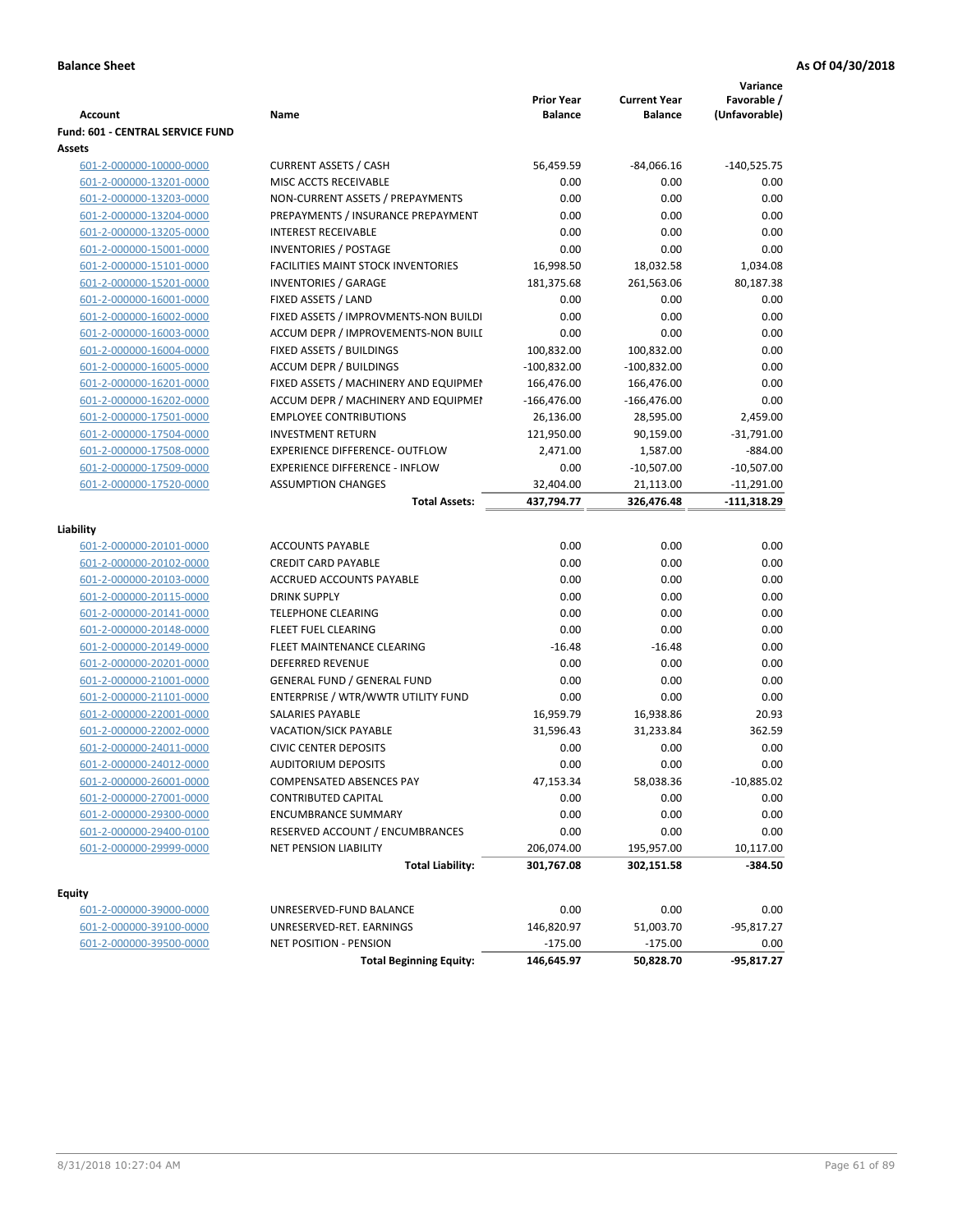|                                  |                                           |                                     |                                       | Variance                     |
|----------------------------------|-------------------------------------------|-------------------------------------|---------------------------------------|------------------------------|
| <b>Account</b>                   | Name                                      | <b>Prior Year</b><br><b>Balance</b> | <b>Current Year</b><br><b>Balance</b> | Favorable /<br>(Unfavorable) |
| Fund: 601 - CENTRAL SERVICE FUND |                                           |                                     |                                       |                              |
| Assets                           |                                           |                                     |                                       |                              |
| 601-2-000000-10000-0000          | <b>CURRENT ASSETS / CASH</b>              | 56,459.59                           | $-84,066.16$                          | $-140,525.75$                |
| 601-2-000000-13201-0000          | MISC ACCTS RECEIVABLE                     | 0.00                                | 0.00                                  | 0.00                         |
| 601-2-000000-13203-0000          | NON-CURRENT ASSETS / PREPAYMENTS          | 0.00                                | 0.00                                  | 0.00                         |
| 601-2-000000-13204-0000          | PREPAYMENTS / INSURANCE PREPAYMENT        | 0.00                                | 0.00                                  | 0.00                         |
| 601-2-000000-13205-0000          | <b>INTEREST RECEIVABLE</b>                | 0.00                                | 0.00                                  | 0.00                         |
| 601-2-000000-15001-0000          | <b>INVENTORIES / POSTAGE</b>              | 0.00                                | 0.00                                  | 0.00                         |
| 601-2-000000-15101-0000          | <b>FACILITIES MAINT STOCK INVENTORIES</b> | 16,998.50                           | 18,032.58                             | 1,034.08                     |
| 601-2-000000-15201-0000          | <b>INVENTORIES / GARAGE</b>               | 181,375.68                          | 261,563.06                            | 80,187.38                    |
| 601-2-000000-16001-0000          | FIXED ASSETS / LAND                       | 0.00                                | 0.00                                  | 0.00                         |
| 601-2-000000-16002-0000          | FIXED ASSETS / IMPROVMENTS-NON BUILDI     | 0.00                                | 0.00                                  | 0.00                         |
| 601-2-000000-16003-0000          | ACCUM DEPR / IMPROVEMENTS-NON BUILI       | 0.00                                | 0.00                                  | 0.00                         |
| 601-2-000000-16004-0000          | FIXED ASSETS / BUILDINGS                  | 100,832.00                          | 100,832.00                            | 0.00                         |
| 601-2-000000-16005-0000          | <b>ACCUM DEPR / BUILDINGS</b>             | $-100,832.00$                       | $-100,832.00$                         | 0.00                         |
| 601-2-000000-16201-0000          | FIXED ASSETS / MACHINERY AND EQUIPMEN     | 166,476.00                          | 166,476.00                            | 0.00                         |
| 601-2-000000-16202-0000          | ACCUM DEPR / MACHINERY AND EQUIPMEI       | $-166,476.00$                       | $-166,476.00$                         | 0.00                         |
| 601-2-000000-17501-0000          | <b>EMPLOYEE CONTRIBUTIONS</b>             | 26,136.00                           | 28,595.00                             | 2,459.00                     |
| 601-2-000000-17504-0000          | <b>INVESTMENT RETURN</b>                  | 121,950.00                          | 90,159.00                             | $-31,791.00$                 |
| 601-2-000000-17508-0000          | <b>EXPERIENCE DIFFERENCE- OUTFLOW</b>     | 2,471.00                            | 1,587.00                              | $-884.00$                    |
| 601-2-000000-17509-0000          | <b>EXPERIENCE DIFFERENCE - INFLOW</b>     | 0.00                                | $-10,507.00$                          | $-10,507.00$                 |
| 601-2-000000-17520-0000          | <b>ASSUMPTION CHANGES</b>                 | 32,404.00                           | 21,113.00                             | $-11,291.00$                 |
|                                  | <b>Total Assets:</b>                      | 437,794.77                          | 326,476.48                            | $-111,318.29$                |
|                                  |                                           |                                     |                                       |                              |
| Liability                        |                                           |                                     |                                       |                              |
| 601-2-000000-20101-0000          | <b>ACCOUNTS PAYABLE</b>                   | 0.00                                | 0.00                                  | 0.00                         |
| 601-2-000000-20102-0000          | <b>CREDIT CARD PAYABLE</b>                | 0.00                                | 0.00                                  | 0.00                         |
| 601-2-000000-20103-0000          | ACCRUED ACCOUNTS PAYABLE                  | 0.00                                | 0.00                                  | 0.00                         |
| 601-2-000000-20115-0000          | <b>DRINK SUPPLY</b>                       | 0.00                                | 0.00                                  | 0.00                         |
| 601-2-000000-20141-0000          | <b>TELEPHONE CLEARING</b>                 | 0.00                                | 0.00                                  | 0.00                         |
| 601-2-000000-20148-0000          | <b>FLEET FUEL CLEARING</b>                | 0.00                                | 0.00                                  | 0.00                         |
| 601-2-000000-20149-0000          | FLEET MAINTENANCE CLEARING                | $-16.48$                            | $-16.48$                              | 0.00                         |
| 601-2-000000-20201-0000          | <b>DEFERRED REVENUE</b>                   | 0.00                                | 0.00                                  | 0.00                         |
| 601-2-000000-21001-0000          | <b>GENERAL FUND / GENERAL FUND</b>        | 0.00                                | 0.00                                  | 0.00                         |
| 601-2-000000-21101-0000          | ENTERPRISE / WTR/WWTR UTILITY FUND        | 0.00                                | 0.00                                  | 0.00                         |
| 601-2-000000-22001-0000          | <b>SALARIES PAYABLE</b>                   | 16,959.79                           | 16,938.86                             | 20.93                        |
| 601-2-000000-22002-0000          | VACATION/SICK PAYABLE                     | 31,596.43                           | 31,233.84                             | 362.59                       |
| 601-2-000000-24011-0000          | <b>CIVIC CENTER DEPOSITS</b>              | 0.00                                | 0.00                                  | 0.00                         |
| 601-2-000000-24012-0000          | <b>AUDITORIUM DEPOSITS</b>                | 0.00                                | 0.00                                  | 0.00                         |
| 601-2-000000-26001-0000          | COMPENSATED ABSENCES PAY                  | 47,153.34                           | 58,038.36                             | $-10,885.02$                 |
| 601-2-000000-27001-0000          | <b>CONTRIBUTED CAPITAL</b>                | 0.00                                | 0.00                                  | 0.00                         |
| 601-2-000000-29300-0000          | <b>ENCUMBRANCE SUMMARY</b>                | 0.00                                | 0.00                                  | 0.00                         |
| 601-2-000000-29400-0100          | RESERVED ACCOUNT / ENCUMBRANCES           | 0.00                                | 0.00                                  | 0.00                         |
| 601-2-000000-29999-0000          | NET PENSION LIABILITY                     | 206,074.00                          | 195,957.00                            | 10,117.00                    |
|                                  | <b>Total Liability:</b>                   | 301,767.08                          | 302,151.58                            | $-384.50$                    |
|                                  |                                           |                                     |                                       |                              |
| <b>Equity</b>                    |                                           |                                     |                                       |                              |
| 601-2-000000-39000-0000          | UNRESERVED-FUND BALANCE                   | 0.00                                | 0.00                                  | 0.00                         |
| 601-2-000000-39100-0000          | UNRESERVED-RET. EARNINGS                  | 146,820.97                          | 51,003.70                             | $-95,817.27$                 |
| 601-2-000000-39500-0000          | <b>NET POSITION - PENSION</b>             | $-175.00$                           | $-175.00$                             | 0.00                         |
|                                  | <b>Total Beginning Equity:</b>            | 146,645.97                          | 50,828.70                             | $-95,817.27$                 |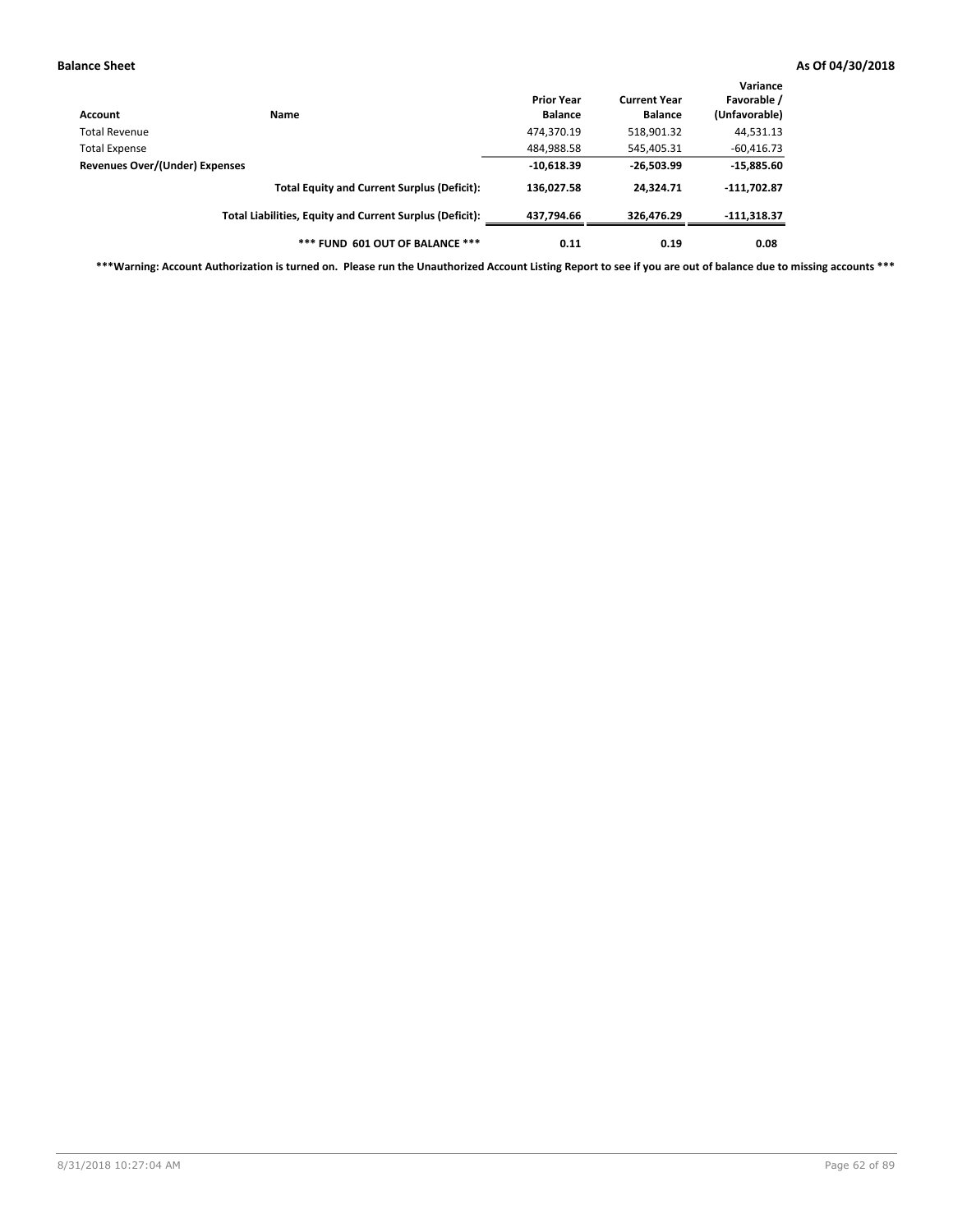| Account                                                | <b>Name</b>                                              | <b>Prior Year</b><br><b>Balance</b> | <b>Current Year</b><br><b>Balance</b> | Variance<br>Favorable /<br>(Unfavorable) |
|--------------------------------------------------------|----------------------------------------------------------|-------------------------------------|---------------------------------------|------------------------------------------|
| Total Revenue                                          |                                                          | 474,370.19                          | 518,901.32                            | 44,531.13                                |
|                                                        |                                                          | 484,988.58                          | 545,405.31                            | $-60,416.73$                             |
| <b>Total Expense</b><br>Revenues Over/(Under) Expenses | $-10,618.39$                                             | $-26,503.99$                        | $-15,885.60$                          |                                          |
|                                                        | <b>Total Equity and Current Surplus (Deficit):</b>       | 136,027.58                          | 24.324.71                             | $-111,702.87$                            |
|                                                        | Total Liabilities, Equity and Current Surplus (Deficit): | 437,794.66                          | 326,476.29                            | $-111,318.37$                            |
|                                                        | *** FUND 601 OUT OF BALANCE ***                          | 0.11                                | 0.19                                  | 0.08                                     |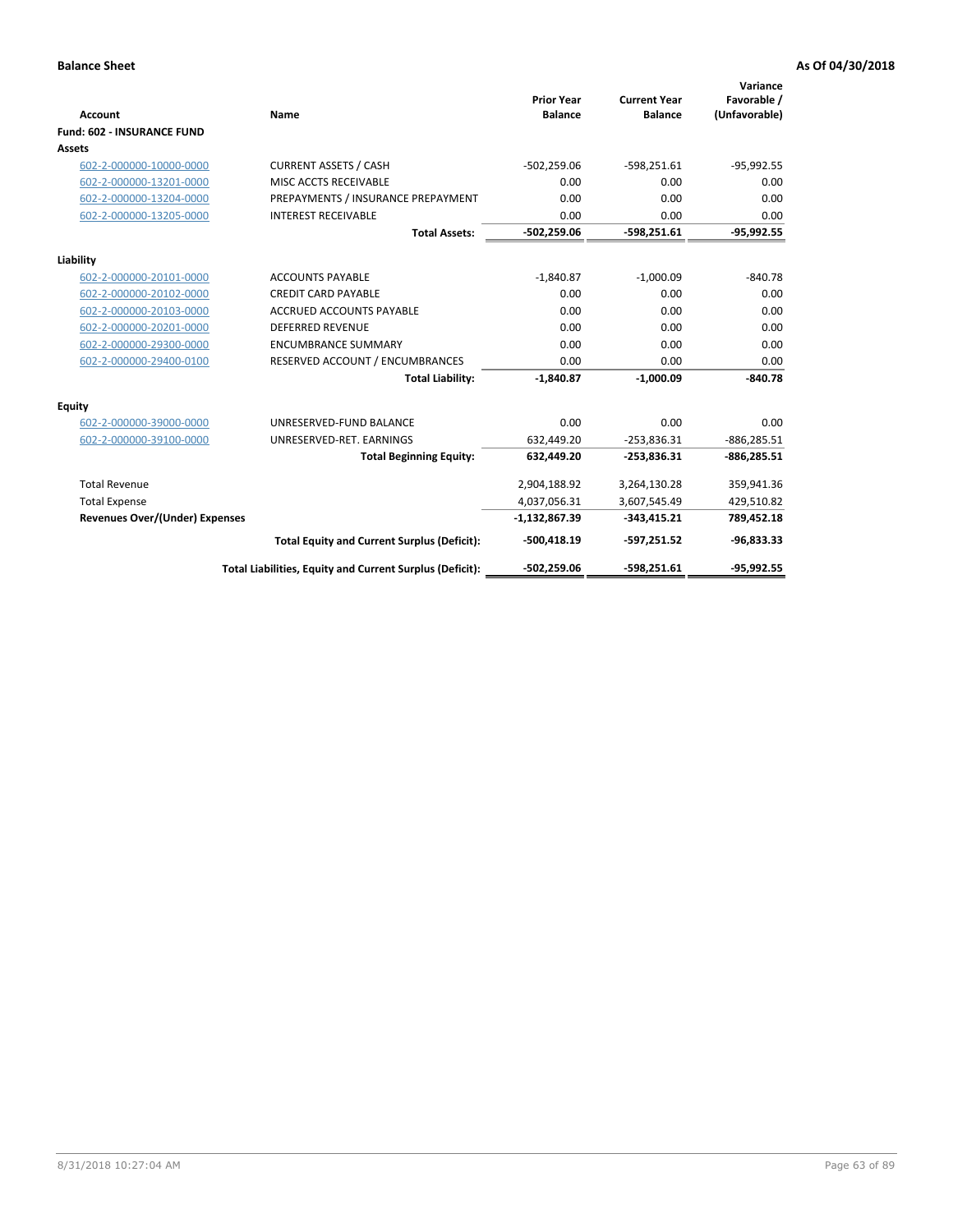| Account                               | Name                                                     | <b>Prior Year</b><br><b>Balance</b> | <b>Current Year</b><br><b>Balance</b> | Variance<br>Favorable /<br>(Unfavorable) |
|---------------------------------------|----------------------------------------------------------|-------------------------------------|---------------------------------------|------------------------------------------|
| <b>Fund: 602 - INSURANCE FUND</b>     |                                                          |                                     |                                       |                                          |
| <b>Assets</b>                         |                                                          |                                     |                                       |                                          |
| 602-2-000000-10000-0000               | <b>CURRENT ASSETS / CASH</b>                             | $-502,259.06$                       | $-598,251.61$                         | $-95,992.55$                             |
| 602-2-000000-13201-0000               | MISC ACCTS RECEIVABLE                                    | 0.00                                | 0.00                                  | 0.00                                     |
| 602-2-000000-13204-0000               | PREPAYMENTS / INSURANCE PREPAYMENT                       | 0.00                                | 0.00                                  | 0.00                                     |
| 602-2-000000-13205-0000               | <b>INTEREST RECEIVABLE</b>                               | 0.00                                | 0.00                                  | 0.00                                     |
|                                       | <b>Total Assets:</b>                                     | $-502,259.06$                       | $-598,251.61$                         | $-95,992.55$                             |
| Liability                             |                                                          |                                     |                                       |                                          |
| 602-2-000000-20101-0000               | <b>ACCOUNTS PAYABLE</b>                                  | $-1.840.87$                         | $-1.000.09$                           | $-840.78$                                |
| 602-2-000000-20102-0000               | <b>CREDIT CARD PAYABLE</b>                               | 0.00                                | 0.00                                  | 0.00                                     |
| 602-2-000000-20103-0000               | <b>ACCRUED ACCOUNTS PAYABLE</b>                          | 0.00                                | 0.00                                  | 0.00                                     |
| 602-2-000000-20201-0000               | <b>DEFERRED REVENUE</b>                                  | 0.00                                | 0.00                                  | 0.00                                     |
| 602-2-000000-29300-0000               | <b>ENCUMBRANCE SUMMARY</b>                               | 0.00                                | 0.00                                  | 0.00                                     |
| 602-2-000000-29400-0100               | RESERVED ACCOUNT / ENCUMBRANCES                          | 0.00                                | 0.00                                  | 0.00                                     |
|                                       | <b>Total Liability:</b>                                  | $-1,840.87$                         | $-1,000.09$                           | $-840.78$                                |
| <b>Equity</b>                         |                                                          |                                     |                                       |                                          |
| 602-2-000000-39000-0000               | UNRESERVED-FUND BALANCE                                  | 0.00                                | 0.00                                  | 0.00                                     |
| 602-2-000000-39100-0000               | UNRESERVED-RET. EARNINGS                                 | 632,449.20                          | $-253,836.31$                         | $-886,285.51$                            |
|                                       | <b>Total Beginning Equity:</b>                           | 632,449.20                          | $-253,836.31$                         | $-886,285.51$                            |
| <b>Total Revenue</b>                  |                                                          | 2,904,188.92                        | 3,264,130.28                          | 359,941.36                               |
| <b>Total Expense</b>                  |                                                          | 4,037,056.31                        | 3,607,545.49                          | 429,510.82                               |
| <b>Revenues Over/(Under) Expenses</b> |                                                          | $-1,132,867.39$                     | $-343,415.21$                         | 789,452.18                               |
|                                       | <b>Total Equity and Current Surplus (Deficit):</b>       | $-500,418.19$                       | $-597,251.52$                         | $-96,833.33$                             |
|                                       | Total Liabilities, Equity and Current Surplus (Deficit): | $-502,259.06$                       | $-598.251.61$                         | $-95.992.55$                             |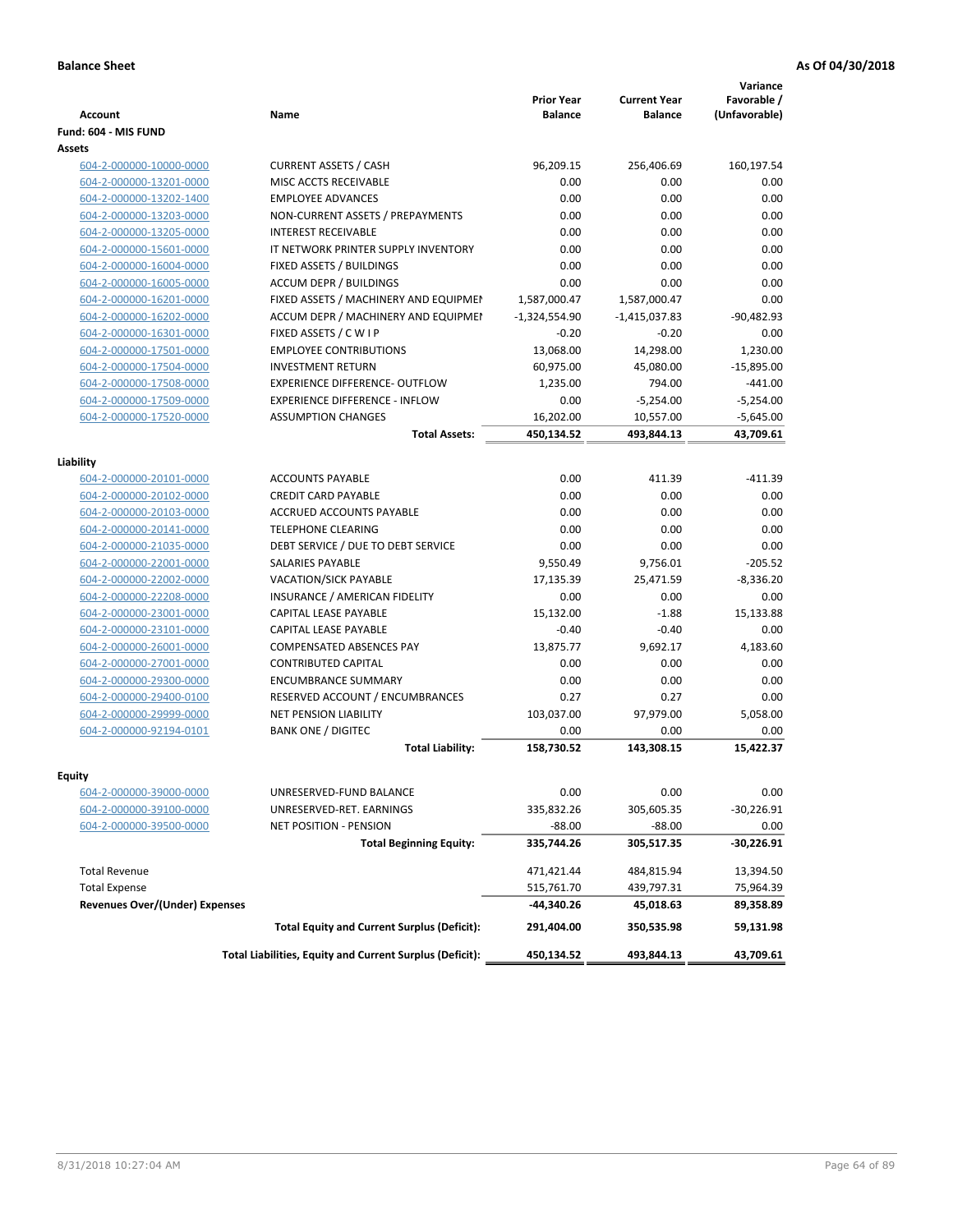| <b>Account</b>                                     | <b>Name</b>                                              | <b>Prior Year</b><br><b>Balance</b> | <b>Current Year</b><br><b>Balance</b> | Variance<br>Favorable /<br>(Unfavorable) |
|----------------------------------------------------|----------------------------------------------------------|-------------------------------------|---------------------------------------|------------------------------------------|
| Fund: 604 - MIS FUND                               |                                                          |                                     |                                       |                                          |
| Assets                                             |                                                          |                                     |                                       |                                          |
| 604-2-000000-10000-0000                            | <b>CURRENT ASSETS / CASH</b>                             | 96,209.15                           | 256,406.69                            | 160,197.54                               |
| 604-2-000000-13201-0000                            | MISC ACCTS RECEIVABLE                                    | 0.00                                | 0.00                                  | 0.00                                     |
| 604-2-000000-13202-1400                            | <b>EMPLOYEE ADVANCES</b>                                 | 0.00                                | 0.00                                  | 0.00                                     |
| 604-2-000000-13203-0000                            | NON-CURRENT ASSETS / PREPAYMENTS                         | 0.00                                | 0.00                                  | 0.00                                     |
| 604-2-000000-13205-0000                            | <b>INTEREST RECEIVABLE</b>                               | 0.00                                | 0.00                                  | 0.00                                     |
| 604-2-000000-15601-0000                            | IT NETWORK PRINTER SUPPLY INVENTORY                      | 0.00                                | 0.00                                  | 0.00                                     |
| 604-2-000000-16004-0000                            | FIXED ASSETS / BUILDINGS                                 | 0.00                                | 0.00                                  | 0.00                                     |
| 604-2-000000-16005-0000                            | <b>ACCUM DEPR / BUILDINGS</b>                            | 0.00                                | 0.00                                  | 0.00                                     |
| 604-2-000000-16201-0000                            | FIXED ASSETS / MACHINERY AND EQUIPMEN                    | 1,587,000.47                        | 1,587,000.47                          | 0.00                                     |
| 604-2-000000-16202-0000                            | ACCUM DEPR / MACHINERY AND EQUIPMEI                      | $-1,324,554.90$                     | $-1,415,037.83$                       | $-90,482.93$                             |
| 604-2-000000-16301-0000                            | FIXED ASSETS / C W I P                                   | $-0.20$                             | $-0.20$                               | 0.00                                     |
| 604-2-000000-17501-0000                            | <b>EMPLOYEE CONTRIBUTIONS</b>                            | 13,068.00                           | 14,298.00                             | 1,230.00                                 |
| 604-2-000000-17504-0000                            | <b>INVESTMENT RETURN</b>                                 | 60,975.00                           | 45,080.00                             | $-15,895.00$                             |
| 604-2-000000-17508-0000                            | EXPERIENCE DIFFERENCE- OUTFLOW                           | 1,235.00                            | 794.00                                | $-441.00$                                |
| 604-2-000000-17509-0000                            | <b>EXPERIENCE DIFFERENCE - INFLOW</b>                    | 0.00                                | $-5,254.00$                           | $-5,254.00$                              |
| 604-2-000000-17520-0000                            | <b>ASSUMPTION CHANGES</b>                                | 16,202.00                           | 10,557.00                             | $-5,645.00$                              |
|                                                    | <b>Total Assets:</b>                                     | 450,134.52                          | 493,844.13                            | 43,709.61                                |
|                                                    |                                                          |                                     |                                       |                                          |
| Liability                                          |                                                          |                                     |                                       |                                          |
| 604-2-000000-20101-0000                            | <b>ACCOUNTS PAYABLE</b>                                  | 0.00                                | 411.39                                | $-411.39$                                |
| 604-2-000000-20102-0000                            | <b>CREDIT CARD PAYABLE</b>                               | 0.00                                | 0.00                                  | 0.00                                     |
| 604-2-000000-20103-0000                            | <b>ACCRUED ACCOUNTS PAYABLE</b>                          | 0.00                                | 0.00                                  | 0.00                                     |
| 604-2-000000-20141-0000                            | <b>TELEPHONE CLEARING</b>                                | 0.00                                | 0.00                                  | 0.00                                     |
| 604-2-000000-21035-0000                            | DEBT SERVICE / DUE TO DEBT SERVICE                       | 0.00                                | 0.00                                  | 0.00                                     |
| 604-2-000000-22001-0000                            | <b>SALARIES PAYABLE</b>                                  | 9,550.49                            | 9,756.01                              | $-205.52$                                |
| 604-2-000000-22002-0000                            | VACATION/SICK PAYABLE                                    | 17,135.39                           | 25,471.59                             | $-8,336.20$                              |
| 604-2-000000-22208-0000                            | INSURANCE / AMERICAN FIDELITY                            | 0.00                                | 0.00                                  | 0.00                                     |
| 604-2-000000-23001-0000                            | CAPITAL LEASE PAYABLE                                    | 15,132.00                           | $-1.88$                               | 15,133.88                                |
| 604-2-000000-23101-0000                            | CAPITAL LEASE PAYABLE                                    | $-0.40$                             | $-0.40$                               | 0.00                                     |
| 604-2-000000-26001-0000                            | <b>COMPENSATED ABSENCES PAY</b>                          | 13,875.77                           | 9,692.17                              | 4,183.60                                 |
| 604-2-000000-27001-0000                            | <b>CONTRIBUTED CAPITAL</b>                               | 0.00                                | 0.00                                  | 0.00                                     |
| 604-2-000000-29300-0000                            | <b>ENCUMBRANCE SUMMARY</b>                               | 0.00                                | 0.00                                  | 0.00                                     |
| 604-2-000000-29400-0100                            | RESERVED ACCOUNT / ENCUMBRANCES                          | 0.27                                | 0.27                                  | 0.00                                     |
| 604-2-000000-29999-0000                            | <b>NET PENSION LIABILITY</b>                             | 103,037.00                          | 97,979.00                             | 5,058.00                                 |
| 604-2-000000-92194-0101                            | <b>BANK ONE / DIGITEC</b>                                | 0.00                                | 0.00                                  | 0.00                                     |
|                                                    | <b>Total Liability:</b>                                  | 158,730.52                          | 143.308.15                            | 15,422.37                                |
|                                                    |                                                          |                                     |                                       |                                          |
| Equity                                             | UNRESERVED-FUND BALANCE                                  | 0.00                                | 0.00                                  | 0.00                                     |
| 604-2-000000-39000-0000                            | UNRESERVED-RET. EARNINGS                                 | 335,832.26                          |                                       | $-30,226.91$                             |
| 604-2-000000-39100-0000<br>604-2-000000-39500-0000 | <b>NET POSITION - PENSION</b>                            | $-88.00$                            | 305,605.35<br>$-88.00$                |                                          |
|                                                    |                                                          |                                     |                                       | 0.00                                     |
|                                                    | <b>Total Beginning Equity:</b>                           | 335,744.26                          | 305,517.35                            | -30,226.91                               |
| <b>Total Revenue</b>                               |                                                          | 471,421.44                          | 484,815.94                            | 13,394.50                                |
| <b>Total Expense</b>                               |                                                          | 515,761.70                          | 439,797.31                            | 75,964.39                                |
| <b>Revenues Over/(Under) Expenses</b>              |                                                          | -44,340.26                          | 45,018.63                             | 89,358.89                                |
|                                                    | <b>Total Equity and Current Surplus (Deficit):</b>       | 291,404.00                          | 350,535.98                            | 59,131.98                                |
|                                                    | Total Liabilities, Equity and Current Surplus (Deficit): | 450,134.52                          | 493,844.13                            | 43,709.61                                |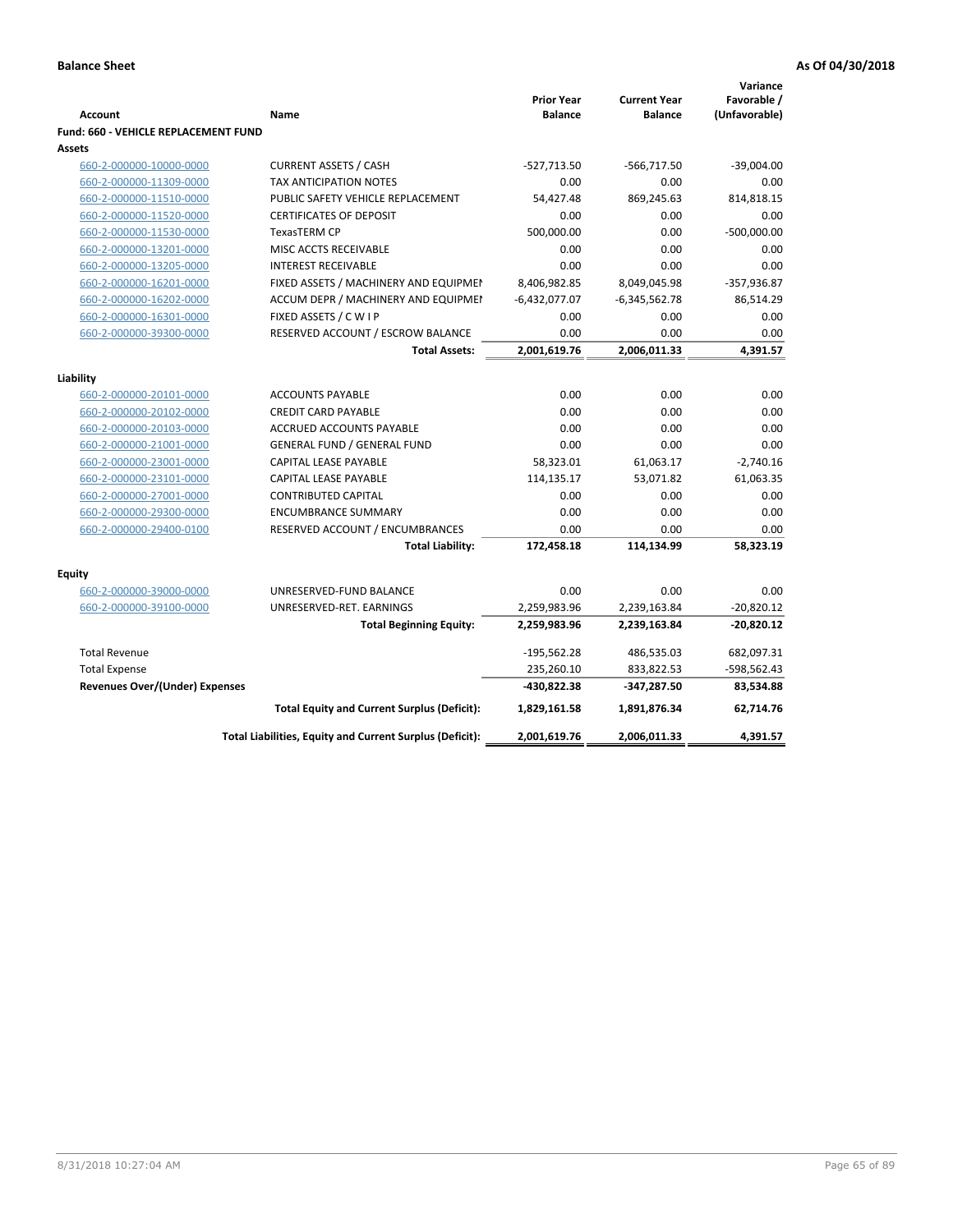|                                                |                                                          | <b>Prior Year</b><br><b>Balance</b> | <b>Current Year</b> | Variance<br>Favorable / |
|------------------------------------------------|----------------------------------------------------------|-------------------------------------|---------------------|-------------------------|
| <b>Account</b>                                 | Name                                                     |                                     | <b>Balance</b>      | (Unfavorable)           |
| Fund: 660 - VEHICLE REPLACEMENT FUND<br>Assets |                                                          |                                     |                     |                         |
| 660-2-000000-10000-0000                        | <b>CURRENT ASSETS / CASH</b>                             | $-527,713.50$                       | $-566,717.50$       | $-39,004.00$            |
| 660-2-000000-11309-0000                        | <b>TAX ANTICIPATION NOTES</b>                            | 0.00                                | 0.00                | 0.00                    |
| 660-2-000000-11510-0000                        | PUBLIC SAFETY VEHICLE REPLACEMENT                        | 54,427.48                           | 869,245.63          | 814,818.15              |
| 660-2-000000-11520-0000                        | <b>CERTIFICATES OF DEPOSIT</b>                           | 0.00                                | 0.00                | 0.00                    |
| 660-2-000000-11530-0000                        | <b>TexasTERM CP</b>                                      | 500,000.00                          | 0.00                | $-500,000.00$           |
| 660-2-000000-13201-0000                        | MISC ACCTS RECEIVABLE                                    | 0.00                                | 0.00                | 0.00                    |
| 660-2-000000-13205-0000                        | <b>INTEREST RECEIVABLE</b>                               | 0.00                                | 0.00                | 0.00                    |
| 660-2-000000-16201-0000                        | FIXED ASSETS / MACHINERY AND EQUIPMEN                    | 8,406,982.85                        | 8,049,045.98        | $-357,936.87$           |
| 660-2-000000-16202-0000                        | ACCUM DEPR / MACHINERY AND EQUIPMEI                      | $-6,432,077.07$                     | $-6,345,562.78$     | 86,514.29               |
| 660-2-000000-16301-0000                        | FIXED ASSETS / C W I P                                   | 0.00                                | 0.00                | 0.00                    |
| 660-2-000000-39300-0000                        | RESERVED ACCOUNT / ESCROW BALANCE                        | 0.00                                | 0.00                | 0.00                    |
|                                                | <b>Total Assets:</b>                                     | 2,001,619.76                        | 2,006,011.33        | 4,391.57                |
|                                                |                                                          |                                     |                     |                         |
| Liability                                      |                                                          |                                     |                     |                         |
| 660-2-000000-20101-0000                        | <b>ACCOUNTS PAYABLE</b>                                  | 0.00                                | 0.00                | 0.00                    |
| 660-2-000000-20102-0000                        | <b>CREDIT CARD PAYABLE</b>                               | 0.00                                | 0.00                | 0.00                    |
| 660-2-000000-20103-0000                        | ACCRUED ACCOUNTS PAYABLE                                 | 0.00                                | 0.00                | 0.00                    |
| 660-2-000000-21001-0000                        | <b>GENERAL FUND / GENERAL FUND</b>                       | 0.00                                | 0.00                | 0.00                    |
| 660-2-000000-23001-0000                        | CAPITAL LEASE PAYABLE                                    | 58,323.01                           | 61,063.17           | $-2,740.16$             |
| 660-2-000000-23101-0000                        | <b>CAPITAL LEASE PAYABLE</b>                             | 114,135.17                          | 53,071.82           | 61,063.35               |
| 660-2-000000-27001-0000                        | <b>CONTRIBUTED CAPITAL</b>                               | 0.00                                | 0.00                | 0.00                    |
| 660-2-000000-29300-0000                        | <b>ENCUMBRANCE SUMMARY</b>                               | 0.00                                | 0.00                | 0.00                    |
| 660-2-000000-29400-0100                        | RESERVED ACCOUNT / ENCUMBRANCES                          | 0.00                                | 0.00                | 0.00                    |
|                                                | <b>Total Liability:</b>                                  | 172,458.18                          | 114,134.99          | 58,323.19               |
| <b>Equity</b>                                  |                                                          |                                     |                     |                         |
| 660-2-000000-39000-0000                        | UNRESERVED-FUND BALANCE                                  | 0.00                                | 0.00                | 0.00                    |
| 660-2-000000-39100-0000                        | UNRESERVED-RET. EARNINGS                                 | 2,259,983.96                        | 2,239,163.84        | $-20,820.12$            |
|                                                | <b>Total Beginning Equity:</b>                           | 2,259,983.96                        | 2,239,163.84        | $-20,820.12$            |
| <b>Total Revenue</b>                           |                                                          | $-195,562.28$                       | 486,535.03          | 682,097.31              |
| <b>Total Expense</b>                           |                                                          | 235,260.10                          | 833,822.53          | -598,562.43             |
| <b>Revenues Over/(Under) Expenses</b>          |                                                          | -430,822.38                         | -347,287.50         | 83,534.88               |
|                                                | <b>Total Equity and Current Surplus (Deficit):</b>       | 1,829,161.58                        | 1,891,876.34        | 62,714.76               |
|                                                | Total Liabilities, Equity and Current Surplus (Deficit): | 2,001,619.76                        | 2,006,011.33        | 4,391.57                |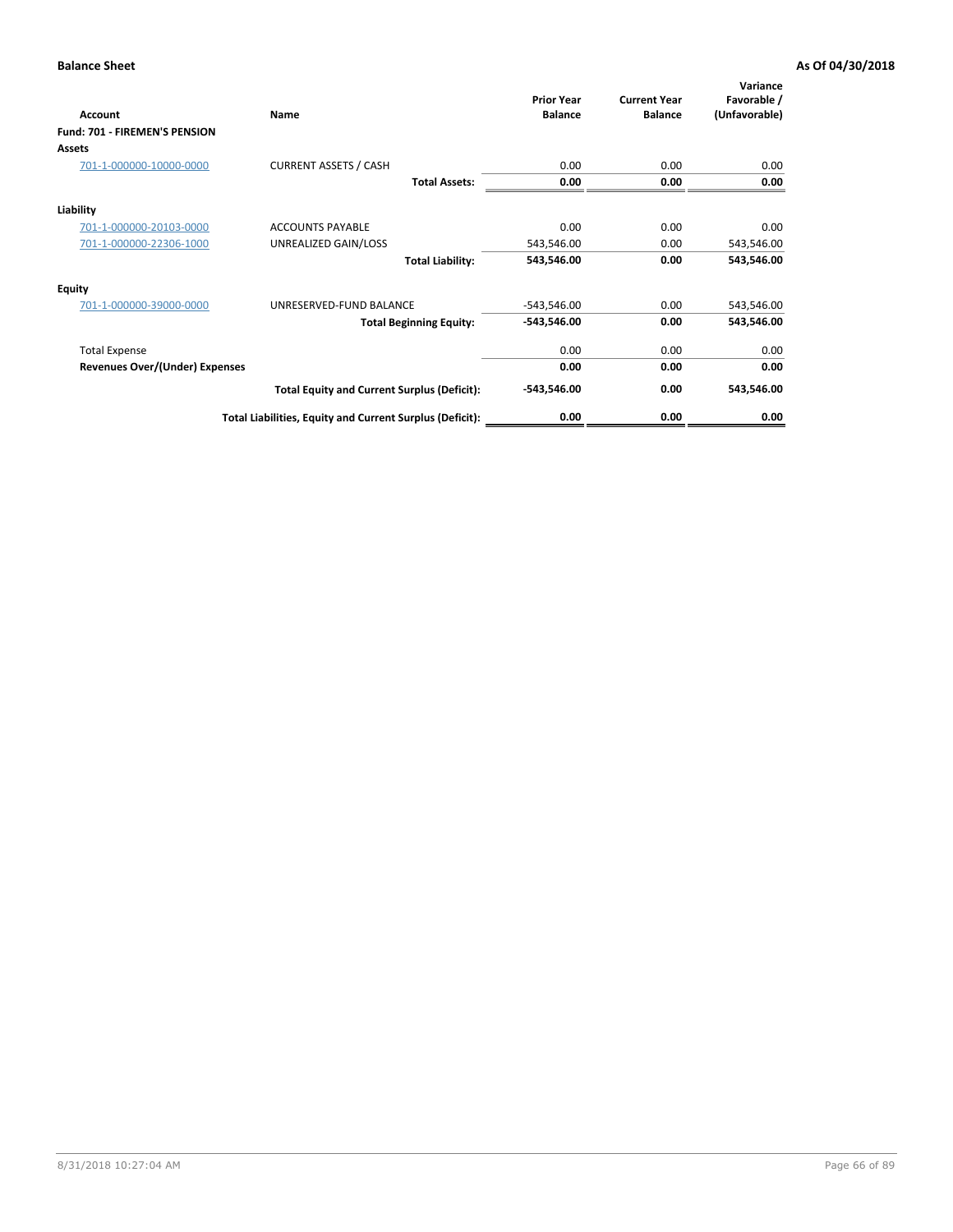| <b>Account</b>                        | Name                                                     | <b>Prior Year</b><br><b>Balance</b> | <b>Current Year</b><br><b>Balance</b> | Variance<br>Favorable /<br>(Unfavorable) |
|---------------------------------------|----------------------------------------------------------|-------------------------------------|---------------------------------------|------------------------------------------|
| <b>Fund: 701 - FIREMEN'S PENSION</b>  |                                                          |                                     |                                       |                                          |
| <b>Assets</b>                         |                                                          |                                     |                                       |                                          |
| 701-1-000000-10000-0000               | <b>CURRENT ASSETS / CASH</b>                             | 0.00                                | 0.00                                  | 0.00                                     |
|                                       | <b>Total Assets:</b>                                     | 0.00                                | 0.00                                  | 0.00                                     |
| Liability                             |                                                          |                                     |                                       |                                          |
| 701-1-000000-20103-0000               | <b>ACCOUNTS PAYABLE</b>                                  | 0.00                                | 0.00                                  | 0.00                                     |
| 701-1-000000-22306-1000               | UNREALIZED GAIN/LOSS                                     | 543,546.00                          | 0.00                                  | 543,546.00                               |
|                                       | <b>Total Liability:</b>                                  | 543,546.00                          | 0.00                                  | 543,546.00                               |
| <b>Equity</b>                         |                                                          |                                     |                                       |                                          |
| 701-1-000000-39000-0000               | UNRESERVED-FUND BALANCE                                  | $-543,546.00$                       | 0.00                                  | 543,546.00                               |
|                                       | <b>Total Beginning Equity:</b>                           | $-543,546.00$                       | 0.00                                  | 543,546.00                               |
| <b>Total Expense</b>                  |                                                          | 0.00                                | 0.00                                  | 0.00                                     |
| <b>Revenues Over/(Under) Expenses</b> |                                                          | 0.00                                | 0.00                                  | 0.00                                     |
|                                       | <b>Total Equity and Current Surplus (Deficit):</b>       | $-543,546.00$                       | 0.00                                  | 543,546.00                               |
|                                       | Total Liabilities, Equity and Current Surplus (Deficit): | 0.00                                | 0.00                                  | 0.00                                     |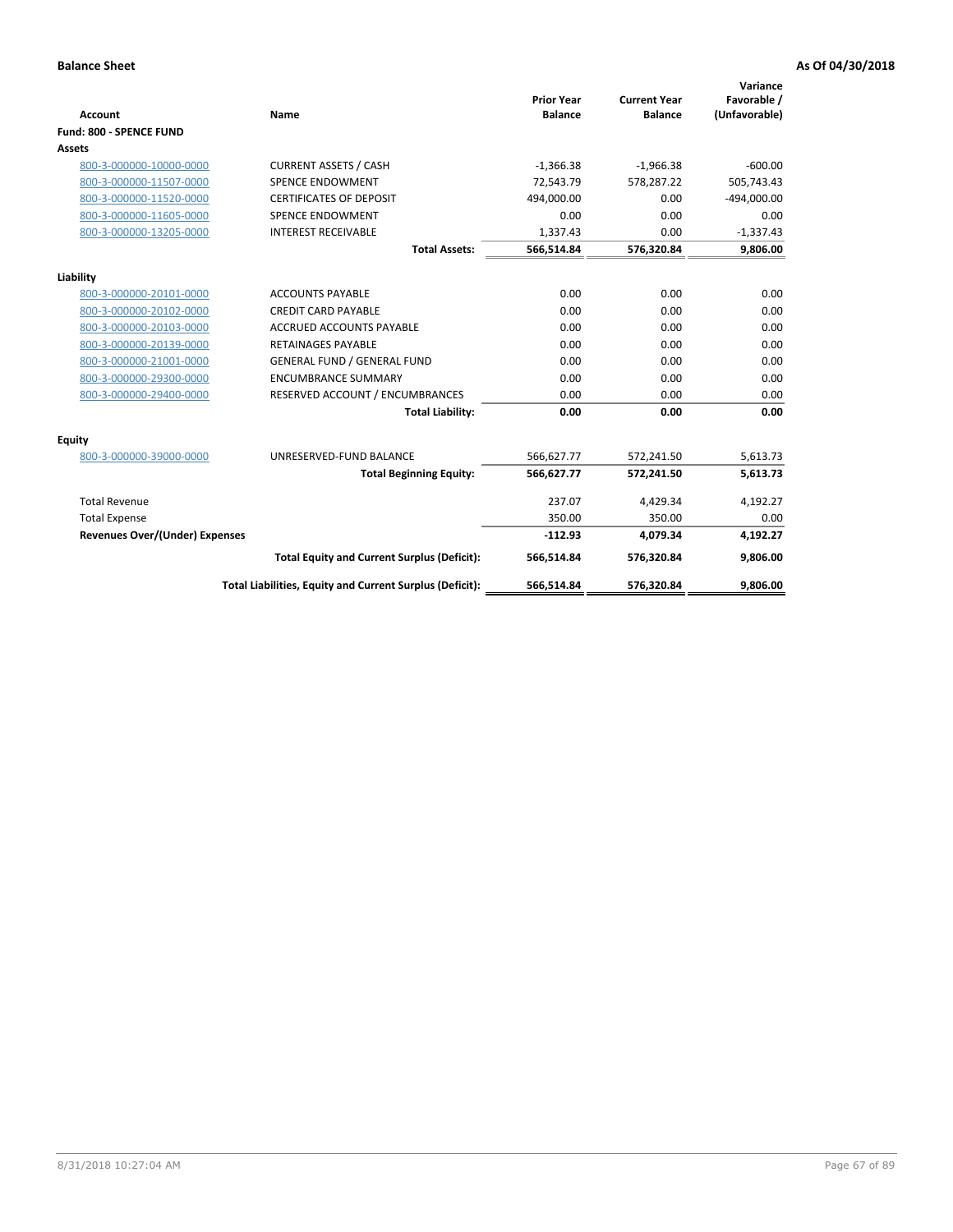| <b>Account</b>                        | Name                                                     | <b>Prior Year</b><br><b>Balance</b> | <b>Current Year</b><br><b>Balance</b> | Variance<br>Favorable /<br>(Unfavorable) |
|---------------------------------------|----------------------------------------------------------|-------------------------------------|---------------------------------------|------------------------------------------|
| Fund: 800 - SPENCE FUND               |                                                          |                                     |                                       |                                          |
| Assets                                |                                                          |                                     |                                       |                                          |
| 800-3-000000-10000-0000               | <b>CURRENT ASSETS / CASH</b>                             | $-1,366.38$                         | $-1,966.38$                           | $-600.00$                                |
| 800-3-000000-11507-0000               | <b>SPENCE ENDOWMENT</b>                                  | 72,543.79                           | 578,287.22                            | 505,743.43                               |
| 800-3-000000-11520-0000               | <b>CERTIFICATES OF DEPOSIT</b>                           | 494,000.00                          | 0.00                                  | $-494,000.00$                            |
| 800-3-000000-11605-0000               | <b>SPENCE ENDOWMENT</b>                                  | 0.00                                | 0.00                                  | 0.00                                     |
| 800-3-000000-13205-0000               | <b>INTEREST RECEIVABLE</b>                               | 1,337.43                            | 0.00                                  | $-1,337.43$                              |
|                                       | <b>Total Assets:</b>                                     | 566,514.84                          | 576,320.84                            | 9,806.00                                 |
| Liability                             |                                                          |                                     |                                       |                                          |
| 800-3-000000-20101-0000               | <b>ACCOUNTS PAYABLE</b>                                  | 0.00                                | 0.00                                  | 0.00                                     |
| 800-3-000000-20102-0000               | <b>CREDIT CARD PAYABLE</b>                               | 0.00                                | 0.00                                  | 0.00                                     |
| 800-3-000000-20103-0000               | <b>ACCRUED ACCOUNTS PAYABLE</b>                          | 0.00                                | 0.00                                  | 0.00                                     |
| 800-3-000000-20139-0000               | <b>RETAINAGES PAYABLE</b>                                | 0.00                                | 0.00                                  | 0.00                                     |
| 800-3-000000-21001-0000               | <b>GENERAL FUND / GENERAL FUND</b>                       | 0.00                                | 0.00                                  | 0.00                                     |
| 800-3-000000-29300-0000               | <b>ENCUMBRANCE SUMMARY</b>                               | 0.00                                | 0.00                                  | 0.00                                     |
| 800-3-000000-29400-0000               | RESERVED ACCOUNT / ENCUMBRANCES                          | 0.00                                | 0.00                                  | 0.00                                     |
|                                       | <b>Total Liability:</b>                                  | 0.00                                | 0.00                                  | 0.00                                     |
| <b>Equity</b>                         |                                                          |                                     |                                       |                                          |
| 800-3-000000-39000-0000               | UNRESERVED-FUND BALANCE                                  | 566,627.77                          | 572,241.50                            | 5,613.73                                 |
|                                       | <b>Total Beginning Equity:</b>                           | 566,627.77                          | 572,241.50                            | 5,613.73                                 |
| <b>Total Revenue</b>                  |                                                          | 237.07                              | 4,429.34                              | 4,192.27                                 |
| <b>Total Expense</b>                  |                                                          | 350.00                              | 350.00                                | 0.00                                     |
| <b>Revenues Over/(Under) Expenses</b> |                                                          | $-112.93$                           | 4,079.34                              | 4,192.27                                 |
|                                       | <b>Total Equity and Current Surplus (Deficit):</b>       | 566,514.84                          | 576,320.84                            | 9,806.00                                 |
|                                       | Total Liabilities, Equity and Current Surplus (Deficit): | 566,514.84                          | 576,320.84                            | 9,806.00                                 |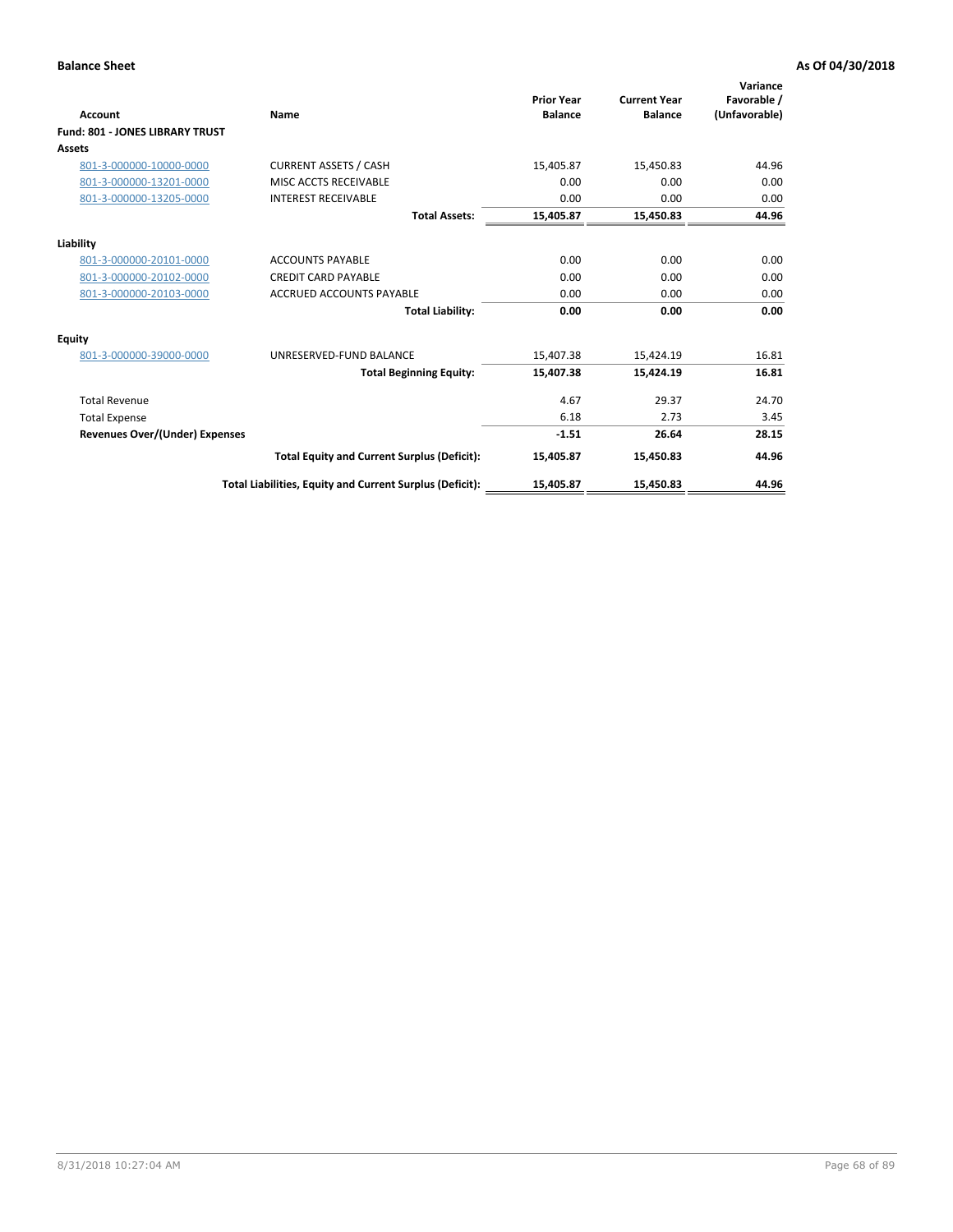| <b>Account</b>                        | Name                                                     | <b>Prior Year</b><br><b>Balance</b> | <b>Current Year</b><br><b>Balance</b> | Variance<br>Favorable /<br>(Unfavorable) |
|---------------------------------------|----------------------------------------------------------|-------------------------------------|---------------------------------------|------------------------------------------|
| Fund: 801 - JONES LIBRARY TRUST       |                                                          |                                     |                                       |                                          |
| <b>Assets</b>                         |                                                          |                                     |                                       |                                          |
| 801-3-000000-10000-0000               | <b>CURRENT ASSETS / CASH</b>                             | 15,405.87                           | 15,450.83                             | 44.96                                    |
| 801-3-000000-13201-0000               | MISC ACCTS RECEIVABLE                                    | 0.00                                | 0.00                                  | 0.00                                     |
| 801-3-000000-13205-0000               | <b>INTEREST RECEIVABLE</b>                               | 0.00                                | 0.00                                  | 0.00                                     |
|                                       | <b>Total Assets:</b>                                     | 15,405.87                           | 15,450.83                             | 44.96                                    |
| Liability                             |                                                          |                                     |                                       |                                          |
| 801-3-000000-20101-0000               | <b>ACCOUNTS PAYABLE</b>                                  | 0.00                                | 0.00                                  | 0.00                                     |
| 801-3-000000-20102-0000               | <b>CREDIT CARD PAYABLE</b>                               | 0.00                                | 0.00                                  | 0.00                                     |
| 801-3-000000-20103-0000               | <b>ACCRUED ACCOUNTS PAYABLE</b>                          | 0.00                                | 0.00                                  | 0.00                                     |
|                                       | <b>Total Liability:</b>                                  | 0.00                                | 0.00                                  | 0.00                                     |
| Equity                                |                                                          |                                     |                                       |                                          |
| 801-3-000000-39000-0000               | UNRESERVED-FUND BALANCE                                  | 15,407.38                           | 15,424.19                             | 16.81                                    |
|                                       | <b>Total Beginning Equity:</b>                           | 15,407.38                           | 15,424.19                             | 16.81                                    |
| <b>Total Revenue</b>                  |                                                          | 4.67                                | 29.37                                 | 24.70                                    |
| <b>Total Expense</b>                  |                                                          | 6.18                                | 2.73                                  | 3.45                                     |
| <b>Revenues Over/(Under) Expenses</b> |                                                          | $-1.51$                             | 26.64                                 | 28.15                                    |
|                                       | <b>Total Equity and Current Surplus (Deficit):</b>       | 15,405.87                           | 15,450.83                             | 44.96                                    |
|                                       | Total Liabilities, Equity and Current Surplus (Deficit): | 15,405.87                           | 15,450.83                             | 44.96                                    |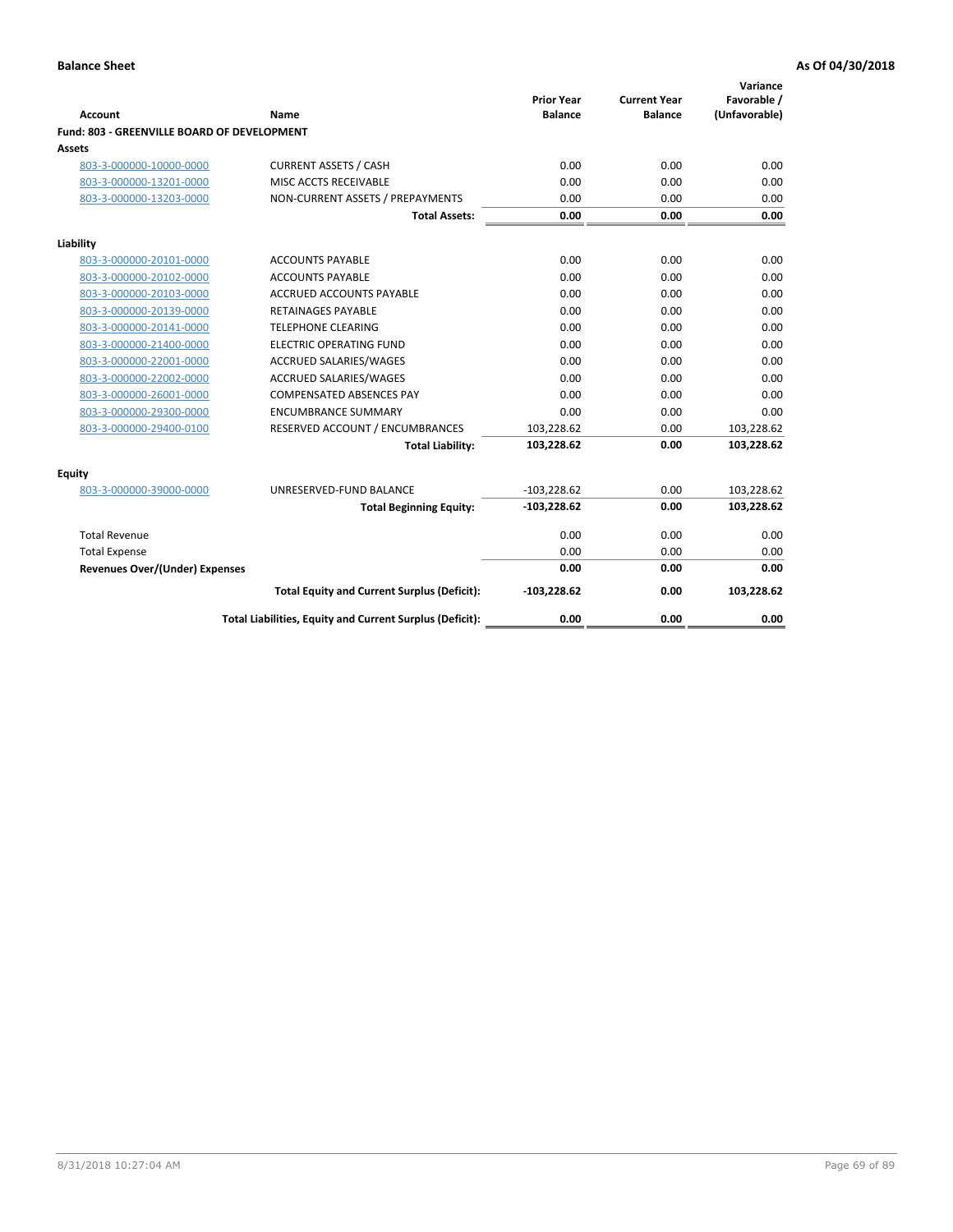| <b>Account</b>                              | Name                                                     | <b>Prior Year</b><br><b>Balance</b> | <b>Current Year</b><br><b>Balance</b> | Variance<br>Favorable /<br>(Unfavorable) |
|---------------------------------------------|----------------------------------------------------------|-------------------------------------|---------------------------------------|------------------------------------------|
| Fund: 803 - GREENVILLE BOARD OF DEVELOPMENT |                                                          |                                     |                                       |                                          |
| Assets                                      |                                                          |                                     |                                       |                                          |
| 803-3-000000-10000-0000                     | <b>CURRENT ASSETS / CASH</b>                             | 0.00                                | 0.00                                  | 0.00                                     |
| 803-3-000000-13201-0000                     | MISC ACCTS RECEIVABLE                                    | 0.00                                | 0.00                                  | 0.00                                     |
| 803-3-000000-13203-0000                     | NON-CURRENT ASSETS / PREPAYMENTS                         | 0.00                                | 0.00                                  | 0.00                                     |
|                                             | <b>Total Assets:</b>                                     | 0.00                                | 0.00                                  | 0.00                                     |
| Liability                                   |                                                          |                                     |                                       |                                          |
| 803-3-000000-20101-0000                     | <b>ACCOUNTS PAYABLE</b>                                  | 0.00                                | 0.00                                  | 0.00                                     |
| 803-3-000000-20102-0000                     | <b>ACCOUNTS PAYABLE</b>                                  | 0.00                                | 0.00                                  | 0.00                                     |
| 803-3-000000-20103-0000                     | <b>ACCRUED ACCOUNTS PAYABLE</b>                          | 0.00                                | 0.00                                  | 0.00                                     |
| 803-3-000000-20139-0000                     | <b>RETAINAGES PAYABLE</b>                                | 0.00                                | 0.00                                  | 0.00                                     |
| 803-3-000000-20141-0000                     | <b>TELEPHONE CLEARING</b>                                | 0.00                                | 0.00                                  | 0.00                                     |
| 803-3-000000-21400-0000                     | <b>ELECTRIC OPERATING FUND</b>                           | 0.00                                | 0.00                                  | 0.00                                     |
| 803-3-000000-22001-0000                     | ACCRUED SALARIES/WAGES                                   | 0.00                                | 0.00                                  | 0.00                                     |
| 803-3-000000-22002-0000                     | <b>ACCRUED SALARIES/WAGES</b>                            | 0.00                                | 0.00                                  | 0.00                                     |
| 803-3-000000-26001-0000                     | <b>COMPENSATED ABSENCES PAY</b>                          | 0.00                                | 0.00                                  | 0.00                                     |
| 803-3-000000-29300-0000                     | <b>ENCUMBRANCE SUMMARY</b>                               | 0.00                                | 0.00                                  | 0.00                                     |
| 803-3-000000-29400-0100                     | RESERVED ACCOUNT / ENCUMBRANCES                          | 103,228.62                          | 0.00                                  | 103,228.62                               |
|                                             | <b>Total Liability:</b>                                  | 103,228.62                          | 0.00                                  | 103,228.62                               |
| Equity                                      |                                                          |                                     |                                       |                                          |
| 803-3-000000-39000-0000                     | UNRESERVED-FUND BALANCE                                  | $-103,228.62$                       | 0.00                                  | 103,228.62                               |
|                                             | <b>Total Beginning Equity:</b>                           | $-103,228.62$                       | 0.00                                  | 103,228.62                               |
| <b>Total Revenue</b>                        |                                                          | 0.00                                | 0.00                                  | 0.00                                     |
| <b>Total Expense</b>                        |                                                          | 0.00                                | 0.00                                  | 0.00                                     |
| <b>Revenues Over/(Under) Expenses</b>       |                                                          | 0.00                                | 0.00                                  | 0.00                                     |
|                                             | <b>Total Equity and Current Surplus (Deficit):</b>       | $-103,228.62$                       | 0.00                                  | 103,228.62                               |
|                                             | Total Liabilities, Equity and Current Surplus (Deficit): | 0.00                                | 0.00                                  | 0.00                                     |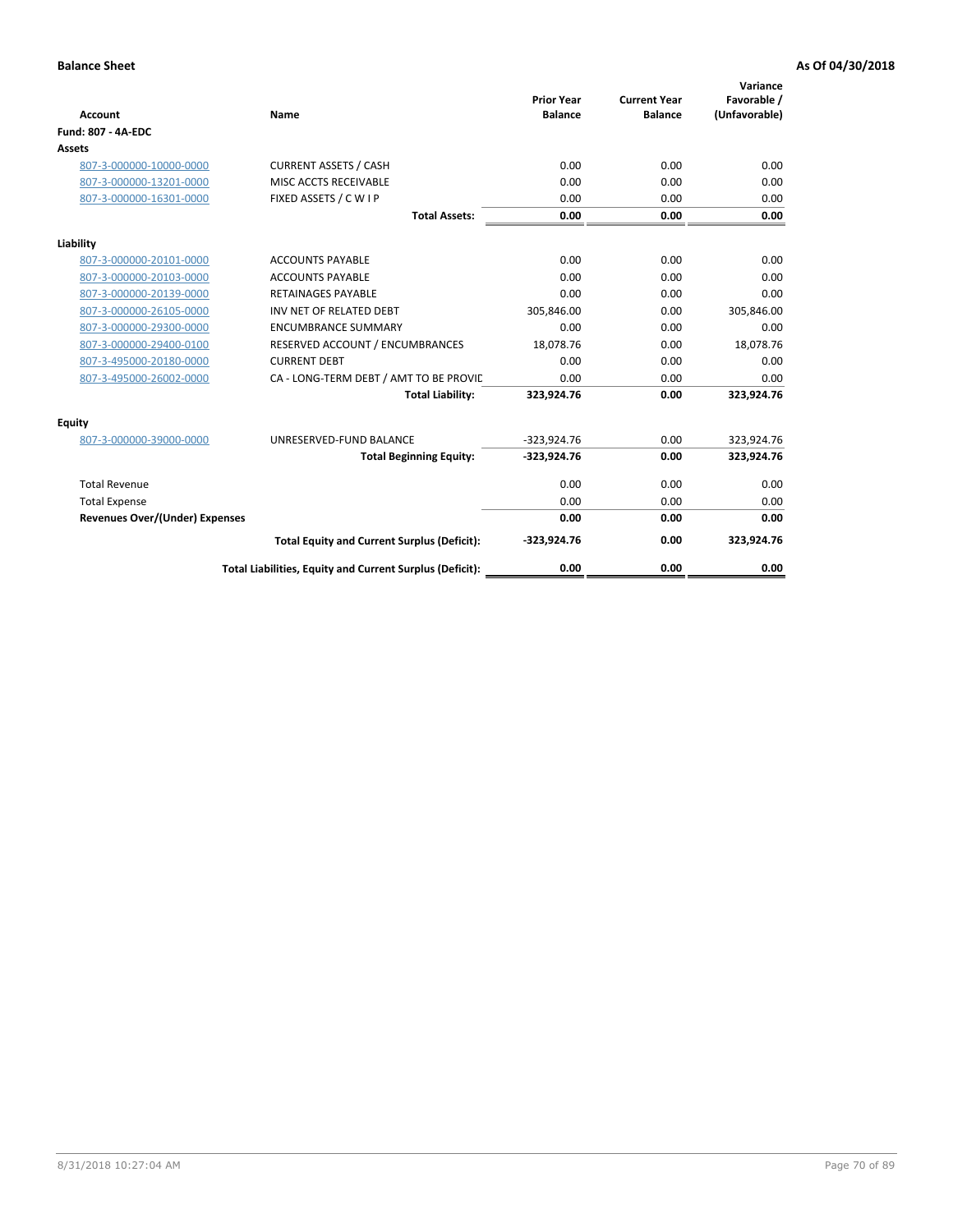| <b>Account</b>                        | Name                                                     | <b>Prior Year</b><br><b>Balance</b> | <b>Current Year</b><br><b>Balance</b> | Variance<br>Favorable /<br>(Unfavorable) |
|---------------------------------------|----------------------------------------------------------|-------------------------------------|---------------------------------------|------------------------------------------|
| <b>Fund: 807 - 4A-EDC</b>             |                                                          |                                     |                                       |                                          |
| <b>Assets</b>                         |                                                          |                                     |                                       |                                          |
| 807-3-000000-10000-0000               | <b>CURRENT ASSETS / CASH</b>                             | 0.00                                | 0.00                                  | 0.00                                     |
| 807-3-000000-13201-0000               | MISC ACCTS RECEIVABLE                                    | 0.00                                | 0.00                                  | 0.00                                     |
| 807-3-000000-16301-0000               | FIXED ASSETS / C W I P                                   | 0.00                                | 0.00                                  | 0.00                                     |
|                                       | <b>Total Assets:</b>                                     | 0.00                                | 0.00                                  | 0.00                                     |
| Liability                             |                                                          |                                     |                                       |                                          |
| 807-3-000000-20101-0000               | <b>ACCOUNTS PAYABLE</b>                                  | 0.00                                | 0.00                                  | 0.00                                     |
| 807-3-000000-20103-0000               | <b>ACCOUNTS PAYABLE</b>                                  | 0.00                                | 0.00                                  | 0.00                                     |
| 807-3-000000-20139-0000               | <b>RETAINAGES PAYABLE</b>                                | 0.00                                | 0.00                                  | 0.00                                     |
| 807-3-000000-26105-0000               | INV NET OF RELATED DEBT                                  | 305,846.00                          | 0.00                                  | 305,846.00                               |
| 807-3-000000-29300-0000               | <b>ENCUMBRANCE SUMMARY</b>                               | 0.00                                | 0.00                                  | 0.00                                     |
| 807-3-000000-29400-0100               | RESERVED ACCOUNT / ENCUMBRANCES                          | 18,078.76                           | 0.00                                  | 18,078.76                                |
| 807-3-495000-20180-0000               | <b>CURRENT DEBT</b>                                      | 0.00                                | 0.00                                  | 0.00                                     |
| 807-3-495000-26002-0000               | CA - LONG-TERM DEBT / AMT TO BE PROVIL                   | 0.00                                | 0.00                                  | 0.00                                     |
|                                       | <b>Total Liability:</b>                                  | 323,924.76                          | 0.00                                  | 323,924.76                               |
| Equity                                |                                                          |                                     |                                       |                                          |
| 807-3-000000-39000-0000               | UNRESERVED-FUND BALANCE                                  | $-323,924.76$                       | 0.00                                  | 323,924.76                               |
|                                       | <b>Total Beginning Equity:</b>                           | -323,924.76                         | 0.00                                  | 323,924.76                               |
| <b>Total Revenue</b>                  |                                                          | 0.00                                | 0.00                                  | 0.00                                     |
| <b>Total Expense</b>                  |                                                          | 0.00                                | 0.00                                  | 0.00                                     |
| <b>Revenues Over/(Under) Expenses</b> |                                                          | 0.00                                | 0.00                                  | 0.00                                     |
|                                       | <b>Total Equity and Current Surplus (Deficit):</b>       | $-323,924.76$                       | 0.00                                  | 323,924.76                               |
|                                       | Total Liabilities, Equity and Current Surplus (Deficit): | 0.00                                | 0.00                                  | 0.00                                     |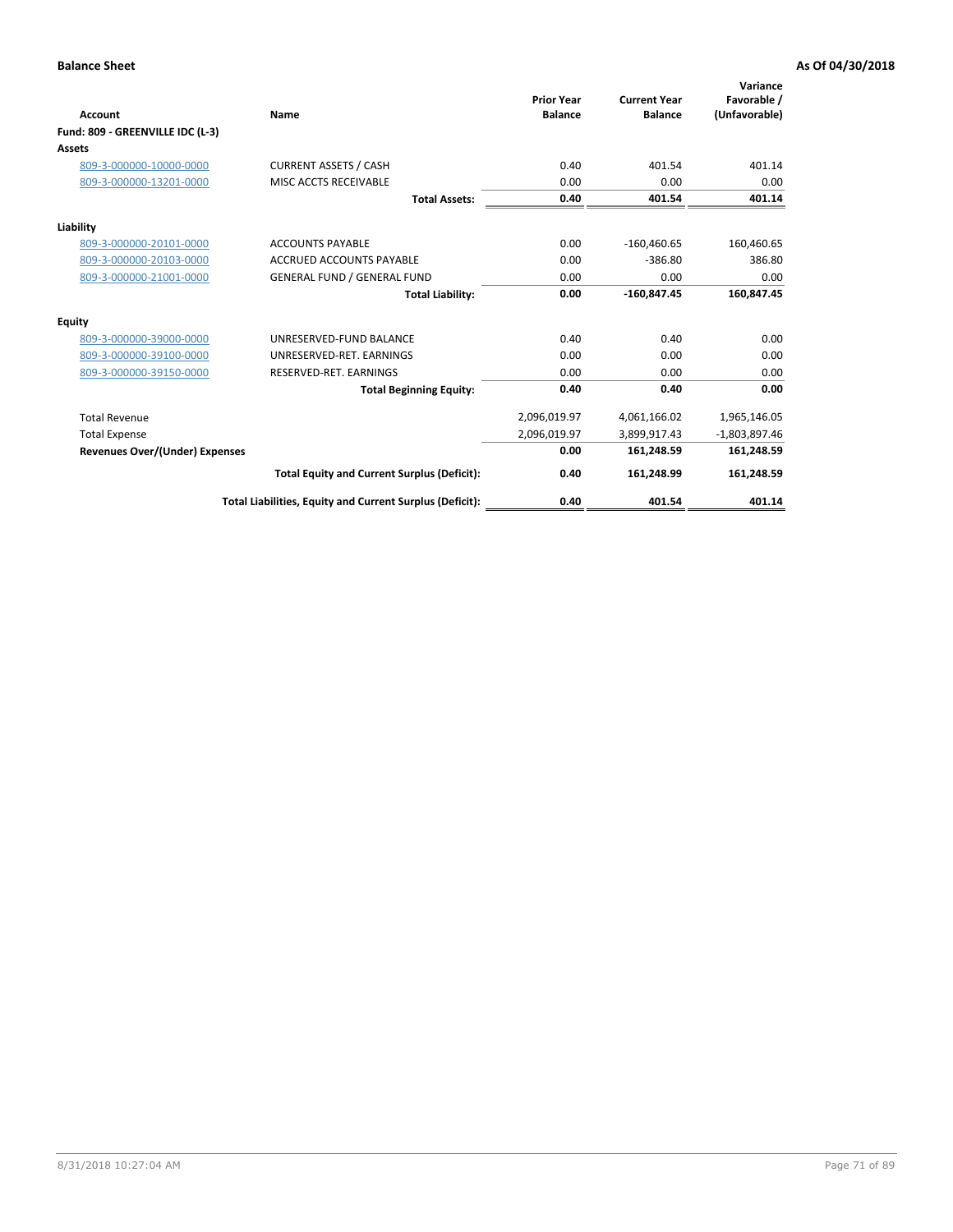| <b>Account</b><br>Fund: 809 - GREENVILLE IDC (L-3) | <b>Name</b>                                              | <b>Prior Year</b><br><b>Balance</b> | <b>Current Year</b><br><b>Balance</b> | Variance<br>Favorable /<br>(Unfavorable) |
|----------------------------------------------------|----------------------------------------------------------|-------------------------------------|---------------------------------------|------------------------------------------|
| Assets                                             |                                                          |                                     |                                       |                                          |
| 809-3-000000-10000-0000                            | <b>CURRENT ASSETS / CASH</b>                             | 0.40                                | 401.54                                | 401.14                                   |
| 809-3-000000-13201-0000                            | MISC ACCTS RECEIVABLE                                    | 0.00                                | 0.00                                  | 0.00                                     |
|                                                    | <b>Total Assets:</b>                                     | 0.40                                | 401.54                                | 401.14                                   |
| Liability                                          |                                                          |                                     |                                       |                                          |
| 809-3-000000-20101-0000                            | <b>ACCOUNTS PAYABLE</b>                                  | 0.00                                | $-160,460.65$                         | 160,460.65                               |
| 809-3-000000-20103-0000                            | <b>ACCRUED ACCOUNTS PAYABLE</b>                          | 0.00                                | $-386.80$                             | 386.80                                   |
| 809-3-000000-21001-0000                            | <b>GENERAL FUND / GENERAL FUND</b>                       | 0.00                                | 0.00                                  | 0.00                                     |
|                                                    | <b>Total Liability:</b>                                  | 0.00                                | $-160,847.45$                         | 160,847.45                               |
| Equity                                             |                                                          |                                     |                                       |                                          |
| 809-3-000000-39000-0000                            | UNRESERVED-FUND BALANCE                                  | 0.40                                | 0.40                                  | 0.00                                     |
| 809-3-000000-39100-0000                            | UNRESERVED-RET. EARNINGS                                 | 0.00                                | 0.00                                  | 0.00                                     |
| 809-3-000000-39150-0000                            | RESERVED-RET. EARNINGS                                   | 0.00                                | 0.00                                  | 0.00                                     |
|                                                    | <b>Total Beginning Equity:</b>                           | 0.40                                | 0.40                                  | 0.00                                     |
| <b>Total Revenue</b>                               |                                                          | 2,096,019.97                        | 4,061,166.02                          | 1,965,146.05                             |
| <b>Total Expense</b>                               |                                                          | 2,096,019.97                        | 3,899,917.43                          | $-1,803,897.46$                          |
| <b>Revenues Over/(Under) Expenses</b>              |                                                          | 0.00                                | 161,248.59                            | 161,248.59                               |
|                                                    | <b>Total Equity and Current Surplus (Deficit):</b>       | 0.40                                | 161,248.99                            | 161,248.59                               |
|                                                    | Total Liabilities, Equity and Current Surplus (Deficit): | 0.40                                | 401.54                                | 401.14                                   |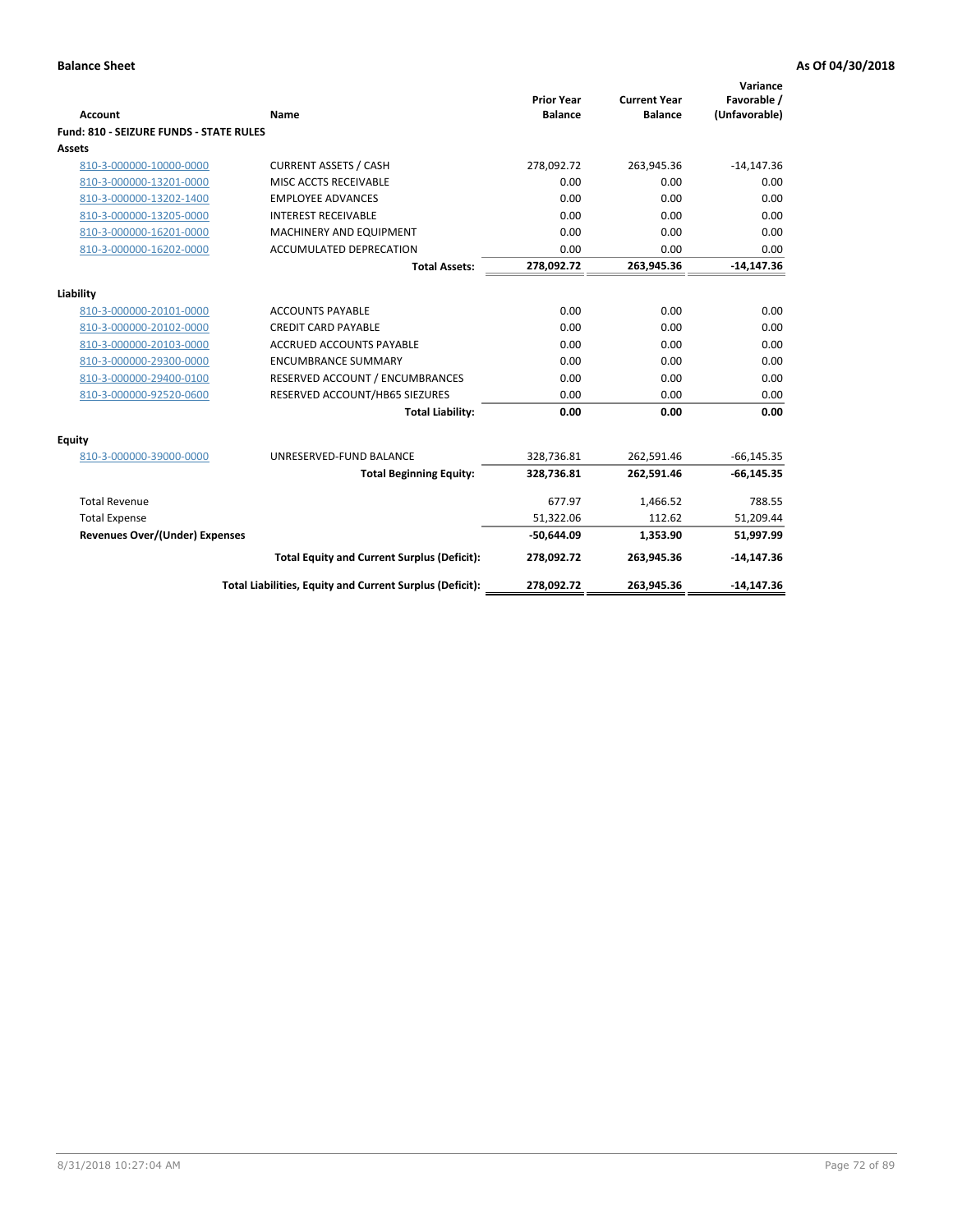| <b>Account</b>                          | <b>Name</b>                                              | <b>Prior Year</b><br><b>Balance</b> | <b>Current Year</b><br><b>Balance</b> | Variance<br>Favorable /<br>(Unfavorable) |
|-----------------------------------------|----------------------------------------------------------|-------------------------------------|---------------------------------------|------------------------------------------|
| Fund: 810 - SEIZURE FUNDS - STATE RULES |                                                          |                                     |                                       |                                          |
| <b>Assets</b>                           |                                                          |                                     |                                       |                                          |
| 810-3-000000-10000-0000                 | <b>CURRENT ASSETS / CASH</b>                             | 278,092.72                          | 263,945.36                            | $-14,147.36$                             |
| 810-3-000000-13201-0000                 | MISC ACCTS RECEIVABLE                                    | 0.00                                | 0.00                                  | 0.00                                     |
| 810-3-000000-13202-1400                 | <b>EMPLOYEE ADVANCES</b>                                 | 0.00                                | 0.00                                  | 0.00                                     |
| 810-3-000000-13205-0000                 | <b>INTEREST RECEIVABLE</b>                               | 0.00                                | 0.00                                  | 0.00                                     |
| 810-3-000000-16201-0000                 | <b>MACHINERY AND EQUIPMENT</b>                           | 0.00                                | 0.00                                  | 0.00                                     |
| 810-3-000000-16202-0000                 | ACCUMULATED DEPRECATION                                  | 0.00                                | 0.00                                  | 0.00                                     |
|                                         | <b>Total Assets:</b>                                     | 278,092.72                          | 263,945.36                            | $-14,147.36$                             |
| Liability                               |                                                          |                                     |                                       |                                          |
| 810-3-000000-20101-0000                 | <b>ACCOUNTS PAYABLE</b>                                  | 0.00                                | 0.00                                  | 0.00                                     |
| 810-3-000000-20102-0000                 | <b>CREDIT CARD PAYABLE</b>                               | 0.00                                | 0.00                                  | 0.00                                     |
| 810-3-000000-20103-0000                 | <b>ACCRUED ACCOUNTS PAYABLE</b>                          | 0.00                                | 0.00                                  | 0.00                                     |
| 810-3-000000-29300-0000                 | <b>ENCUMBRANCE SUMMARY</b>                               | 0.00                                | 0.00                                  | 0.00                                     |
| 810-3-000000-29400-0100                 | RESERVED ACCOUNT / ENCUMBRANCES                          | 0.00                                | 0.00                                  | 0.00                                     |
|                                         | RESERVED ACCOUNT/HB65 SIEZURES                           | 0.00                                | 0.00                                  | 0.00                                     |
| 810-3-000000-92520-0600                 | <b>Total Liability:</b>                                  | 0.00                                | 0.00                                  | 0.00                                     |
|                                         |                                                          |                                     |                                       |                                          |
| <b>Equity</b>                           |                                                          |                                     |                                       |                                          |
| 810-3-000000-39000-0000                 | UNRESERVED-FUND BALANCE                                  | 328,736.81                          | 262,591.46                            | $-66, 145.35$                            |
|                                         | <b>Total Beginning Equity:</b>                           | 328,736.81                          | 262,591.46                            | $-66, 145.35$                            |
| <b>Total Revenue</b>                    |                                                          | 677.97                              | 1,466.52                              | 788.55                                   |
| <b>Total Expense</b>                    |                                                          | 51,322.06                           | 112.62                                | 51,209.44                                |
| Revenues Over/(Under) Expenses          |                                                          | $-50,644.09$                        | 1,353.90                              | 51,997.99                                |
|                                         | <b>Total Equity and Current Surplus (Deficit):</b>       | 278,092.72                          | 263,945.36                            | $-14,147.36$                             |
|                                         | Total Liabilities, Equity and Current Surplus (Deficit): | 278,092.72                          | 263,945.36                            | $-14,147.36$                             |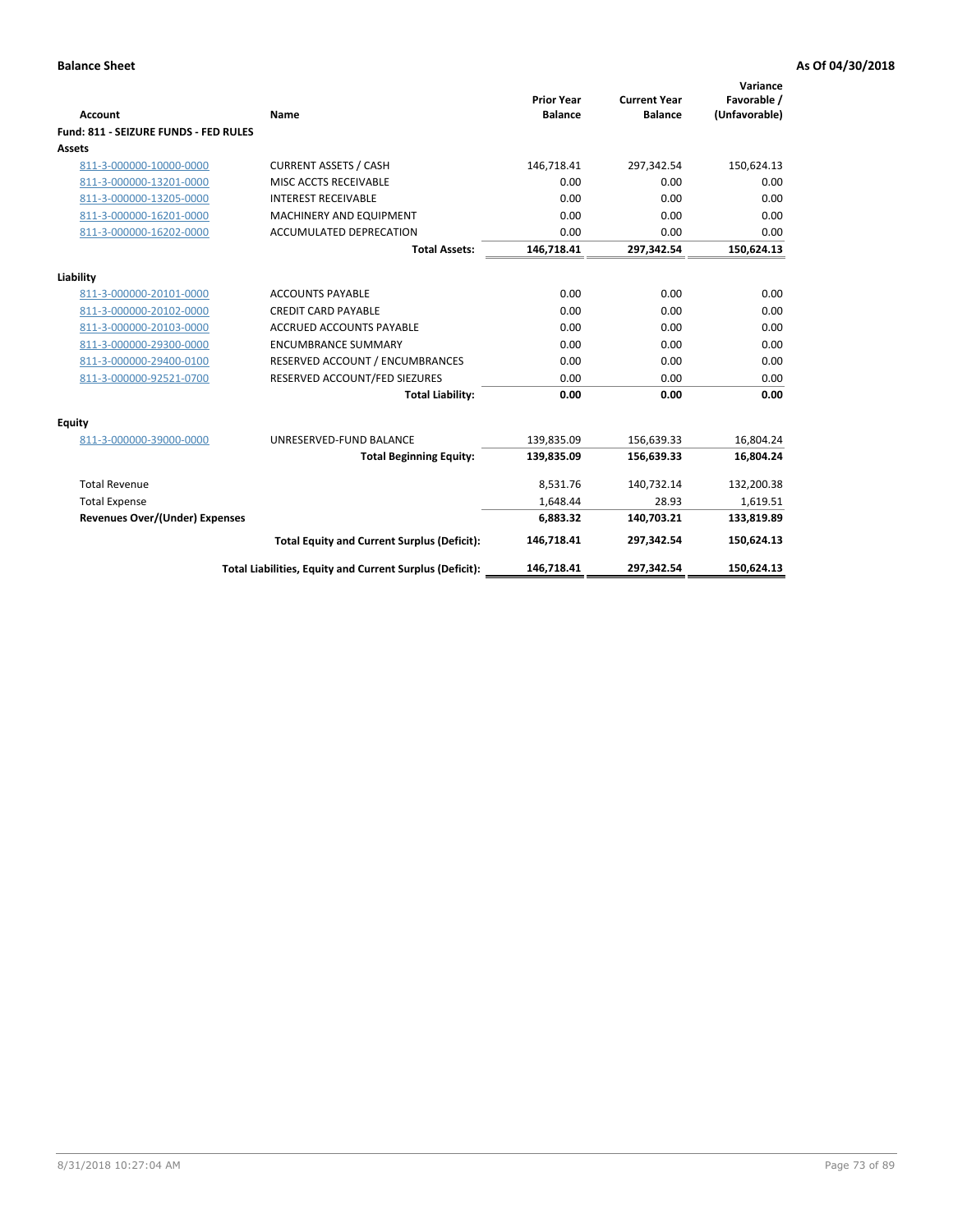| Account                               | Name                                                     | <b>Prior Year</b><br><b>Balance</b> | <b>Current Year</b><br><b>Balance</b> | Variance<br>Favorable /<br>(Unfavorable) |
|---------------------------------------|----------------------------------------------------------|-------------------------------------|---------------------------------------|------------------------------------------|
| Fund: 811 - SEIZURE FUNDS - FED RULES |                                                          |                                     |                                       |                                          |
| <b>Assets</b>                         |                                                          |                                     |                                       |                                          |
| 811-3-000000-10000-0000               | <b>CURRENT ASSETS / CASH</b>                             | 146,718.41                          | 297,342.54                            | 150,624.13                               |
| 811-3-000000-13201-0000               | MISC ACCTS RECEIVABLE                                    | 0.00                                | 0.00                                  | 0.00                                     |
| 811-3-000000-13205-0000               | <b>INTEREST RECEIVABLE</b>                               | 0.00                                | 0.00                                  | 0.00                                     |
| 811-3-000000-16201-0000               | <b>MACHINERY AND EQUIPMENT</b>                           | 0.00                                | 0.00                                  | 0.00                                     |
| 811-3-000000-16202-0000               | ACCUMULATED DEPRECATION                                  | 0.00                                | 0.00                                  | 0.00                                     |
|                                       | <b>Total Assets:</b>                                     | 146,718.41                          | 297,342.54                            | 150,624.13                               |
| Liability                             |                                                          |                                     |                                       |                                          |
| 811-3-000000-20101-0000               | <b>ACCOUNTS PAYABLE</b>                                  | 0.00                                | 0.00                                  | 0.00                                     |
| 811-3-000000-20102-0000               | <b>CREDIT CARD PAYABLE</b>                               | 0.00                                | 0.00                                  | 0.00                                     |
| 811-3-000000-20103-0000               | <b>ACCRUED ACCOUNTS PAYABLE</b>                          | 0.00                                | 0.00                                  | 0.00                                     |
| 811-3-000000-29300-0000               | <b>ENCUMBRANCE SUMMARY</b>                               | 0.00                                | 0.00                                  | 0.00                                     |
| 811-3-000000-29400-0100               | RESERVED ACCOUNT / ENCUMBRANCES                          | 0.00                                | 0.00                                  | 0.00                                     |
| 811-3-000000-92521-0700               | RESERVED ACCOUNT/FED SIEZURES                            | 0.00                                | 0.00                                  | 0.00                                     |
|                                       | <b>Total Liability:</b>                                  | 0.00                                | 0.00                                  | 0.00                                     |
| <b>Equity</b>                         |                                                          |                                     |                                       |                                          |
| 811-3-000000-39000-0000               | UNRESERVED-FUND BALANCE                                  | 139,835.09                          | 156,639.33                            | 16,804.24                                |
|                                       | <b>Total Beginning Equity:</b>                           | 139,835.09                          | 156,639.33                            | 16,804.24                                |
| <b>Total Revenue</b>                  |                                                          | 8,531.76                            | 140,732.14                            | 132,200.38                               |
| <b>Total Expense</b>                  |                                                          | 1.648.44                            | 28.93                                 | 1,619.51                                 |
| <b>Revenues Over/(Under) Expenses</b> |                                                          | 6,883.32                            | 140,703.21                            | 133,819.89                               |
|                                       | <b>Total Equity and Current Surplus (Deficit):</b>       | 146,718.41                          | 297,342.54                            | 150,624.13                               |
|                                       | Total Liabilities, Equity and Current Surplus (Deficit): | 146,718.41                          | 297,342.54                            | 150.624.13                               |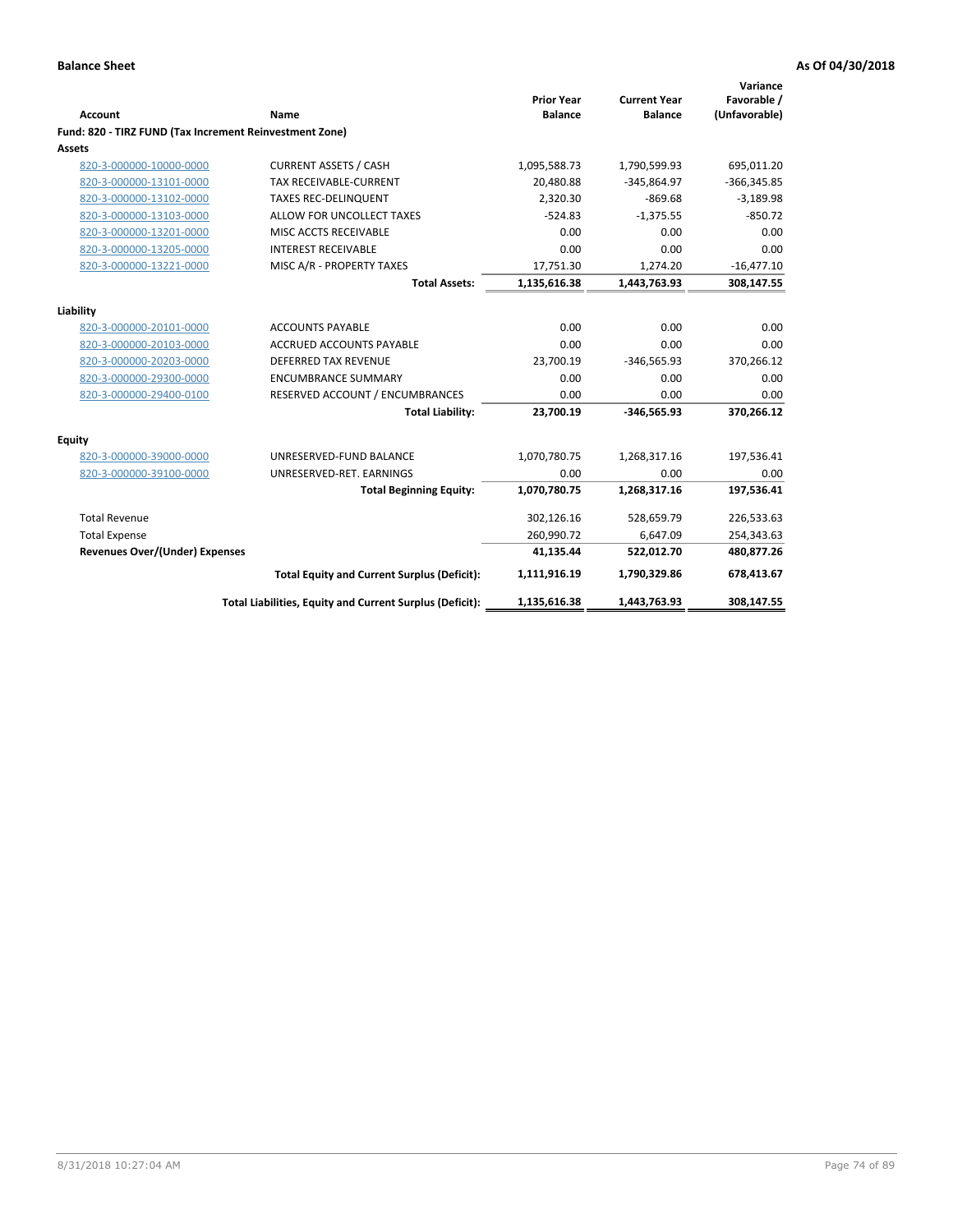|                                                         |                                                          | <b>Prior Year</b> | <b>Current Year</b> | Variance<br>Favorable / |
|---------------------------------------------------------|----------------------------------------------------------|-------------------|---------------------|-------------------------|
| <b>Account</b>                                          | Name                                                     | <b>Balance</b>    | <b>Balance</b>      | (Unfavorable)           |
| Fund: 820 - TIRZ FUND (Tax Increment Reinvestment Zone) |                                                          |                   |                     |                         |
| Assets                                                  |                                                          |                   |                     |                         |
| 820-3-000000-10000-0000                                 | <b>CURRENT ASSETS / CASH</b>                             | 1,095,588.73      | 1,790,599.93        | 695,011.20              |
| 820-3-000000-13101-0000                                 | <b>TAX RECEIVABLE-CURRENT</b>                            | 20,480.88         | $-345,864.97$       | $-366,345.85$           |
| 820-3-000000-13102-0000                                 | <b>TAXES REC-DELINQUENT</b>                              | 2,320.30          | $-869.68$           | $-3,189.98$             |
| 820-3-000000-13103-0000                                 | ALLOW FOR UNCOLLECT TAXES                                | $-524.83$         | $-1,375.55$         | $-850.72$               |
| 820-3-000000-13201-0000                                 | MISC ACCTS RECEIVABLE                                    | 0.00              | 0.00                | 0.00                    |
| 820-3-000000-13205-0000                                 | <b>INTEREST RECEIVABLE</b>                               | 0.00              | 0.00                | 0.00                    |
| 820-3-000000-13221-0000                                 | MISC A/R - PROPERTY TAXES                                | 17,751.30         | 1,274.20            | $-16,477.10$            |
|                                                         | <b>Total Assets:</b>                                     | 1,135,616.38      | 1,443,763.93        | 308,147.55              |
| Liability                                               |                                                          |                   |                     |                         |
| 820-3-000000-20101-0000                                 | <b>ACCOUNTS PAYABLE</b>                                  | 0.00              | 0.00                | 0.00                    |
| 820-3-000000-20103-0000                                 | <b>ACCRUED ACCOUNTS PAYABLE</b>                          | 0.00              | 0.00                | 0.00                    |
| 820-3-000000-20203-0000                                 | <b>DEFERRED TAX REVENUE</b>                              | 23,700.19         | $-346,565.93$       | 370,266.12              |
| 820-3-000000-29300-0000                                 | <b>ENCUMBRANCE SUMMARY</b>                               | 0.00              | 0.00                | 0.00                    |
| 820-3-000000-29400-0100                                 | RESERVED ACCOUNT / ENCUMBRANCES                          | 0.00              | 0.00                | 0.00                    |
|                                                         | <b>Total Liability:</b>                                  | 23,700.19         | $-346,565.93$       | 370,266.12              |
| <b>Equity</b>                                           |                                                          |                   |                     |                         |
| 820-3-000000-39000-0000                                 | UNRESERVED-FUND BALANCE                                  | 1,070,780.75      | 1,268,317.16        | 197,536.41              |
| 820-3-000000-39100-0000                                 | UNRESERVED-RET. EARNINGS                                 | 0.00              | 0.00                | 0.00                    |
|                                                         | <b>Total Beginning Equity:</b>                           | 1,070,780.75      | 1,268,317.16        | 197,536.41              |
| <b>Total Revenue</b>                                    |                                                          | 302,126.16        | 528,659.79          | 226,533.63              |
| <b>Total Expense</b>                                    |                                                          | 260,990.72        | 6,647.09            | 254,343.63              |
| <b>Revenues Over/(Under) Expenses</b>                   |                                                          | 41,135.44         | 522,012.70          | 480,877.26              |
|                                                         | <b>Total Equity and Current Surplus (Deficit):</b>       | 1,111,916.19      | 1,790,329.86        | 678,413.67              |
|                                                         | Total Liabilities, Equity and Current Surplus (Deficit): | 1,135,616.38      | 1,443,763.93        | 308,147.55              |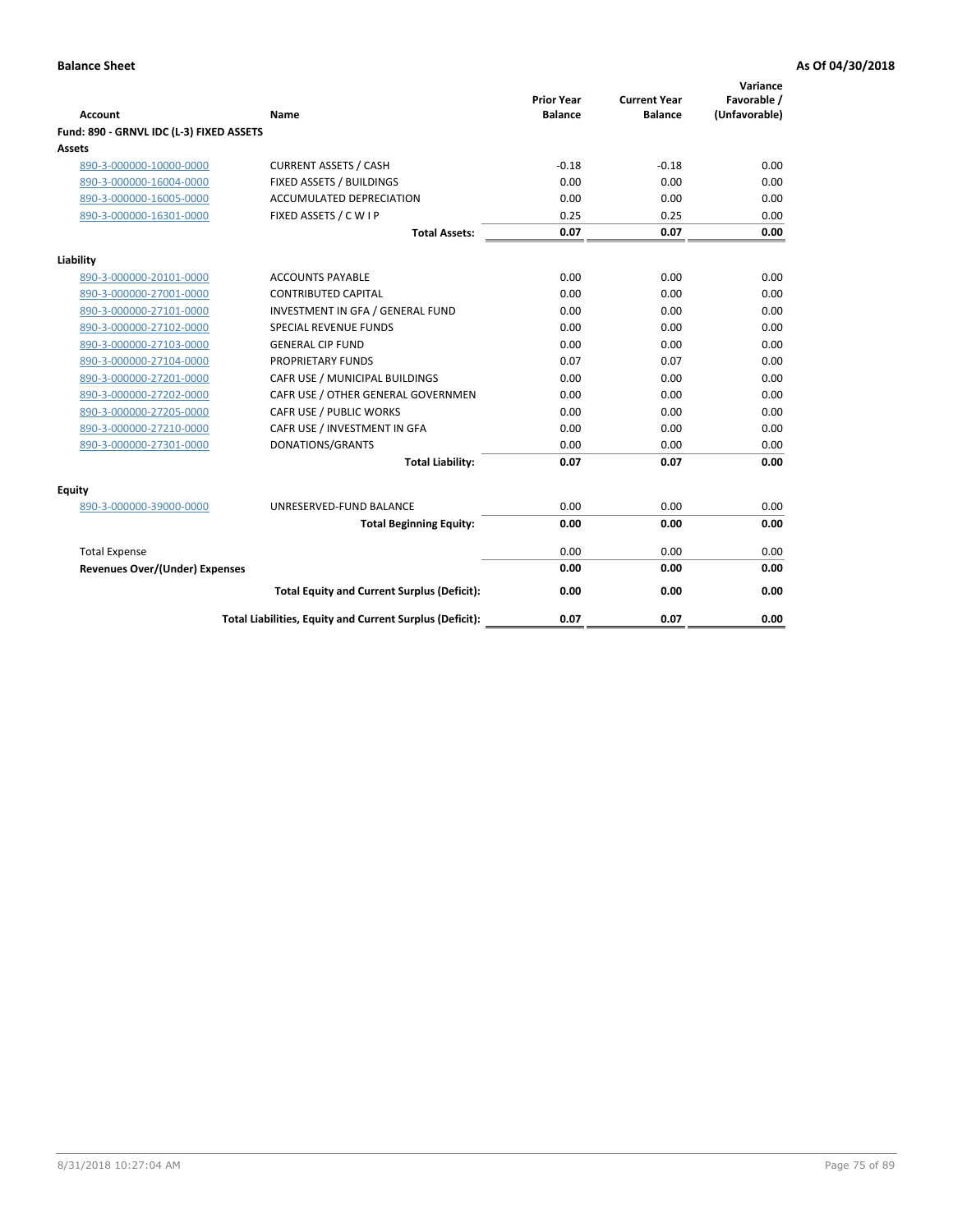| <b>Account</b>                           | Name                                                     | <b>Prior Year</b><br><b>Balance</b> | <b>Current Year</b><br><b>Balance</b> | Variance<br>Favorable /<br>(Unfavorable) |
|------------------------------------------|----------------------------------------------------------|-------------------------------------|---------------------------------------|------------------------------------------|
| Fund: 890 - GRNVL IDC (L-3) FIXED ASSETS |                                                          |                                     |                                       |                                          |
| <b>Assets</b>                            |                                                          |                                     |                                       |                                          |
| 890-3-000000-10000-0000                  | <b>CURRENT ASSETS / CASH</b>                             | $-0.18$                             | $-0.18$                               | 0.00                                     |
| 890-3-000000-16004-0000                  | FIXED ASSETS / BUILDINGS                                 | 0.00                                | 0.00                                  | 0.00                                     |
| 890-3-000000-16005-0000                  | <b>ACCUMULATED DEPRECIATION</b>                          | 0.00                                | 0.00                                  | 0.00                                     |
| 890-3-000000-16301-0000                  | FIXED ASSETS / C W I P                                   | 0.25                                | 0.25                                  | 0.00                                     |
|                                          | <b>Total Assets:</b>                                     | 0.07                                | 0.07                                  | 0.00                                     |
| Liability                                |                                                          |                                     |                                       |                                          |
| 890-3-000000-20101-0000                  | <b>ACCOUNTS PAYABLE</b>                                  | 0.00                                | 0.00                                  | 0.00                                     |
| 890-3-000000-27001-0000                  | <b>CONTRIBUTED CAPITAL</b>                               | 0.00                                | 0.00                                  | 0.00                                     |
| 890-3-000000-27101-0000                  | INVESTMENT IN GFA / GENERAL FUND                         | 0.00                                | 0.00                                  | 0.00                                     |
| 890-3-000000-27102-0000                  | <b>SPECIAL REVENUE FUNDS</b>                             | 0.00                                | 0.00                                  | 0.00                                     |
| 890-3-000000-27103-0000                  | <b>GENERAL CIP FUND</b>                                  | 0.00                                | 0.00                                  | 0.00                                     |
| 890-3-000000-27104-0000                  | PROPRIETARY FUNDS                                        | 0.07                                | 0.07                                  | 0.00                                     |
| 890-3-000000-27201-0000                  | CAFR USE / MUNICIPAL BUILDINGS                           | 0.00                                | 0.00                                  | 0.00                                     |
| 890-3-000000-27202-0000                  | CAFR USE / OTHER GENERAL GOVERNMEN                       | 0.00                                | 0.00                                  | 0.00                                     |
| 890-3-000000-27205-0000                  | CAFR USE / PUBLIC WORKS                                  | 0.00                                | 0.00                                  | 0.00                                     |
| 890-3-000000-27210-0000                  | CAFR USE / INVESTMENT IN GFA                             | 0.00                                | 0.00                                  | 0.00                                     |
| 890-3-000000-27301-0000                  | DONATIONS/GRANTS                                         | 0.00                                | 0.00                                  | 0.00                                     |
|                                          | <b>Total Liability:</b>                                  | 0.07                                | 0.07                                  | 0.00                                     |
| Equity                                   |                                                          |                                     |                                       |                                          |
| 890-3-000000-39000-0000                  | UNRESERVED-FUND BALANCE                                  | 0.00                                | 0.00                                  | 0.00                                     |
|                                          | <b>Total Beginning Equity:</b>                           | 0.00                                | 0.00                                  | 0.00                                     |
| <b>Total Expense</b>                     |                                                          | 0.00                                | 0.00                                  | 0.00                                     |
| Revenues Over/(Under) Expenses           |                                                          | 0.00                                | 0.00                                  | 0.00                                     |
|                                          |                                                          |                                     |                                       |                                          |
|                                          | <b>Total Equity and Current Surplus (Deficit):</b>       | 0.00                                | 0.00                                  | 0.00                                     |
|                                          | Total Liabilities, Equity and Current Surplus (Deficit): | 0.07                                | 0.07                                  | 0.00                                     |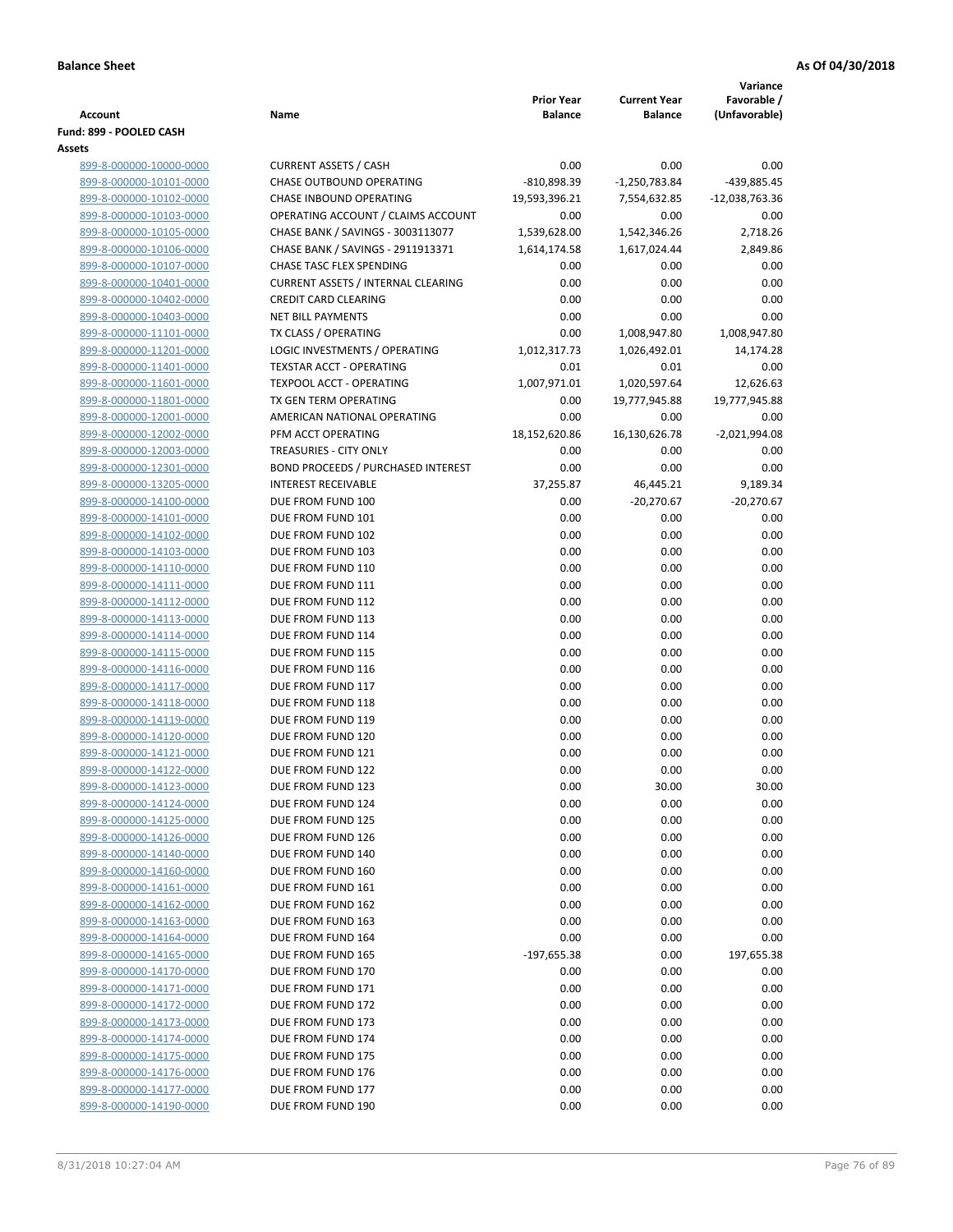|                                                    |                                                      |                                     |                                       | Variance                     |
|----------------------------------------------------|------------------------------------------------------|-------------------------------------|---------------------------------------|------------------------------|
| <b>Account</b>                                     | Name                                                 | <b>Prior Year</b><br><b>Balance</b> | <b>Current Year</b><br><b>Balance</b> | Favorable /<br>(Unfavorable) |
| Fund: 899 - POOLED CASH                            |                                                      |                                     |                                       |                              |
| Assets                                             |                                                      |                                     |                                       |                              |
| 899-8-000000-10000-0000                            | <b>CURRENT ASSETS / CASH</b>                         | 0.00                                | 0.00                                  | 0.00                         |
| 899-8-000000-10101-0000                            | CHASE OUTBOUND OPERATING                             | $-810,898.39$                       | $-1,250,783.84$                       | -439,885.45                  |
| 899-8-000000-10102-0000                            | CHASE INBOUND OPERATING                              | 19,593,396.21                       | 7,554,632.85                          | -12,038,763.36               |
| 899-8-000000-10103-0000                            | OPERATING ACCOUNT / CLAIMS ACCOUNT                   | 0.00                                | 0.00                                  | 0.00                         |
| 899-8-000000-10105-0000                            | CHASE BANK / SAVINGS - 3003113077                    | 1,539,628.00                        | 1,542,346.26                          | 2,718.26                     |
| 899-8-000000-10106-0000                            | CHASE BANK / SAVINGS - 2911913371                    | 1,614,174.58                        | 1,617,024.44                          | 2,849.86                     |
| 899-8-000000-10107-0000                            | <b>CHASE TASC FLEX SPENDING</b>                      | 0.00                                | 0.00                                  | 0.00                         |
| 899-8-000000-10401-0000                            | <b>CURRENT ASSETS / INTERNAL CLEARING</b>            | 0.00                                | 0.00                                  | 0.00                         |
| 899-8-000000-10402-0000                            | <b>CREDIT CARD CLEARING</b>                          | 0.00                                | 0.00                                  | 0.00                         |
| 899-8-000000-10403-0000                            | <b>NET BILL PAYMENTS</b>                             | 0.00                                | 0.00                                  | 0.00                         |
| 899-8-000000-11101-0000                            | TX CLASS / OPERATING                                 | 0.00                                | 1,008,947.80                          | 1,008,947.80                 |
| 899-8-000000-11201-0000                            | LOGIC INVESTMENTS / OPERATING                        | 1,012,317.73                        | 1,026,492.01                          | 14,174.28                    |
| 899-8-000000-11401-0000                            | <b>TEXSTAR ACCT - OPERATING</b>                      | 0.01                                | 0.01                                  | 0.00                         |
| 899-8-000000-11601-0000                            | <b>TEXPOOL ACCT - OPERATING</b>                      | 1,007,971.01                        | 1,020,597.64                          | 12,626.63                    |
| 899-8-000000-11801-0000                            | TX GEN TERM OPERATING<br>AMERICAN NATIONAL OPERATING | 0.00<br>0.00                        | 19,777,945.88<br>0.00                 | 19,777,945.88<br>0.00        |
| 899-8-000000-12001-0000<br>899-8-000000-12002-0000 | PFM ACCT OPERATING                                   | 18,152,620.86                       | 16,130,626.78                         | $-2,021,994.08$              |
| 899-8-000000-12003-0000                            | TREASURIES - CITY ONLY                               | 0.00                                | 0.00                                  | 0.00                         |
| 899-8-000000-12301-0000                            | <b>BOND PROCEEDS / PURCHASED INTEREST</b>            | 0.00                                | 0.00                                  | 0.00                         |
| 899-8-000000-13205-0000                            | <b>INTEREST RECEIVABLE</b>                           | 37,255.87                           | 46,445.21                             | 9,189.34                     |
| 899-8-000000-14100-0000                            | DUE FROM FUND 100                                    | 0.00                                | $-20,270.67$                          | $-20,270.67$                 |
| 899-8-000000-14101-0000                            | DUE FROM FUND 101                                    | 0.00                                | 0.00                                  | 0.00                         |
| 899-8-000000-14102-0000                            | DUE FROM FUND 102                                    | 0.00                                | 0.00                                  | 0.00                         |
| 899-8-000000-14103-0000                            | DUE FROM FUND 103                                    | 0.00                                | 0.00                                  | 0.00                         |
| 899-8-000000-14110-0000                            | DUE FROM FUND 110                                    | 0.00                                | 0.00                                  | 0.00                         |
| 899-8-000000-14111-0000                            | DUE FROM FUND 111                                    | 0.00                                | 0.00                                  | 0.00                         |
| 899-8-000000-14112-0000                            | DUE FROM FUND 112                                    | 0.00                                | 0.00                                  | 0.00                         |
| 899-8-000000-14113-0000                            | DUE FROM FUND 113                                    | 0.00                                | 0.00                                  | 0.00                         |
| 899-8-000000-14114-0000                            | DUE FROM FUND 114                                    | 0.00                                | 0.00                                  | 0.00                         |
| 899-8-000000-14115-0000                            | DUE FROM FUND 115                                    | 0.00                                | 0.00                                  | 0.00                         |
| 899-8-000000-14116-0000                            | DUE FROM FUND 116                                    | 0.00                                | 0.00                                  | 0.00                         |
| 899-8-000000-14117-0000                            | DUE FROM FUND 117                                    | 0.00                                | 0.00                                  | 0.00                         |
| 899-8-000000-14118-0000                            | DUE FROM FUND 118                                    | 0.00                                | 0.00                                  | 0.00                         |
| 899-8-000000-14119-0000                            | DUE FROM FUND 119                                    | 0.00                                | 0.00                                  | 0.00                         |
| 899-8-000000-14120-0000                            | DUE FROM FUND 120                                    | 0.00                                | 0.00                                  | 0.00                         |
| 899-8-000000-14121-0000                            | DUE FROM FUND 121<br>DUE FROM FUND 122               | 0.00                                | 0.00                                  | 0.00                         |
| 899-8-000000-14122-0000                            | DUE FROM FUND 123                                    | 0.00                                | 0.00                                  | 0.00                         |
| 899-8-000000-14123-0000<br>899-8-000000-14124-0000 | DUE FROM FUND 124                                    | 0.00<br>0.00                        | 30.00<br>0.00                         | 30.00<br>0.00                |
| 899-8-000000-14125-0000                            | DUE FROM FUND 125                                    | 0.00                                | 0.00                                  | 0.00                         |
| 899-8-000000-14126-0000                            | DUE FROM FUND 126                                    | 0.00                                | 0.00                                  | 0.00                         |
| 899-8-000000-14140-0000                            | DUE FROM FUND 140                                    | 0.00                                | 0.00                                  | 0.00                         |
| 899-8-000000-14160-0000                            | DUE FROM FUND 160                                    | 0.00                                | 0.00                                  | 0.00                         |
| 899-8-000000-14161-0000                            | DUE FROM FUND 161                                    | 0.00                                | 0.00                                  | 0.00                         |
| 899-8-000000-14162-0000                            | DUE FROM FUND 162                                    | 0.00                                | 0.00                                  | 0.00                         |
| 899-8-000000-14163-0000                            | DUE FROM FUND 163                                    | 0.00                                | 0.00                                  | 0.00                         |
| 899-8-000000-14164-0000                            | DUE FROM FUND 164                                    | 0.00                                | 0.00                                  | 0.00                         |
| 899-8-000000-14165-0000                            | DUE FROM FUND 165                                    | $-197,655.38$                       | 0.00                                  | 197,655.38                   |
| 899-8-000000-14170-0000                            | DUE FROM FUND 170                                    | 0.00                                | 0.00                                  | 0.00                         |
| 899-8-000000-14171-0000                            | DUE FROM FUND 171                                    | 0.00                                | 0.00                                  | 0.00                         |
| 899-8-000000-14172-0000                            | DUE FROM FUND 172                                    | 0.00                                | 0.00                                  | 0.00                         |
| 899-8-000000-14173-0000                            | DUE FROM FUND 173                                    | 0.00                                | 0.00                                  | 0.00                         |
| 899-8-000000-14174-0000                            | DUE FROM FUND 174                                    | 0.00                                | 0.00                                  | 0.00                         |
| 899-8-000000-14175-0000                            | DUE FROM FUND 175                                    | 0.00                                | 0.00                                  | 0.00                         |
| 899-8-000000-14176-0000                            | DUE FROM FUND 176                                    | 0.00                                | 0.00                                  | 0.00                         |
| 899-8-000000-14177-0000                            | DUE FROM FUND 177                                    | 0.00                                | 0.00                                  | 0.00                         |
| 899-8-000000-14190-0000                            | DUE FROM FUND 190                                    | 0.00                                | 0.00                                  | 0.00                         |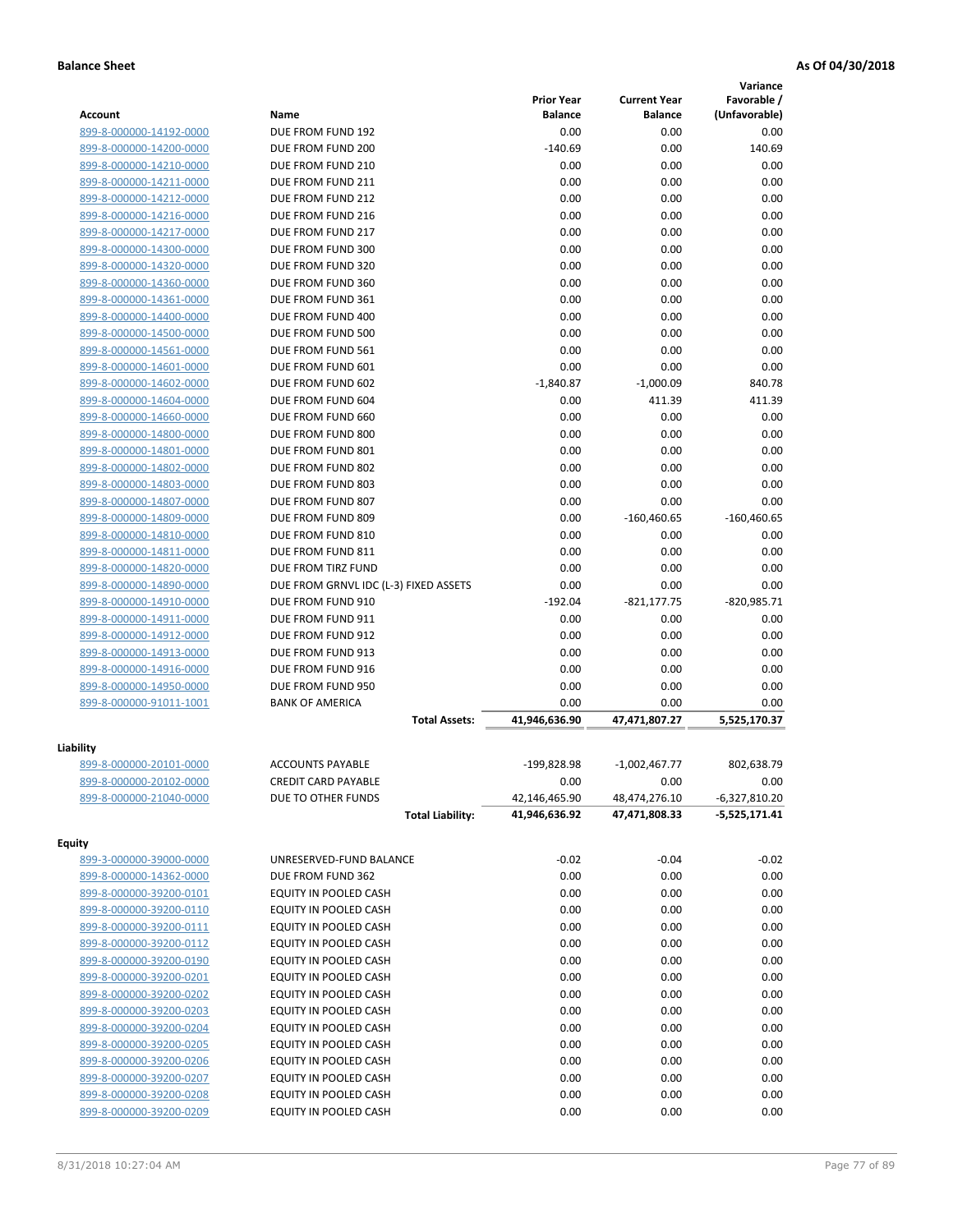|                         |                                       |                       |                       | Variance        |
|-------------------------|---------------------------------------|-----------------------|-----------------------|-----------------|
|                         |                                       | <b>Prior Year</b>     | <b>Current Year</b>   | Favorable /     |
| <b>Account</b>          | Name                                  | <b>Balance</b>        | <b>Balance</b>        | (Unfavorable)   |
| 899-8-000000-14192-0000 | DUE FROM FUND 192                     | 0.00                  | 0.00                  | 0.00            |
| 899-8-000000-14200-0000 | DUE FROM FUND 200                     | $-140.69$             | 0.00                  | 140.69          |
| 899-8-000000-14210-0000 | DUE FROM FUND 210                     | 0.00                  | 0.00                  | 0.00            |
| 899-8-000000-14211-0000 | DUE FROM FUND 211                     | 0.00                  | 0.00                  | 0.00            |
| 899-8-000000-14212-0000 | DUE FROM FUND 212                     | 0.00                  | 0.00                  | 0.00            |
| 899-8-000000-14216-0000 | DUE FROM FUND 216                     | 0.00                  | 0.00                  | 0.00            |
| 899-8-000000-14217-0000 | DUE FROM FUND 217                     | 0.00                  | 0.00                  | 0.00            |
| 899-8-000000-14300-0000 | DUE FROM FUND 300                     | 0.00                  | 0.00                  | 0.00            |
| 899-8-000000-14320-0000 | DUE FROM FUND 320                     | 0.00                  | 0.00                  | 0.00            |
| 899-8-000000-14360-0000 | DUE FROM FUND 360                     | 0.00                  | 0.00                  | 0.00            |
| 899-8-000000-14361-0000 | DUE FROM FUND 361                     | 0.00                  | 0.00                  | 0.00            |
| 899-8-000000-14400-0000 | DUE FROM FUND 400                     | 0.00                  | 0.00                  | 0.00            |
| 899-8-000000-14500-0000 | DUE FROM FUND 500                     | 0.00                  | 0.00                  | 0.00            |
| 899-8-000000-14561-0000 | DUE FROM FUND 561                     | 0.00                  | 0.00                  | 0.00            |
| 899-8-000000-14601-0000 | DUE FROM FUND 601                     | 0.00                  | 0.00                  | 0.00            |
| 899-8-000000-14602-0000 | DUE FROM FUND 602                     | $-1,840.87$           | $-1,000.09$           | 840.78          |
| 899-8-000000-14604-0000 | DUE FROM FUND 604                     | 0.00                  | 411.39                | 411.39          |
| 899-8-000000-14660-0000 | DUE FROM FUND 660                     | 0.00                  | 0.00                  | 0.00            |
| 899-8-000000-14800-0000 | DUE FROM FUND 800                     | 0.00                  | 0.00                  | 0.00            |
| 899-8-000000-14801-0000 | DUE FROM FUND 801                     | 0.00                  | 0.00                  | 0.00            |
| 899-8-000000-14802-0000 | DUE FROM FUND 802                     | 0.00                  | 0.00                  | 0.00            |
| 899-8-000000-14803-0000 | DUE FROM FUND 803                     | 0.00                  | 0.00                  | 0.00            |
| 899-8-000000-14807-0000 | DUE FROM FUND 807                     | 0.00                  | 0.00                  | 0.00            |
| 899-8-000000-14809-0000 | DUE FROM FUND 809                     | 0.00                  | $-160,460.65$         | $-160,460.65$   |
| 899-8-000000-14810-0000 | DUE FROM FUND 810                     | 0.00                  | 0.00                  | 0.00            |
| 899-8-000000-14811-0000 | DUE FROM FUND 811                     | 0.00                  | 0.00                  | 0.00            |
| 899-8-000000-14820-0000 | DUE FROM TIRZ FUND                    | 0.00                  | 0.00                  | 0.00            |
| 899-8-000000-14890-0000 | DUE FROM GRNVL IDC (L-3) FIXED ASSETS | 0.00                  | 0.00                  | 0.00            |
| 899-8-000000-14910-0000 | DUE FROM FUND 910                     | $-192.04$             | $-821, 177.75$        | $-820,985.71$   |
| 899-8-000000-14911-0000 | DUE FROM FUND 911                     | 0.00                  | 0.00                  | 0.00            |
| 899-8-000000-14912-0000 | DUE FROM FUND 912                     | 0.00                  | 0.00                  | 0.00            |
| 899-8-000000-14913-0000 | DUE FROM FUND 913                     | 0.00                  | 0.00                  | 0.00            |
| 899-8-000000-14916-0000 | DUE FROM FUND 916                     | 0.00                  | 0.00                  | 0.00            |
| 899-8-000000-14950-0000 | DUE FROM FUND 950                     | 0.00                  | 0.00                  | 0.00            |
| 899-8-000000-91011-1001 | <b>BANK OF AMERICA</b>                | 0.00<br>41,946,636.90 | 0.00<br>47,471,807.27 | 0.00            |
|                         | <b>Total Assets:</b>                  |                       |                       | 5,525,170.37    |
| Liability               |                                       |                       |                       |                 |
| 899-8-000000-20101-0000 | <b>ACCOUNTS PAYABLE</b>               | -199,828.98           | $-1,002,467.77$       | 802,638.79      |
| 899-8-000000-20102-0000 | <b>CREDIT CARD PAYABLE</b>            | 0.00                  | 0.00                  | 0.00            |
| 899-8-000000-21040-0000 | DUE TO OTHER FUNDS                    | 42,146,465.90         | 48,474,276.10         | $-6,327,810.20$ |
|                         | <b>Total Liability:</b>               | 41,946,636.92         | 47,471,808.33         | -5,525,171.41   |
|                         |                                       |                       |                       |                 |
| <b>Equity</b>           |                                       |                       |                       |                 |
| 899-3-000000-39000-0000 | UNRESERVED-FUND BALANCE               | $-0.02$               | $-0.04$               | $-0.02$         |
| 899-8-000000-14362-0000 | DUE FROM FUND 362                     | 0.00                  | 0.00                  | 0.00            |
| 899-8-000000-39200-0101 | EQUITY IN POOLED CASH                 | 0.00                  | 0.00                  | 0.00            |
| 899-8-000000-39200-0110 | EQUITY IN POOLED CASH                 | 0.00                  | 0.00                  | 0.00            |
| 899-8-000000-39200-0111 | EQUITY IN POOLED CASH                 | 0.00                  | 0.00                  | 0.00            |
| 899-8-000000-39200-0112 | EQUITY IN POOLED CASH                 | 0.00                  | 0.00                  | 0.00            |
| 899-8-000000-39200-0190 | EQUITY IN POOLED CASH                 | 0.00                  | 0.00                  | 0.00            |
| 899-8-000000-39200-0201 | EQUITY IN POOLED CASH                 | 0.00                  | 0.00                  | 0.00            |
| 899-8-000000-39200-0202 | EQUITY IN POOLED CASH                 | 0.00                  | 0.00                  | 0.00            |
| 899-8-000000-39200-0203 | EQUITY IN POOLED CASH                 | 0.00                  | 0.00                  | 0.00            |
| 899-8-000000-39200-0204 | EQUITY IN POOLED CASH                 | 0.00                  | 0.00                  | 0.00            |
| 899-8-000000-39200-0205 | EQUITY IN POOLED CASH                 | 0.00                  | 0.00                  | 0.00            |
| 899-8-000000-39200-0206 | EQUITY IN POOLED CASH                 | 0.00                  | 0.00                  | 0.00            |
| 899-8-000000-39200-0207 | EQUITY IN POOLED CASH                 | 0.00                  | 0.00                  | 0.00            |
| 899-8-000000-39200-0208 | EQUITY IN POOLED CASH                 | 0.00                  | 0.00                  | 0.00            |
| 899-8-000000-39200-0209 | EQUITY IN POOLED CASH                 | 0.00                  | 0.00                  | 0.00            |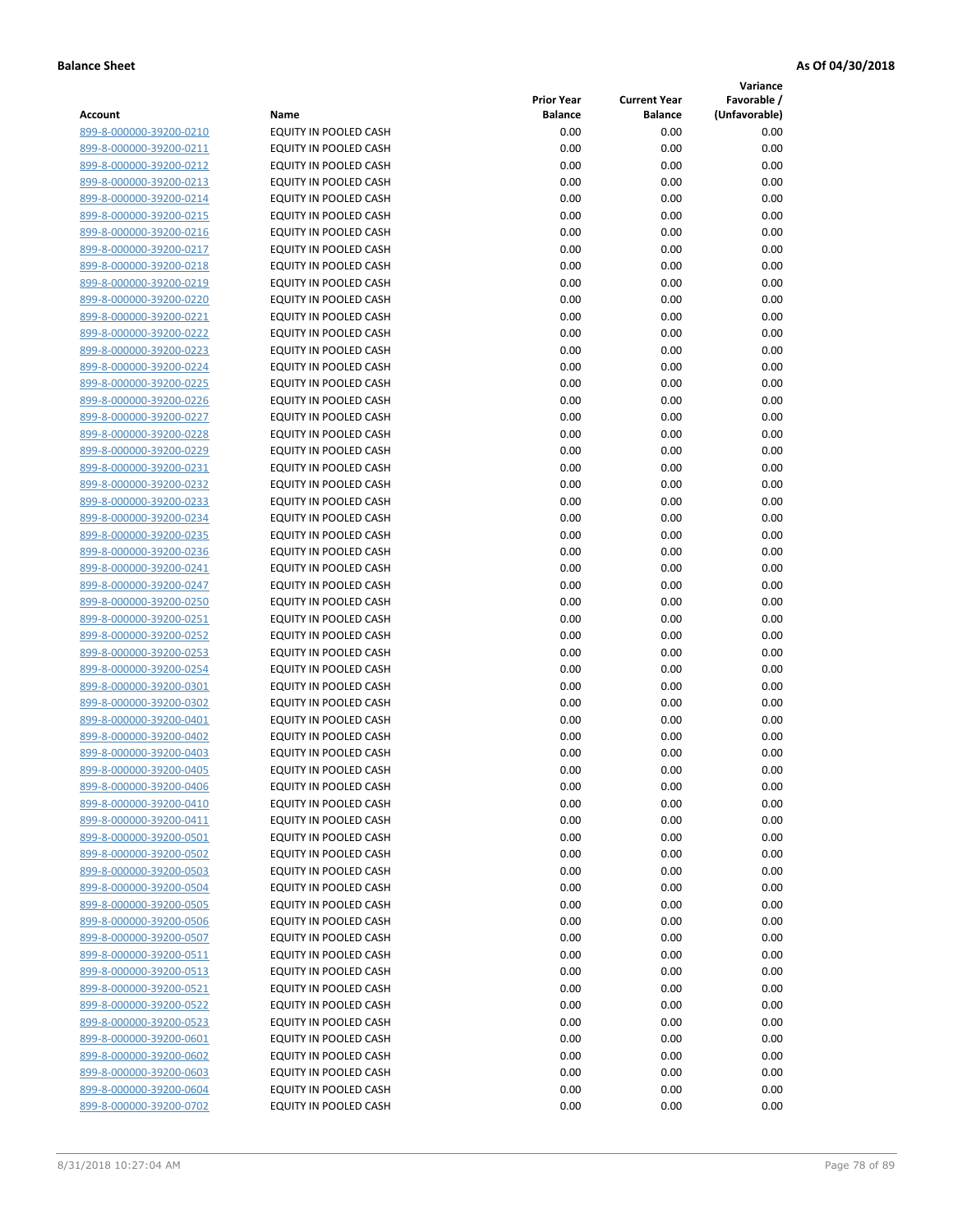**Variance**

| Account                                            | Name                                           | <b>Prior Year</b><br><b>Balance</b> | <b>Current Year</b><br><b>Balance</b> | Favorable /<br>(Unfavorable) |
|----------------------------------------------------|------------------------------------------------|-------------------------------------|---------------------------------------|------------------------------|
| 899-8-000000-39200-0210                            | EQUITY IN POOLED CASH                          | 0.00                                | 0.00                                  | 0.00                         |
| 899-8-000000-39200-0211                            | EQUITY IN POOLED CASH                          | 0.00                                | 0.00                                  | 0.00                         |
| 899-8-000000-39200-0212                            | EQUITY IN POOLED CASH                          | 0.00                                | 0.00                                  | 0.00                         |
| 899-8-000000-39200-0213                            | EQUITY IN POOLED CASH                          | 0.00                                | 0.00                                  | 0.00                         |
| 899-8-000000-39200-0214                            | <b>EQUITY IN POOLED CASH</b>                   | 0.00                                | 0.00                                  | 0.00                         |
| 899-8-000000-39200-0215                            | EQUITY IN POOLED CASH                          | 0.00                                | 0.00                                  | 0.00                         |
| 899-8-000000-39200-0216                            | EQUITY IN POOLED CASH                          | 0.00                                | 0.00                                  | 0.00                         |
| 899-8-000000-39200-0217                            | EQUITY IN POOLED CASH                          | 0.00                                | 0.00                                  | 0.00                         |
| 899-8-000000-39200-0218                            | EQUITY IN POOLED CASH                          | 0.00                                | 0.00                                  | 0.00                         |
| 899-8-000000-39200-0219                            | EQUITY IN POOLED CASH                          | 0.00                                | 0.00                                  | 0.00                         |
| 899-8-000000-39200-0220                            | EQUITY IN POOLED CASH                          | 0.00                                | 0.00                                  | 0.00                         |
| 899-8-000000-39200-0221                            | EQUITY IN POOLED CASH                          | 0.00                                | 0.00                                  | 0.00                         |
| 899-8-000000-39200-0222                            | EQUITY IN POOLED CASH                          | 0.00                                | 0.00                                  | 0.00                         |
| 899-8-000000-39200-0223                            | EQUITY IN POOLED CASH                          | 0.00                                | 0.00                                  | 0.00                         |
| 899-8-000000-39200-0224                            | EQUITY IN POOLED CASH                          | 0.00                                | 0.00                                  | 0.00                         |
| 899-8-000000-39200-0225                            | EQUITY IN POOLED CASH                          | 0.00                                | 0.00                                  | 0.00                         |
| 899-8-000000-39200-0226                            | EQUITY IN POOLED CASH                          | 0.00                                | 0.00                                  | 0.00                         |
| 899-8-000000-39200-0227                            | EQUITY IN POOLED CASH                          | 0.00                                | 0.00                                  | 0.00                         |
| 899-8-000000-39200-0228                            | EQUITY IN POOLED CASH                          | 0.00                                | 0.00                                  | 0.00                         |
| 899-8-000000-39200-0229                            | <b>EQUITY IN POOLED CASH</b>                   | 0.00                                | 0.00                                  | 0.00                         |
| 899-8-000000-39200-0231                            | <b>EQUITY IN POOLED CASH</b>                   | 0.00                                | 0.00                                  | 0.00                         |
| 899-8-000000-39200-0232                            | EQUITY IN POOLED CASH                          | 0.00                                | 0.00                                  | 0.00                         |
| 899-8-000000-39200-0233                            | EQUITY IN POOLED CASH                          | 0.00                                | 0.00                                  | 0.00                         |
| 899-8-000000-39200-0234                            | EQUITY IN POOLED CASH                          | 0.00                                | 0.00                                  | 0.00                         |
| 899-8-000000-39200-0235                            | EQUITY IN POOLED CASH                          | 0.00                                | 0.00                                  | 0.00                         |
| 899-8-000000-39200-0236                            | EQUITY IN POOLED CASH                          | 0.00                                | 0.00                                  | 0.00                         |
| 899-8-000000-39200-0241                            | EQUITY IN POOLED CASH                          | 0.00                                | 0.00                                  | 0.00                         |
| 899-8-000000-39200-0247                            | EQUITY IN POOLED CASH                          | 0.00                                | 0.00                                  | 0.00                         |
| 899-8-000000-39200-0250                            | EQUITY IN POOLED CASH                          | 0.00                                | 0.00                                  | 0.00                         |
| 899-8-000000-39200-0251                            | EQUITY IN POOLED CASH                          | 0.00                                | 0.00                                  | 0.00                         |
| 899-8-000000-39200-0252                            | EQUITY IN POOLED CASH                          | 0.00                                | 0.00                                  | 0.00                         |
| 899-8-000000-39200-0253                            | EQUITY IN POOLED CASH                          | 0.00                                | 0.00                                  | 0.00                         |
| 899-8-000000-39200-0254                            | EQUITY IN POOLED CASH                          | 0.00                                | 0.00                                  | 0.00                         |
| 899-8-000000-39200-0301<br>899-8-000000-39200-0302 | EQUITY IN POOLED CASH                          | 0.00<br>0.00                        | 0.00                                  | 0.00                         |
| 899-8-000000-39200-0401                            | EQUITY IN POOLED CASH<br>EQUITY IN POOLED CASH | 0.00                                | 0.00<br>0.00                          | 0.00<br>0.00                 |
| 899-8-000000-39200-0402                            | EQUITY IN POOLED CASH                          | 0.00                                | 0.00                                  | 0.00                         |
| 899-8-000000-39200-0403                            | EQUITY IN POOLED CASH                          | 0.00                                | 0.00                                  | 0.00                         |
| 899-8-000000-39200-0405                            | <b>EQUITY IN POOLED CASH</b>                   | 0.00                                | 0.00                                  | 0.00                         |
| 899-8-000000-39200-0406                            | EQUITY IN POOLED CASH                          | 0.00                                | 0.00                                  | 0.00                         |
| 899-8-000000-39200-0410                            | <b>EQUITY IN POOLED CASH</b>                   | 0.00                                | 0.00                                  | 0.00                         |
| 899-8-000000-39200-0411                            | EQUITY IN POOLED CASH                          | 0.00                                | 0.00                                  | 0.00                         |
| 899-8-000000-39200-0501                            | EQUITY IN POOLED CASH                          | 0.00                                | 0.00                                  | 0.00                         |
| 899-8-000000-39200-0502                            | EQUITY IN POOLED CASH                          | 0.00                                | 0.00                                  | 0.00                         |
| 899-8-000000-39200-0503                            | EQUITY IN POOLED CASH                          | 0.00                                | 0.00                                  | 0.00                         |
| 899-8-000000-39200-0504                            | <b>EQUITY IN POOLED CASH</b>                   | 0.00                                | 0.00                                  | 0.00                         |
| 899-8-000000-39200-0505                            | EQUITY IN POOLED CASH                          | 0.00                                | 0.00                                  | 0.00                         |
| 899-8-000000-39200-0506                            | EQUITY IN POOLED CASH                          | 0.00                                | 0.00                                  | 0.00                         |
| 899-8-000000-39200-0507                            | EQUITY IN POOLED CASH                          | 0.00                                | 0.00                                  | 0.00                         |
| 899-8-000000-39200-0511                            | <b>EQUITY IN POOLED CASH</b>                   | 0.00                                | 0.00                                  | 0.00                         |
| 899-8-000000-39200-0513                            | EQUITY IN POOLED CASH                          | 0.00                                | 0.00                                  | 0.00                         |
| 899-8-000000-39200-0521                            | EQUITY IN POOLED CASH                          | 0.00                                | 0.00                                  | 0.00                         |
| 899-8-000000-39200-0522                            | EQUITY IN POOLED CASH                          | 0.00                                | 0.00                                  | 0.00                         |
| 899-8-000000-39200-0523                            | EQUITY IN POOLED CASH                          | 0.00                                | 0.00                                  | 0.00                         |
| 899-8-000000-39200-0601                            | EQUITY IN POOLED CASH                          | 0.00                                | 0.00                                  | 0.00                         |
| 899-8-000000-39200-0602                            | EQUITY IN POOLED CASH                          | 0.00                                | 0.00                                  | 0.00                         |
| 899-8-000000-39200-0603                            | EQUITY IN POOLED CASH                          | 0.00                                | 0.00                                  | 0.00                         |
| 899-8-000000-39200-0604                            | EQUITY IN POOLED CASH                          | 0.00                                | 0.00                                  | 0.00                         |
| 899-8-000000-39200-0702                            | EQUITY IN POOLED CASH                          | 0.00                                | 0.00                                  | 0.00                         |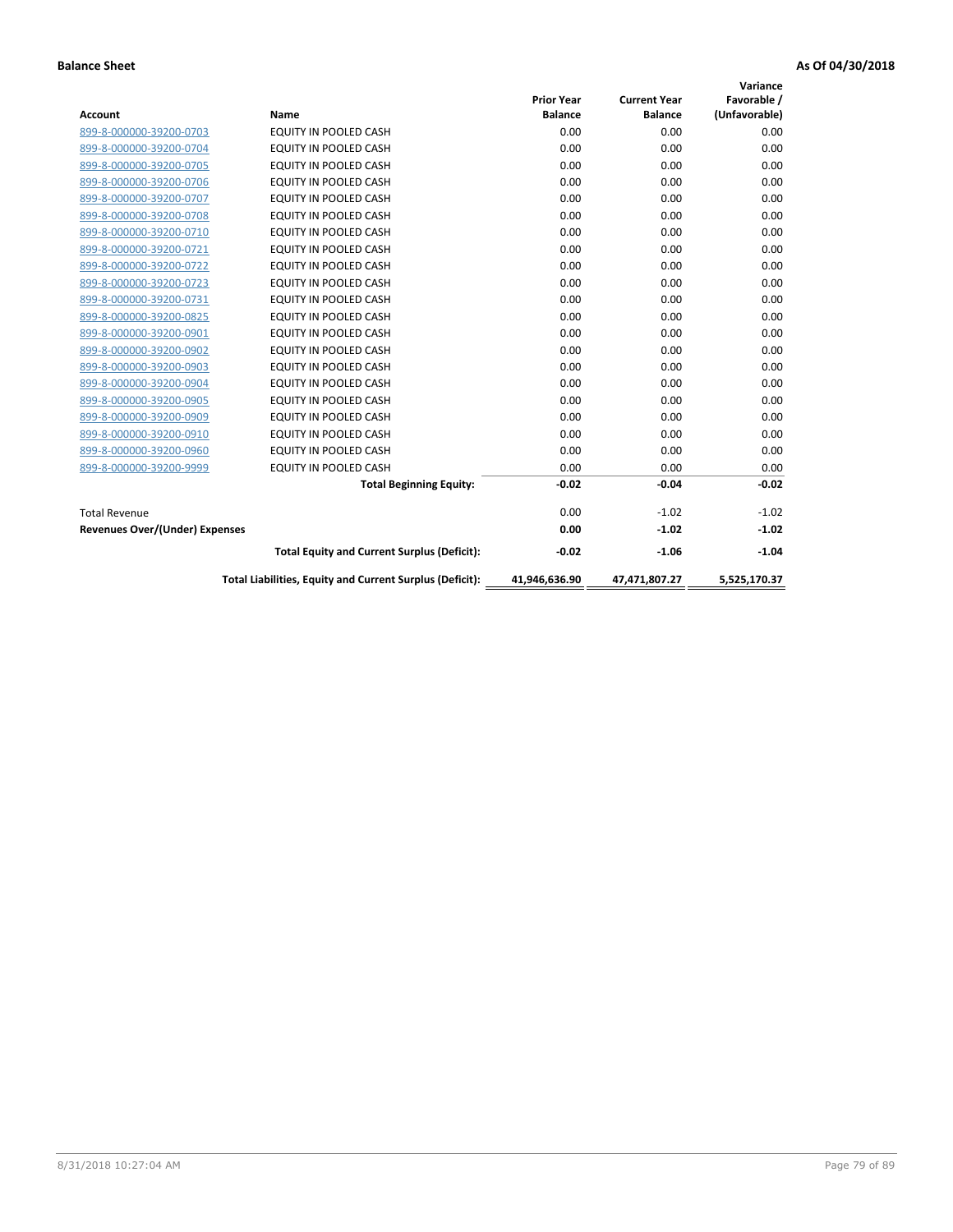|                                |                                                          |                   |                     | Variance      |
|--------------------------------|----------------------------------------------------------|-------------------|---------------------|---------------|
|                                |                                                          | <b>Prior Year</b> | <b>Current Year</b> | Favorable /   |
| <b>Account</b>                 | <b>Name</b>                                              | <b>Balance</b>    | <b>Balance</b>      | (Unfavorable) |
| 899-8-000000-39200-0703        | EQUITY IN POOLED CASH                                    | 0.00              | 0.00                | 0.00          |
| 899-8-000000-39200-0704        | EQUITY IN POOLED CASH                                    | 0.00              | 0.00                | 0.00          |
| 899-8-000000-39200-0705        | EQUITY IN POOLED CASH                                    | 0.00              | 0.00                | 0.00          |
| 899-8-000000-39200-0706        | <b>EQUITY IN POOLED CASH</b>                             | 0.00              | 0.00                | 0.00          |
| 899-8-000000-39200-0707        | <b>EQUITY IN POOLED CASH</b>                             | 0.00              | 0.00                | 0.00          |
| 899-8-000000-39200-0708        | <b>EQUITY IN POOLED CASH</b>                             | 0.00              | 0.00                | 0.00          |
| 899-8-000000-39200-0710        | <b>EQUITY IN POOLED CASH</b>                             | 0.00              | 0.00                | 0.00          |
| 899-8-000000-39200-0721        | <b>EQUITY IN POOLED CASH</b>                             | 0.00              | 0.00                | 0.00          |
| 899-8-000000-39200-0722        | EQUITY IN POOLED CASH                                    | 0.00              | 0.00                | 0.00          |
| 899-8-000000-39200-0723        | <b>EQUITY IN POOLED CASH</b>                             | 0.00              | 0.00                | 0.00          |
| 899-8-000000-39200-0731        | <b>EQUITY IN POOLED CASH</b>                             | 0.00              | 0.00                | 0.00          |
| 899-8-000000-39200-0825        | <b>EQUITY IN POOLED CASH</b>                             | 0.00              | 0.00                | 0.00          |
| 899-8-000000-39200-0901        | <b>EQUITY IN POOLED CASH</b>                             | 0.00              | 0.00                | 0.00          |
| 899-8-000000-39200-0902        | EQUITY IN POOLED CASH                                    | 0.00              | 0.00                | 0.00          |
| 899-8-000000-39200-0903        | <b>EQUITY IN POOLED CASH</b>                             | 0.00              | 0.00                | 0.00          |
| 899-8-000000-39200-0904        | <b>EQUITY IN POOLED CASH</b>                             | 0.00              | 0.00                | 0.00          |
| 899-8-000000-39200-0905        | EQUITY IN POOLED CASH                                    | 0.00              | 0.00                | 0.00          |
| 899-8-000000-39200-0909        | EQUITY IN POOLED CASH                                    | 0.00              | 0.00                | 0.00          |
| 899-8-000000-39200-0910        | <b>EQUITY IN POOLED CASH</b>                             | 0.00              | 0.00                | 0.00          |
| 899-8-000000-39200-0960        | <b>EQUITY IN POOLED CASH</b>                             | 0.00              | 0.00                | 0.00          |
| 899-8-000000-39200-9999        | EQUITY IN POOLED CASH                                    | 0.00              | 0.00                | 0.00          |
|                                | <b>Total Beginning Equity:</b>                           | $-0.02$           | $-0.04$             | $-0.02$       |
| <b>Total Revenue</b>           |                                                          | 0.00              | $-1.02$             | $-1.02$       |
| Revenues Over/(Under) Expenses |                                                          | 0.00              | $-1.02$             | $-1.02$       |
|                                | <b>Total Equity and Current Surplus (Deficit):</b>       | $-0.02$           | $-1.06$             | $-1.04$       |
|                                | Total Liabilities, Equity and Current Surplus (Deficit): | 41,946,636.90     | 47,471,807.27       | 5,525,170.37  |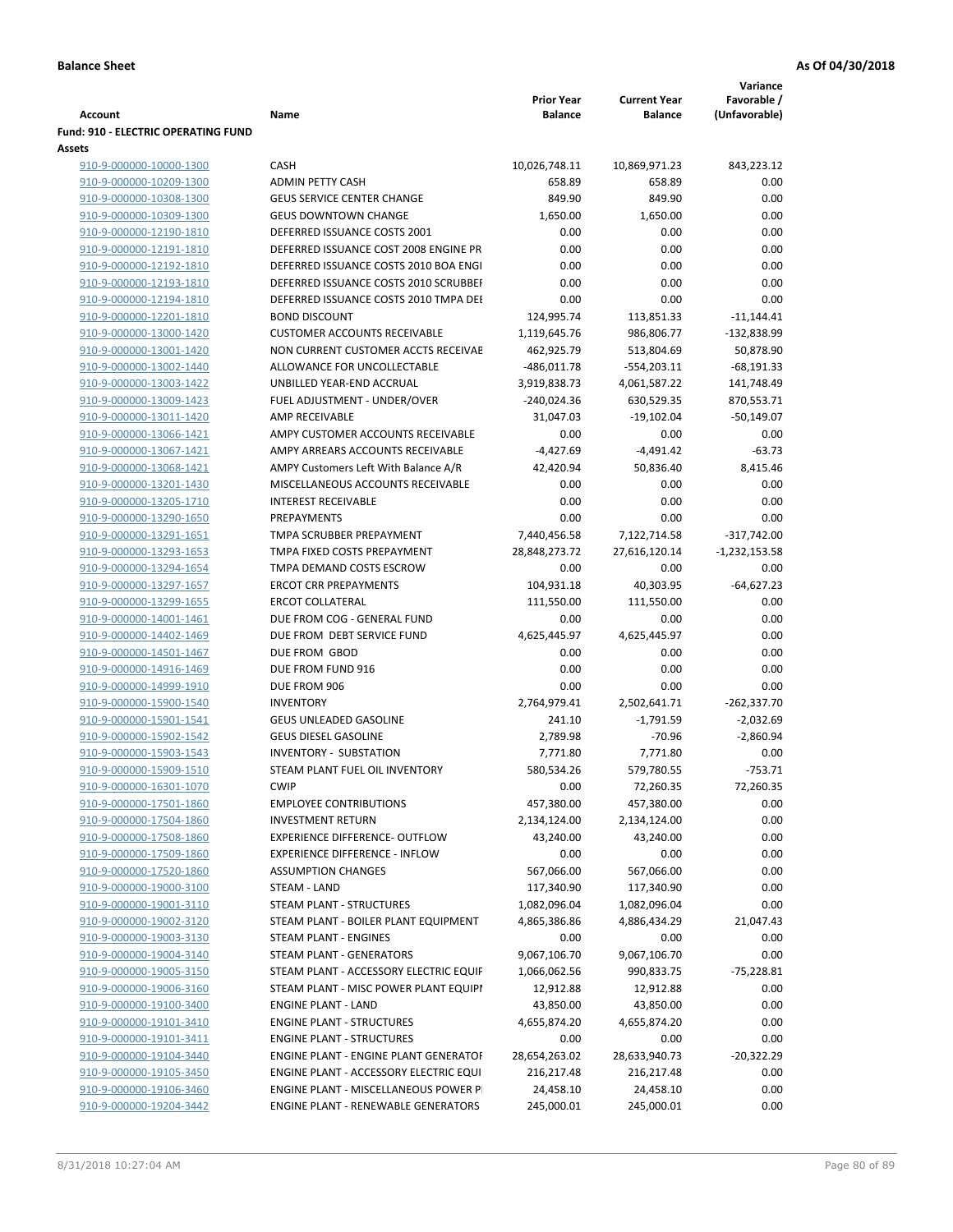| <b>Account</b>                                     | Name                                                           | <b>Prior Year</b><br><b>Balance</b> | <b>Current Year</b><br><b>Balance</b> | Variance<br>Favorable /<br>(Unfavorable) |
|----------------------------------------------------|----------------------------------------------------------------|-------------------------------------|---------------------------------------|------------------------------------------|
| <b>Fund: 910 - ELECTRIC OPERATING FUND</b>         |                                                                |                                     |                                       |                                          |
| Assets                                             |                                                                |                                     |                                       |                                          |
| 910-9-000000-10000-1300                            | CASH                                                           | 10,026,748.11                       | 10,869,971.23                         | 843,223.12                               |
| 910-9-000000-10209-1300                            | <b>ADMIN PETTY CASH</b>                                        | 658.89                              | 658.89                                | 0.00                                     |
| 910-9-000000-10308-1300                            | <b>GEUS SERVICE CENTER CHANGE</b>                              | 849.90                              | 849.90                                | 0.00                                     |
| 910-9-000000-10309-1300                            | <b>GEUS DOWNTOWN CHANGE</b>                                    | 1,650.00                            | 1,650.00                              | 0.00                                     |
| 910-9-000000-12190-1810                            | DEFERRED ISSUANCE COSTS 2001                                   | 0.00                                | 0.00                                  | 0.00                                     |
| 910-9-000000-12191-1810                            | DEFERRED ISSUANCE COST 2008 ENGINE PR                          | 0.00                                | 0.00                                  | 0.00                                     |
| 910-9-000000-12192-1810                            | DEFERRED ISSUANCE COSTS 2010 BOA ENGI                          | 0.00                                | 0.00                                  | 0.00                                     |
| 910-9-000000-12193-1810                            | DEFERRED ISSUANCE COSTS 2010 SCRUBBEI                          | 0.00                                | 0.00                                  | 0.00                                     |
| 910-9-000000-12194-1810                            | DEFERRED ISSUANCE COSTS 2010 TMPA DEI                          | 0.00                                | 0.00                                  | 0.00                                     |
| 910-9-000000-12201-1810                            | <b>BOND DISCOUNT</b>                                           | 124,995.74                          | 113,851.33                            | $-11,144.41$                             |
| 910-9-000000-13000-1420                            | <b>CUSTOMER ACCOUNTS RECEIVABLE</b>                            | 1,119,645.76                        | 986,806.77                            | $-132,838.99$                            |
| 910-9-000000-13001-1420                            | NON CURRENT CUSTOMER ACCTS RECEIVAE                            | 462,925.79                          | 513,804.69                            | 50,878.90                                |
| 910-9-000000-13002-1440                            | ALLOWANCE FOR UNCOLLECTABLE                                    | $-486,011.78$                       | $-554,203.11$                         | $-68,191.33$                             |
| 910-9-000000-13003-1422                            | UNBILLED YEAR-END ACCRUAL                                      | 3,919,838.73                        | 4,061,587.22                          | 141,748.49                               |
| 910-9-000000-13009-1423                            | FUEL ADJUSTMENT - UNDER/OVER                                   | $-240,024.36$                       | 630,529.35                            | 870,553.71                               |
| 910-9-000000-13011-1420                            | <b>AMP RECEIVABLE</b>                                          | 31,047.03                           | $-19,102.04$                          | $-50,149.07$                             |
| 910-9-000000-13066-1421                            | AMPY CUSTOMER ACCOUNTS RECEIVABLE                              | 0.00                                | 0.00                                  | 0.00                                     |
| 910-9-000000-13067-1421                            | AMPY ARREARS ACCOUNTS RECEIVABLE                               | $-4,427.69$                         | $-4,491.42$                           | $-63.73$                                 |
| 910-9-000000-13068-1421                            | AMPY Customers Left With Balance A/R                           | 42,420.94                           | 50,836.40                             | 8,415.46                                 |
| 910-9-000000-13201-1430                            | MISCELLANEOUS ACCOUNTS RECEIVABLE                              | 0.00                                | 0.00                                  | 0.00                                     |
| 910-9-000000-13205-1710                            | <b>INTEREST RECEIVABLE</b>                                     | 0.00                                | 0.00                                  | 0.00                                     |
| 910-9-000000-13290-1650                            | PREPAYMENTS                                                    | 0.00                                | 0.00                                  | 0.00                                     |
| 910-9-000000-13291-1651<br>910-9-000000-13293-1653 | TMPA SCRUBBER PREPAYMENT<br>TMPA FIXED COSTS PREPAYMENT        | 7,440,456.58<br>28,848,273.72       | 7,122,714.58<br>27,616,120.14         | $-317,742.00$<br>$-1,232,153.58$         |
| 910-9-000000-13294-1654                            | TMPA DEMAND COSTS ESCROW                                       | 0.00                                | 0.00                                  | 0.00                                     |
| 910-9-000000-13297-1657                            | <b>ERCOT CRR PREPAYMENTS</b>                                   | 104,931.18                          | 40,303.95                             | $-64,627.23$                             |
| 910-9-000000-13299-1655                            | <b>ERCOT COLLATERAL</b>                                        | 111,550.00                          | 111,550.00                            | 0.00                                     |
| 910-9-000000-14001-1461                            | DUE FROM COG - GENERAL FUND                                    | 0.00                                | 0.00                                  | 0.00                                     |
| 910-9-000000-14402-1469                            | DUE FROM DEBT SERVICE FUND                                     | 4,625,445.97                        | 4,625,445.97                          | 0.00                                     |
| 910-9-000000-14501-1467                            | DUE FROM GBOD                                                  | 0.00                                | 0.00                                  | 0.00                                     |
| 910-9-000000-14916-1469                            | DUE FROM FUND 916                                              | 0.00                                | 0.00                                  | 0.00                                     |
| 910-9-000000-14999-1910                            | DUE FROM 906                                                   | 0.00                                | 0.00                                  | 0.00                                     |
| 910-9-000000-15900-1540                            | <b>INVENTORY</b>                                               | 2,764,979.41                        | 2,502,641.71                          | $-262,337.70$                            |
| 910-9-000000-15901-1541                            | GEUS UNLEADED GASOLINE                                         | 241.10                              | $-1,791.59$                           | $-2,032.69$                              |
| 910-9-000000-15902-1542                            | <b>GEUS DIESEL GASOLINE</b>                                    | 2,789.98                            | $-70.96$                              | $-2,860.94$                              |
| 910-9-000000-15903-1543                            | INVENTORY - SUBSTATION                                         | 7,771.80                            | 7,771.80                              | 0.00                                     |
| 910-9-000000-15909-1510                            | STEAM PLANT FUEL OIL INVENTORY                                 | 580,534.26                          | 579,780.55                            | $-753.71$                                |
| 910-9-000000-16301-1070                            | <b>CWIP</b>                                                    | 0.00                                | 72,260.35                             | 72,260.35                                |
| 910-9-000000-17501-1860                            | <b>EMPLOYEE CONTRIBUTIONS</b>                                  | 457,380.00                          | 457,380.00                            | 0.00                                     |
| 910-9-000000-17504-1860                            | <b>INVESTMENT RETURN</b>                                       | 2,134,124.00                        | 2,134,124.00                          | 0.00                                     |
| 910-9-000000-17508-1860                            | <b>EXPERIENCE DIFFERENCE- OUTFLOW</b>                          | 43,240.00                           | 43,240.00                             | 0.00                                     |
| 910-9-000000-17509-1860                            | <b>EXPERIENCE DIFFERENCE - INFLOW</b>                          | 0.00                                | 0.00                                  | 0.00                                     |
| 910-9-000000-17520-1860                            | <b>ASSUMPTION CHANGES</b>                                      | 567,066.00                          | 567,066.00                            | 0.00                                     |
| 910-9-000000-19000-3100                            | STEAM - LAND                                                   | 117,340.90                          | 117,340.90                            | 0.00                                     |
| 910-9-000000-19001-3110                            | STEAM PLANT - STRUCTURES                                       | 1,082,096.04                        | 1,082,096.04                          | 0.00                                     |
| 910-9-000000-19002-3120                            | STEAM PLANT - BOILER PLANT EQUIPMENT                           | 4,865,386.86                        | 4,886,434.29                          | 21,047.43                                |
| 910-9-000000-19003-3130                            | STEAM PLANT - ENGINES                                          | 0.00                                | 0.00                                  | 0.00                                     |
| 910-9-000000-19004-3140                            | STEAM PLANT - GENERATORS                                       | 9,067,106.70                        | 9,067,106.70                          | 0.00                                     |
| 910-9-000000-19005-3150                            | STEAM PLANT - ACCESSORY ELECTRIC EQUIF                         | 1,066,062.56                        | 990,833.75                            | $-75,228.81$                             |
| 910-9-000000-19006-3160                            | STEAM PLANT - MISC POWER PLANT EQUIPI                          | 12,912.88                           | 12,912.88                             | 0.00                                     |
| 910-9-000000-19100-3400<br>910-9-000000-19101-3410 | <b>ENGINE PLANT - LAND</b><br><b>ENGINE PLANT - STRUCTURES</b> | 43,850.00<br>4,655,874.20           | 43,850.00<br>4,655,874.20             | 0.00<br>0.00                             |
| 910-9-000000-19101-3411                            | <b>ENGINE PLANT - STRUCTURES</b>                               | 0.00                                | 0.00                                  | 0.00                                     |
| 910-9-000000-19104-3440                            | <b>ENGINE PLANT - ENGINE PLANT GENERATOR</b>                   | 28,654,263.02                       | 28,633,940.73                         | $-20,322.29$                             |
| 910-9-000000-19105-3450                            | ENGINE PLANT - ACCESSORY ELECTRIC EQUI                         | 216,217.48                          | 216,217.48                            | 0.00                                     |
| 910-9-000000-19106-3460                            | ENGINE PLANT - MISCELLANEOUS POWER P                           | 24,458.10                           | 24,458.10                             | 0.00                                     |
| 910-9-000000-19204-3442                            | ENGINE PLANT - RENEWABLE GENERATORS                            | 245,000.01                          | 245,000.01                            | 0.00                                     |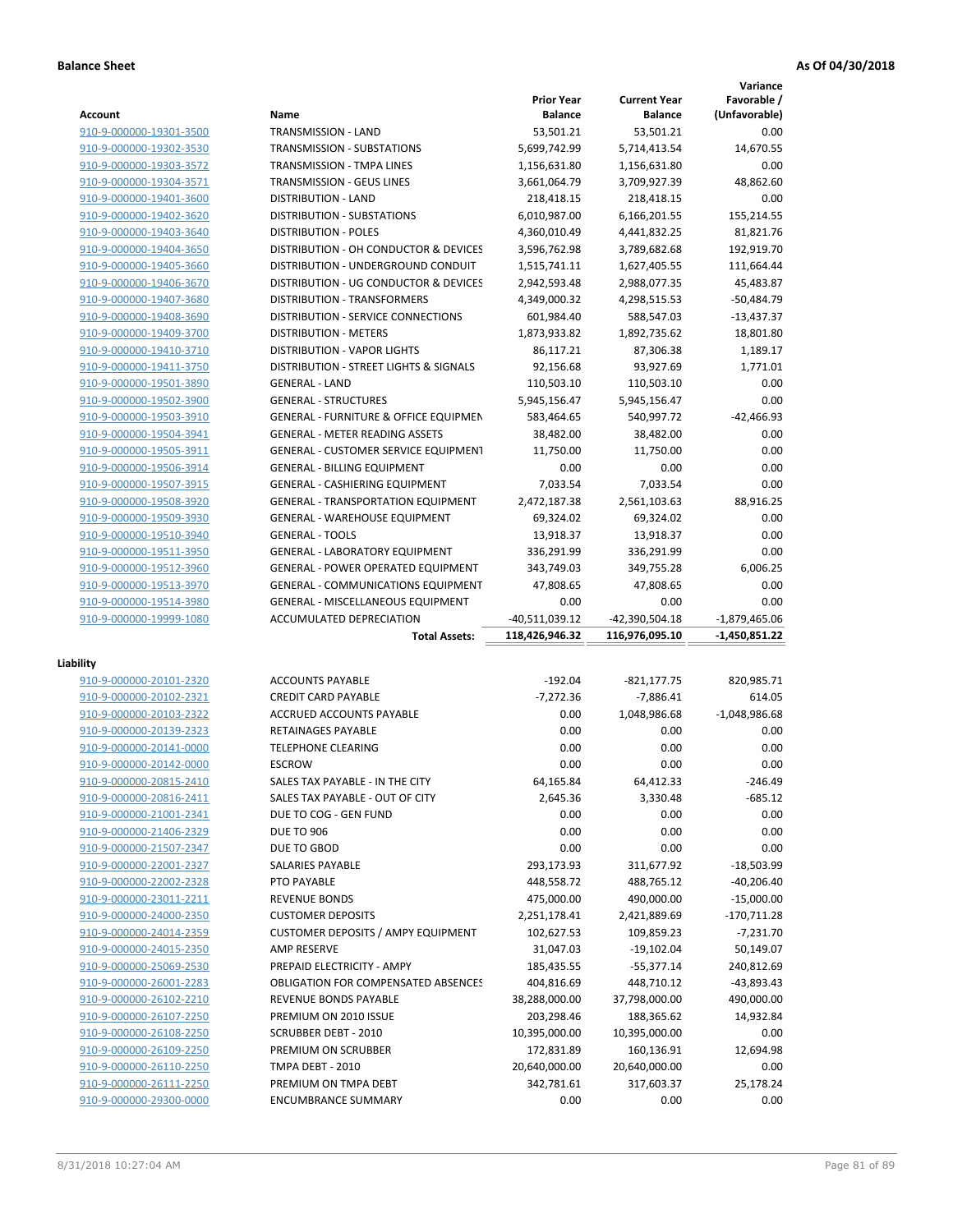**Variance**

|                                                    |                                                    | <b>Prior Year</b>  | <b>Current Year</b> | Favorable /                     |
|----------------------------------------------------|----------------------------------------------------|--------------------|---------------------|---------------------------------|
| Account                                            | Name                                               | <b>Balance</b>     | <b>Balance</b>      | (Unfavorable)                   |
| 910-9-000000-19301-3500                            | TRANSMISSION - LAND                                | 53,501.21          | 53,501.21           | 0.00                            |
| 910-9-000000-19302-3530                            | TRANSMISSION - SUBSTATIONS                         | 5,699,742.99       | 5,714,413.54        | 14,670.55                       |
| 910-9-000000-19303-3572                            | TRANSMISSION - TMPA LINES                          | 1,156,631.80       | 1,156,631.80        | 0.00                            |
| 910-9-000000-19304-3571                            | TRANSMISSION - GEUS LINES                          | 3,661,064.79       | 3,709,927.39        | 48,862.60                       |
| 910-9-000000-19401-3600                            | <b>DISTRIBUTION - LAND</b>                         | 218,418.15         | 218,418.15          | 0.00                            |
| 910-9-000000-19402-3620                            | DISTRIBUTION - SUBSTATIONS                         | 6,010,987.00       | 6,166,201.55        | 155,214.55                      |
| 910-9-000000-19403-3640                            | <b>DISTRIBUTION - POLES</b>                        | 4,360,010.49       | 4,441,832.25        | 81,821.76                       |
| 910-9-000000-19404-3650                            | DISTRIBUTION - OH CONDUCTOR & DEVICES              | 3,596,762.98       | 3,789,682.68        | 192,919.70                      |
| 910-9-000000-19405-3660                            | DISTRIBUTION - UNDERGROUND CONDUIT                 | 1,515,741.11       | 1,627,405.55        | 111,664.44                      |
| 910-9-000000-19406-3670                            | DISTRIBUTION - UG CONDUCTOR & DEVICES              | 2,942,593.48       | 2,988,077.35        | 45,483.87                       |
| 910-9-000000-19407-3680                            | <b>DISTRIBUTION - TRANSFORMERS</b>                 | 4,349,000.32       | 4,298,515.53        | $-50,484.79$                    |
| 910-9-000000-19408-3690                            | DISTRIBUTION - SERVICE CONNECTIONS                 | 601,984.40         | 588,547.03          | $-13,437.37$                    |
| 910-9-000000-19409-3700                            | <b>DISTRIBUTION - METERS</b>                       | 1,873,933.82       | 1,892,735.62        | 18,801.80                       |
| 910-9-000000-19410-3710                            | <b>DISTRIBUTION - VAPOR LIGHTS</b>                 | 86,117.21          | 87,306.38           | 1,189.17                        |
| 910-9-000000-19411-3750                            | DISTRIBUTION - STREET LIGHTS & SIGNALS             | 92,156.68          | 93,927.69           | 1,771.01                        |
| 910-9-000000-19501-3890                            | <b>GENERAL - LAND</b>                              | 110,503.10         | 110,503.10          | 0.00                            |
| 910-9-000000-19502-3900                            | <b>GENERAL - STRUCTURES</b>                        | 5,945,156.47       | 5,945,156.47        | 0.00                            |
| 910-9-000000-19503-3910                            | <b>GENERAL - FURNITURE &amp; OFFICE EQUIPMEN</b>   | 583,464.65         | 540,997.72          | $-42,466.93$                    |
| 910-9-000000-19504-3941                            | <b>GENERAL - METER READING ASSETS</b>              | 38,482.00          | 38,482.00           | 0.00                            |
| 910-9-000000-19505-3911                            | GENERAL - CUSTOMER SERVICE EQUIPMENT               | 11,750.00          | 11,750.00           | 0.00                            |
| 910-9-000000-19506-3914                            | <b>GENERAL - BILLING EQUIPMENT</b>                 | 0.00               | 0.00                | 0.00                            |
| 910-9-000000-19507-3915                            | GENERAL - CASHIERING EQUIPMENT                     | 7,033.54           | 7,033.54            | 0.00                            |
| 910-9-000000-19508-3920                            | <b>GENERAL - TRANSPORTATION EQUIPMENT</b>          | 2,472,187.38       | 2,561,103.63        | 88,916.25                       |
| 910-9-000000-19509-3930                            | <b>GENERAL - WAREHOUSE EQUIPMENT</b>               | 69,324.02          | 69,324.02           | 0.00                            |
| 910-9-000000-19510-3940                            | <b>GENERAL - TOOLS</b>                             | 13,918.37          | 13,918.37           | 0.00                            |
| 910-9-000000-19511-3950                            | <b>GENERAL - LABORATORY EQUIPMENT</b>              | 336,291.99         | 336,291.99          | 0.00                            |
| 910-9-000000-19512-3960                            | <b>GENERAL - POWER OPERATED EQUIPMENT</b>          | 343,749.03         | 349,755.28          | 6,006.25                        |
| 910-9-000000-19513-3970                            | <b>GENERAL - COMMUNICATIONS EQUIPMENT</b>          | 47,808.65          | 47,808.65           | 0.00                            |
| 910-9-000000-19514-3980                            | <b>GENERAL - MISCELLANEOUS EQUIPMENT</b>           | 0.00               | 0.00                | 0.00                            |
| 910-9-000000-19999-1080                            | ACCUMULATED DEPRECIATION                           | -40,511,039.12     | -42,390,504.18      | $-1,879,465.06$                 |
|                                                    | <b>Total Assets:</b>                               | 118,426,946.32     | 116,976,095.10      | -1,450,851.22                   |
|                                                    |                                                    |                    |                     |                                 |
| Liability                                          |                                                    |                    |                     |                                 |
| 910-9-000000-20101-2320                            | <b>ACCOUNTS PAYABLE</b>                            | $-192.04$          | $-821, 177.75$      | 820,985.71                      |
| 910-9-000000-20102-2321                            | <b>CREDIT CARD PAYABLE</b>                         | $-7,272.36$        | $-7,886.41$         | 614.05                          |
| 910-9-000000-20103-2322                            | ACCRUED ACCOUNTS PAYABLE                           | 0.00               | 1,048,986.68        | $-1,048,986.68$                 |
| 910-9-000000-20139-2323                            | RETAINAGES PAYABLE                                 | 0.00               | 0.00                | 0.00                            |
| 910-9-000000-20141-0000                            | <b>TELEPHONE CLEARING</b>                          | 0.00               | 0.00                | 0.00                            |
| 910-9-000000-20142-0000                            | <b>ESCROW</b>                                      | 0.00               | 0.00                | 0.00                            |
| 910-9-000000-20815-2410                            | SALES TAX PAYABLE - IN THE CITY                    | 64,165.84          | 64,412.33           | $-246.49$                       |
| 910-9-000000-20816-2411                            | SALES TAX PAYABLE - OUT OF CITY                    | 2,645.36           | 3,330.48            | $-685.12$                       |
| 910-9-000000-21001-2341                            | DUE TO COG - GEN FUND                              | 0.00               | 0.00                | 0.00                            |
| 910-9-000000-21406-2329                            | <b>DUE TO 906</b>                                  | 0.00               | 0.00                | 0.00                            |
| 910-9-000000-21507-2347                            | DUE TO GBOD                                        | 0.00               | 0.00                | 0.00                            |
| 910-9-000000-22001-2327                            | SALARIES PAYABLE                                   | 293,173.93         | 311,677.92          | $-18,503.99$                    |
| 910-9-000000-22002-2328                            | PTO PAYABLE                                        | 448,558.72         | 488,765.12          | $-40,206.40$                    |
| 910-9-000000-23011-2211                            | <b>REVENUE BONDS</b>                               | 475,000.00         | 490,000.00          | $-15,000.00$                    |
| 910-9-000000-24000-2350                            | <b>CUSTOMER DEPOSITS</b>                           | 2,251,178.41       | 2,421,889.69        | -170,711.28                     |
| 910-9-000000-24014-2359                            | <b>CUSTOMER DEPOSITS / AMPY EQUIPMENT</b>          | 102,627.53         | 109,859.23          | $-7,231.70$                     |
| 910-9-000000-24015-2350                            | <b>AMP RESERVE</b>                                 | 31,047.03          | $-19,102.04$        | 50,149.07                       |
|                                                    |                                                    |                    |                     |                                 |
|                                                    |                                                    |                    |                     |                                 |
| 910-9-000000-25069-2530                            | PREPAID ELECTRICITY - AMPY                         | 185,435.55         | $-55,377.14$        | 240,812.69                      |
| 910-9-000000-26001-2283                            | <b>OBLIGATION FOR COMPENSATED ABSENCES</b>         | 404,816.69         | 448,710.12          | -43,893.43                      |
| 910-9-000000-26102-2210                            | REVENUE BONDS PAYABLE                              | 38,288,000.00      | 37,798,000.00       |                                 |
| 910-9-000000-26107-2250                            | PREMIUM ON 2010 ISSUE                              | 203,298.46         | 188,365.62          | 14,932.84                       |
| 910-9-000000-26108-2250                            | SCRUBBER DEBT - 2010                               | 10,395,000.00      | 10,395,000.00       | 0.00                            |
| 910-9-000000-26109-2250                            | PREMIUM ON SCRUBBER                                | 172,831.89         | 160,136.91          | 12,694.98                       |
| 910-9-000000-26110-2250                            | TMPA DEBT - 2010                                   | 20,640,000.00      | 20,640,000.00       | 0.00                            |
| 910-9-000000-26111-2250<br>910-9-000000-29300-0000 | PREMIUM ON TMPA DEBT<br><b>ENCUMBRANCE SUMMARY</b> | 342,781.61<br>0.00 | 317,603.37<br>0.00  | 490,000.00<br>25,178.24<br>0.00 |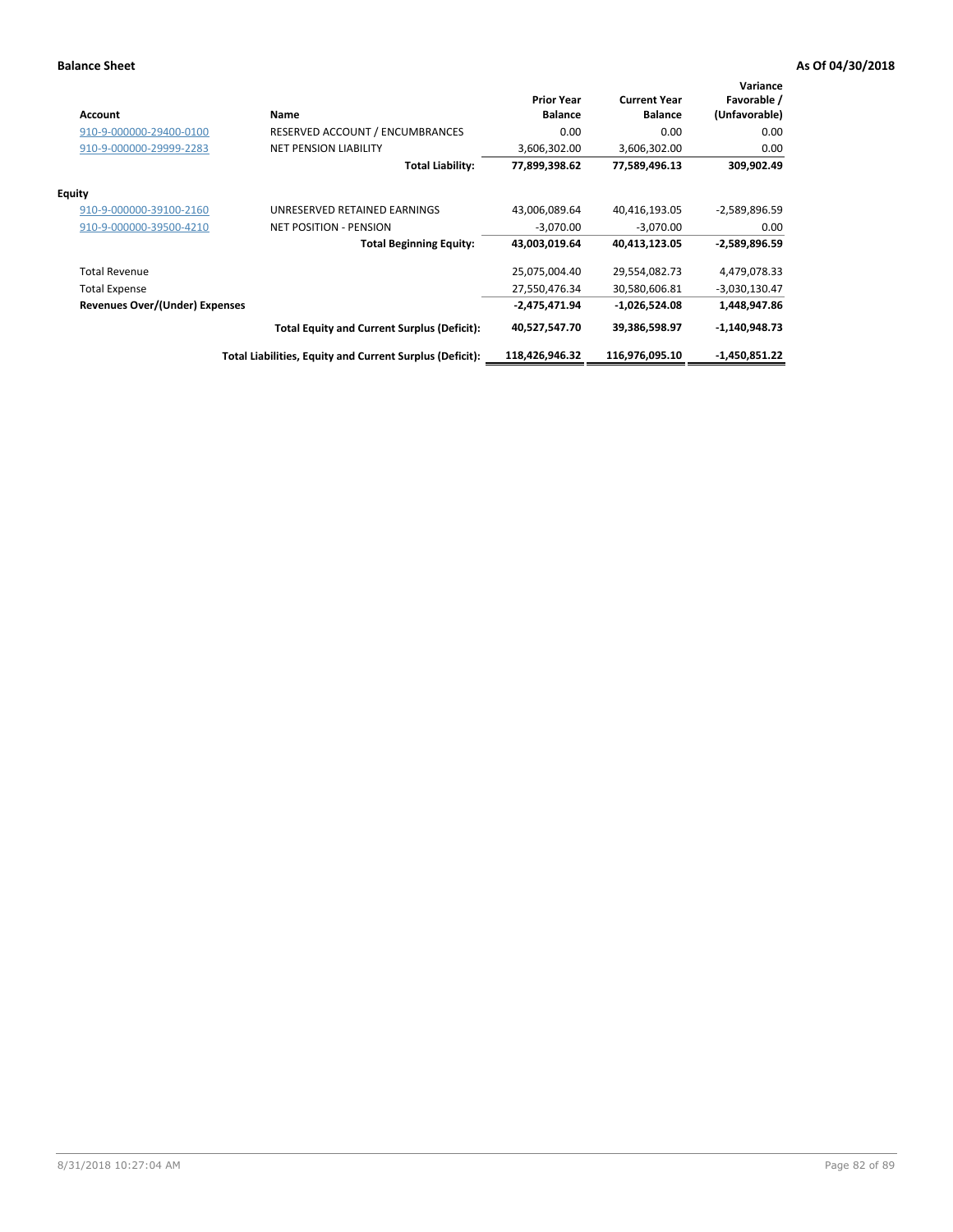| <b>Account</b>                        | Name                                                     | <b>Prior Year</b><br><b>Balance</b> | <b>Current Year</b><br><b>Balance</b> | Variance<br>Favorable /<br>(Unfavorable) |
|---------------------------------------|----------------------------------------------------------|-------------------------------------|---------------------------------------|------------------------------------------|
| 910-9-000000-29400-0100               | RESERVED ACCOUNT / ENCUMBRANCES                          | 0.00                                | 0.00                                  | 0.00                                     |
| 910-9-000000-29999-2283               | <b>NET PENSION LIABILITY</b>                             | 3,606,302.00                        | 3,606,302.00                          | 0.00                                     |
|                                       | Total Liability:                                         | 77,899,398.62                       | 77,589,496.13                         | 309,902.49                               |
| <b>Equity</b>                         |                                                          |                                     |                                       |                                          |
| 910-9-000000-39100-2160               | UNRESERVED RETAINED EARNINGS                             | 43,006,089.64                       | 40,416,193.05                         | $-2,589,896.59$                          |
| 910-9-000000-39500-4210               | <b>NET POSITION - PENSION</b>                            | $-3,070.00$                         | $-3,070.00$                           | 0.00                                     |
|                                       | <b>Total Beginning Equity:</b>                           | 43,003,019.64                       | 40,413,123.05                         | $-2,589,896.59$                          |
| <b>Total Revenue</b>                  |                                                          | 25,075,004.40                       | 29,554,082.73                         | 4,479,078.33                             |
| <b>Total Expense</b>                  |                                                          | 27,550,476.34                       | 30,580,606.81                         | -3,030,130.47                            |
| <b>Revenues Over/(Under) Expenses</b> |                                                          | $-2,475,471.94$                     | $-1,026,524.08$                       | 1,448,947.86                             |
|                                       | <b>Total Equity and Current Surplus (Deficit):</b>       | 40,527,547.70                       | 39,386,598.97                         | $-1,140,948.73$                          |
|                                       | Total Liabilities, Equity and Current Surplus (Deficit): | 118,426,946.32                      | 116.976.095.10                        | $-1,450,851.22$                          |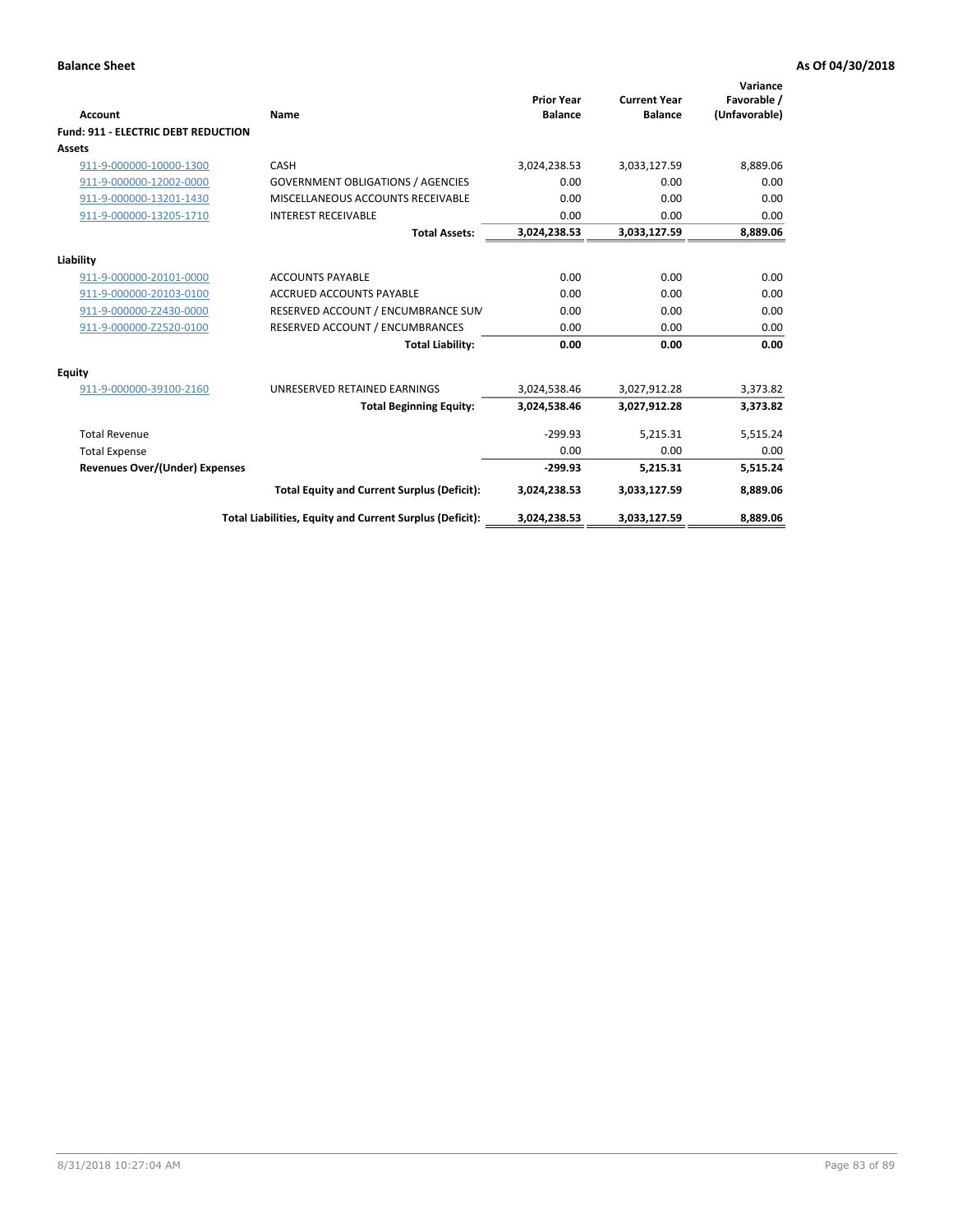| <b>Account</b>                             | Name                                                     | <b>Prior Year</b><br><b>Balance</b> | <b>Current Year</b><br><b>Balance</b> | Variance<br>Favorable /<br>(Unfavorable) |
|--------------------------------------------|----------------------------------------------------------|-------------------------------------|---------------------------------------|------------------------------------------|
| <b>Fund: 911 - ELECTRIC DEBT REDUCTION</b> |                                                          |                                     |                                       |                                          |
| <b>Assets</b>                              |                                                          |                                     |                                       |                                          |
| 911-9-000000-10000-1300                    | CASH                                                     | 3,024,238.53                        | 3,033,127.59                          | 8,889.06                                 |
| 911-9-000000-12002-0000                    | <b>GOVERNMENT OBLIGATIONS / AGENCIES</b>                 | 0.00                                | 0.00                                  | 0.00                                     |
| 911-9-000000-13201-1430                    | MISCELLANEOUS ACCOUNTS RECEIVABLE                        | 0.00                                | 0.00                                  | 0.00                                     |
| 911-9-000000-13205-1710                    | <b>INTEREST RECEIVABLE</b>                               | 0.00                                | 0.00                                  | 0.00                                     |
|                                            | <b>Total Assets:</b>                                     | 3,024,238.53                        | 3,033,127.59                          | 8,889.06                                 |
| Liability                                  |                                                          |                                     |                                       |                                          |
| 911-9-000000-20101-0000                    | <b>ACCOUNTS PAYABLE</b>                                  | 0.00                                | 0.00                                  | 0.00                                     |
| 911-9-000000-20103-0100                    | <b>ACCRUED ACCOUNTS PAYABLE</b>                          | 0.00                                | 0.00                                  | 0.00                                     |
| 911-9-000000-Z2430-0000                    | RESERVED ACCOUNT / ENCUMBRANCE SUM                       | 0.00                                | 0.00                                  | 0.00                                     |
| 911-9-000000-Z2520-0100                    | RESERVED ACCOUNT / ENCUMBRANCES                          | 0.00                                | 0.00                                  | 0.00                                     |
|                                            | <b>Total Liability:</b>                                  | 0.00                                | 0.00                                  | 0.00                                     |
| Equity                                     |                                                          |                                     |                                       |                                          |
| 911-9-000000-39100-2160                    | UNRESERVED RETAINED EARNINGS                             | 3,024,538.46                        | 3,027,912.28                          | 3,373.82                                 |
|                                            | <b>Total Beginning Equity:</b>                           | 3,024,538.46                        | 3,027,912.28                          | 3,373.82                                 |
| <b>Total Revenue</b>                       |                                                          | $-299.93$                           | 5.215.31                              | 5,515.24                                 |
| <b>Total Expense</b>                       |                                                          | 0.00                                | 0.00                                  | 0.00                                     |
| Revenues Over/(Under) Expenses             |                                                          | $-299.93$                           | 5,215.31                              | 5,515.24                                 |
|                                            | <b>Total Equity and Current Surplus (Deficit):</b>       | 3,024,238.53                        | 3,033,127.59                          | 8,889.06                                 |
|                                            | Total Liabilities, Equity and Current Surplus (Deficit): | 3,024,238.53                        | 3,033,127.59                          | 8,889.06                                 |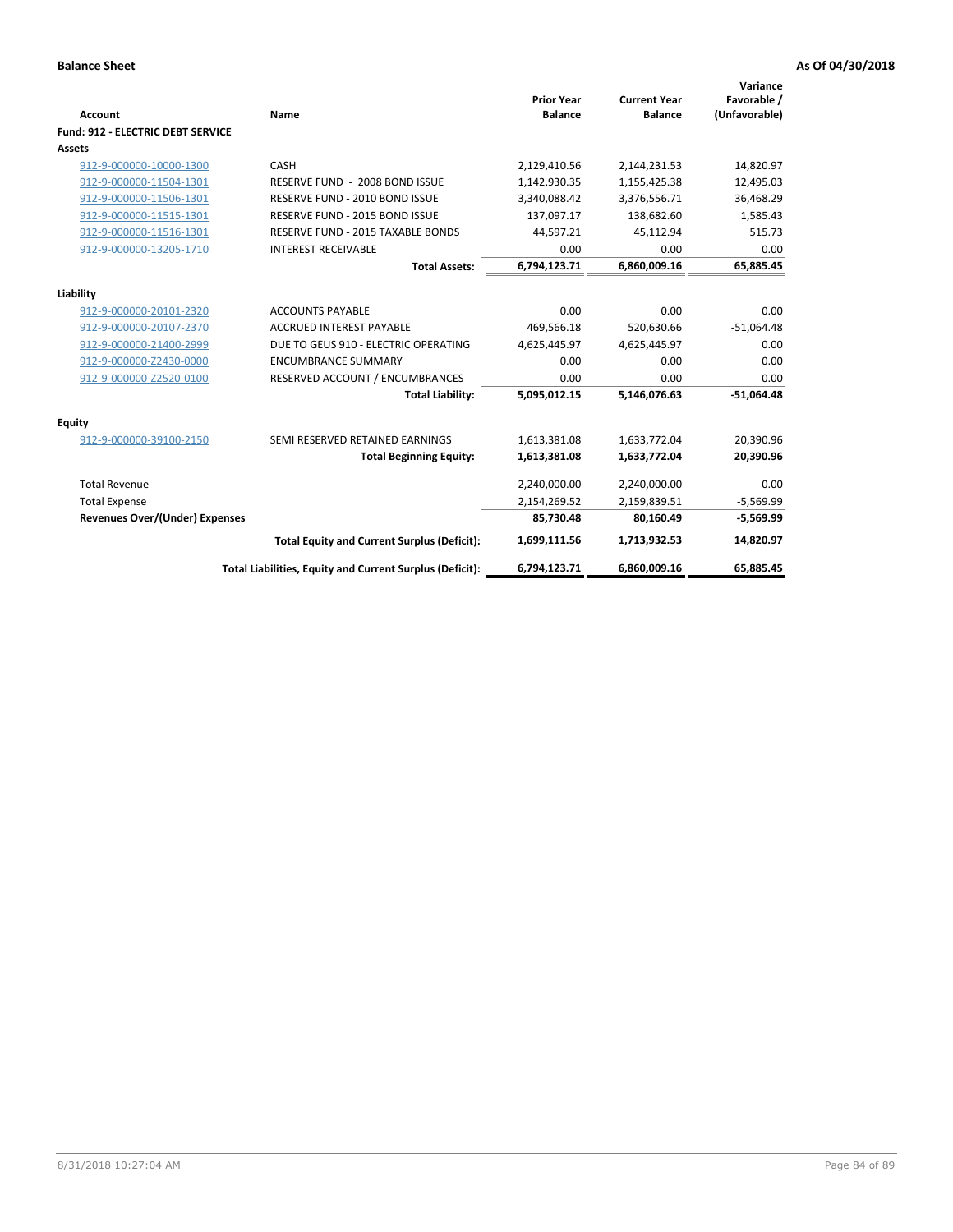| Account                                  | Name                                                     | <b>Prior Year</b><br><b>Balance</b> | <b>Current Year</b><br><b>Balance</b> | Variance<br>Favorable /<br>(Unfavorable) |
|------------------------------------------|----------------------------------------------------------|-------------------------------------|---------------------------------------|------------------------------------------|
| <b>Fund: 912 - ELECTRIC DEBT SERVICE</b> |                                                          |                                     |                                       |                                          |
| <b>Assets</b>                            |                                                          |                                     |                                       |                                          |
| 912-9-000000-10000-1300                  | CASH                                                     | 2,129,410.56                        | 2,144,231.53                          | 14,820.97                                |
| 912-9-000000-11504-1301                  | RESERVE FUND - 2008 BOND ISSUE                           | 1,142,930.35                        | 1,155,425.38                          | 12,495.03                                |
| 912-9-000000-11506-1301                  | RESERVE FUND - 2010 BOND ISSUE                           | 3,340,088.42                        | 3,376,556.71                          | 36,468.29                                |
| 912-9-000000-11515-1301                  | RESERVE FUND - 2015 BOND ISSUE                           | 137,097.17                          | 138,682.60                            | 1,585.43                                 |
| 912-9-000000-11516-1301                  | <b>RESERVE FUND - 2015 TAXABLE BONDS</b>                 | 44,597.21                           | 45,112.94                             | 515.73                                   |
| 912-9-000000-13205-1710                  | <b>INTEREST RECEIVABLE</b>                               | 0.00                                | 0.00                                  | 0.00                                     |
|                                          | <b>Total Assets:</b>                                     | 6,794,123.71                        | 6,860,009.16                          | 65,885.45                                |
| Liability                                |                                                          |                                     |                                       |                                          |
| 912-9-000000-20101-2320                  | <b>ACCOUNTS PAYABLE</b>                                  | 0.00                                | 0.00                                  | 0.00                                     |
| 912-9-000000-20107-2370                  | <b>ACCRUED INTEREST PAYABLE</b>                          | 469,566.18                          | 520,630.66                            | $-51,064.48$                             |
| 912-9-000000-21400-2999                  | DUE TO GEUS 910 - ELECTRIC OPERATING                     | 4,625,445.97                        | 4,625,445.97                          | 0.00                                     |
| 912-9-000000-Z2430-0000                  | <b>ENCUMBRANCE SUMMARY</b>                               | 0.00                                | 0.00                                  | 0.00                                     |
| 912-9-000000-Z2520-0100                  | RESERVED ACCOUNT / ENCUMBRANCES                          | 0.00                                | 0.00                                  | 0.00                                     |
|                                          | <b>Total Liability:</b>                                  | 5,095,012.15                        | 5,146,076.63                          | $-51,064.48$                             |
| Equity                                   |                                                          |                                     |                                       |                                          |
| 912-9-000000-39100-2150                  | SEMI RESERVED RETAINED EARNINGS                          | 1,613,381.08                        | 1,633,772.04                          | 20,390.96                                |
|                                          | <b>Total Beginning Equity:</b>                           | 1,613,381.08                        | 1,633,772.04                          | 20,390.96                                |
| <b>Total Revenue</b>                     |                                                          | 2,240,000.00                        | 2,240,000.00                          | 0.00                                     |
| <b>Total Expense</b>                     |                                                          | 2,154,269.52                        | 2,159,839.51                          | $-5,569.99$                              |
| Revenues Over/(Under) Expenses           |                                                          | 85,730.48                           | 80,160.49                             | $-5,569.99$                              |
|                                          | <b>Total Equity and Current Surplus (Deficit):</b>       | 1,699,111.56                        | 1,713,932.53                          | 14,820.97                                |
|                                          | Total Liabilities, Equity and Current Surplus (Deficit): | 6,794,123.71                        | 6,860,009.16                          | 65.885.45                                |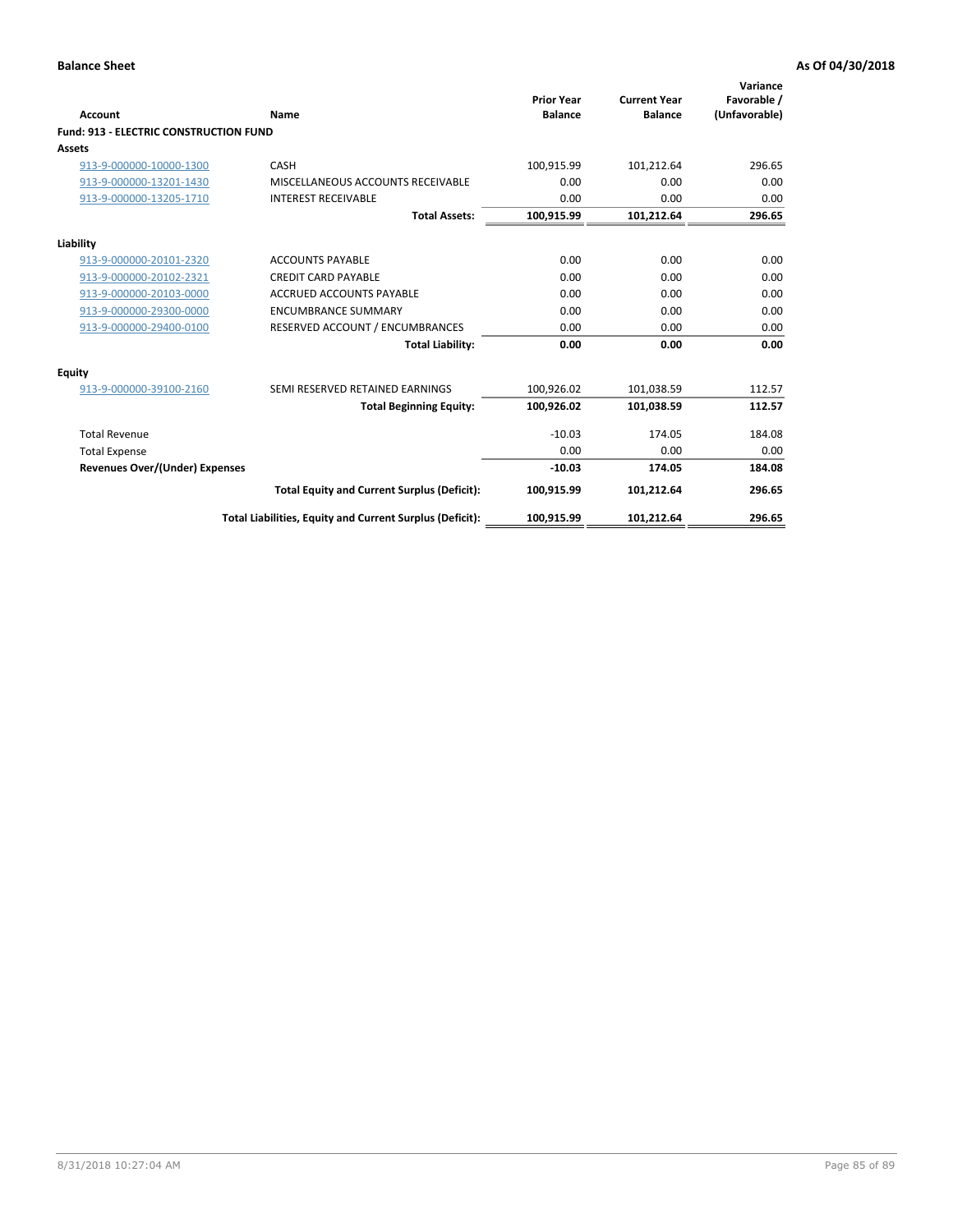| Account                                       | Name                                                     | <b>Prior Year</b><br><b>Balance</b> | <b>Current Year</b><br><b>Balance</b> | Variance<br>Favorable /<br>(Unfavorable) |
|-----------------------------------------------|----------------------------------------------------------|-------------------------------------|---------------------------------------|------------------------------------------|
| <b>Fund: 913 - ELECTRIC CONSTRUCTION FUND</b> |                                                          |                                     |                                       |                                          |
| <b>Assets</b>                                 |                                                          |                                     |                                       |                                          |
| 913-9-000000-10000-1300                       | CASH                                                     | 100,915.99                          | 101,212.64                            | 296.65                                   |
| 913-9-000000-13201-1430                       | MISCELLANEOUS ACCOUNTS RECEIVABLE                        | 0.00                                | 0.00                                  | 0.00                                     |
| 913-9-000000-13205-1710                       | <b>INTEREST RECEIVABLE</b>                               | 0.00                                | 0.00                                  | 0.00                                     |
|                                               | <b>Total Assets:</b>                                     | 100,915.99                          | 101,212.64                            | 296.65                                   |
| Liability                                     |                                                          |                                     |                                       |                                          |
| 913-9-000000-20101-2320                       | <b>ACCOUNTS PAYABLE</b>                                  | 0.00                                | 0.00                                  | 0.00                                     |
| 913-9-000000-20102-2321                       | <b>CREDIT CARD PAYABLE</b>                               | 0.00                                | 0.00                                  | 0.00                                     |
| 913-9-000000-20103-0000                       | <b>ACCRUED ACCOUNTS PAYABLE</b>                          | 0.00                                | 0.00                                  | 0.00                                     |
| 913-9-000000-29300-0000                       | <b>ENCUMBRANCE SUMMARY</b>                               | 0.00                                | 0.00                                  | 0.00                                     |
| 913-9-000000-29400-0100                       | RESERVED ACCOUNT / ENCUMBRANCES                          | 0.00                                | 0.00                                  | 0.00                                     |
|                                               | <b>Total Liability:</b>                                  | 0.00                                | 0.00                                  | 0.00                                     |
| Equity                                        |                                                          |                                     |                                       |                                          |
| 913-9-000000-39100-2160                       | SEMI RESERVED RETAINED EARNINGS                          | 100,926.02                          | 101,038.59                            | 112.57                                   |
|                                               | <b>Total Beginning Equity:</b>                           | 100,926.02                          | 101,038.59                            | 112.57                                   |
| <b>Total Revenue</b>                          |                                                          | $-10.03$                            | 174.05                                | 184.08                                   |
| <b>Total Expense</b>                          |                                                          | 0.00                                | 0.00                                  | 0.00                                     |
| Revenues Over/(Under) Expenses                |                                                          | $-10.03$                            | 174.05                                | 184.08                                   |
|                                               | <b>Total Equity and Current Surplus (Deficit):</b>       | 100,915.99                          | 101,212.64                            | 296.65                                   |
|                                               | Total Liabilities, Equity and Current Surplus (Deficit): | 100,915.99                          | 101,212.64                            | 296.65                                   |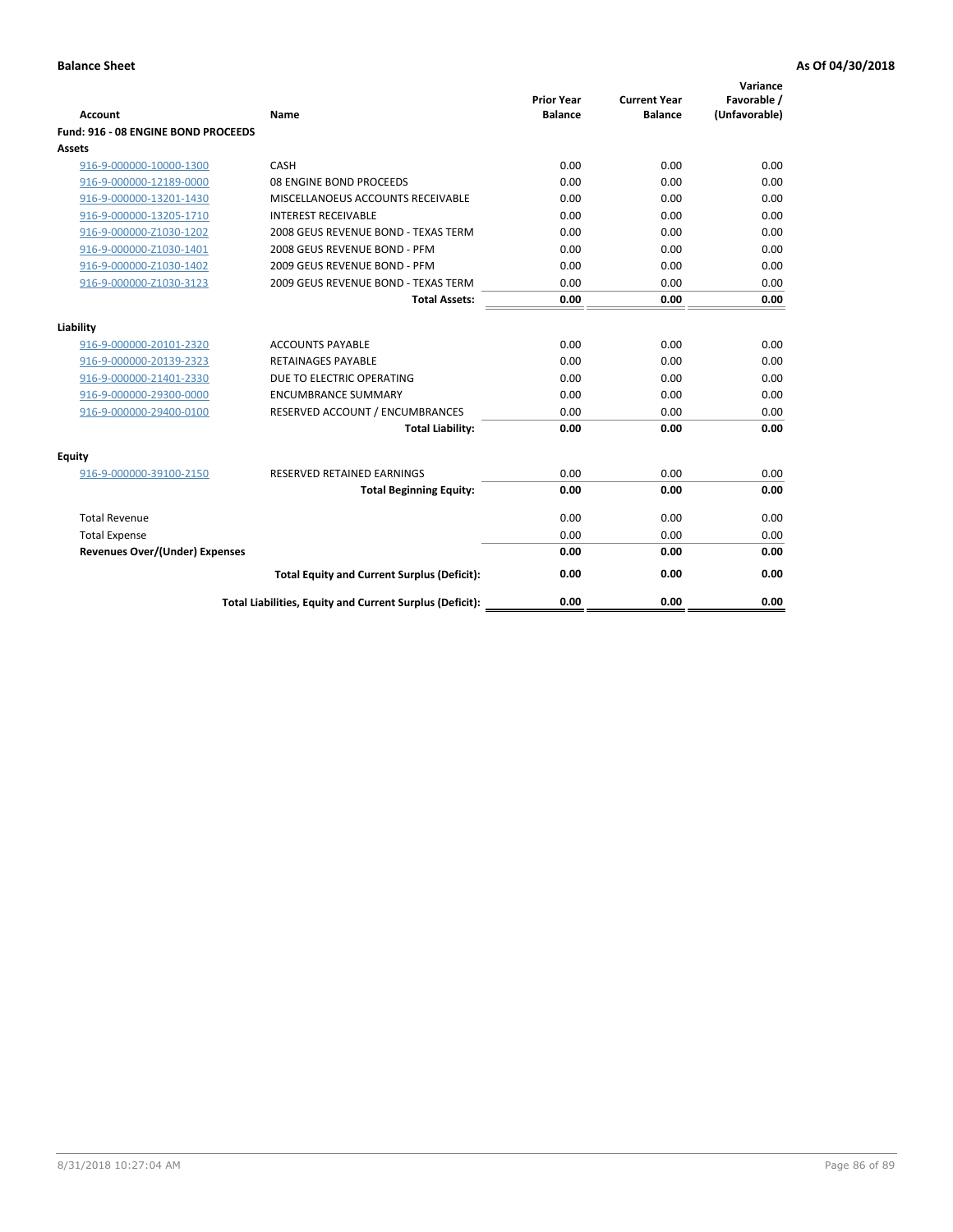| <b>Account</b>                        | Name                                                     | <b>Prior Year</b><br><b>Balance</b> | <b>Current Year</b><br><b>Balance</b> | Variance<br>Favorable /<br>(Unfavorable) |
|---------------------------------------|----------------------------------------------------------|-------------------------------------|---------------------------------------|------------------------------------------|
| Fund: 916 - 08 ENGINE BOND PROCEEDS   |                                                          |                                     |                                       |                                          |
| Assets                                |                                                          |                                     |                                       |                                          |
| 916-9-000000-10000-1300               | CASH                                                     | 0.00                                | 0.00                                  | 0.00                                     |
| 916-9-000000-12189-0000               | 08 ENGINE BOND PROCEEDS                                  | 0.00                                | 0.00                                  | 0.00                                     |
| 916-9-000000-13201-1430               | MISCELLANOEUS ACCOUNTS RECEIVABLE                        | 0.00                                | 0.00                                  | 0.00                                     |
| 916-9-000000-13205-1710               | <b>INTEREST RECEIVABLE</b>                               | 0.00                                | 0.00                                  | 0.00                                     |
| 916-9-000000-Z1030-1202               | 2008 GEUS REVENUE BOND - TEXAS TERM                      | 0.00                                | 0.00                                  | 0.00                                     |
| 916-9-000000-Z1030-1401               | 2008 GEUS REVENUE BOND - PFM                             | 0.00                                | 0.00                                  | 0.00                                     |
| 916-9-000000-Z1030-1402               | 2009 GEUS REVENUE BOND - PFM                             | 0.00                                | 0.00                                  | 0.00                                     |
| 916-9-000000-Z1030-3123               | 2009 GEUS REVENUE BOND - TEXAS TERM                      | 0.00                                | 0.00                                  | 0.00                                     |
|                                       | <b>Total Assets:</b>                                     | 0.00                                | 0.00                                  | 0.00                                     |
| Liability                             |                                                          |                                     |                                       |                                          |
| 916-9-000000-20101-2320               | <b>ACCOUNTS PAYABLE</b>                                  | 0.00                                | 0.00                                  | 0.00                                     |
| 916-9-000000-20139-2323               | <b>RETAINAGES PAYABLE</b>                                | 0.00                                | 0.00                                  | 0.00                                     |
| 916-9-000000-21401-2330               | DUE TO ELECTRIC OPERATING                                | 0.00                                | 0.00                                  | 0.00                                     |
| 916-9-000000-29300-0000               | <b>ENCUMBRANCE SUMMARY</b>                               | 0.00                                | 0.00                                  | 0.00                                     |
| 916-9-000000-29400-0100               | RESERVED ACCOUNT / ENCUMBRANCES                          | 0.00                                | 0.00                                  | 0.00                                     |
|                                       | <b>Total Liability:</b>                                  | 0.00                                | 0.00                                  | 0.00                                     |
|                                       |                                                          |                                     |                                       |                                          |
| Equity                                |                                                          |                                     |                                       |                                          |
| 916-9-000000-39100-2150               | <b>RESERVED RETAINED EARNINGS</b>                        | 0.00                                | 0.00                                  | 0.00                                     |
|                                       | <b>Total Beginning Equity:</b>                           | 0.00                                | 0.00                                  | 0.00                                     |
| <b>Total Revenue</b>                  |                                                          | 0.00                                | 0.00                                  | 0.00                                     |
| <b>Total Expense</b>                  |                                                          | 0.00                                | 0.00                                  | 0.00                                     |
| <b>Revenues Over/(Under) Expenses</b> |                                                          | 0.00                                | 0.00                                  | 0.00                                     |
|                                       | <b>Total Equity and Current Surplus (Deficit):</b>       | 0.00                                | 0.00                                  | 0.00                                     |
|                                       | Total Liabilities, Equity and Current Surplus (Deficit): | 0.00                                | 0.00                                  | 0.00                                     |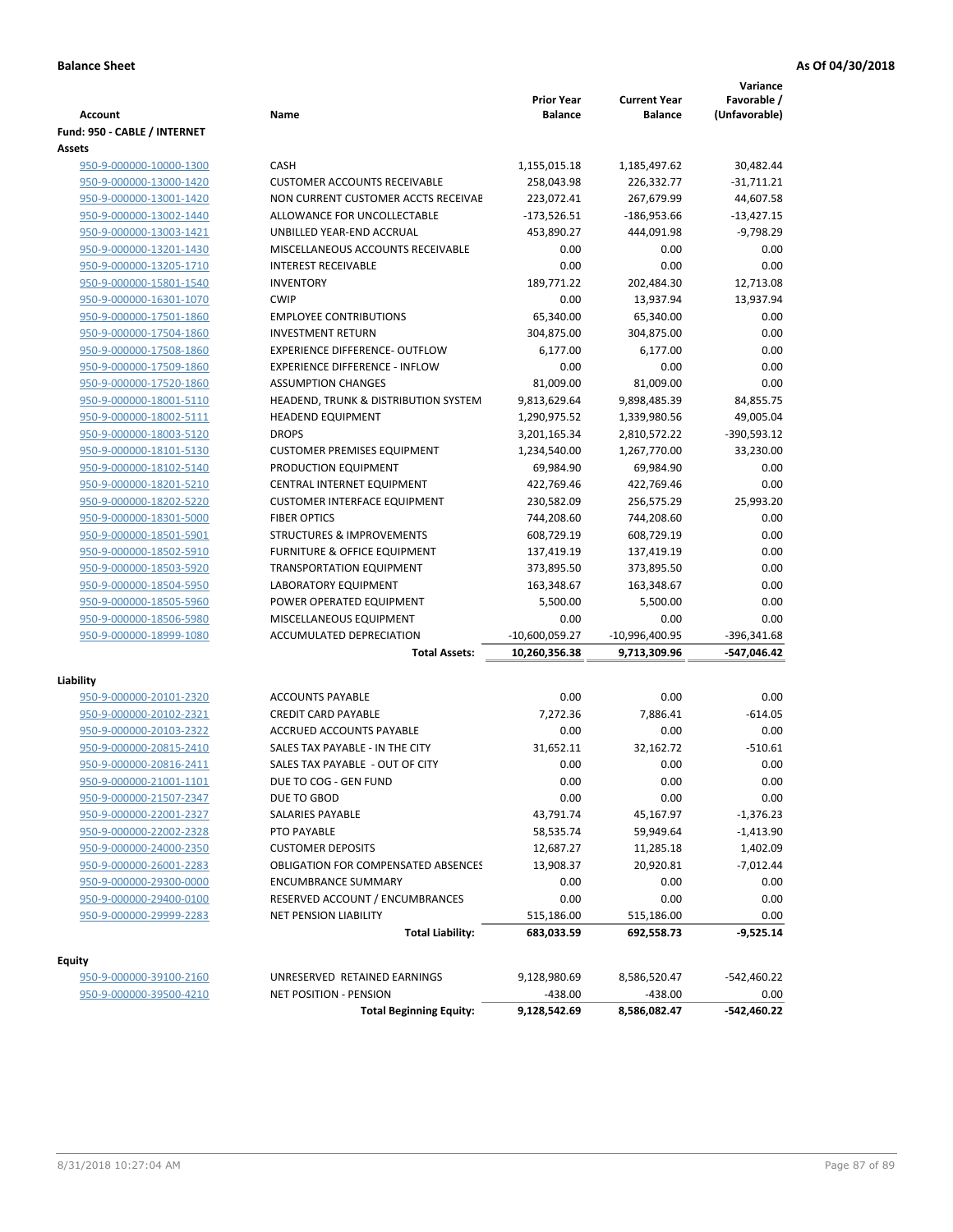| <b>Account</b>               | Name                                                                     | <b>Prior Year</b><br><b>Balance</b> | <b>Current Year</b><br><b>Balance</b> | Variance<br>Favorable /<br>(Unfavorable) |
|------------------------------|--------------------------------------------------------------------------|-------------------------------------|---------------------------------------|------------------------------------------|
| Fund: 950 - CABLE / INTERNET |                                                                          |                                     |                                       |                                          |
| Assets                       |                                                                          |                                     |                                       |                                          |
| 950-9-000000-10000-1300      | CASH                                                                     | 1,155,015.18                        | 1,185,497.62                          | 30,482.44                                |
| 950-9-000000-13000-1420      | <b>CUSTOMER ACCOUNTS RECEIVABLE</b>                                      | 258,043.98                          | 226,332.77                            | $-31,711.21$                             |
| 950-9-000000-13001-1420      | NON CURRENT CUSTOMER ACCTS RECEIVAE                                      | 223,072.41                          | 267,679.99                            | 44,607.58                                |
| 950-9-000000-13002-1440      | ALLOWANCE FOR UNCOLLECTABLE                                              | $-173,526.51$                       | $-186,953.66$                         | $-13,427.15$                             |
| 950-9-000000-13003-1421      | UNBILLED YEAR-END ACCRUAL                                                | 453,890.27                          | 444,091.98                            | $-9,798.29$                              |
| 950-9-000000-13201-1430      | MISCELLANEOUS ACCOUNTS RECEIVABLE                                        | 0.00                                | 0.00                                  | 0.00                                     |
| 950-9-000000-13205-1710      | <b>INTEREST RECEIVABLE</b>                                               | 0.00                                | 0.00                                  | 0.00                                     |
| 950-9-000000-15801-1540      | <b>INVENTORY</b>                                                         | 189,771.22                          | 202,484.30                            | 12,713.08                                |
| 950-9-000000-16301-1070      | <b>CWIP</b>                                                              | 0.00                                | 13,937.94                             | 13,937.94                                |
| 950-9-000000-17501-1860      | <b>EMPLOYEE CONTRIBUTIONS</b>                                            | 65,340.00                           | 65,340.00                             | 0.00                                     |
| 950-9-000000-17504-1860      | <b>INVESTMENT RETURN</b>                                                 | 304,875.00                          | 304,875.00                            | 0.00                                     |
| 950-9-000000-17508-1860      | <b>EXPERIENCE DIFFERENCE- OUTFLOW</b>                                    | 6,177.00                            | 6,177.00                              | 0.00                                     |
| 950-9-000000-17509-1860      | <b>EXPERIENCE DIFFERENCE - INFLOW</b>                                    | 0.00                                | 0.00                                  | 0.00                                     |
| 950-9-000000-17520-1860      | <b>ASSUMPTION CHANGES</b>                                                | 81,009.00                           | 81,009.00                             | 0.00                                     |
| 950-9-000000-18001-5110      | HEADEND, TRUNK & DISTRIBUTION SYSTEM                                     | 9,813,629.64                        | 9,898,485.39                          | 84,855.75                                |
| 950-9-000000-18002-5111      | <b>HEADEND EQUIPMENT</b>                                                 | 1,290,975.52                        | 1,339,980.56                          | 49,005.04                                |
| 950-9-000000-18003-5120      | <b>DROPS</b>                                                             | 3,201,165.34                        | 2,810,572.22                          | -390,593.12                              |
| 950-9-000000-18101-5130      | <b>CUSTOMER PREMISES EQUIPMENT</b>                                       | 1,234,540.00                        | 1,267,770.00                          | 33,230.00                                |
| 950-9-000000-18102-5140      | PRODUCTION EQUIPMENT                                                     | 69,984.90                           | 69,984.90                             | 0.00                                     |
| 950-9-000000-18201-5210      | CENTRAL INTERNET EQUIPMENT                                               | 422,769.46                          | 422,769.46                            | 0.00                                     |
| 950-9-000000-18202-5220      | <b>CUSTOMER INTERFACE EQUIPMENT</b>                                      | 230,582.09                          | 256,575.29                            | 25,993.20                                |
| 950-9-000000-18301-5000      | <b>FIBER OPTICS</b>                                                      | 744,208.60                          | 744,208.60                            | 0.00                                     |
| 950-9-000000-18501-5901      | <b>STRUCTURES &amp; IMPROVEMENTS</b>                                     | 608,729.19                          | 608,729.19                            | 0.00                                     |
| 950-9-000000-18502-5910      | <b>FURNITURE &amp; OFFICE EQUIPMENT</b>                                  | 137,419.19                          | 137,419.19                            | 0.00                                     |
| 950-9-000000-18503-5920      | <b>TRANSPORTATION EQUIPMENT</b>                                          | 373,895.50                          | 373,895.50                            | 0.00                                     |
| 950-9-000000-18504-5950      | LABORATORY EQUIPMENT                                                     | 163,348.67                          | 163,348.67                            | 0.00                                     |
| 950-9-000000-18505-5960      | POWER OPERATED EQUIPMENT                                                 | 5,500.00                            | 5,500.00                              | 0.00                                     |
| 950-9-000000-18506-5980      | MISCELLANEOUS EQUIPMENT                                                  | 0.00                                | 0.00                                  | 0.00                                     |
| 950-9-000000-18999-1080      | ACCUMULATED DEPRECIATION                                                 | $-10,600,059.27$                    | $-10,996,400.95$                      | $-396,341.68$                            |
|                              | <b>Total Assets:</b>                                                     | 10,260,356.38                       | 9,713,309.96                          | -547,046.42                              |
| Liability                    |                                                                          |                                     |                                       |                                          |
| 950-9-000000-20101-2320      | <b>ACCOUNTS PAYABLE</b>                                                  | 0.00                                | 0.00                                  | 0.00                                     |
| 950-9-000000-20102-2321      | <b>CREDIT CARD PAYABLE</b>                                               | 7,272.36                            | 7,886.41                              | $-614.05$                                |
| 950-9-000000-20103-2322      | <b>ACCRUED ACCOUNTS PAYABLE</b>                                          | 0.00                                | 0.00                                  | 0.00                                     |
| 950-9-000000-20815-2410      | SALES TAX PAYABLE - IN THE CITY                                          | 31,652.11                           | 32,162.72                             | $-510.61$                                |
| 950-9-000000-20816-2411      | SALES TAX PAYABLE - OUT OF CITY                                          | 0.00                                | 0.00                                  | 0.00                                     |
| 950-9-000000-21001-1101      | DUE TO COG - GEN FUND                                                    | 0.00                                | 0.00                                  | 0.00                                     |
| 950-9-000000-21507-2347      | DUE TO GBOD                                                              | 0.00                                | 0.00                                  | 0.00                                     |
| 950-9-000000-22001-2327      | SALARIES PAYABLE                                                         | 43,791.74                           |                                       |                                          |
|                              | PTO PAYABLE                                                              |                                     | 45,167.97                             | -1,376.23                                |
| 950-9-000000-22002-2328      | <b>CUSTOMER DEPOSITS</b>                                                 | 58,535.74                           | 59,949.64                             | $-1,413.90$                              |
| 950-9-000000-24000-2350      |                                                                          | 12,687.27                           | 11,285.18                             | 1,402.09                                 |
| 950-9-000000-26001-2283      | <b>OBLIGATION FOR COMPENSATED ABSENCES</b><br><b>ENCUMBRANCE SUMMARY</b> | 13,908.37                           | 20,920.81                             | $-7,012.44$                              |
| 950-9-000000-29300-0000      |                                                                          | 0.00                                | 0.00                                  | 0.00                                     |
| 950-9-000000-29400-0100      | RESERVED ACCOUNT / ENCUMBRANCES<br><b>NET PENSION LIABILITY</b>          | 0.00                                | 0.00                                  | 0.00                                     |
| 950-9-000000-29999-2283      | <b>Total Liability:</b>                                                  | 515,186.00<br>683,033.59            | 515,186.00<br>692,558.73              | 0.00<br>$-9,525.14$                      |
|                              |                                                                          |                                     |                                       |                                          |
| Equity                       |                                                                          |                                     |                                       |                                          |
| 950-9-000000-39100-2160      | UNRESERVED RETAINED EARNINGS                                             | 9,128,980.69                        | 8,586,520.47                          | -542,460.22                              |
| 950-9-000000-39500-4210      | <b>NET POSITION - PENSION</b>                                            | $-438.00$                           | -438.00                               | 0.00                                     |
|                              | <b>Total Beginning Equity:</b>                                           | 9,128,542.69                        | 8,586,082.47                          | -542,460.22                              |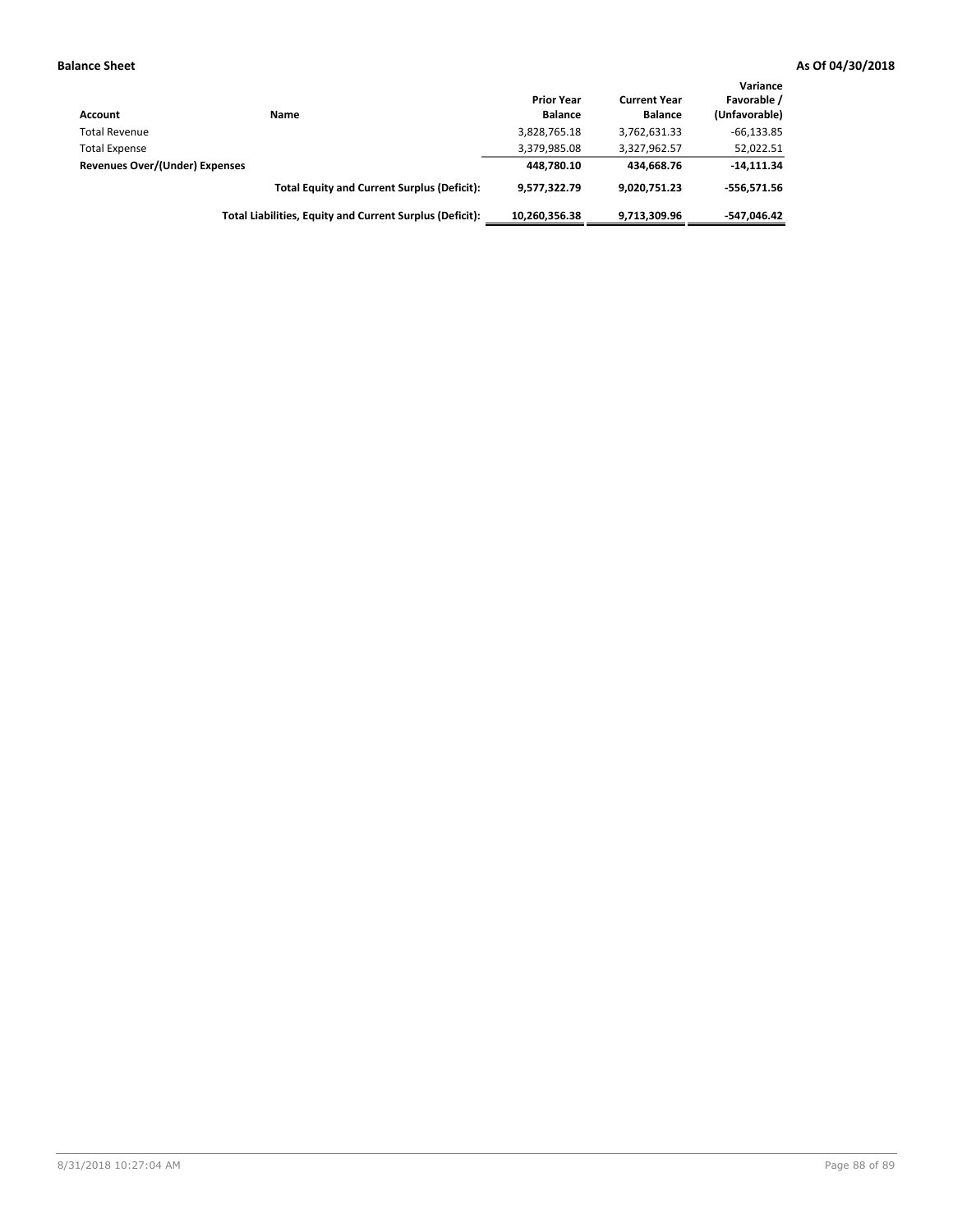| <b>Account</b>                 | Name                                                     | <b>Prior Year</b><br><b>Balance</b> | <b>Current Year</b><br><b>Balance</b> | Variance<br>Favorable /<br>(Unfavorable) |
|--------------------------------|----------------------------------------------------------|-------------------------------------|---------------------------------------|------------------------------------------|
| <b>Total Revenue</b>           |                                                          | 3,828,765.18                        | 3,762,631.33                          | $-66, 133.85$                            |
| <b>Total Expense</b>           |                                                          | 3,379,985.08                        | 3,327,962.57                          | 52,022.51                                |
| Revenues Over/(Under) Expenses |                                                          | 448.780.10                          | 434.668.76                            | $-14,111.34$                             |
|                                | <b>Total Equity and Current Surplus (Deficit):</b>       | 9.577.322.79                        | 9.020.751.23                          | $-556.571.56$                            |
|                                | Total Liabilities, Equity and Current Surplus (Deficit): | 10.260.356.38                       | 9.713.309.96                          | -547.046.42                              |